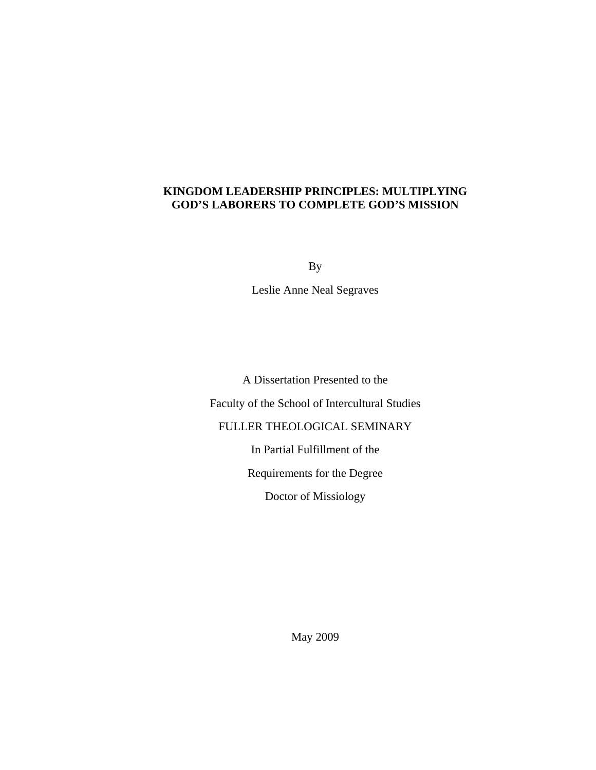# **KINGDOM LEADERSHIP PRINCIPLES: MULTIPLYING GOD'S LABORERS TO COMPLETE GOD'S MISSION**

By

Leslie Anne Neal Segraves

A Dissertation Presented to the Faculty of the School of Intercultural Studies FULLER THEOLOGICAL SEMINARY In Partial Fulfillment of the Requirements for the Degree Doctor of Missiology

May 2009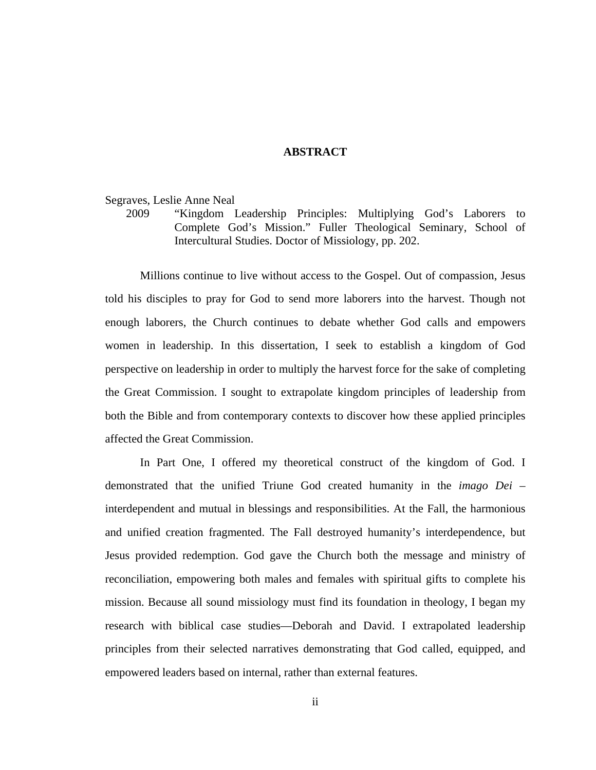# **ABSTRACT**

Segraves, Leslie Anne Neal

2009 "Kingdom Leadership Principles: Multiplying God's Laborers to Complete God's Mission." Fuller Theological Seminary, School of Intercultural Studies. Doctor of Missiology, pp. 202.

Millions continue to live without access to the Gospel. Out of compassion, Jesus told his disciples to pray for God to send more laborers into the harvest. Though not enough laborers, the Church continues to debate whether God calls and empowers women in leadership. In this dissertation, I seek to establish a kingdom of God perspective on leadership in order to multiply the harvest force for the sake of completing the Great Commission. I sought to extrapolate kingdom principles of leadership from both the Bible and from contemporary contexts to discover how these applied principles affected the Great Commission.

In Part One, I offered my theoretical construct of the kingdom of God. I demonstrated that the unified Triune God created humanity in the *imago Dei –*  interdependent and mutual in blessings and responsibilities. At the Fall, the harmonious and unified creation fragmented. The Fall destroyed humanity's interdependence, but Jesus provided redemption. God gave the Church both the message and ministry of reconciliation, empowering both males and females with spiritual gifts to complete his mission. Because all sound missiology must find its foundation in theology, I began my research with biblical case studies—Deborah and David. I extrapolated leadership principles from their selected narratives demonstrating that God called, equipped, and empowered leaders based on internal, rather than external features.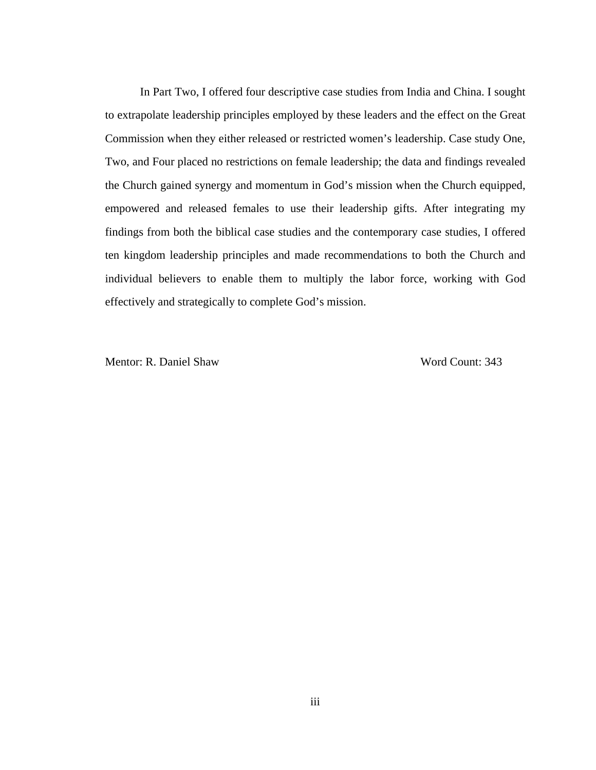In Part Two, I offered four descriptive case studies from India and China. I sought to extrapolate leadership principles employed by these leaders and the effect on the Great Commission when they either released or restricted women's leadership. Case study One, Two, and Four placed no restrictions on female leadership; the data and findings revealed the Church gained synergy and momentum in God's mission when the Church equipped, empowered and released females to use their leadership gifts. After integrating my findings from both the biblical case studies and the contemporary case studies, I offered ten kingdom leadership principles and made recommendations to both the Church and individual believers to enable them to multiply the labor force, working with God effectively and strategically to complete God's mission.

Mentor: R. Daniel Shaw Word Count: 343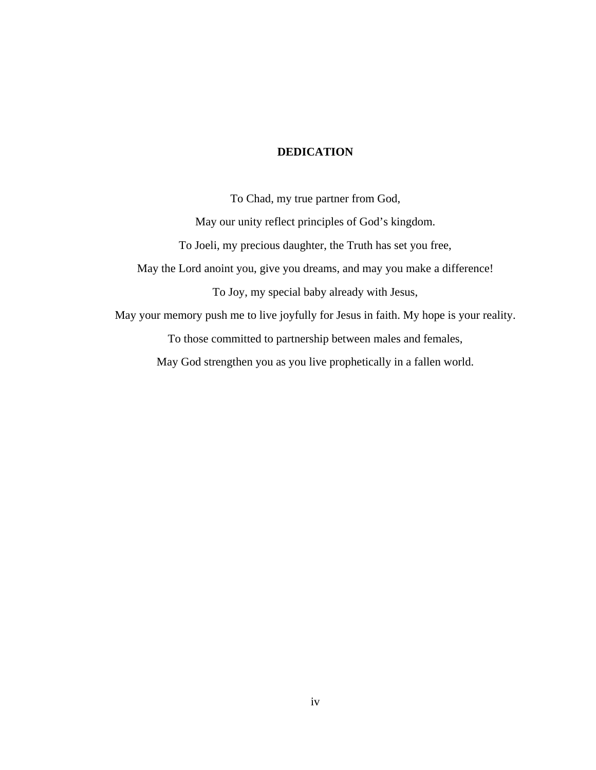# **DEDICATION**

To Chad, my true partner from God, May our unity reflect principles of God's kingdom. To Joeli, my precious daughter, the Truth has set you free, May the Lord anoint you, give you dreams, and may you make a difference! To Joy, my special baby already with Jesus, May your memory push me to live joyfully for Jesus in faith. My hope is your reality. To those committed to partnership between males and females, May God strengthen you as you live prophetically in a fallen world.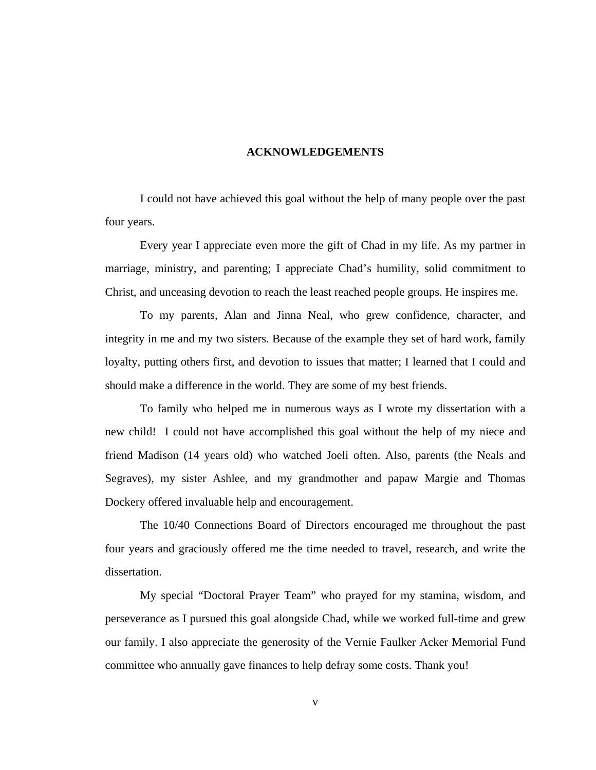# **ACKNOWLEDGEMENTS**

I could not have achieved this goal without the help of many people over the past four years.

Every year I appreciate even more the gift of Chad in my life. As my partner in marriage, ministry, and parenting; I appreciate Chad's humility, solid commitment to Christ, and unceasing devotion to reach the least reached people groups. He inspires me.

To my parents, Alan and Jinna Neal, who grew confidence, character, and integrity in me and my two sisters. Because of the example they set of hard work, family loyalty, putting others first, and devotion to issues that matter; I learned that I could and should make a difference in the world. They are some of my best friends.

To family who helped me in numerous ways as I wrote my dissertation with a new child! I could not have accomplished this goal without the help of my niece and friend Madison (14 years old) who watched Joeli often. Also, parents (the Neals and Segraves), my sister Ashlee, and my grandmother and papaw Margie and Thomas Dockery offered invaluable help and encouragement.

The 10/40 Connections Board of Directors encouraged me throughout the past four years and graciously offered me the time needed to travel, research, and write the dissertation.

My special "Doctoral Prayer Team" who prayed for my stamina, wisdom, and perseverance as I pursued this goal alongside Chad, while we worked full-time and grew our family. I also appreciate the generosity of the Vernie Faulker Acker Memorial Fund committee who annually gave finances to help defray some costs. Thank you!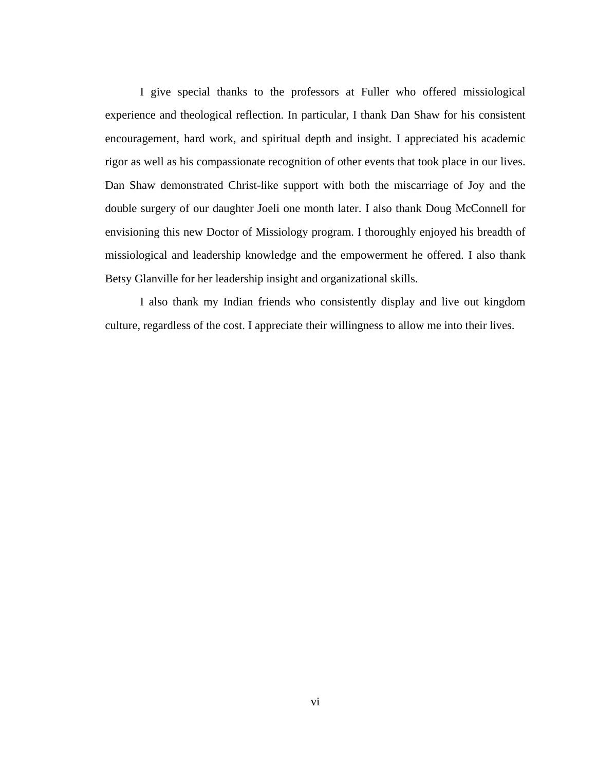I give special thanks to the professors at Fuller who offered missiological experience and theological reflection. In particular, I thank Dan Shaw for his consistent encouragement, hard work, and spiritual depth and insight. I appreciated his academic rigor as well as his compassionate recognition of other events that took place in our lives. Dan Shaw demonstrated Christ-like support with both the miscarriage of Joy and the double surgery of our daughter Joeli one month later. I also thank Doug McConnell for envisioning this new Doctor of Missiology program. I thoroughly enjoyed his breadth of missiological and leadership knowledge and the empowerment he offered. I also thank Betsy Glanville for her leadership insight and organizational skills.

I also thank my Indian friends who consistently display and live out kingdom culture, regardless of the cost. I appreciate their willingness to allow me into their lives.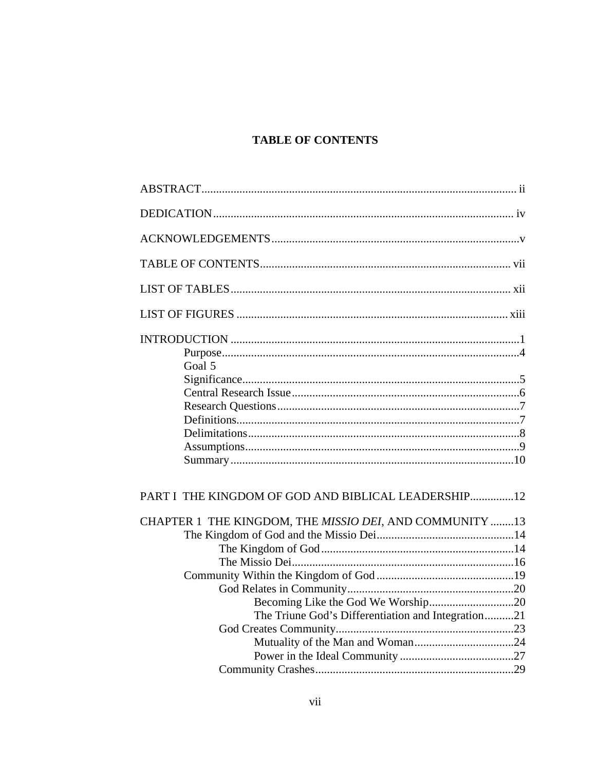# **TABLE OF CONTENTS**

| Goal 5                                                  |  |
|---------------------------------------------------------|--|
|                                                         |  |
|                                                         |  |
|                                                         |  |
|                                                         |  |
|                                                         |  |
|                                                         |  |
| PART I THE KINGDOM OF GOD AND BIBLICAL LEADERSHIP12     |  |
| CHAPTER 1 THE KINGDOM, THE MISSIO DEI, AND COMMUNITY 13 |  |
|                                                         |  |
|                                                         |  |
|                                                         |  |
|                                                         |  |
|                                                         |  |
|                                                         |  |
| The Triune God's Differentiation and Integration21      |  |
|                                                         |  |
|                                                         |  |
|                                                         |  |
|                                                         |  |
|                                                         |  |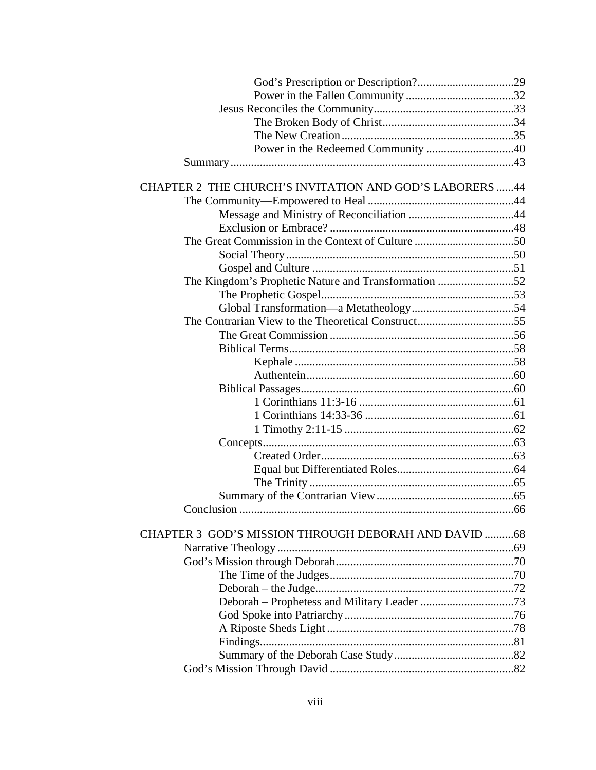| Power in the Redeemed Community 40                       |  |
|----------------------------------------------------------|--|
|                                                          |  |
|                                                          |  |
| CHAPTER 2 THE CHURCH'S INVITATION AND GOD'S LABORERS  44 |  |
|                                                          |  |
|                                                          |  |
|                                                          |  |
|                                                          |  |
|                                                          |  |
|                                                          |  |
| The Kingdom's Prophetic Nature and Transformation 52     |  |
|                                                          |  |
|                                                          |  |
| The Contrarian View to the Theoretical Construct55       |  |
|                                                          |  |
|                                                          |  |
|                                                          |  |
|                                                          |  |
|                                                          |  |
|                                                          |  |
|                                                          |  |
|                                                          |  |
|                                                          |  |
|                                                          |  |
|                                                          |  |
|                                                          |  |
|                                                          |  |
| Conclusion                                               |  |
|                                                          |  |
| CHAPTER 3 GOD'S MISSION THROUGH DEBORAH AND DAVID 68     |  |
|                                                          |  |
|                                                          |  |
|                                                          |  |
|                                                          |  |
|                                                          |  |
|                                                          |  |
|                                                          |  |
|                                                          |  |
|                                                          |  |
|                                                          |  |
|                                                          |  |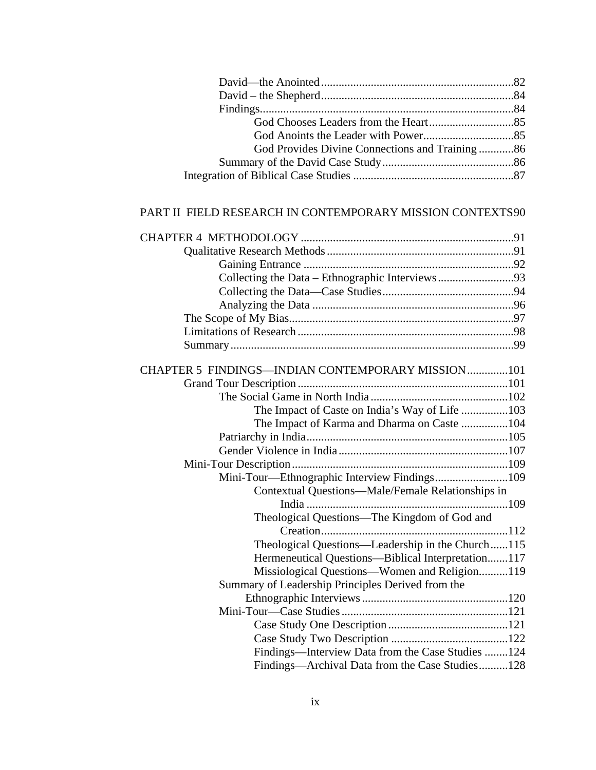| God Provides Divine Connections and Training86 |  |
|------------------------------------------------|--|
|                                                |  |
|                                                |  |
|                                                |  |

# PART II FIELD RESEARCH IN CONTEMPORARY MISSION CONTEXTS 90

| CHAPTER 5 FINDINGS-INDIAN CONTEMPORARY MISSION101  |  |
|----------------------------------------------------|--|
|                                                    |  |
|                                                    |  |
| The Impact of Caste on India's Way of Life 103     |  |
| The Impact of Karma and Dharma on Caste 104        |  |
|                                                    |  |
|                                                    |  |
|                                                    |  |
|                                                    |  |
| Contextual Questions—Male/Female Relationships in  |  |
|                                                    |  |
| Theological Questions—The Kingdom of God and       |  |
|                                                    |  |
| Theological Questions—Leadership in the Church115  |  |
| Hermeneutical Questions-Biblical Interpretation117 |  |
| Missiological Questions-Women and Religion119      |  |
| Summary of Leadership Principles Derived from the  |  |
|                                                    |  |
|                                                    |  |
|                                                    |  |
|                                                    |  |
| Findings—Interview Data from the Case Studies 124  |  |
| Findings—Archival Data from the Case Studies128    |  |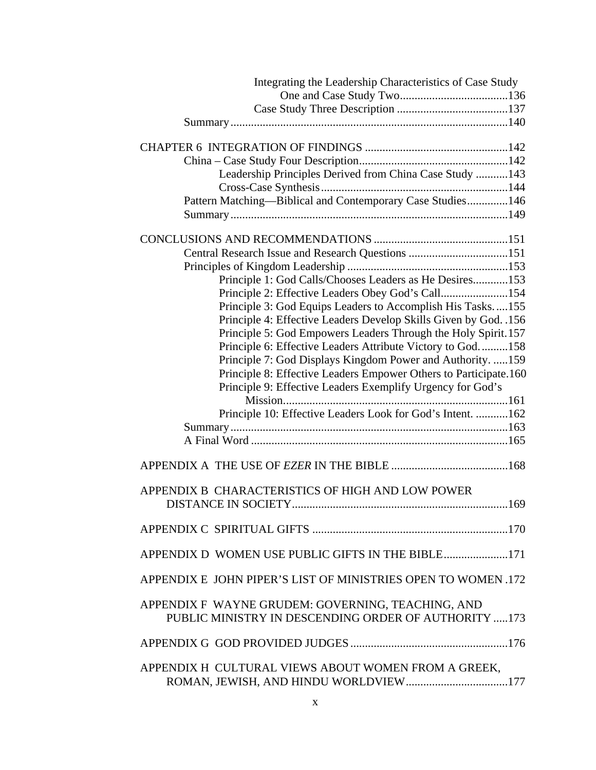| Integrating the Leadership Characteristics of Case Study                                                                       |  |
|--------------------------------------------------------------------------------------------------------------------------------|--|
|                                                                                                                                |  |
|                                                                                                                                |  |
|                                                                                                                                |  |
|                                                                                                                                |  |
|                                                                                                                                |  |
| Leadership Principles Derived from China Case Study  143                                                                       |  |
|                                                                                                                                |  |
| Pattern Matching-Biblical and Contemporary Case Studies146                                                                     |  |
|                                                                                                                                |  |
|                                                                                                                                |  |
|                                                                                                                                |  |
| Central Research Issue and Research Questions 151                                                                              |  |
|                                                                                                                                |  |
| Principle 1: God Calls/Chooses Leaders as He Desires153                                                                        |  |
| Principle 2: Effective Leaders Obey God's Call154                                                                              |  |
| Principle 3: God Equips Leaders to Accomplish His Tasks155                                                                     |  |
| Principle 4: Effective Leaders Develop Skills Given by God. .156                                                               |  |
| Principle 5: God Empowers Leaders Through the Holy Spirit. 157                                                                 |  |
| Principle 6: Effective Leaders Attribute Victory to God158                                                                     |  |
| Principle 7: God Displays Kingdom Power and Authority. 159                                                                     |  |
| Principle 8: Effective Leaders Empower Others to Participate.160<br>Principle 9: Effective Leaders Exemplify Urgency for God's |  |
|                                                                                                                                |  |
| Principle 10: Effective Leaders Look for God's Intent.  162                                                                    |  |
|                                                                                                                                |  |
|                                                                                                                                |  |
|                                                                                                                                |  |
|                                                                                                                                |  |
|                                                                                                                                |  |
| APPENDIX B CHARACTERISTICS OF HIGH AND LOW POWER                                                                               |  |
|                                                                                                                                |  |
|                                                                                                                                |  |
| APPENDIX D WOMEN USE PUBLIC GIFTS IN THE BIBLE171                                                                              |  |
| APPENDIX E JOHN PIPER'S LIST OF MINISTRIES OPEN TO WOMEN .172                                                                  |  |
| APPENDIX F WAYNE GRUDEM: GOVERNING, TEACHING, AND<br>PUBLIC MINISTRY IN DESCENDING ORDER OF AUTHORITY 173                      |  |
|                                                                                                                                |  |
| APPENDIX H CULTURAL VIEWS ABOUT WOMEN FROM A GREEK,                                                                            |  |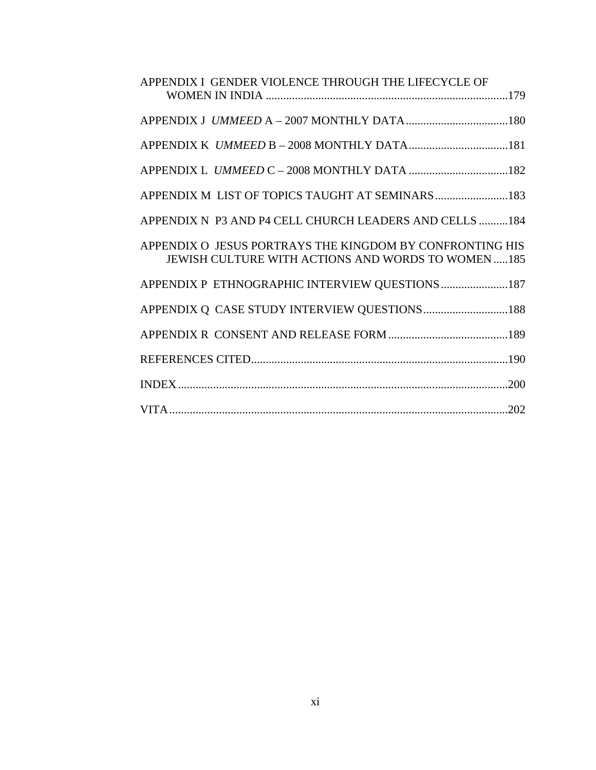| APPENDIX I GENDER VIOLENCE THROUGH THE LIFECYCLE OF                                                                  |
|----------------------------------------------------------------------------------------------------------------------|
|                                                                                                                      |
|                                                                                                                      |
|                                                                                                                      |
| APPENDIX M LIST OF TOPICS TAUGHT AT SEMINARS 183                                                                     |
| APPENDIX N P3 AND P4 CELL CHURCH LEADERS AND CELLS 184                                                               |
| APPENDIX O JESUS PORTRAYS THE KINGDOM BY CONFRONTING HIS<br><b>JEWISH CULTURE WITH ACTIONS AND WORDS TO WOMEN185</b> |
| APPENDIX P ETHNOGRAPHIC INTERVIEW QUESTIONS 187                                                                      |
| APPENDIX Q CASE STUDY INTERVIEW QUESTIONS188                                                                         |
|                                                                                                                      |
|                                                                                                                      |
| .200                                                                                                                 |
|                                                                                                                      |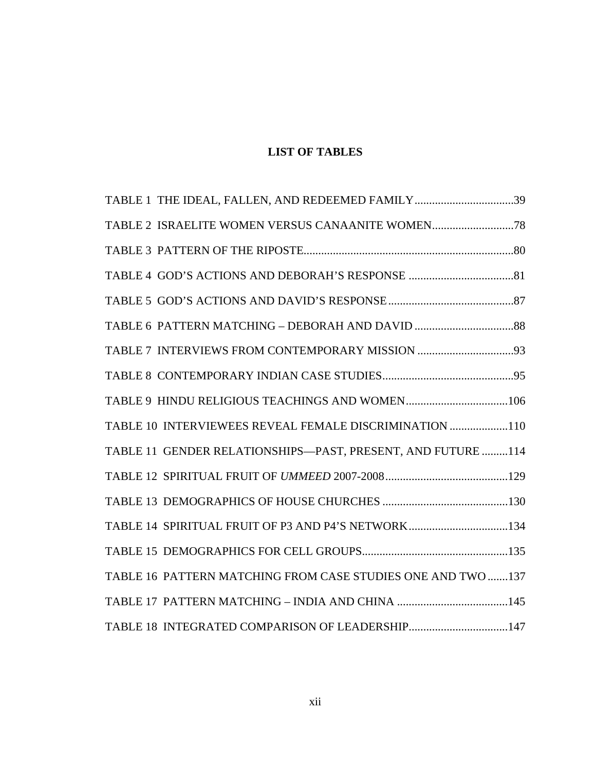# **LIST OF TABLES**

| TABLE 1 THE IDEAL, FALLEN, AND REDEEMED FAMILY39             |  |
|--------------------------------------------------------------|--|
|                                                              |  |
|                                                              |  |
|                                                              |  |
|                                                              |  |
|                                                              |  |
|                                                              |  |
|                                                              |  |
|                                                              |  |
| TABLE 10 INTERVIEWEES REVEAL FEMALE DISCRIMINATION 110       |  |
| TABLE 11 GENDER RELATIONSHIPS-PAST, PRESENT, AND FUTURE  114 |  |
|                                                              |  |
|                                                              |  |
| TABLE 14 SPIRITUAL FRUIT OF P3 AND P4'S NETWORK134           |  |
|                                                              |  |
| TABLE 16 PATTERN MATCHING FROM CASE STUDIES ONE AND TWO 137  |  |
|                                                              |  |
| TABLE 18 INTEGRATED COMPARISON OF LEADERSHIP147              |  |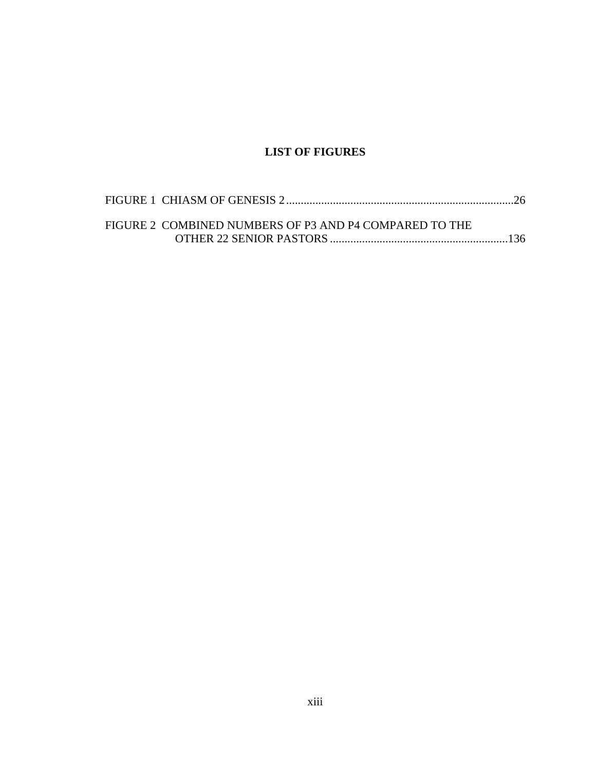# **LIST OF FIGURES**

| FIGURE 2 COMBINED NUMBERS OF P3 AND P4 COMPARED TO THE |  |
|--------------------------------------------------------|--|
|                                                        |  |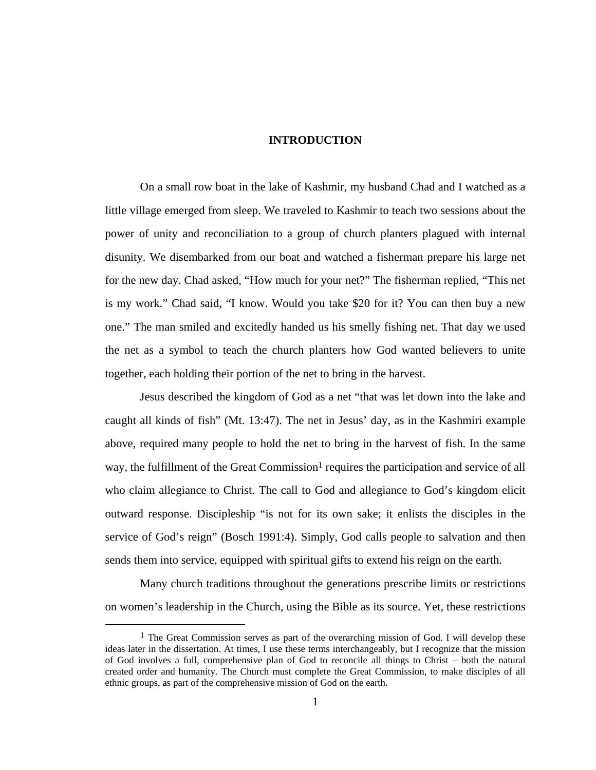# **INTRODUCTION**

On a small row boat in the lake of Kashmir, my husband Chad and I watched as a little village emerged from sleep. We traveled to Kashmir to teach two sessions about the power of unity and reconciliation to a group of church planters plagued with internal disunity. We disembarked from our boat and watched a fisherman prepare his large net for the new day. Chad asked, "How much for your net?" The fisherman replied, "This net is my work." Chad said, "I know. Would you take \$20 for it? You can then buy a new one." The man smiled and excitedly handed us his smelly fishing net. That day we used the net as a symbol to teach the church planters how God wanted believers to unite together, each holding their portion of the net to bring in the harvest.

Jesus described the kingdom of God as a net "that was let down into the lake and caught all kinds of fish" (Mt. 13:47). The net in Jesus' day, as in the Kashmiri example above, required many people to hold the net to bring in the harvest of fish. In the same way, the fulfillment of the Great Commission<sup>1</sup> requires the participation and service of all who claim allegiance to Christ. The call to God and allegiance to God's kingdom elicit outward response. Discipleship "is not for its own sake; it enlists the disciples in the service of God's reign" (Bosch 1991:4). Simply, God calls people to salvation and then sends them into service, equipped with spiritual gifts to extend his reign on the earth.

Many church traditions throughout the generations prescribe limits or restrictions on women's leadership in the Church, using the Bible as its source. Yet, these restrictions

<sup>&</sup>lt;sup>1</sup> The Great Commission serves as part of the overarching mission of God. I will develop these ideas later in the dissertation. At times, I use these terms interchangeably, but I recognize that the mission of God involves a full, comprehensive plan of God to reconcile all things to Christ – both the natural created order and humanity. The Church must complete the Great Commission, to make disciples of all ethnic groups, as part of the comprehensive mission of God on the earth.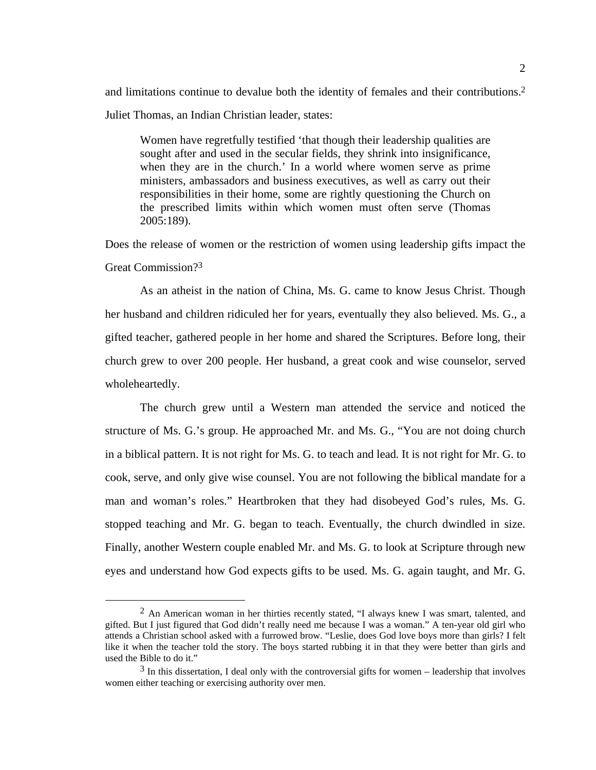and limitations continue to devalue both the identity of females and their contributions.2 Juliet Thomas, an Indian Christian leader, states:

Women have regretfully testified 'that though their leadership qualities are sought after and used in the secular fields, they shrink into insignificance, when they are in the church.' In a world where women serve as prime ministers, ambassadors and business executives, as well as carry out their responsibilities in their home, some are rightly questioning the Church on the prescribed limits within which women must often serve (Thomas 2005:189).

Does the release of women or the restriction of women using leadership gifts impact the Great Commission?3

As an atheist in the nation of China, Ms. G. came to know Jesus Christ. Though her husband and children ridiculed her for years, eventually they also believed. Ms. G., a gifted teacher, gathered people in her home and shared the Scriptures. Before long, their church grew to over 200 people. Her husband, a great cook and wise counselor, served wholeheartedly.

The church grew until a Western man attended the service and noticed the structure of Ms. G.'s group. He approached Mr. and Ms. G., "You are not doing church in a biblical pattern. It is not right for Ms. G. to teach and lead. It is not right for Mr. G. to cook, serve, and only give wise counsel. You are not following the biblical mandate for a man and woman's roles." Heartbroken that they had disobeyed God's rules, Ms. G. stopped teaching and Mr. G. began to teach. Eventually, the church dwindled in size. Finally, another Western couple enabled Mr. and Ms. G. to look at Scripture through new eyes and understand how God expects gifts to be used. Ms. G. again taught, and Mr. G.

 <sup>2</sup> An American woman in her thirties recently stated, "I always knew I was smart, talented, and gifted. But I just figured that God didn't really need me because I was a woman." A ten-year old girl who attends a Christian school asked with a furrowed brow. "Leslie, does God love boys more than girls? I felt like it when the teacher told the story. The boys started rubbing it in that they were better than girls and used the Bible to do it."

 $3$  In this dissertation, I deal only with the controversial gifts for women – leadership that involves women either teaching or exercising authority over men.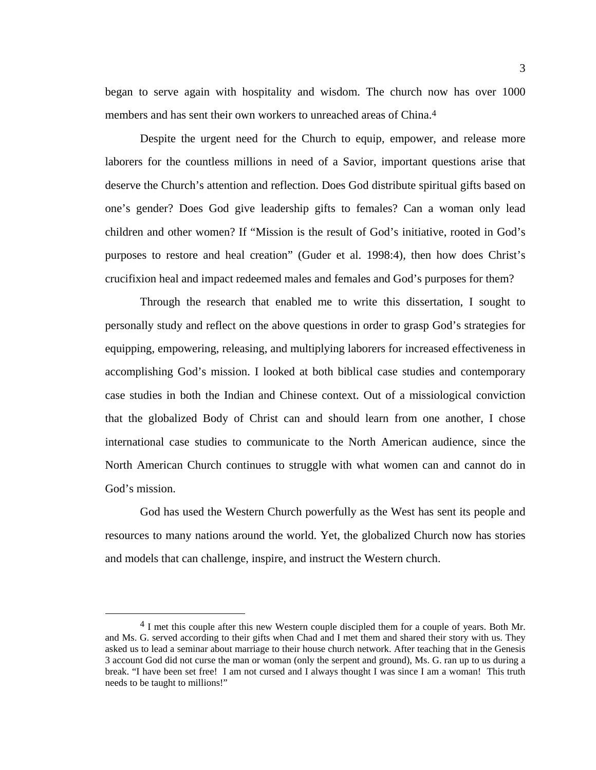began to serve again with hospitality and wisdom. The church now has over 1000 members and has sent their own workers to unreached areas of China.<sup>4</sup>

Despite the urgent need for the Church to equip, empower, and release more laborers for the countless millions in need of a Savior, important questions arise that deserve the Church's attention and reflection. Does God distribute spiritual gifts based on one's gender? Does God give leadership gifts to females? Can a woman only lead children and other women? If "Mission is the result of God's initiative, rooted in God's purposes to restore and heal creation" (Guder et al. 1998:4), then how does Christ's crucifixion heal and impact redeemed males and females and God's purposes for them?

Through the research that enabled me to write this dissertation, I sought to personally study and reflect on the above questions in order to grasp God's strategies for equipping, empowering, releasing, and multiplying laborers for increased effectiveness in accomplishing God's mission. I looked at both biblical case studies and contemporary case studies in both the Indian and Chinese context. Out of a missiological conviction that the globalized Body of Christ can and should learn from one another, I chose international case studies to communicate to the North American audience, since the North American Church continues to struggle with what women can and cannot do in God's mission.

God has used the Western Church powerfully as the West has sent its people and resources to many nations around the world. Yet, the globalized Church now has stories and models that can challenge, inspire, and instruct the Western church.

<sup>&</sup>lt;sup>4</sup> I met this couple after this new Western couple discipled them for a couple of years. Both Mr. and Ms. G. served according to their gifts when Chad and I met them and shared their story with us. They asked us to lead a seminar about marriage to their house church network. After teaching that in the Genesis 3 account God did not curse the man or woman (only the serpent and ground), Ms. G. ran up to us during a break. "I have been set free! I am not cursed and I always thought I was since I am a woman! This truth needs to be taught to millions!"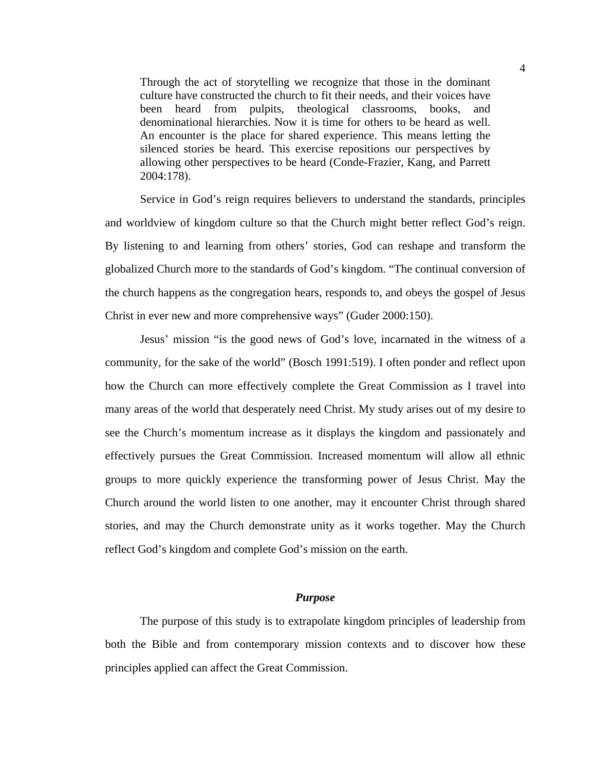Through the act of storytelling we recognize that those in the dominant culture have constructed the church to fit their needs, and their voices have been heard from pulpits, theological classrooms, books, and denominational hierarchies. Now it is time for others to be heard as well. An encounter is the place for shared experience. This means letting the silenced stories be heard. This exercise repositions our perspectives by allowing other perspectives to be heard (Conde-Frazier, Kang, and Parrett 2004:178).

Service in God's reign requires believers to understand the standards, principles and worldview of kingdom culture so that the Church might better reflect God's reign. By listening to and learning from others' stories, God can reshape and transform the globalized Church more to the standards of God's kingdom. "The continual conversion of the church happens as the congregation hears, responds to, and obeys the gospel of Jesus Christ in ever new and more comprehensive ways" (Guder 2000:150).

Jesus' mission "is the good news of God's love, incarnated in the witness of a community, for the sake of the world" (Bosch 1991:519). I often ponder and reflect upon how the Church can more effectively complete the Great Commission as I travel into many areas of the world that desperately need Christ. My study arises out of my desire to see the Church's momentum increase as it displays the kingdom and passionately and effectively pursues the Great Commission. Increased momentum will allow all ethnic groups to more quickly experience the transforming power of Jesus Christ. May the Church around the world listen to one another, may it encounter Christ through shared stories, and may the Church demonstrate unity as it works together. May the Church reflect God's kingdom and complete God's mission on the earth.

#### *Purpose*

The purpose of this study is to extrapolate kingdom principles of leadership from both the Bible and from contemporary mission contexts and to discover how these principles applied can affect the Great Commission.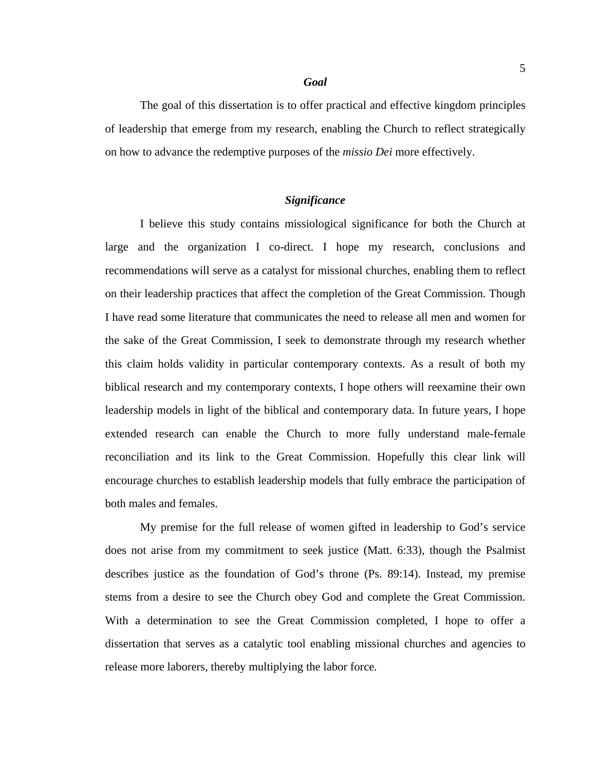#### *Goal*

The goal of this dissertation is to offer practical and effective kingdom principles of leadership that emerge from my research, enabling the Church to reflect strategically on how to advance the redemptive purposes of the *missio Dei* more effectively.

# *Significance*

I believe this study contains missiological significance for both the Church at large and the organization I co-direct. I hope my research, conclusions and recommendations will serve as a catalyst for missional churches, enabling them to reflect on their leadership practices that affect the completion of the Great Commission. Though I have read some literature that communicates the need to release all men and women for the sake of the Great Commission, I seek to demonstrate through my research whether this claim holds validity in particular contemporary contexts. As a result of both my biblical research and my contemporary contexts, I hope others will reexamine their own leadership models in light of the biblical and contemporary data. In future years, I hope extended research can enable the Church to more fully understand male-female reconciliation and its link to the Great Commission. Hopefully this clear link will encourage churches to establish leadership models that fully embrace the participation of both males and females.

My premise for the full release of women gifted in leadership to God's service does not arise from my commitment to seek justice (Matt. 6:33), though the Psalmist describes justice as the foundation of God's throne (Ps. 89:14). Instead, my premise stems from a desire to see the Church obey God and complete the Great Commission. With a determination to see the Great Commission completed, I hope to offer a dissertation that serves as a catalytic tool enabling missional churches and agencies to release more laborers, thereby multiplying the labor force*.*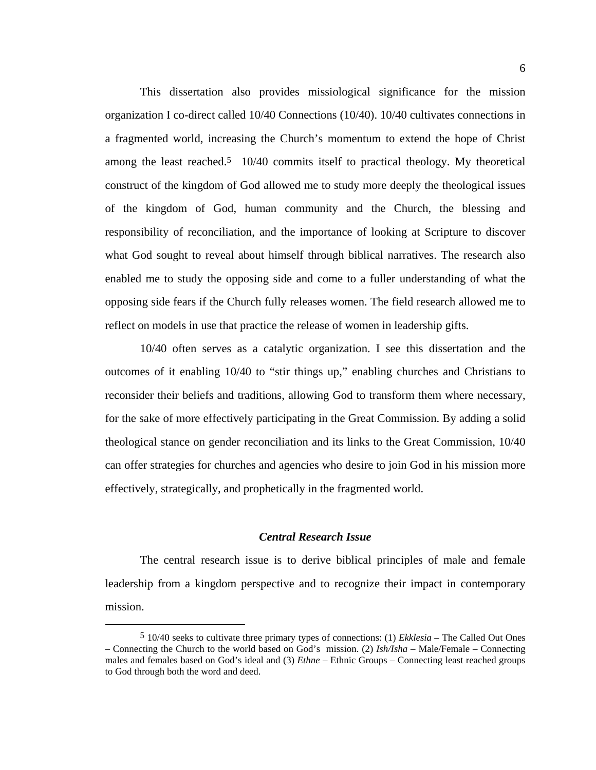This dissertation also provides missiological significance for the mission organization I co-direct called 10/40 Connections (10/40). 10/40 cultivates connections in a fragmented world, increasing the Church's momentum to extend the hope of Christ among the least reached.<sup>5</sup> 10/40 commits itself to practical theology. My theoretical construct of the kingdom of God allowed me to study more deeply the theological issues of the kingdom of God, human community and the Church, the blessing and responsibility of reconciliation, and the importance of looking at Scripture to discover what God sought to reveal about himself through biblical narratives. The research also enabled me to study the opposing side and come to a fuller understanding of what the opposing side fears if the Church fully releases women. The field research allowed me to reflect on models in use that practice the release of women in leadership gifts.

10/40 often serves as a catalytic organization. I see this dissertation and the outcomes of it enabling 10/40 to "stir things up," enabling churches and Christians to reconsider their beliefs and traditions, allowing God to transform them where necessary, for the sake of more effectively participating in the Great Commission. By adding a solid theological stance on gender reconciliation and its links to the Great Commission, 10/40 can offer strategies for churches and agencies who desire to join God in his mission more effectively, strategically, and prophetically in the fragmented world.

# *Central Research Issue*

The central research issue is to derive biblical principles of male and female leadership from a kingdom perspective and to recognize their impact in contemporary mission.

 <sup>5 10/40</sup> seeks to cultivate three primary types of connections: (1) *Ekklesia* – The Called Out Ones – Connecting the Church to the world based on God's mission. (2) *Ish/Isha* – Male/Female – Connecting males and females based on God's ideal and (3) *Ethne* – Ethnic Groups – Connecting least reached groups to God through both the word and deed.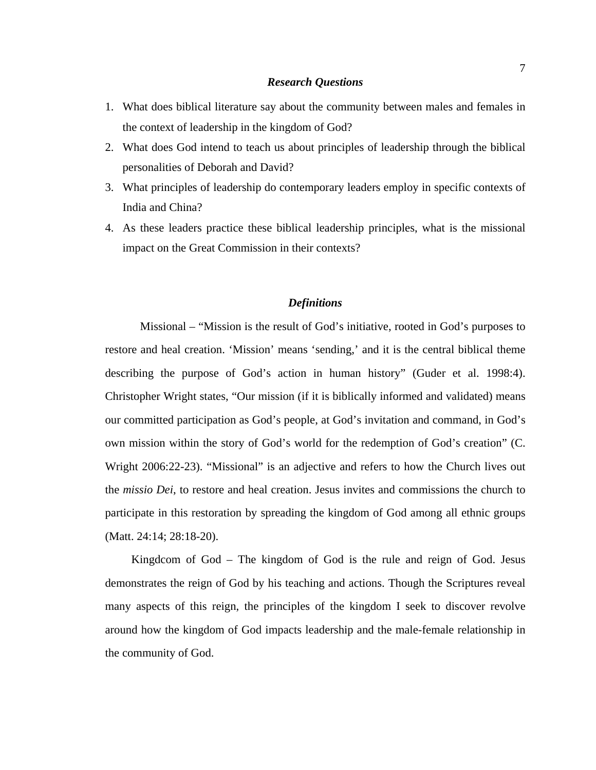#### *Research Questions*

- 1. What does biblical literature say about the community between males and females in the context of leadership in the kingdom of God?
- 2. What does God intend to teach us about principles of leadership through the biblical personalities of Deborah and David?
- 3. What principles of leadership do contemporary leaders employ in specific contexts of India and China?
- 4. As these leaders practice these biblical leadership principles, what is the missional impact on the Great Commission in their contexts?

#### *Definitions*

Missional – "Mission is the result of God's initiative, rooted in God's purposes to restore and heal creation. 'Mission' means 'sending,' and it is the central biblical theme describing the purpose of God's action in human history" (Guder et al. 1998:4). Christopher Wright states, "Our mission (if it is biblically informed and validated) means our committed participation as God's people, at God's invitation and command, in God's own mission within the story of God's world for the redemption of God's creation" (C. Wright 2006:22-23). "Missional" is an adjective and refers to how the Church lives out the *missio Dei*, to restore and heal creation. Jesus invites and commissions the church to participate in this restoration by spreading the kingdom of God among all ethnic groups (Matt. 24:14; 28:18-20).

 Kingdcom of God – The kingdom of God is the rule and reign of God. Jesus demonstrates the reign of God by his teaching and actions. Though the Scriptures reveal many aspects of this reign, the principles of the kingdom I seek to discover revolve around how the kingdom of God impacts leadership and the male-female relationship in the community of God.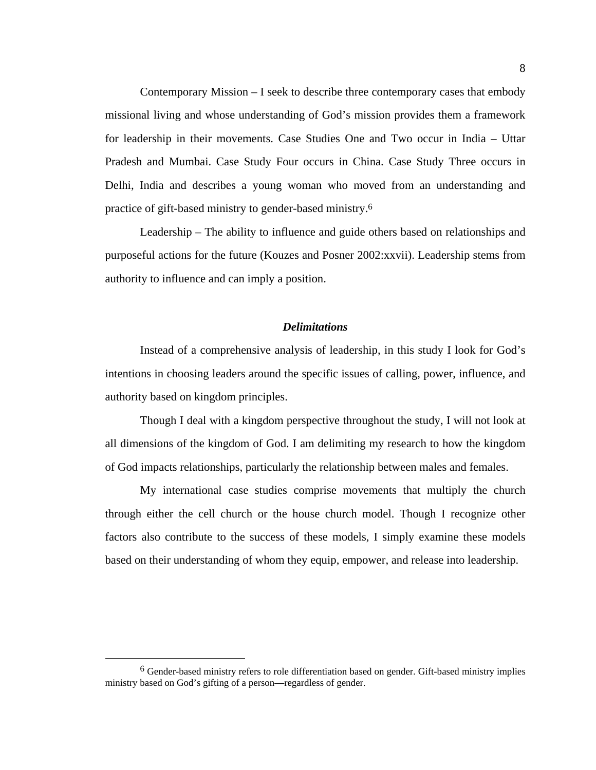Contemporary Mission – I seek to describe three contemporary cases that embody missional living and whose understanding of God's mission provides them a framework for leadership in their movements. Case Studies One and Two occur in India – Uttar Pradesh and Mumbai. Case Study Four occurs in China. Case Study Three occurs in Delhi, India and describes a young woman who moved from an understanding and practice of gift-based ministry to gender-based ministry.6

Leadership – The ability to influence and guide others based on relationships and purposeful actions for the future (Kouzes and Posner 2002:xxvii). Leadership stems from authority to influence and can imply a position.

## *Delimitations*

Instead of a comprehensive analysis of leadership, in this study I look for God's intentions in choosing leaders around the specific issues of calling, power, influence, and authority based on kingdom principles.

Though I deal with a kingdom perspective throughout the study, I will not look at all dimensions of the kingdom of God. I am delimiting my research to how the kingdom of God impacts relationships, particularly the relationship between males and females.

My international case studies comprise movements that multiply the church through either the cell church or the house church model. Though I recognize other factors also contribute to the success of these models, I simply examine these models based on their understanding of whom they equip, empower, and release into leadership.

 <sup>6</sup> Gender-based ministry refers to role differentiation based on gender. Gift-based ministry implies ministry based on God's gifting of a person—regardless of gender.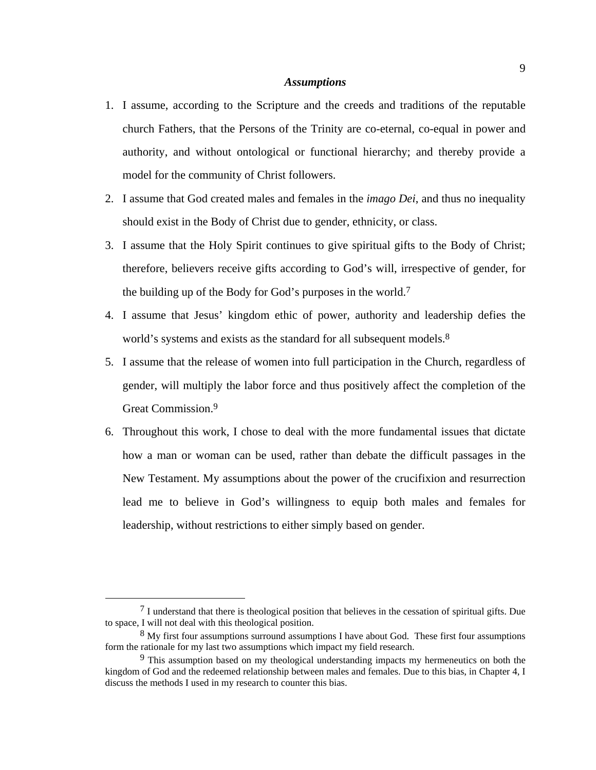### *Assumptions*

- 1. I assume, according to the Scripture and the creeds and traditions of the reputable church Fathers, that the Persons of the Trinity are co-eternal, co-equal in power and authority, and without ontological or functional hierarchy; and thereby provide a model for the community of Christ followers.
- 2. I assume that God created males and females in the *imago Dei*, and thus no inequality should exist in the Body of Christ due to gender, ethnicity, or class.
- 3. I assume that the Holy Spirit continues to give spiritual gifts to the Body of Christ; therefore, believers receive gifts according to God's will, irrespective of gender, for the building up of the Body for God's purposes in the world.<sup>7</sup>
- 4. I assume that Jesus' kingdom ethic of power, authority and leadership defies the world's systems and exists as the standard for all subsequent models.<sup>8</sup>
- 5. I assume that the release of women into full participation in the Church, regardless of gender, will multiply the labor force and thus positively affect the completion of the Great Commission.9
- 6. Throughout this work, I chose to deal with the more fundamental issues that dictate how a man or woman can be used, rather than debate the difficult passages in the New Testament. My assumptions about the power of the crucifixion and resurrection lead me to believe in God's willingness to equip both males and females for leadership, without restrictions to either simply based on gender.

 <sup>7</sup> I understand that there is theological position that believes in the cessation of spiritual gifts. Due to space, I will not deal with this theological position.

<sup>&</sup>lt;sup>8</sup> My first four assumptions surround assumptions I have about God. These first four assumptions form the rationale for my last two assumptions which impact my field research.

<sup>9</sup> This assumption based on my theological understanding impacts my hermeneutics on both the kingdom of God and the redeemed relationship between males and females. Due to this bias, in Chapter 4, I discuss the methods I used in my research to counter this bias.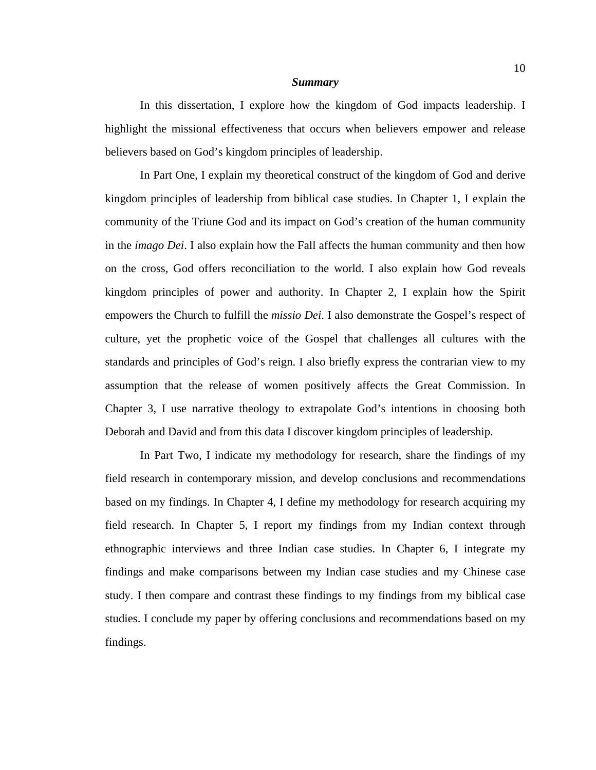#### *Summary*

In this dissertation, I explore how the kingdom of God impacts leadership. I highlight the missional effectiveness that occurs when believers empower and release believers based on God's kingdom principles of leadership.

In Part One, I explain my theoretical construct of the kingdom of God and derive kingdom principles of leadership from biblical case studies. In Chapter 1, I explain the community of the Triune God and its impact on God's creation of the human community in the *imago Dei*. I also explain how the Fall affects the human community and then how on the cross, God offers reconciliation to the world. I also explain how God reveals kingdom principles of power and authority. In Chapter 2, I explain how the Spirit empowers the Church to fulfill the *missio Dei*. I also demonstrate the Gospel's respect of culture, yet the prophetic voice of the Gospel that challenges all cultures with the standards and principles of God's reign. I also briefly express the contrarian view to my assumption that the release of women positively affects the Great Commission. In Chapter 3, I use narrative theology to extrapolate God's intentions in choosing both Deborah and David and from this data I discover kingdom principles of leadership.

In Part Two, I indicate my methodology for research, share the findings of my field research in contemporary mission, and develop conclusions and recommendations based on my findings. In Chapter 4, I define my methodology for research acquiring my field research. In Chapter 5, I report my findings from my Indian context through ethnographic interviews and three Indian case studies. In Chapter 6, I integrate my findings and make comparisons between my Indian case studies and my Chinese case study. I then compare and contrast these findings to my findings from my biblical case studies. I conclude my paper by offering conclusions and recommendations based on my findings.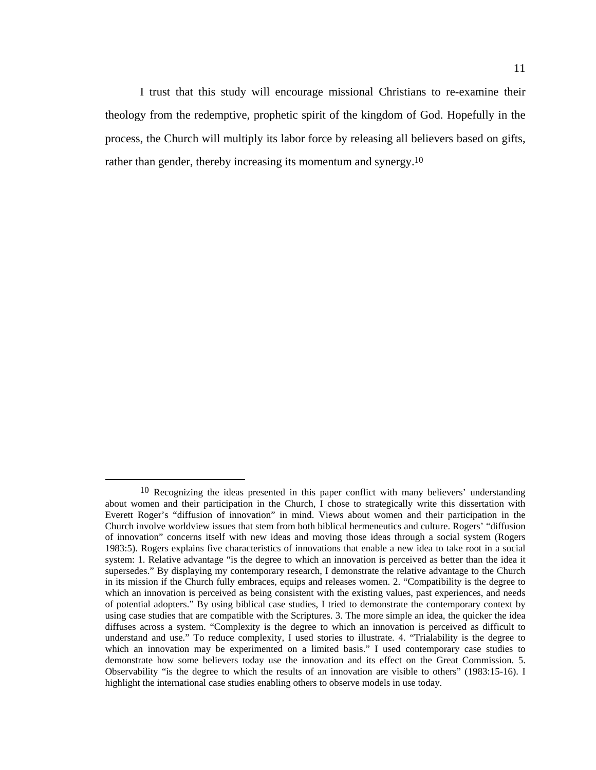I trust that this study will encourage missional Christians to re-examine their theology from the redemptive, prophetic spirit of the kingdom of God. Hopefully in the process, the Church will multiply its labor force by releasing all believers based on gifts, rather than gender, thereby increasing its momentum and synergy.10

<sup>&</sup>lt;sup>10</sup> Recognizing the ideas presented in this paper conflict with many believers' understanding about women and their participation in the Church, I chose to strategically write this dissertation with Everett Roger's "diffusion of innovation" in mind. Views about women and their participation in the Church involve worldview issues that stem from both biblical hermeneutics and culture. Rogers' "diffusion of innovation" concerns itself with new ideas and moving those ideas through a social system (Rogers 1983:5). Rogers explains five characteristics of innovations that enable a new idea to take root in a social system: 1. Relative advantage "is the degree to which an innovation is perceived as better than the idea it supersedes." By displaying my contemporary research, I demonstrate the relative advantage to the Church in its mission if the Church fully embraces, equips and releases women. 2. "Compatibility is the degree to which an innovation is perceived as being consistent with the existing values, past experiences, and needs of potential adopters." By using biblical case studies, I tried to demonstrate the contemporary context by using case studies that are compatible with the Scriptures. 3. The more simple an idea, the quicker the idea diffuses across a system. "Complexity is the degree to which an innovation is perceived as difficult to understand and use." To reduce complexity, I used stories to illustrate. 4. "Trialability is the degree to which an innovation may be experimented on a limited basis." I used contemporary case studies to demonstrate how some believers today use the innovation and its effect on the Great Commission. 5. Observability "is the degree to which the results of an innovation are visible to others" (1983:15-16). I highlight the international case studies enabling others to observe models in use today.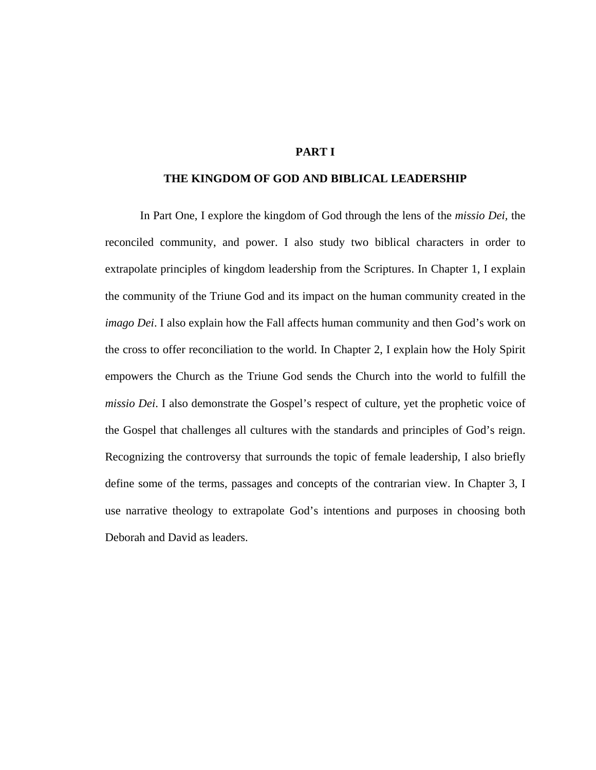# **PART I**

# **THE KINGDOM OF GOD AND BIBLICAL LEADERSHIP**

In Part One, I explore the kingdom of God through the lens of the *missio Dei,* the reconciled community, and power. I also study two biblical characters in order to extrapolate principles of kingdom leadership from the Scriptures. In Chapter 1, I explain the community of the Triune God and its impact on the human community created in the *imago Dei*. I also explain how the Fall affects human community and then God's work on the cross to offer reconciliation to the world. In Chapter 2, I explain how the Holy Spirit empowers the Church as the Triune God sends the Church into the world to fulfill the *missio Dei*. I also demonstrate the Gospel's respect of culture, yet the prophetic voice of the Gospel that challenges all cultures with the standards and principles of God's reign. Recognizing the controversy that surrounds the topic of female leadership, I also briefly define some of the terms, passages and concepts of the contrarian view. In Chapter 3, I use narrative theology to extrapolate God's intentions and purposes in choosing both Deborah and David as leaders.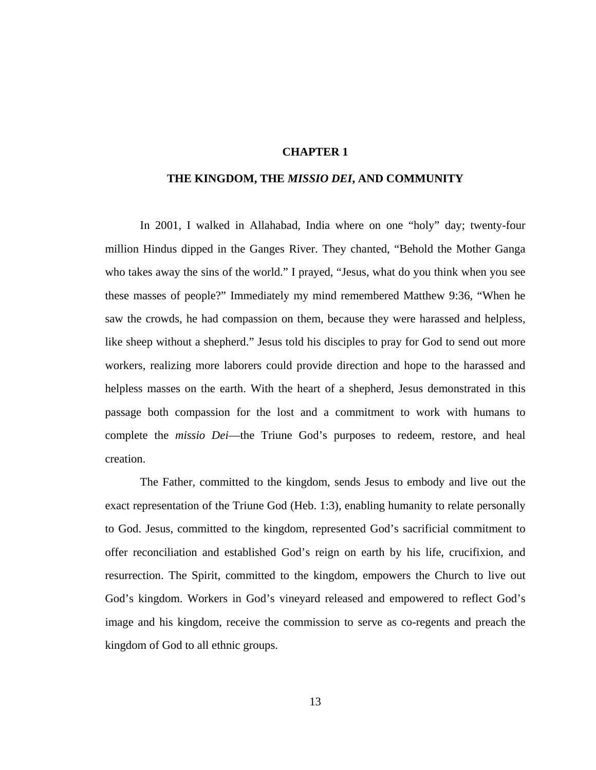# **CHAPTER 1**

# **THE KINGDOM, THE** *MISSIO DEI***, AND COMMUNITY**

In 2001, I walked in Allahabad, India where on one "holy" day; twenty-four million Hindus dipped in the Ganges River. They chanted, "Behold the Mother Ganga who takes away the sins of the world." I prayed, "Jesus, what do you think when you see these masses of people?" Immediately my mind remembered Matthew 9:36, "When he saw the crowds, he had compassion on them, because they were harassed and helpless, like sheep without a shepherd." Jesus told his disciples to pray for God to send out more workers, realizing more laborers could provide direction and hope to the harassed and helpless masses on the earth. With the heart of a shepherd, Jesus demonstrated in this passage both compassion for the lost and a commitment to work with humans to complete the *missio Dei*—the Triune God's purposes to redeem, restore, and heal creation.

The Father, committed to the kingdom, sends Jesus to embody and live out the exact representation of the Triune God (Heb. 1:3), enabling humanity to relate personally to God. Jesus, committed to the kingdom, represented God's sacrificial commitment to offer reconciliation and established God's reign on earth by his life, crucifixion, and resurrection. The Spirit, committed to the kingdom, empowers the Church to live out God's kingdom. Workers in God's vineyard released and empowered to reflect God's image and his kingdom, receive the commission to serve as co-regents and preach the kingdom of God to all ethnic groups.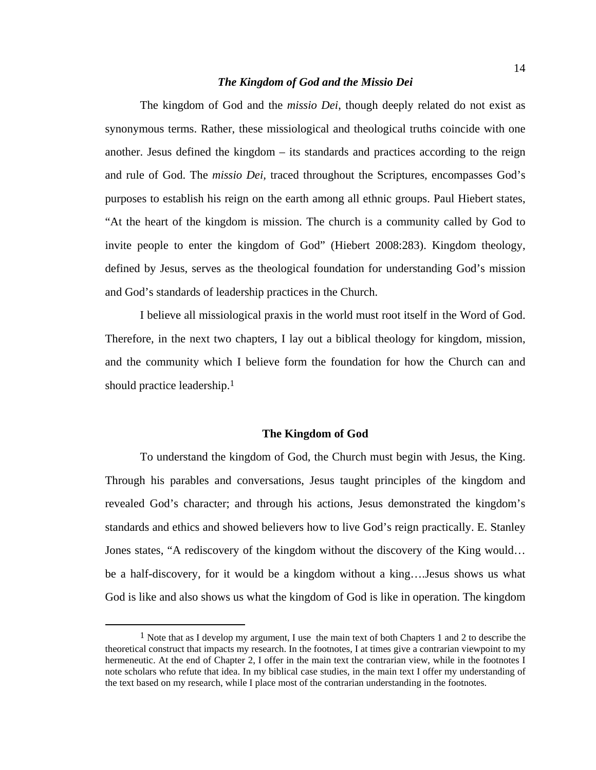# *The Kingdom of God and the Missio Dei*

The kingdom of God and the *missio Dei*, though deeply related do not exist as synonymous terms. Rather, these missiological and theological truths coincide with one another. Jesus defined the kingdom – its standards and practices according to the reign and rule of God. The *missio Dei,* traced throughout the Scriptures*,* encompasses God's purposes to establish his reign on the earth among all ethnic groups. Paul Hiebert states, "At the heart of the kingdom is mission. The church is a community called by God to invite people to enter the kingdom of God" (Hiebert 2008:283). Kingdom theology, defined by Jesus, serves as the theological foundation for understanding God's mission and God's standards of leadership practices in the Church.

I believe all missiological praxis in the world must root itself in the Word of God. Therefore, in the next two chapters, I lay out a biblical theology for kingdom, mission, and the community which I believe form the foundation for how the Church can and should practice leadership.1

## **The Kingdom of God**

To understand the kingdom of God, the Church must begin with Jesus, the King. Through his parables and conversations, Jesus taught principles of the kingdom and revealed God's character; and through his actions, Jesus demonstrated the kingdom's standards and ethics and showed believers how to live God's reign practically. E. Stanley Jones states, "A rediscovery of the kingdom without the discovery of the King would… be a half-discovery, for it would be a kingdom without a king….Jesus shows us what God is like and also shows us what the kingdom of God is like in operation. The kingdom

<sup>&</sup>lt;sup>1</sup> Note that as I develop my argument, I use the main text of both Chapters 1 and 2 to describe the theoretical construct that impacts my research. In the footnotes, I at times give a contrarian viewpoint to my hermeneutic. At the end of Chapter 2, I offer in the main text the contrarian view, while in the footnotes I note scholars who refute that idea. In my biblical case studies, in the main text I offer my understanding of the text based on my research, while I place most of the contrarian understanding in the footnotes.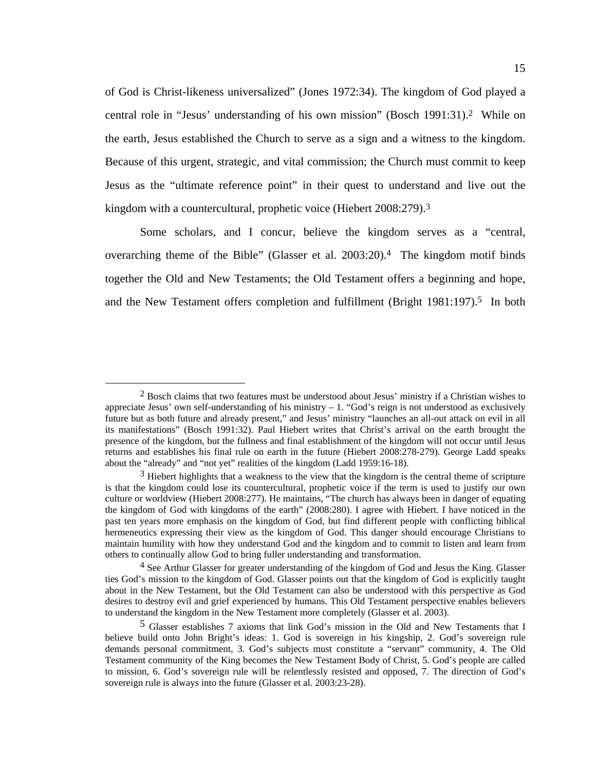of God is Christ-likeness universalized" (Jones 1972:34). The kingdom of God played a central role in "Jesus' understanding of his own mission" (Bosch 1991:31).2 While on the earth, Jesus established the Church to serve as a sign and a witness to the kingdom. Because of this urgent, strategic, and vital commission; the Church must commit to keep Jesus as the "ultimate reference point" in their quest to understand and live out the kingdom with a countercultural, prophetic voice (Hiebert 2008:279).<sup>3</sup>

Some scholars, and I concur, believe the kingdom serves as a "central, overarching theme of the Bible" (Glasser et al. 2003:20).4 The kingdom motif binds together the Old and New Testaments; the Old Testament offers a beginning and hope, and the New Testament offers completion and fulfillment (Bright 1981:197).<sup>5</sup> In both

 <sup>2</sup> Bosch claims that two features must be understood about Jesus' ministry if a Christian wishes to appreciate Jesus' own self-understanding of his ministry  $-1$ . "God's reign is not understood as exclusively future but as both future and already present," and Jesus' ministry "launches an all-out attack on evil in all its manifestations" (Bosch 1991:32). Paul Hiebert writes that Christ's arrival on the earth brought the presence of the kingdom, but the fullness and final establishment of the kingdom will not occur until Jesus returns and establishes his final rule on earth in the future (Hiebert 2008:278-279). George Ladd speaks about the "already" and "not yet" realities of the kingdom (Ladd 1959:16-18).

 $3$  Hiebert highlights that a weakness to the view that the kingdom is the central theme of scripture is that the kingdom could lose its countercultural, prophetic voice if the term is used to justify our own culture or worldview (Hiebert 2008:277). He maintains, "The church has always been in danger of equating the kingdom of God with kingdoms of the earth" (2008:280). I agree with Hiebert. I have noticed in the past ten years more emphasis on the kingdom of God, but find different people with conflicting biblical hermeneutics expressing their view as the kingdom of God. This danger should encourage Christians to maintain humility with how they understand God and the kingdom and to commit to listen and learn from others to continually allow God to bring fuller understanding and transformation.

<sup>4</sup> See Arthur Glasser for greater understanding of the kingdom of God and Jesus the King. Glasser ties God's mission to the kingdom of God. Glasser points out that the kingdom of God is explicitly taught about in the New Testament, but the Old Testament can also be understood with this perspective as God desires to destroy evil and grief experienced by humans. This Old Testament perspective enables believers to understand the kingdom in the New Testament more completely (Glasser et al. 2003).

<sup>5</sup> Glasser establishes 7 axioms that link God's mission in the Old and New Testaments that I believe build onto John Bright's ideas: 1. God is sovereign in his kingship, 2. God's sovereign rule demands personal commitment, 3. God's subjects must constitute a "servant" community, 4. The Old Testament community of the King becomes the New Testament Body of Christ, 5. God's people are called to mission, 6. God's sovereign rule will be relentlessly resisted and opposed, 7. The direction of God's sovereign rule is always into the future (Glasser et al. 2003:23-28).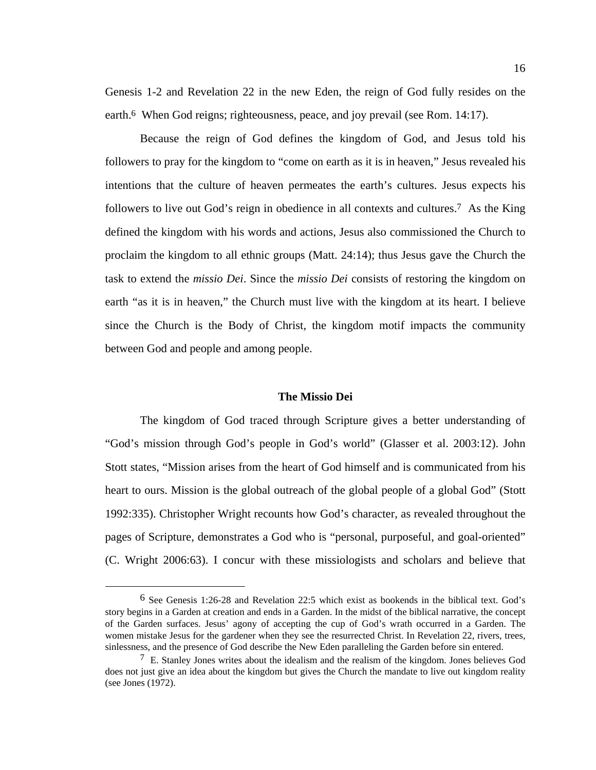Genesis 1-2 and Revelation 22 in the new Eden, the reign of God fully resides on the earth.<sup>6</sup> When God reigns; righteousness, peace, and joy prevail (see Rom. 14:17).

Because the reign of God defines the kingdom of God, and Jesus told his followers to pray for the kingdom to "come on earth as it is in heaven," Jesus revealed his intentions that the culture of heaven permeates the earth's cultures. Jesus expects his followers to live out God's reign in obedience in all contexts and cultures.<sup>7</sup> As the King defined the kingdom with his words and actions, Jesus also commissioned the Church to proclaim the kingdom to all ethnic groups (Matt. 24:14); thus Jesus gave the Church the task to extend the *missio Dei*. Since the *missio Dei* consists of restoring the kingdom on earth "as it is in heaven," the Church must live with the kingdom at its heart. I believe since the Church is the Body of Christ, the kingdom motif impacts the community between God and people and among people.

# **The Missio Dei**

The kingdom of God traced through Scripture gives a better understanding of "God's mission through God's people in God's world" (Glasser et al. 2003:12). John Stott states, "Mission arises from the heart of God himself and is communicated from his heart to ours. Mission is the global outreach of the global people of a global God" (Stott 1992:335). Christopher Wright recounts how God's character, as revealed throughout the pages of Scripture, demonstrates a God who is "personal, purposeful, and goal-oriented" (C. Wright 2006:63). I concur with these missiologists and scholars and believe that

 <sup>6</sup> See Genesis 1:26-28 and Revelation 22:5 which exist as bookends in the biblical text. God's story begins in a Garden at creation and ends in a Garden. In the midst of the biblical narrative, the concept of the Garden surfaces. Jesus' agony of accepting the cup of God's wrath occurred in a Garden. The women mistake Jesus for the gardener when they see the resurrected Christ. In Revelation 22, rivers, trees, sinlessness, and the presence of God describe the New Eden paralleling the Garden before sin entered.

 $7\,$  E. Stanley Jones writes about the idealism and the realism of the kingdom. Jones believes God does not just give an idea about the kingdom but gives the Church the mandate to live out kingdom reality (see Jones (1972).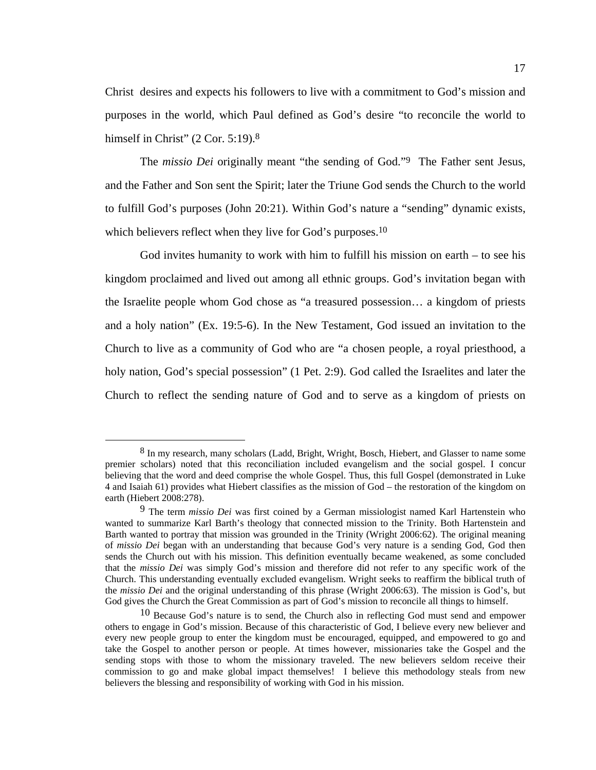Christ desires and expects his followers to live with a commitment to God's mission and purposes in the world, which Paul defined as God's desire "to reconcile the world to himself in Christ" (2 Cor. 5:19).<sup>8</sup>

The *missio Dei* originally meant "the sending of God."9 The Father sent Jesus, and the Father and Son sent the Spirit; later the Triune God sends the Church to the world to fulfill God's purposes (John 20:21). Within God's nature a "sending" dynamic exists, which believers reflect when they live for God's purposes.<sup>10</sup>

God invites humanity to work with him to fulfill his mission on earth  $-$  to see his kingdom proclaimed and lived out among all ethnic groups. God's invitation began with the Israelite people whom God chose as "a treasured possession… a kingdom of priests and a holy nation" (Ex. 19:5-6). In the New Testament, God issued an invitation to the Church to live as a community of God who are "a chosen people, a royal priesthood, a holy nation, God's special possession" (1 Pet. 2:9). God called the Israelites and later the Church to reflect the sending nature of God and to serve as a kingdom of priests on

 <sup>8</sup> In my research, many scholars (Ladd, Bright, Wright, Bosch, Hiebert, and Glasser to name some premier scholars) noted that this reconciliation included evangelism and the social gospel. I concur believing that the word and deed comprise the whole Gospel. Thus, this full Gospel (demonstrated in Luke 4 and Isaiah 61) provides what Hiebert classifies as the mission of God – the restoration of the kingdom on earth (Hiebert 2008:278).

<sup>9</sup> The term *missio Dei* was first coined by a German missiologist named Karl Hartenstein who wanted to summarize Karl Barth's theology that connected mission to the Trinity. Both Hartenstein and Barth wanted to portray that mission was grounded in the Trinity (Wright 2006:62). The original meaning of *missio Dei* began with an understanding that because God's very nature is a sending God, God then sends the Church out with his mission. This definition eventually became weakened, as some concluded that the *missio Dei* was simply God's mission and therefore did not refer to any specific work of the Church. This understanding eventually excluded evangelism. Wright seeks to reaffirm the biblical truth of the *missio Dei* and the original understanding of this phrase (Wright 2006:63). The mission is God's, but God gives the Church the Great Commission as part of God's mission to reconcile all things to himself.

<sup>10</sup> Because God's nature is to send, the Church also in reflecting God must send and empower others to engage in God's mission. Because of this characteristic of God, I believe every new believer and every new people group to enter the kingdom must be encouraged, equipped, and empowered to go and take the Gospel to another person or people. At times however, missionaries take the Gospel and the sending stops with those to whom the missionary traveled. The new believers seldom receive their commission to go and make global impact themselves! I believe this methodology steals from new believers the blessing and responsibility of working with God in his mission.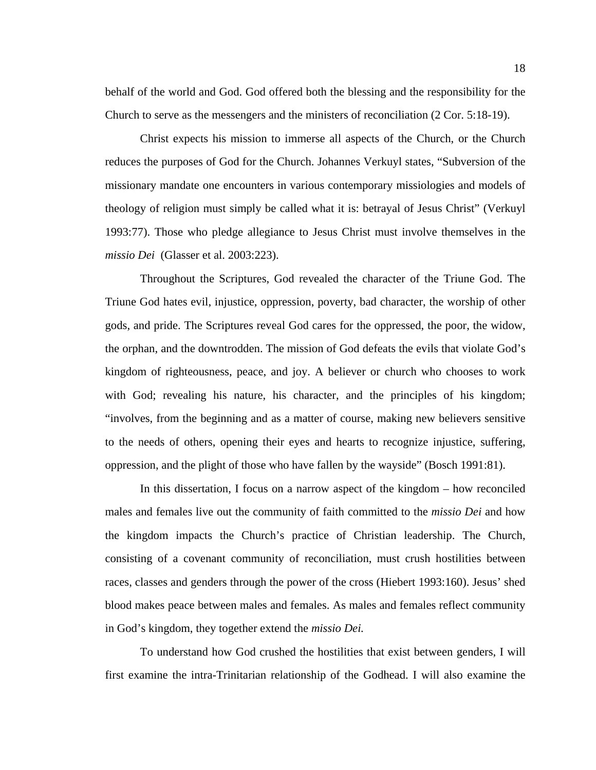behalf of the world and God. God offered both the blessing and the responsibility for the Church to serve as the messengers and the ministers of reconciliation (2 Cor. 5:18-19).

Christ expects his mission to immerse all aspects of the Church, or the Church reduces the purposes of God for the Church. Johannes Verkuyl states, "Subversion of the missionary mandate one encounters in various contemporary missiologies and models of theology of religion must simply be called what it is: betrayal of Jesus Christ" (Verkuyl 1993:77). Those who pledge allegiance to Jesus Christ must involve themselves in the *missio Dei* (Glasser et al. 2003:223).

Throughout the Scriptures, God revealed the character of the Triune God. The Triune God hates evil, injustice, oppression, poverty, bad character, the worship of other gods, and pride. The Scriptures reveal God cares for the oppressed, the poor, the widow, the orphan, and the downtrodden. The mission of God defeats the evils that violate God's kingdom of righteousness, peace, and joy. A believer or church who chooses to work with God; revealing his nature, his character, and the principles of his kingdom; "involves, from the beginning and as a matter of course, making new believers sensitive to the needs of others, opening their eyes and hearts to recognize injustice, suffering, oppression, and the plight of those who have fallen by the wayside" (Bosch 1991:81).

In this dissertation, I focus on a narrow aspect of the kingdom – how reconciled males and females live out the community of faith committed to the *missio Dei* and how the kingdom impacts the Church's practice of Christian leadership. The Church, consisting of a covenant community of reconciliation, must crush hostilities between races, classes and genders through the power of the cross (Hiebert 1993:160). Jesus' shed blood makes peace between males and females. As males and females reflect community in God's kingdom, they together extend the *missio Dei.* 

To understand how God crushed the hostilities that exist between genders, I will first examine the intra-Trinitarian relationship of the Godhead. I will also examine the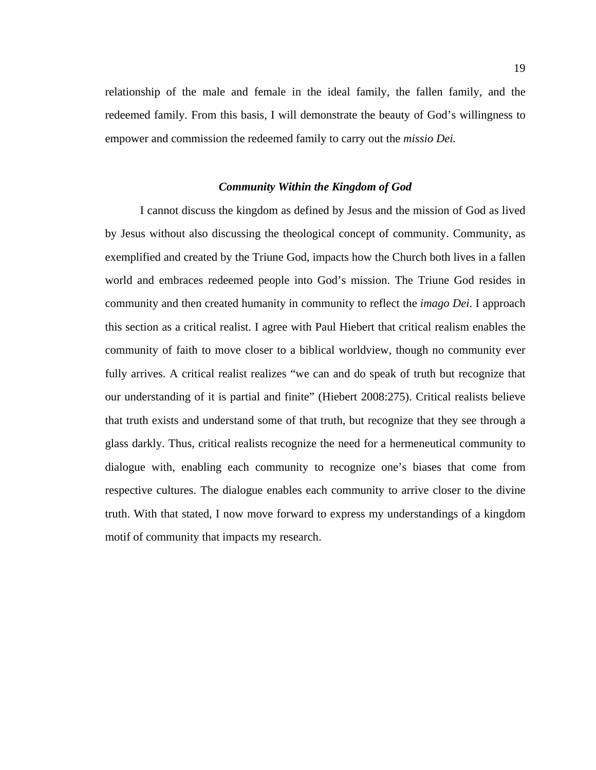relationship of the male and female in the ideal family, the fallen family, and the redeemed family. From this basis, I will demonstrate the beauty of God's willingness to empower and commission the redeemed family to carry out the *missio Dei.* 

## *Community Within the Kingdom of God*

I cannot discuss the kingdom as defined by Jesus and the mission of God as lived by Jesus without also discussing the theological concept of community. Community, as exemplified and created by the Triune God, impacts how the Church both lives in a fallen world and embraces redeemed people into God's mission. The Triune God resides in community and then created humanity in community to reflect the *imago Dei*. I approach this section as a critical realist. I agree with Paul Hiebert that critical realism enables the community of faith to move closer to a biblical worldview, though no community ever fully arrives. A critical realist realizes "we can and do speak of truth but recognize that our understanding of it is partial and finite" (Hiebert 2008:275). Critical realists believe that truth exists and understand some of that truth, but recognize that they see through a glass darkly. Thus, critical realists recognize the need for a hermeneutical community to dialogue with, enabling each community to recognize one's biases that come from respective cultures. The dialogue enables each community to arrive closer to the divine truth. With that stated, I now move forward to express my understandings of a kingdom motif of community that impacts my research.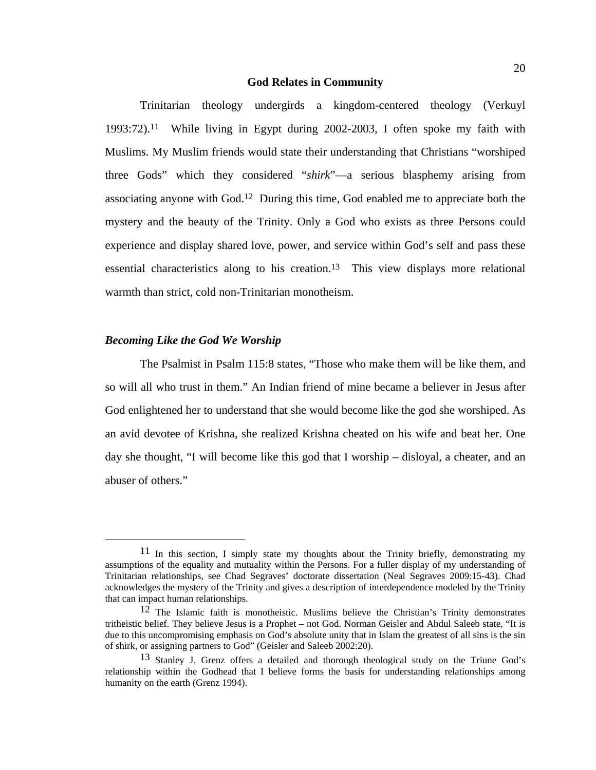#### **God Relates in Community**

Trinitarian theology undergirds a kingdom-centered theology (Verkuyl 1993:72).11 While living in Egypt during 2002-2003, I often spoke my faith with Muslims. My Muslim friends would state their understanding that Christians "worshiped three Gods" which they considered "*shirk*"—a serious blasphemy arising from associating anyone with God.12 During this time, God enabled me to appreciate both the mystery and the beauty of the Trinity. Only a God who exists as three Persons could experience and display shared love, power, and service within God's self and pass these essential characteristics along to his creation.13 This view displays more relational warmth than strict, cold non-Trinitarian monotheism.

# *Becoming Like the God We Worship*

The Psalmist in Psalm 115:8 states, "Those who make them will be like them, and so will all who trust in them." An Indian friend of mine became a believer in Jesus after God enlightened her to understand that she would become like the god she worshiped. As an avid devotee of Krishna, she realized Krishna cheated on his wife and beat her. One day she thought, "I will become like this god that I worship – disloyal, a cheater, and an abuser of others."

 $11$  In this section, I simply state my thoughts about the Trinity briefly, demonstrating my assumptions of the equality and mutuality within the Persons. For a fuller display of my understanding of Trinitarian relationships, see Chad Segraves' doctorate dissertation (Neal Segraves 2009:15-43). Chad acknowledges the mystery of the Trinity and gives a description of interdependence modeled by the Trinity that can impact human relationships.

<sup>12</sup> The Islamic faith is monotheistic. Muslims believe the Christian's Trinity demonstrates tritheistic belief. They believe Jesus is a Prophet – not God. Norman Geisler and Abdul Saleeb state, "It is due to this uncompromising emphasis on God's absolute unity that in Islam the greatest of all sins is the sin of shirk, or assigning partners to God" (Geisler and Saleeb 2002:20).

<sup>13</sup> Stanley J. Grenz offers a detailed and thorough theological study on the Triune God's relationship within the Godhead that I believe forms the basis for understanding relationships among humanity on the earth (Grenz 1994).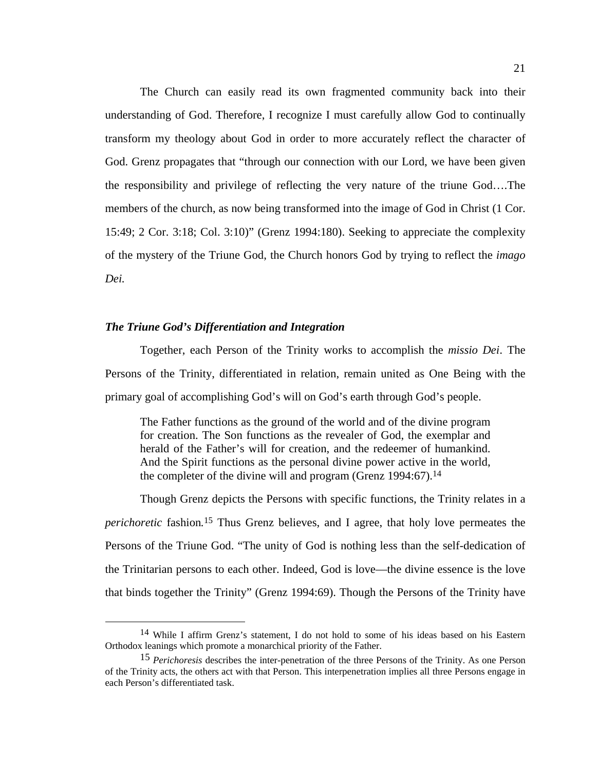The Church can easily read its own fragmented community back into their understanding of God. Therefore, I recognize I must carefully allow God to continually transform my theology about God in order to more accurately reflect the character of God. Grenz propagates that "through our connection with our Lord, we have been given the responsibility and privilege of reflecting the very nature of the triune God….The members of the church, as now being transformed into the image of God in Christ (1 Cor. 15:49; 2 Cor. 3:18; Col. 3:10)" (Grenz 1994:180). Seeking to appreciate the complexity of the mystery of the Triune God, the Church honors God by trying to reflect the *imago Dei.* 

# *The Triune God's Differentiation and Integration*

Together, each Person of the Trinity works to accomplish the *missio Dei*. The Persons of the Trinity, differentiated in relation, remain united as One Being with the primary goal of accomplishing God's will on God's earth through God's people.

The Father functions as the ground of the world and of the divine program for creation. The Son functions as the revealer of God, the exemplar and herald of the Father's will for creation, and the redeemer of humankind. And the Spirit functions as the personal divine power active in the world, the completer of the divine will and program (Grenz 1994:67).<sup>14</sup>

Though Grenz depicts the Persons with specific functions, the Trinity relates in a *perichoretic* fashion*.*15 Thus Grenz believes, and I agree, that holy love permeates the Persons of the Triune God. "The unity of God is nothing less than the self-dedication of the Trinitarian persons to each other. Indeed, God is love—the divine essence is the love that binds together the Trinity" (Grenz 1994:69). Though the Persons of the Trinity have

 <sup>14</sup> While I affirm Grenz's statement, I do not hold to some of his ideas based on his Eastern Orthodox leanings which promote a monarchical priority of the Father.

<sup>15</sup> *Perichoresis* describes the inter-penetration of the three Persons of the Trinity. As one Person of the Trinity acts, the others act with that Person. This interpenetration implies all three Persons engage in each Person's differentiated task.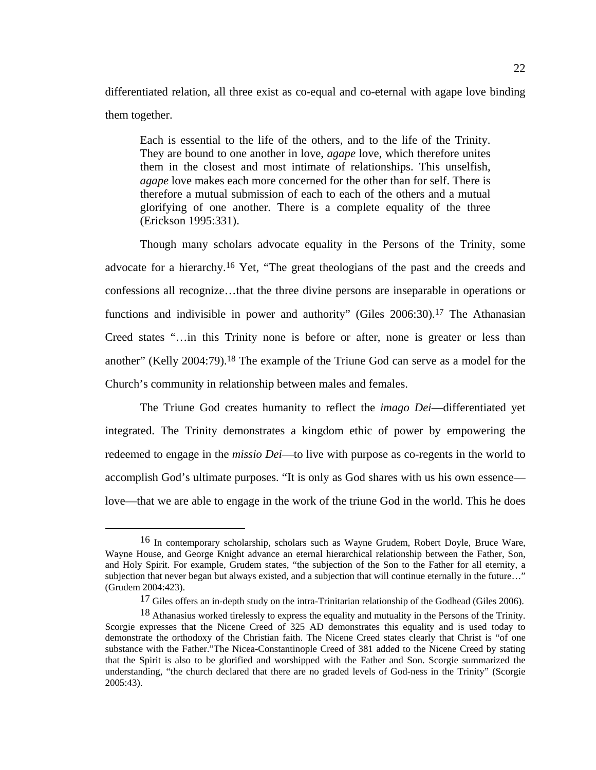differentiated relation, all three exist as co-equal and co-eternal with agape love binding them together.

Each is essential to the life of the others, and to the life of the Trinity. They are bound to one another in love, *agape* love, which therefore unites them in the closest and most intimate of relationships. This unselfish, *agape* love makes each more concerned for the other than for self. There is therefore a mutual submission of each to each of the others and a mutual glorifying of one another. There is a complete equality of the three (Erickson 1995:331).

Though many scholars advocate equality in the Persons of the Trinity, some advocate for a hierarchy.16 Yet, "The great theologians of the past and the creeds and confessions all recognize…that the three divine persons are inseparable in operations or functions and indivisible in power and authority" (Giles 2006:30).<sup>17</sup> The Athanasian Creed states "…in this Trinity none is before or after, none is greater or less than another" (Kelly 2004:79).18 The example of the Triune God can serve as a model for the Church's community in relationship between males and females.

The Triune God creates humanity to reflect the *imago Dei*—differentiated yet integrated. The Trinity demonstrates a kingdom ethic of power by empowering the redeemed to engage in the *missio Dei*—to live with purpose as co-regents in the world to accomplish God's ultimate purposes. "It is only as God shares with us his own essence love—that we are able to engage in the work of the triune God in the world. This he does

 <sup>16</sup> In contemporary scholarship, scholars such as Wayne Grudem, Robert Doyle, Bruce Ware, Wayne House, and George Knight advance an eternal hierarchical relationship between the Father, Son, and Holy Spirit. For example, Grudem states, "the subjection of the Son to the Father for all eternity, a subjection that never began but always existed, and a subjection that will continue eternally in the future…" (Grudem 2004:423).

<sup>&</sup>lt;sup>17</sup> Giles offers an in-depth study on the intra-Trinitarian relationship of the Godhead (Giles 2006).

<sup>18</sup> Athanasius worked tirelessly to express the equality and mutuality in the Persons of the Trinity. Scorgie expresses that the Nicene Creed of 325 AD demonstrates this equality and is used today to demonstrate the orthodoxy of the Christian faith. The Nicene Creed states clearly that Christ is "of one substance with the Father."The Nicea-Constantinople Creed of 381 added to the Nicene Creed by stating that the Spirit is also to be glorified and worshipped with the Father and Son. Scorgie summarized the understanding, "the church declared that there are no graded levels of God-ness in the Trinity" (Scorgie 2005:43).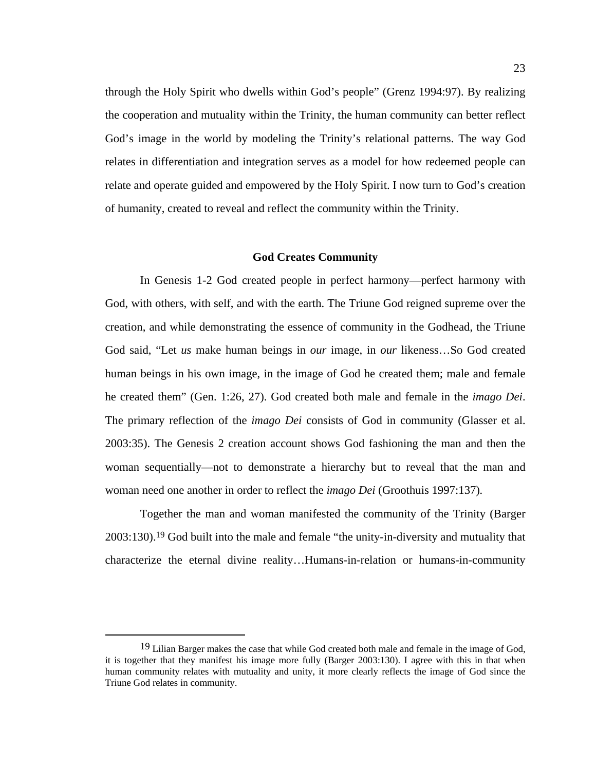through the Holy Spirit who dwells within God's people" (Grenz 1994:97). By realizing the cooperation and mutuality within the Trinity, the human community can better reflect God's image in the world by modeling the Trinity's relational patterns. The way God relates in differentiation and integration serves as a model for how redeemed people can relate and operate guided and empowered by the Holy Spirit. I now turn to God's creation of humanity, created to reveal and reflect the community within the Trinity.

#### **God Creates Community**

In Genesis 1-2 God created people in perfect harmony—perfect harmony with God, with others, with self, and with the earth. The Triune God reigned supreme over the creation, and while demonstrating the essence of community in the Godhead, the Triune God said, "Let *us* make human beings in *our* image, in *our* likeness…So God created human beings in his own image, in the image of God he created them; male and female he created them" (Gen. 1:26, 27). God created both male and female in the *imago Dei*. The primary reflection of the *imago Dei* consists of God in community (Glasser et al. 2003:35). The Genesis 2 creation account shows God fashioning the man and then the woman sequentially—not to demonstrate a hierarchy but to reveal that the man and woman need one another in order to reflect the *imago Dei* (Groothuis 1997:137)*.*

Together the man and woman manifested the community of the Trinity (Barger 2003:130).19 God built into the male and female "the unity-in-diversity and mutuality that characterize the eternal divine reality…Humans-in-relation or humans-in-community

<sup>&</sup>lt;sup>19</sup> Lilian Barger makes the case that while God created both male and female in the image of God, it is together that they manifest his image more fully (Barger 2003:130). I agree with this in that when human community relates with mutuality and unity, it more clearly reflects the image of God since the Triune God relates in community.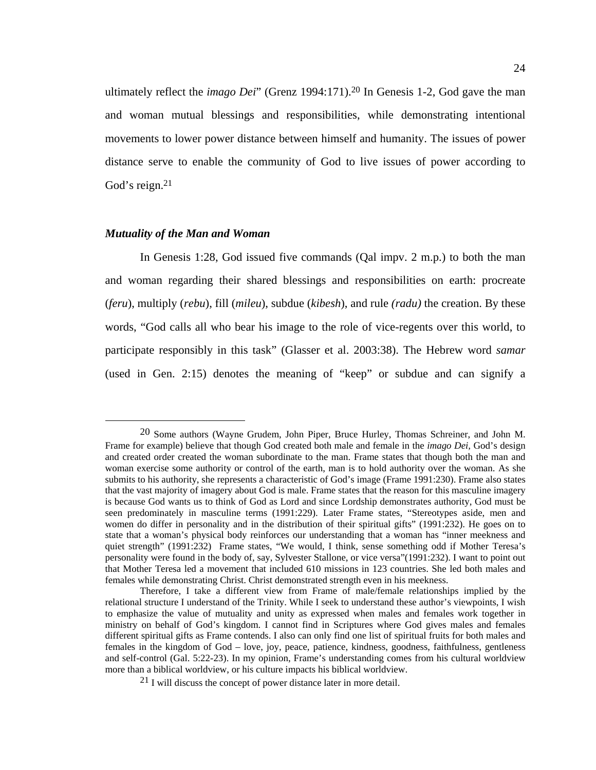ultimately reflect the *imago Dei*" (Grenz 1994:171).20 In Genesis 1-2, God gave the man and woman mutual blessings and responsibilities, while demonstrating intentional movements to lower power distance between himself and humanity. The issues of power distance serve to enable the community of God to live issues of power according to God's reign.21

### *Mutuality of the Man and Woman*

In Genesis 1:28, God issued five commands (Qal impv. 2 m.p.) to both the man and woman regarding their shared blessings and responsibilities on earth: procreate (*feru*), multiply (*rebu*), fill (*mileu*), subdue (*kibesh*), and rule *(radu)* the creation. By these words, "God calls all who bear his image to the role of vice-regents over this world, to participate responsibly in this task" (Glasser et al. 2003:38). The Hebrew word *samar*  (used in Gen. 2:15) denotes the meaning of "keep" or subdue and can signify a

 <sup>20</sup> Some authors (Wayne Grudem, John Piper, Bruce Hurley, Thomas Schreiner, and John M. Frame for example) believe that though God created both male and female in the *imago Dei,* God's design and created order created the woman subordinate to the man. Frame states that though both the man and woman exercise some authority or control of the earth, man is to hold authority over the woman. As she submits to his authority, she represents a characteristic of God's image (Frame 1991:230). Frame also states that the vast majority of imagery about God is male. Frame states that the reason for this masculine imagery is because God wants us to think of God as Lord and since Lordship demonstrates authority, God must be seen predominately in masculine terms (1991:229). Later Frame states, "Stereotypes aside, men and women do differ in personality and in the distribution of their spiritual gifts" (1991:232). He goes on to state that a woman's physical body reinforces our understanding that a woman has "inner meekness and quiet strength" (1991:232) Frame states, "We would, I think, sense something odd if Mother Teresa's personality were found in the body of, say, Sylvester Stallone, or vice versa"(1991:232). I want to point out that Mother Teresa led a movement that included 610 missions in 123 countries. She led both males and females while demonstrating Christ. Christ demonstrated strength even in his meekness.

Therefore, I take a different view from Frame of male/female relationships implied by the relational structure I understand of the Trinity. While I seek to understand these author's viewpoints, I wish to emphasize the value of mutuality and unity as expressed when males and females work together in ministry on behalf of God's kingdom. I cannot find in Scriptures where God gives males and females different spiritual gifts as Frame contends. I also can only find one list of spiritual fruits for both males and females in the kingdom of God – love, joy, peace, patience, kindness, goodness, faithfulness, gentleness and self-control (Gal. 5:22-23). In my opinion, Frame's understanding comes from his cultural worldview more than a biblical worldview, or his culture impacts his biblical worldview.

<sup>21</sup> I will discuss the concept of power distance later in more detail.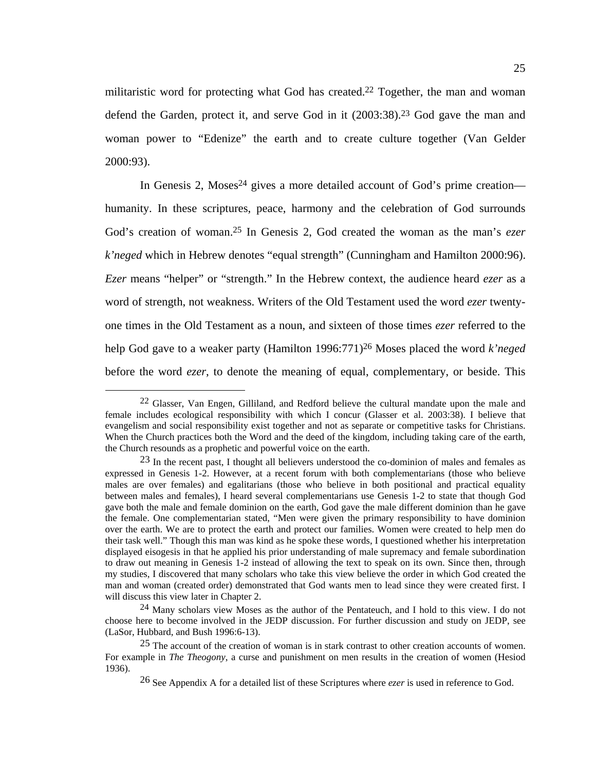militaristic word for protecting what God has created.22 Together, the man and woman defend the Garden, protect it, and serve God in it (2003:38).23 God gave the man and woman power to "Edenize" the earth and to create culture together (Van Gelder 2000:93).

In Genesis 2, Moses<sup>24</sup> gives a more detailed account of God's prime creation humanity. In these scriptures, peace, harmony and the celebration of God surrounds God's creation of woman.25 In Genesis 2, God created the woman as the man's *ezer k'neged* which in Hebrew denotes "equal strength" (Cunningham and Hamilton 2000:96). *Ezer* means "helper" or "strength." In the Hebrew context, the audience heard *ezer* as a word of strength, not weakness. Writers of the Old Testament used the word *ezer* twentyone times in the Old Testament as a noun, and sixteen of those times *ezer* referred to the help God gave to a weaker party (Hamilton 1996:771)26 Moses placed the word *k'neged* before the word *ezer*, to denote the meaning of equal, complementary, or beside. This

 $22$  Glasser, Van Engen, Gilliland, and Redford believe the cultural mandate upon the male and female includes ecological responsibility with which I concur (Glasser et al. 2003:38). I believe that evangelism and social responsibility exist together and not as separate or competitive tasks for Christians. When the Church practices both the Word and the deed of the kingdom, including taking care of the earth, the Church resounds as a prophetic and powerful voice on the earth.

<sup>23</sup> In the recent past, I thought all believers understood the co-dominion of males and females as expressed in Genesis 1-2. However, at a recent forum with both complementarians (those who believe males are over females) and egalitarians (those who believe in both positional and practical equality between males and females), I heard several complementarians use Genesis 1-2 to state that though God gave both the male and female dominion on the earth, God gave the male different dominion than he gave the female. One complementarian stated, "Men were given the primary responsibility to have dominion over the earth. We are to protect the earth and protect our families. Women were created to help men do their task well." Though this man was kind as he spoke these words, I questioned whether his interpretation displayed eisogesis in that he applied his prior understanding of male supremacy and female subordination to draw out meaning in Genesis 1-2 instead of allowing the text to speak on its own. Since then, through my studies, I discovered that many scholars who take this view believe the order in which God created the man and woman (created order) demonstrated that God wants men to lead since they were created first. I will discuss this view later in Chapter 2.

<sup>24</sup> Many scholars view Moses as the author of the Pentateuch, and I hold to this view. I do not choose here to become involved in the JEDP discussion. For further discussion and study on JEDP, see (LaSor, Hubbard, and Bush 1996:6-13).

<sup>&</sup>lt;sup>25</sup> The account of the creation of woman is in stark contrast to other creation accounts of women. For example in *The Theogony*, a curse and punishment on men results in the creation of women (Hesiod 1936).

<sup>26</sup> See Appendix A for a detailed list of these Scriptures where *ezer* is used in reference to God.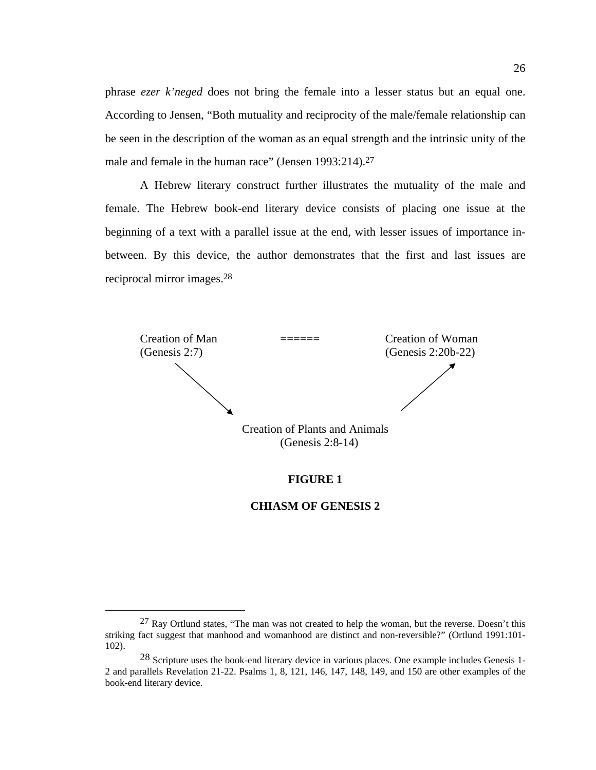phrase *ezer k'neged* does not bring the female into a lesser status but an equal one. According to Jensen, "Both mutuality and reciprocity of the male/female relationship can be seen in the description of the woman as an equal strength and the intrinsic unity of the male and female in the human race" (Jensen 1993:214).<sup>27</sup>

A Hebrew literary construct further illustrates the mutuality of the male and female. The Hebrew book-end literary device consists of placing one issue at the beginning of a text with a parallel issue at the end, with lesser issues of importance inbetween. By this device, the author demonstrates that the first and last issues are reciprocal mirror images.28



# **FIGURE 1**

## **CHIASM OF GENESIS 2**

<sup>&</sup>lt;sup>27</sup> Ray Ortlund states, "The man was not created to help the woman, but the reverse. Doesn't this striking fact suggest that manhood and womanhood are distinct and non-reversible?" (Ortlund 1991:101- 102).

<sup>28</sup> Scripture uses the book-end literary device in various places. One example includes Genesis 1- 2 and parallels Revelation 21-22. Psalms 1, 8, 121, 146, 147, 148, 149, and 150 are other examples of the book-end literary device.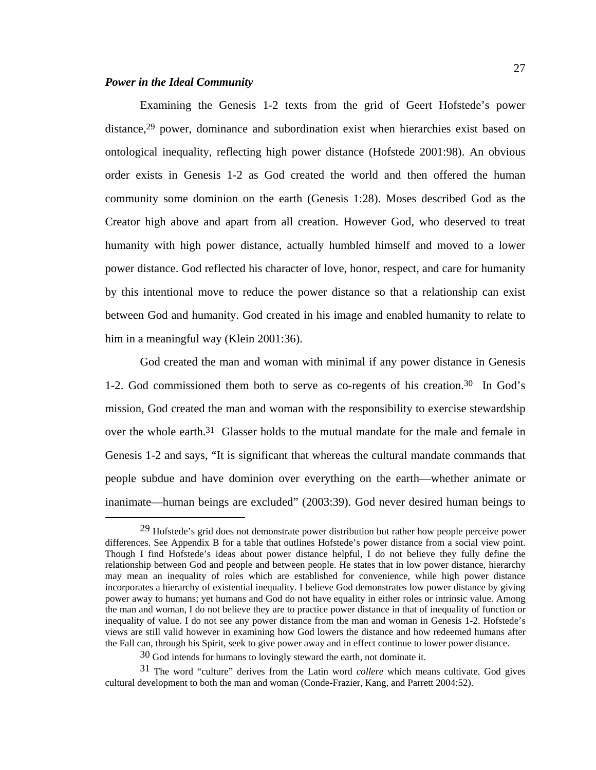## *Power in the Ideal Community*

Examining the Genesis 1-2 texts from the grid of Geert Hofstede's power distance,29 power, dominance and subordination exist when hierarchies exist based on ontological inequality, reflecting high power distance (Hofstede 2001:98). An obvious order exists in Genesis 1-2 as God created the world and then offered the human community some dominion on the earth (Genesis 1:28). Moses described God as the Creator high above and apart from all creation. However God, who deserved to treat humanity with high power distance, actually humbled himself and moved to a lower power distance. God reflected his character of love, honor, respect, and care for humanity by this intentional move to reduce the power distance so that a relationship can exist between God and humanity. God created in his image and enabled humanity to relate to him in a meaningful way (Klein 2001:36).

God created the man and woman with minimal if any power distance in Genesis 1-2. God commissioned them both to serve as co-regents of his creation.30 In God's mission, God created the man and woman with the responsibility to exercise stewardship over the whole earth.<sup>31</sup> Glasser holds to the mutual mandate for the male and female in Genesis 1-2 and says, "It is significant that whereas the cultural mandate commands that people subdue and have dominion over everything on the earth—whether animate or inanimate—human beings are excluded" (2003:39). God never desired human beings to

 <sup>29</sup> Hofstede's grid does not demonstrate power distribution but rather how people perceive power differences. See Appendix B for a table that outlines Hofstede's power distance from a social view point. Though I find Hofstede's ideas about power distance helpful, I do not believe they fully define the relationship between God and people and between people. He states that in low power distance, hierarchy may mean an inequality of roles which are established for convenience, while high power distance incorporates a hierarchy of existential inequality. I believe God demonstrates low power distance by giving power away to humans; yet humans and God do not have equality in either roles or intrinsic value. Among the man and woman, I do not believe they are to practice power distance in that of inequality of function or inequality of value. I do not see any power distance from the man and woman in Genesis 1-2. Hofstede's views are still valid however in examining how God lowers the distance and how redeemed humans after the Fall can, through his Spirit, seek to give power away and in effect continue to lower power distance.

<sup>30</sup> God intends for humans to lovingly steward the earth, not dominate it.

<sup>31</sup> The word "culture" derives from the Latin word *collere* which means cultivate. God gives cultural development to both the man and woman (Conde-Frazier, Kang, and Parrett 2004:52).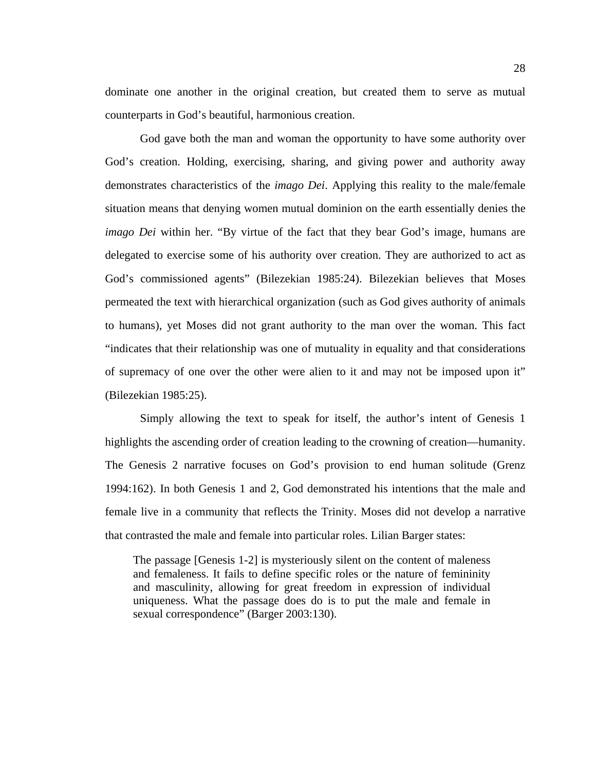dominate one another in the original creation, but created them to serve as mutual counterparts in God's beautiful, harmonious creation.

God gave both the man and woman the opportunity to have some authority over God's creation. Holding, exercising, sharing, and giving power and authority away demonstrates characteristics of the *imago Dei*. Applying this reality to the male/female situation means that denying women mutual dominion on the earth essentially denies the *imago Dei* within her. "By virtue of the fact that they bear God's image, humans are delegated to exercise some of his authority over creation. They are authorized to act as God's commissioned agents" (Bilezekian 1985:24). Bilezekian believes that Moses permeated the text with hierarchical organization (such as God gives authority of animals to humans), yet Moses did not grant authority to the man over the woman. This fact "indicates that their relationship was one of mutuality in equality and that considerations of supremacy of one over the other were alien to it and may not be imposed upon it" (Bilezekian 1985:25).

Simply allowing the text to speak for itself, the author's intent of Genesis 1 highlights the ascending order of creation leading to the crowning of creation—humanity. The Genesis 2 narrative focuses on God's provision to end human solitude (Grenz 1994:162). In both Genesis 1 and 2, God demonstrated his intentions that the male and female live in a community that reflects the Trinity. Moses did not develop a narrative that contrasted the male and female into particular roles. Lilian Barger states:

The passage [Genesis 1-2] is mysteriously silent on the content of maleness and femaleness. It fails to define specific roles or the nature of femininity and masculinity, allowing for great freedom in expression of individual uniqueness. What the passage does do is to put the male and female in sexual correspondence" (Barger 2003:130).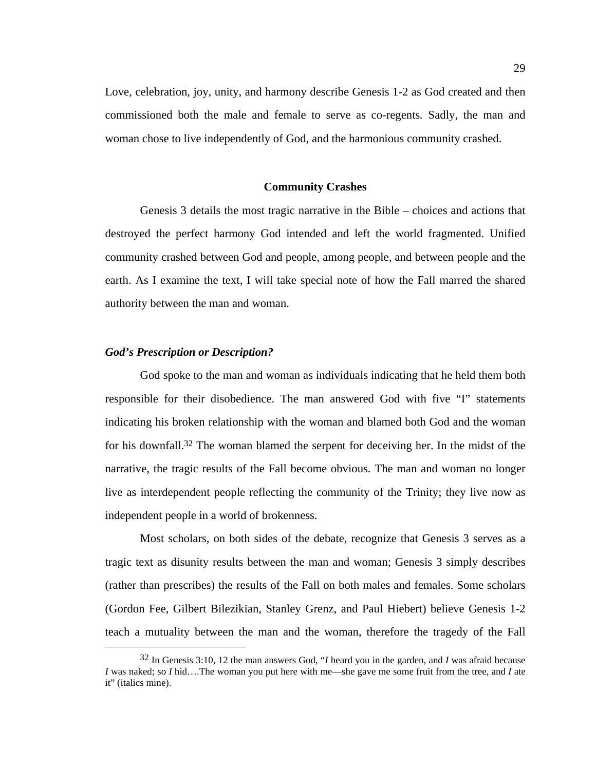Love, celebration, joy, unity, and harmony describe Genesis 1-2 as God created and then commissioned both the male and female to serve as co-regents*.* Sadly, the man and woman chose to live independently of God, and the harmonious community crashed.

## **Community Crashes**

Genesis 3 details the most tragic narrative in the Bible – choices and actions that destroyed the perfect harmony God intended and left the world fragmented. Unified community crashed between God and people, among people, and between people and the earth. As I examine the text, I will take special note of how the Fall marred the shared authority between the man and woman.

## *God's Prescription or Description?*

God spoke to the man and woman as individuals indicating that he held them both responsible for their disobedience. The man answered God with five "I" statements indicating his broken relationship with the woman and blamed both God and the woman for his downfall.32 The woman blamed the serpent for deceiving her. In the midst of the narrative, the tragic results of the Fall become obvious. The man and woman no longer live as interdependent people reflecting the community of the Trinity; they live now as independent people in a world of brokenness.

Most scholars, on both sides of the debate, recognize that Genesis 3 serves as a tragic text as disunity results between the man and woman; Genesis 3 simply describes (rather than prescribes) the results of the Fall on both males and females. Some scholars (Gordon Fee, Gilbert Bilezikian, Stanley Grenz, and Paul Hiebert) believe Genesis 1-2 teach a mutuality between the man and the woman, therefore the tragedy of the Fall

 <sup>32</sup> In Genesis 3:10, 12 the man answers God, "*I* heard you in the garden, and *I* was afraid because *I* was naked; so *I* hid….The woman you put here with me—she gave me some fruit from the tree, and *I* ate it" (italics mine).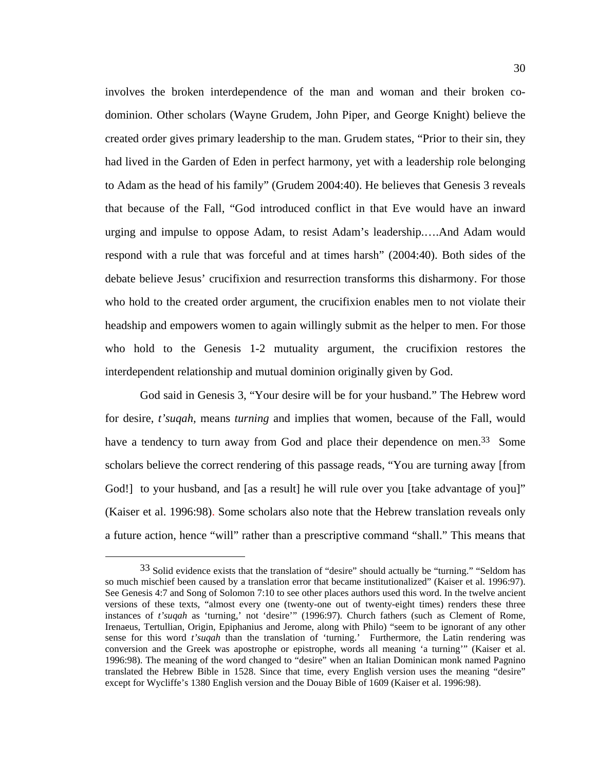involves the broken interdependence of the man and woman and their broken codominion. Other scholars (Wayne Grudem, John Piper, and George Knight) believe the created order gives primary leadership to the man. Grudem states, "Prior to their sin, they had lived in the Garden of Eden in perfect harmony, yet with a leadership role belonging to Adam as the head of his family" (Grudem 2004:40). He believes that Genesis 3 reveals that because of the Fall, "God introduced conflict in that Eve would have an inward urging and impulse to oppose Adam, to resist Adam's leadership.….And Adam would respond with a rule that was forceful and at times harsh" (2004:40). Both sides of the debate believe Jesus' crucifixion and resurrection transforms this disharmony. For those who hold to the created order argument, the crucifixion enables men to not violate their headship and empowers women to again willingly submit as the helper to men. For those who hold to the Genesis 1-2 mutuality argument, the crucifixion restores the interdependent relationship and mutual dominion originally given by God.

God said in Genesis 3, "Your desire will be for your husband." The Hebrew word for desire, *t'suqah,* means *turning* and implies that women, because of the Fall, would have a tendency to turn away from God and place their dependence on men.<sup>33</sup> Some scholars believe the correct rendering of this passage reads, "You are turning away [from God!] to your husband, and [as a result] he will rule over you [take advantage of you]" (Kaiser et al. 1996:98). Some scholars also note that the Hebrew translation reveals only a future action, hence "will" rather than a prescriptive command "shall." This means that

 <sup>33</sup> Solid evidence exists that the translation of "desire" should actually be "turning." "Seldom has so much mischief been caused by a translation error that became institutionalized" (Kaiser et al. 1996:97). See Genesis 4:7 and Song of Solomon 7:10 to see other places authors used this word. In the twelve ancient versions of these texts, "almost every one (twenty-one out of twenty-eight times) renders these three instances of *t'suqah* as 'turning,' not 'desire'" (1996:97). Church fathers (such as Clement of Rome, Irenaeus, Tertullian, Origin, Epiphanius and Jerome, along with Philo) "seem to be ignorant of any other sense for this word *t'suqah* than the translation of 'turning.' Furthermore, the Latin rendering was conversion and the Greek was apostrophe or epistrophe, words all meaning 'a turning'" (Kaiser et al. 1996:98). The meaning of the word changed to "desire" when an Italian Dominican monk named Pagnino translated the Hebrew Bible in 1528. Since that time, every English version uses the meaning "desire" except for Wycliffe's 1380 English version and the Douay Bible of 1609 (Kaiser et al. 1996:98).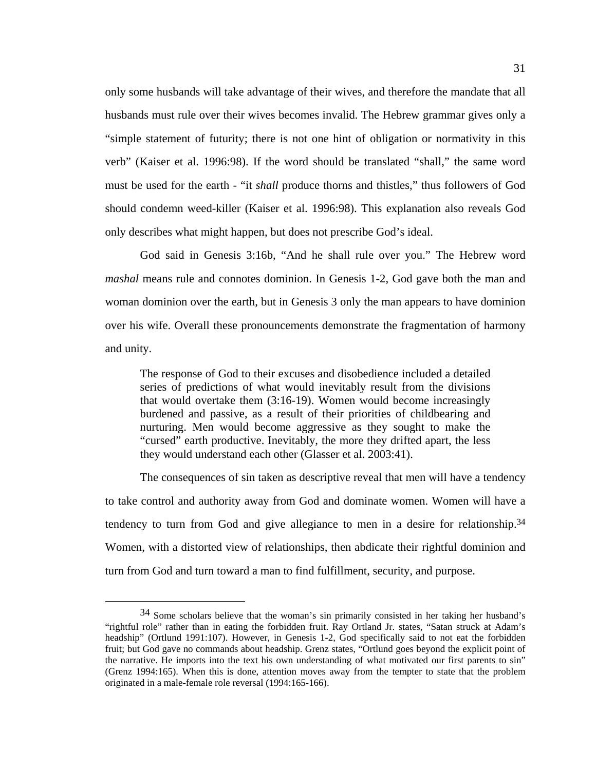only some husbands will take advantage of their wives, and therefore the mandate that all husbands must rule over their wives becomes invalid. The Hebrew grammar gives only a "simple statement of futurity; there is not one hint of obligation or normativity in this verb" (Kaiser et al. 1996:98). If the word should be translated "shall," the same word must be used for the earth - "it *shall* produce thorns and thistles," thus followers of God should condemn weed-killer (Kaiser et al. 1996:98). This explanation also reveals God only describes what might happen, but does not prescribe God's ideal.

God said in Genesis 3:16b, "And he shall rule over you." The Hebrew word *mashal* means rule and connotes dominion. In Genesis 1-2, God gave both the man and woman dominion over the earth, but in Genesis 3 only the man appears to have dominion over his wife. Overall these pronouncements demonstrate the fragmentation of harmony and unity.

The response of God to their excuses and disobedience included a detailed series of predictions of what would inevitably result from the divisions that would overtake them (3:16-19). Women would become increasingly burdened and passive, as a result of their priorities of childbearing and nurturing. Men would become aggressive as they sought to make the "cursed" earth productive. Inevitably, the more they drifted apart, the less they would understand each other (Glasser et al. 2003:41).

The consequences of sin taken as descriptive reveal that men will have a tendency to take control and authority away from God and dominate women. Women will have a tendency to turn from God and give allegiance to men in a desire for relationship.34 Women, with a distorted view of relationships, then abdicate their rightful dominion and turn from God and turn toward a man to find fulfillment, security, and purpose.

 $34$  Some scholars believe that the woman's sin primarily consisted in her taking her husband's "rightful role" rather than in eating the forbidden fruit. Ray Ortland Jr. states, "Satan struck at Adam's headship" (Ortlund 1991:107). However, in Genesis 1-2, God specifically said to not eat the forbidden fruit; but God gave no commands about headship. Grenz states, "Ortlund goes beyond the explicit point of the narrative. He imports into the text his own understanding of what motivated our first parents to sin" (Grenz 1994:165). When this is done, attention moves away from the tempter to state that the problem originated in a male-female role reversal (1994:165-166).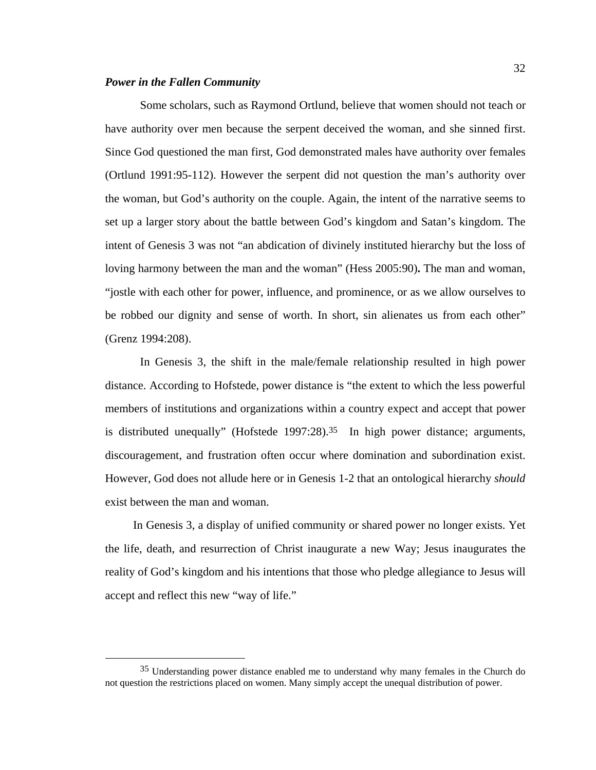### *Power in the Fallen Community*

Some scholars, such as Raymond Ortlund, believe that women should not teach or have authority over men because the serpent deceived the woman, and she sinned first. Since God questioned the man first, God demonstrated males have authority over females (Ortlund 1991:95-112). However the serpent did not question the man's authority over the woman, but God's authority on the couple. Again, the intent of the narrative seems to set up a larger story about the battle between God's kingdom and Satan's kingdom. The intent of Genesis 3 was not "an abdication of divinely instituted hierarchy but the loss of loving harmony between the man and the woman" (Hess 2005:90)**.** The man and woman, "jostle with each other for power, influence, and prominence, or as we allow ourselves to be robbed our dignity and sense of worth. In short, sin alienates us from each other" (Grenz 1994:208).

In Genesis 3, the shift in the male/female relationship resulted in high power distance. According to Hofstede, power distance is "the extent to which the less powerful members of institutions and organizations within a country expect and accept that power is distributed unequally" (Hofstede 1997:28).<sup>35</sup> In high power distance; arguments, discouragement, and frustration often occur where domination and subordination exist. However, God does not allude here or in Genesis 1-2 that an ontological hierarchy *should* exist between the man and woman.

In Genesis 3, a display of unified community or shared power no longer exists. Yet the life, death, and resurrection of Christ inaugurate a new Way; Jesus inaugurates the reality of God's kingdom and his intentions that those who pledge allegiance to Jesus will accept and reflect this new "way of life."

 <sup>35</sup> Understanding power distance enabled me to understand why many females in the Church do not question the restrictions placed on women. Many simply accept the unequal distribution of power.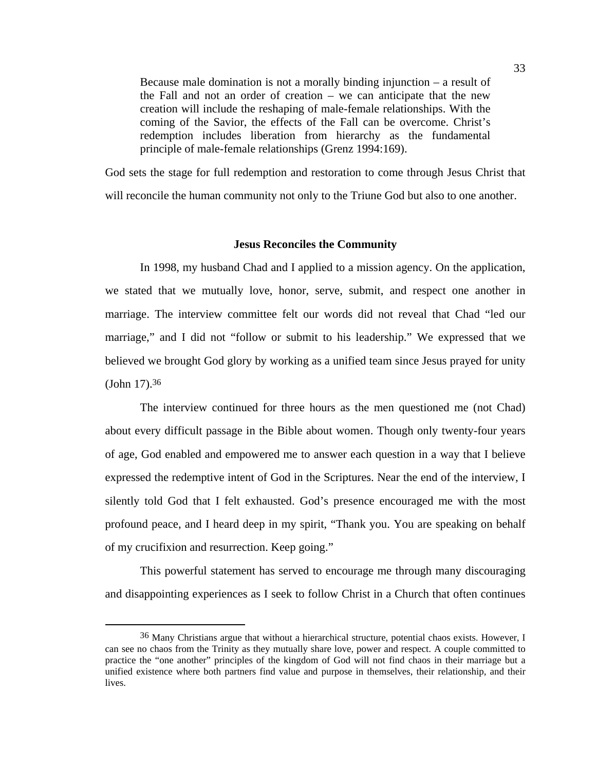Because male domination is not a morally binding injunction – a result of the Fall and not an order of creation – we can anticipate that the new creation will include the reshaping of male-female relationships. With the coming of the Savior, the effects of the Fall can be overcome. Christ's redemption includes liberation from hierarchy as the fundamental principle of male-female relationships (Grenz 1994:169).

God sets the stage for full redemption and restoration to come through Jesus Christ that will reconcile the human community not only to the Triune God but also to one another.

### **Jesus Reconciles the Community**

In 1998, my husband Chad and I applied to a mission agency. On the application, we stated that we mutually love, honor, serve, submit, and respect one another in marriage. The interview committee felt our words did not reveal that Chad "led our marriage," and I did not "follow or submit to his leadership." We expressed that we believed we brought God glory by working as a unified team since Jesus prayed for unity (John 17).36

The interview continued for three hours as the men questioned me (not Chad) about every difficult passage in the Bible about women. Though only twenty-four years of age, God enabled and empowered me to answer each question in a way that I believe expressed the redemptive intent of God in the Scriptures. Near the end of the interview, I silently told God that I felt exhausted. God's presence encouraged me with the most profound peace, and I heard deep in my spirit, "Thank you. You are speaking on behalf of my crucifixion and resurrection. Keep going."

This powerful statement has served to encourage me through many discouraging and disappointing experiences as I seek to follow Christ in a Church that often continues

<sup>&</sup>lt;sup>36</sup> Many Christians argue that without a hierarchical structure, potential chaos exists. However, I can see no chaos from the Trinity as they mutually share love, power and respect. A couple committed to practice the "one another" principles of the kingdom of God will not find chaos in their marriage but a unified existence where both partners find value and purpose in themselves, their relationship, and their lives.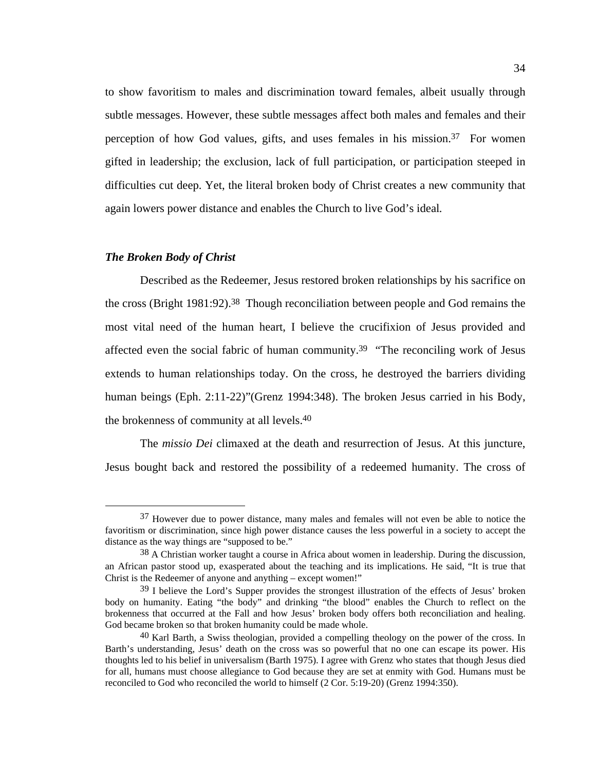to show favoritism to males and discrimination toward females, albeit usually through subtle messages. However, these subtle messages affect both males and females and their perception of how God values, gifts, and uses females in his mission.37 For women gifted in leadership; the exclusion, lack of full participation, or participation steeped in difficulties cut deep. Yet, the literal broken body of Christ creates a new community that again lowers power distance and enables the Church to live God's ideal*.* 

## *The Broken Body of Christ*

Described as the Redeemer, Jesus restored broken relationships by his sacrifice on the cross (Bright 1981:92).38 Though reconciliation between people and God remains the most vital need of the human heart, I believe the crucifixion of Jesus provided and affected even the social fabric of human community.<sup>39</sup> "The reconciling work of Jesus extends to human relationships today. On the cross, he destroyed the barriers dividing human beings (Eph. 2:11-22)"(Grenz 1994:348). The broken Jesus carried in his Body, the brokenness of community at all levels.40

 The *missio Dei* climaxed at the death and resurrection of Jesus. At this juncture, Jesus bought back and restored the possibility of a redeemed humanity. The cross of

 <sup>37</sup> However due to power distance, many males and females will not even be able to notice the favoritism or discrimination, since high power distance causes the less powerful in a society to accept the distance as the way things are "supposed to be."

<sup>38</sup> A Christian worker taught a course in Africa about women in leadership. During the discussion, an African pastor stood up, exasperated about the teaching and its implications. He said, "It is true that Christ is the Redeemer of anyone and anything – except women!"

<sup>39</sup> I believe the Lord's Supper provides the strongest illustration of the effects of Jesus' broken body on humanity. Eating "the body" and drinking "the blood" enables the Church to reflect on the brokenness that occurred at the Fall and how Jesus' broken body offers both reconciliation and healing. God became broken so that broken humanity could be made whole.

<sup>40</sup> Karl Barth, a Swiss theologian, provided a compelling theology on the power of the cross. In Barth's understanding, Jesus' death on the cross was so powerful that no one can escape its power. His thoughts led to his belief in universalism (Barth 1975). I agree with Grenz who states that though Jesus died for all, humans must choose allegiance to God because they are set at enmity with God. Humans must be reconciled to God who reconciled the world to himself (2 Cor. 5:19-20) (Grenz 1994:350).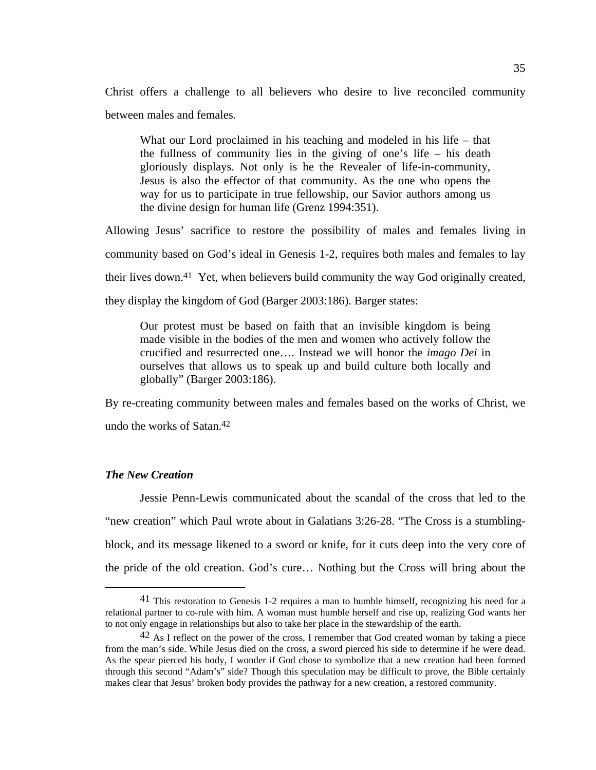Christ offers a challenge to all believers who desire to live reconciled community between males and females.

What our Lord proclaimed in his teaching and modeled in his life – that the fullness of community lies in the giving of one's life – his death gloriously displays. Not only is he the Revealer of life-in-community, Jesus is also the effector of that community. As the one who opens the way for us to participate in true fellowship, our Savior authors among us the divine design for human life (Grenz 1994:351).

Allowing Jesus' sacrifice to restore the possibility of males and females living in community based on God's ideal in Genesis 1-2, requires both males and females to lay their lives down.41 Yet, when believers build community the way God originally created, they display the kingdom of God (Barger 2003:186). Barger states:

Our protest must be based on faith that an invisible kingdom is being made visible in the bodies of the men and women who actively follow the crucified and resurrected one…. Instead we will honor the *imago Dei* in ourselves that allows us to speak up and build culture both locally and globally" (Barger 2003:186).

By re-creating community between males and females based on the works of Christ, we undo the works of Satan.42

# *The New Creation*

Jessie Penn-Lewis communicated about the scandal of the cross that led to the "new creation" which Paul wrote about in Galatians 3:26-28. "The Cross is a stumblingblock, and its message likened to a sword or knife, for it cuts deep into the very core of the pride of the old creation. God's cure… Nothing but the Cross will bring about the

 <sup>41</sup> This restoration to Genesis 1-2 requires a man to humble himself, recognizing his need for a relational partner to co-rule with him. A woman must humble herself and rise up, realizing God wants her to not only engage in relationships but also to take her place in the stewardship of the earth.

<sup>42</sup> As I reflect on the power of the cross, I remember that God created woman by taking a piece from the man's side. While Jesus died on the cross, a sword pierced his side to determine if he were dead. As the spear pierced his body, I wonder if God chose to symbolize that a new creation had been formed through this second "Adam's" side? Though this speculation may be difficult to prove, the Bible certainly makes clear that Jesus' broken body provides the pathway for a new creation, a restored community.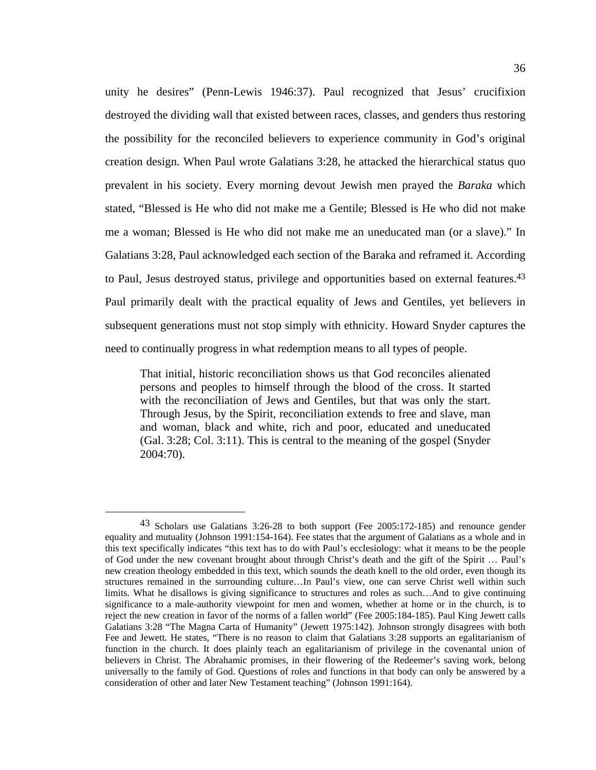unity he desires" (Penn-Lewis 1946:37). Paul recognized that Jesus' crucifixion destroyed the dividing wall that existed between races, classes, and genders thus restoring the possibility for the reconciled believers to experience community in God's original creation design. When Paul wrote Galatians 3:28, he attacked the hierarchical status quo prevalent in his society. Every morning devout Jewish men prayed the *Baraka* which stated, "Blessed is He who did not make me a Gentile; Blessed is He who did not make me a woman; Blessed is He who did not make me an uneducated man (or a slave)." In Galatians 3:28, Paul acknowledged each section of the Baraka and reframed it. According to Paul, Jesus destroyed status, privilege and opportunities based on external features.<sup>43</sup> Paul primarily dealt with the practical equality of Jews and Gentiles, yet believers in subsequent generations must not stop simply with ethnicity. Howard Snyder captures the need to continually progress in what redemption means to all types of people.

That initial, historic reconciliation shows us that God reconciles alienated persons and peoples to himself through the blood of the cross. It started with the reconciliation of Jews and Gentiles, but that was only the start. Through Jesus, by the Spirit, reconciliation extends to free and slave, man and woman, black and white, rich and poor, educated and uneducated (Gal. 3:28; Col. 3:11). This is central to the meaning of the gospel (Snyder 2004:70).

 <sup>43</sup> Scholars use Galatians 3:26-28 to both support (Fee 2005:172-185) and renounce gender equality and mutuality (Johnson 1991:154-164). Fee states that the argument of Galatians as a whole and in this text specifically indicates "this text has to do with Paul's ecclesiology: what it means to be the people of God under the new covenant brought about through Christ's death and the gift of the Spirit … Paul's new creation theology embedded in this text, which sounds the death knell to the old order, even though its structures remained in the surrounding culture…In Paul's view, one can serve Christ well within such limits. What he disallows is giving significance to structures and roles as such…And to give continuing significance to a male-authority viewpoint for men and women, whether at home or in the church, is to reject the new creation in favor of the norms of a fallen world" (Fee 2005:184-185). Paul King Jewett calls Galatians 3:28 "The Magna Carta of Humanity" (Jewett 1975:142). Johnson strongly disagrees with both Fee and Jewett. He states, "There is no reason to claim that Galatians 3:28 supports an egalitarianism of function in the church. It does plainly teach an egalitarianism of privilege in the covenantal union of believers in Christ. The Abrahamic promises, in their flowering of the Redeemer's saving work, belong universally to the family of God. Questions of roles and functions in that body can only be answered by a consideration of other and later New Testament teaching" (Johnson 1991:164).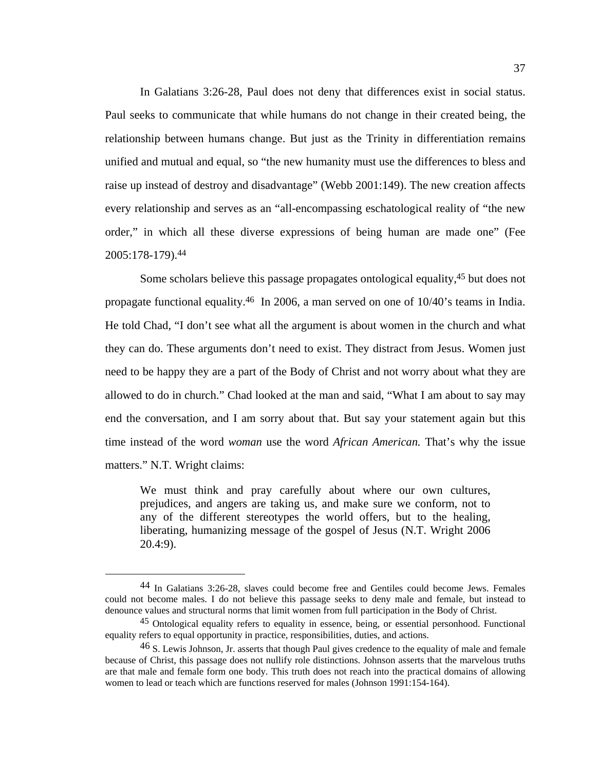In Galatians 3:26-28, Paul does not deny that differences exist in social status. Paul seeks to communicate that while humans do not change in their created being, the relationship between humans change. But just as the Trinity in differentiation remains unified and mutual and equal, so "the new humanity must use the differences to bless and raise up instead of destroy and disadvantage" (Webb 2001:149). The new creation affects every relationship and serves as an "all-encompassing eschatological reality of "the new order," in which all these diverse expressions of being human are made one" (Fee 2005:178-179).44

Some scholars believe this passage propagates ontological equality,45 but does not propagate functional equality.46 In 2006, a man served on one of 10/40's teams in India. He told Chad, "I don't see what all the argument is about women in the church and what they can do. These arguments don't need to exist. They distract from Jesus. Women just need to be happy they are a part of the Body of Christ and not worry about what they are allowed to do in church." Chad looked at the man and said, "What I am about to say may end the conversation, and I am sorry about that. But say your statement again but this time instead of the word *woman* use the word *African American.* That's why the issue matters." N.T. Wright claims:

We must think and pray carefully about where our own cultures, prejudices, and angers are taking us, and make sure we conform, not to any of the different stereotypes the world offers, but to the healing, liberating, humanizing message of the gospel of Jesus (N.T. Wright 2006 20.4:9).

 <sup>44</sup> In Galatians 3:26-28, slaves could become free and Gentiles could become Jews. Females could not become males. I do not believe this passage seeks to deny male and female, but instead to denounce values and structural norms that limit women from full participation in the Body of Christ.

<sup>45</sup> Ontological equality refers to equality in essence, being, or essential personhood. Functional equality refers to equal opportunity in practice, responsibilities, duties, and actions.

<sup>&</sup>lt;sup>46</sup> S. Lewis Johnson, Jr. asserts that though Paul gives credence to the equality of male and female because of Christ, this passage does not nullify role distinctions. Johnson asserts that the marvelous truths are that male and female form one body. This truth does not reach into the practical domains of allowing women to lead or teach which are functions reserved for males (Johnson 1991:154-164).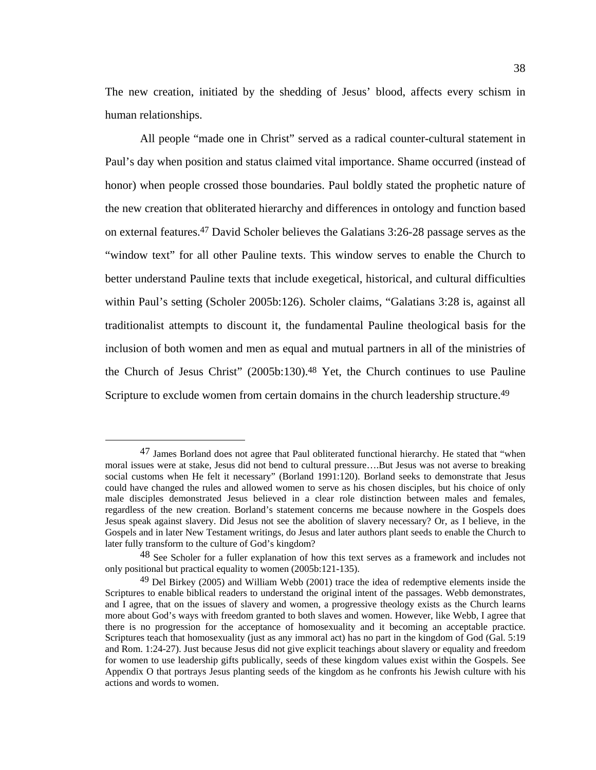The new creation, initiated by the shedding of Jesus' blood, affects every schism in human relationships.

All people "made one in Christ" served as a radical counter-cultural statement in Paul's day when position and status claimed vital importance. Shame occurred (instead of honor) when people crossed those boundaries. Paul boldly stated the prophetic nature of the new creation that obliterated hierarchy and differences in ontology and function based on external features.47 David Scholer believes the Galatians 3:26-28 passage serves as the "window text" for all other Pauline texts. This window serves to enable the Church to better understand Pauline texts that include exegetical, historical, and cultural difficulties within Paul's setting (Scholer 2005b:126). Scholer claims, "Galatians 3:28 is, against all traditionalist attempts to discount it, the fundamental Pauline theological basis for the inclusion of both women and men as equal and mutual partners in all of the ministries of the Church of Jesus Christ" (2005b:130).48 Yet, the Church continues to use Pauline Scripture to exclude women from certain domains in the church leadership structure.<sup>49</sup>

 <sup>47</sup> James Borland does not agree that Paul obliterated functional hierarchy. He stated that "when moral issues were at stake, Jesus did not bend to cultural pressure….But Jesus was not averse to breaking social customs when He felt it necessary" (Borland 1991:120). Borland seeks to demonstrate that Jesus could have changed the rules and allowed women to serve as his chosen disciples, but his choice of only male disciples demonstrated Jesus believed in a clear role distinction between males and females, regardless of the new creation. Borland's statement concerns me because nowhere in the Gospels does Jesus speak against slavery. Did Jesus not see the abolition of slavery necessary? Or, as I believe, in the Gospels and in later New Testament writings, do Jesus and later authors plant seeds to enable the Church to later fully transform to the culture of God's kingdom?

<sup>48</sup> See Scholer for a fuller explanation of how this text serves as a framework and includes not only positional but practical equality to women (2005b:121-135).

 $49$  Del Birkey (2005) and William Webb (2001) trace the idea of redemptive elements inside the Scriptures to enable biblical readers to understand the original intent of the passages. Webb demonstrates, and I agree, that on the issues of slavery and women, a progressive theology exists as the Church learns more about God's ways with freedom granted to both slaves and women. However, like Webb, I agree that there is no progression for the acceptance of homosexuality and it becoming an acceptable practice. Scriptures teach that homosexuality (just as any immoral act) has no part in the kingdom of God (Gal. 5:19 and Rom. 1:24-27). Just because Jesus did not give explicit teachings about slavery or equality and freedom for women to use leadership gifts publically, seeds of these kingdom values exist within the Gospels. See Appendix O that portrays Jesus planting seeds of the kingdom as he confronts his Jewish culture with his actions and words to women.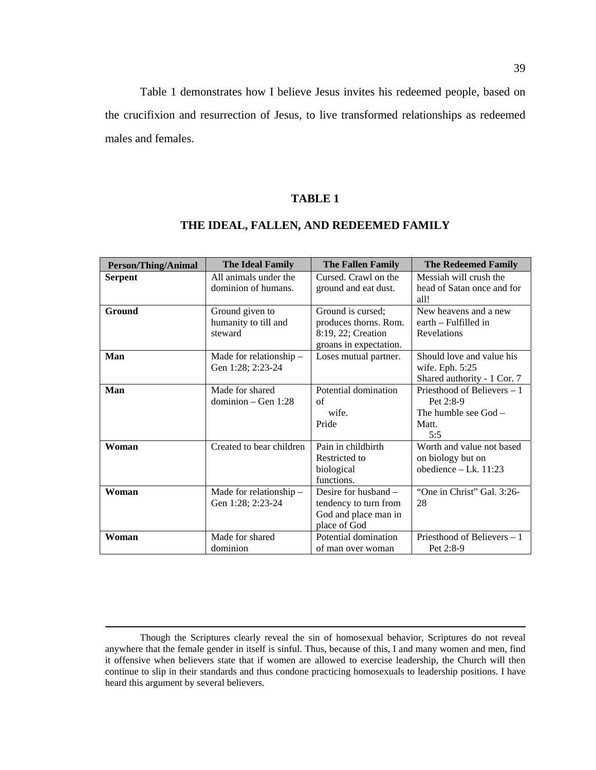Table 1 demonstrates how I believe Jesus invites his redeemed people, based on the crucifixion and resurrection of Jesus, to live transformed relationships as redeemed males and females.

# **TABLE 1**

| <b>Person/Thing/Animal</b> | <b>The Ideal Family</b>                            | <b>The Fallen Family</b>                                                                   | <b>The Redeemed Family</b>                                                         |
|----------------------------|----------------------------------------------------|--------------------------------------------------------------------------------------------|------------------------------------------------------------------------------------|
| <b>Serpent</b>             | All animals under the<br>dominion of humans.       | Cursed. Crawl on the<br>ground and eat dust.                                               | Messiah will crush the<br>head of Satan once and for<br>all!                       |
| Ground                     | Ground given to<br>humanity to till and<br>steward | Ground is cursed;<br>produces thorns. Rom.<br>8:19, 22; Creation<br>groans in expectation. | New heavens and a new<br>earth – Fulfilled in<br>Revelations                       |
| Man                        | Made for relationship $-$<br>Gen 1:28; 2:23-24     | Loses mutual partner.                                                                      | Should love and value his<br>wife. Eph. 5:25<br>Shared authority - 1 Cor. 7        |
| Man                        | Made for shared<br>dominion $-$ Gen 1:28           | Potential domination<br>of<br>wife.<br>Pride                                               | Priesthood of Believers – 1<br>Pet 2:8-9<br>The humble see $God -$<br>Matt.<br>5:5 |
| Woman                      | Created to bear children                           | Pain in childbirth<br>Restricted to<br>biological<br>functions.                            | Worth and value not based<br>on biology but on<br>obedience $-$ Lk. 11:23          |
| Woman                      | Made for relationship $-$<br>Gen 1:28; 2:23-24     | Desire for husband $-$<br>tendency to turn from<br>God and place man in<br>place of God    | "One in Christ" Gal. 3:26-<br>28                                                   |
| Woman                      | Made for shared<br>dominion                        | Potential domination<br>of man over woman                                                  | Priesthood of Believers – 1<br>Pet 2:8-9                                           |

# **THE IDEAL, FALLEN, AND REDEEMED FAMILY**

Though the Scriptures clearly reveal the sin of homosexual behavior, Scriptures do not reveal anywhere that the female gender in itself is sinful. Thus, because of this, I and many women and men, find it offensive when believers state that if women are allowed to exercise leadership, the Church will then continue to slip in their standards and thus condone practicing homosexuals to leadership positions. I have heard this argument by several believers.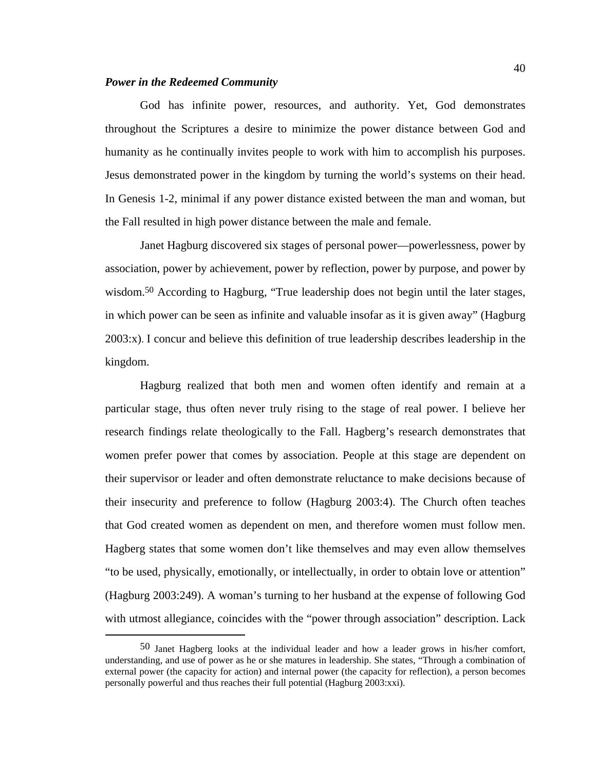## *Power in the Redeemed Community*

God has infinite power, resources, and authority. Yet, God demonstrates throughout the Scriptures a desire to minimize the power distance between God and humanity as he continually invites people to work with him to accomplish his purposes. Jesus demonstrated power in the kingdom by turning the world's systems on their head. In Genesis 1-2, minimal if any power distance existed between the man and woman, but the Fall resulted in high power distance between the male and female.

Janet Hagburg discovered six stages of personal power—powerlessness, power by association, power by achievement, power by reflection, power by purpose, and power by wisdom.<sup>50</sup> According to Hagburg, "True leadership does not begin until the later stages, in which power can be seen as infinite and valuable insofar as it is given away" (Hagburg 2003:x). I concur and believe this definition of true leadership describes leadership in the kingdom.

Hagburg realized that both men and women often identify and remain at a particular stage, thus often never truly rising to the stage of real power. I believe her research findings relate theologically to the Fall. Hagberg's research demonstrates that women prefer power that comes by association. People at this stage are dependent on their supervisor or leader and often demonstrate reluctance to make decisions because of their insecurity and preference to follow (Hagburg 2003:4). The Church often teaches that God created women as dependent on men, and therefore women must follow men. Hagberg states that some women don't like themselves and may even allow themselves "to be used, physically, emotionally, or intellectually, in order to obtain love or attention" (Hagburg 2003:249). A woman's turning to her husband at the expense of following God with utmost allegiance, coincides with the "power through association" description. Lack

 <sup>50</sup> Janet Hagberg looks at the individual leader and how a leader grows in his/her comfort, understanding, and use of power as he or she matures in leadership. She states, "Through a combination of external power (the capacity for action) and internal power (the capacity for reflection), a person becomes personally powerful and thus reaches their full potential (Hagburg 2003:xxi).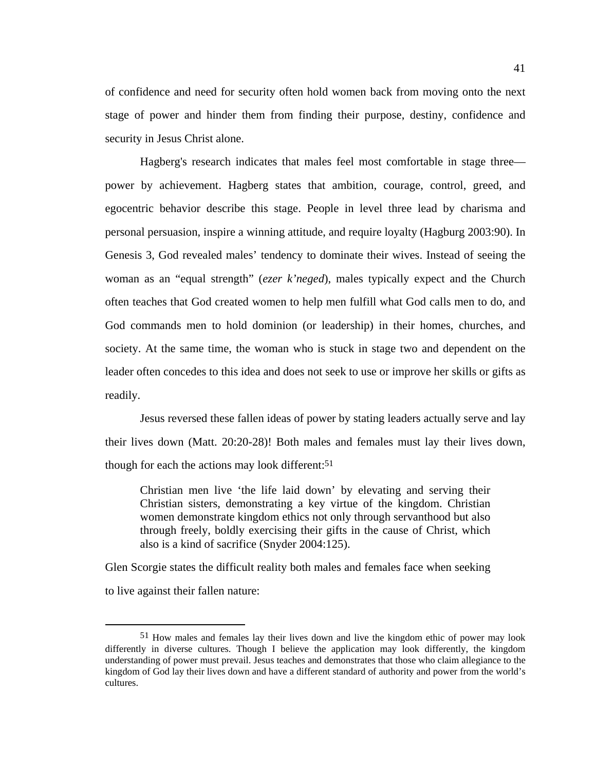of confidence and need for security often hold women back from moving onto the next stage of power and hinder them from finding their purpose, destiny, confidence and security in Jesus Christ alone.

Hagberg's research indicates that males feel most comfortable in stage three power by achievement. Hagberg states that ambition, courage, control, greed, and egocentric behavior describe this stage. People in level three lead by charisma and personal persuasion, inspire a winning attitude, and require loyalty (Hagburg 2003:90). In Genesis 3, God revealed males' tendency to dominate their wives. Instead of seeing the woman as an "equal strength" (*ezer k'neged*), males typically expect and the Church often teaches that God created women to help men fulfill what God calls men to do, and God commands men to hold dominion (or leadership) in their homes, churches, and society. At the same time, the woman who is stuck in stage two and dependent on the leader often concedes to this idea and does not seek to use or improve her skills or gifts as readily.

Jesus reversed these fallen ideas of power by stating leaders actually serve and lay their lives down (Matt. 20:20-28)! Both males and females must lay their lives down, though for each the actions may look different:<sup>51</sup>

Christian men live 'the life laid down' by elevating and serving their Christian sisters, demonstrating a key virtue of the kingdom. Christian women demonstrate kingdom ethics not only through servanthood but also through freely, boldly exercising their gifts in the cause of Christ, which also is a kind of sacrifice (Snyder 2004:125).

Glen Scorgie states the difficult reality both males and females face when seeking to live against their fallen nature:

 <sup>51</sup> How males and females lay their lives down and live the kingdom ethic of power may look differently in diverse cultures. Though I believe the application may look differently, the kingdom understanding of power must prevail. Jesus teaches and demonstrates that those who claim allegiance to the kingdom of God lay their lives down and have a different standard of authority and power from the world's cultures.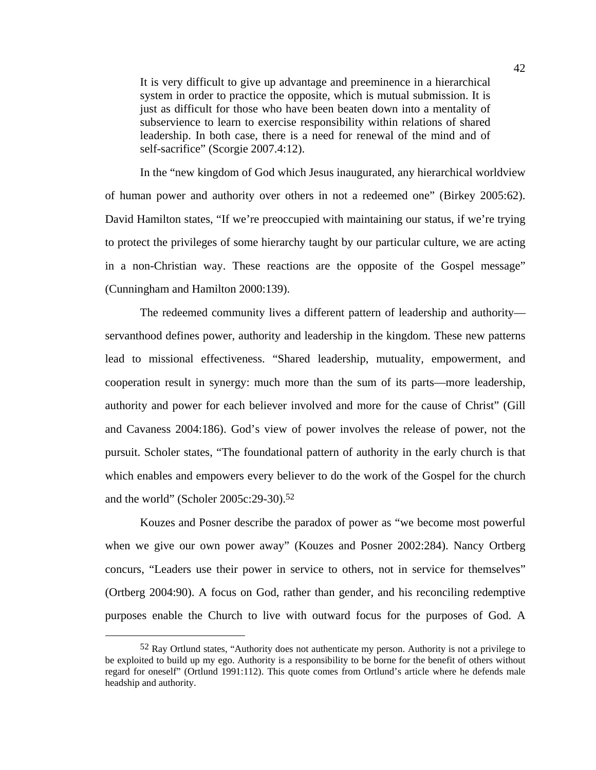It is very difficult to give up advantage and preeminence in a hierarchical system in order to practice the opposite, which is mutual submission. It is just as difficult for those who have been beaten down into a mentality of subservience to learn to exercise responsibility within relations of shared leadership. In both case, there is a need for renewal of the mind and of self-sacrifice" (Scorgie 2007.4:12).

In the "new kingdom of God which Jesus inaugurated, any hierarchical worldview of human power and authority over others in not a redeemed one" (Birkey 2005:62). David Hamilton states, "If we're preoccupied with maintaining our status, if we're trying to protect the privileges of some hierarchy taught by our particular culture, we are acting in a non-Christian way. These reactions are the opposite of the Gospel message" (Cunningham and Hamilton 2000:139).

The redeemed community lives a different pattern of leadership and authority servanthood defines power, authority and leadership in the kingdom. These new patterns lead to missional effectiveness. "Shared leadership, mutuality, empowerment, and cooperation result in synergy: much more than the sum of its parts—more leadership, authority and power for each believer involved and more for the cause of Christ" (Gill and Cavaness 2004:186). God's view of power involves the release of power, not the pursuit. Scholer states, "The foundational pattern of authority in the early church is that which enables and empowers every believer to do the work of the Gospel for the church and the world" (Scholer 2005c:29-30).52

Kouzes and Posner describe the paradox of power as "we become most powerful when we give our own power away" (Kouzes and Posner 2002:284). Nancy Ortberg concurs, "Leaders use their power in service to others, not in service for themselves" (Ortberg 2004:90). A focus on God, rather than gender, and his reconciling redemptive purposes enable the Church to live with outward focus for the purposes of God. A

 <sup>52</sup> Ray Ortlund states, "Authority does not authenticate my person. Authority is not a privilege to be exploited to build up my ego. Authority is a responsibility to be borne for the benefit of others without regard for oneself" (Ortlund 1991:112). This quote comes from Ortlund's article where he defends male headship and authority.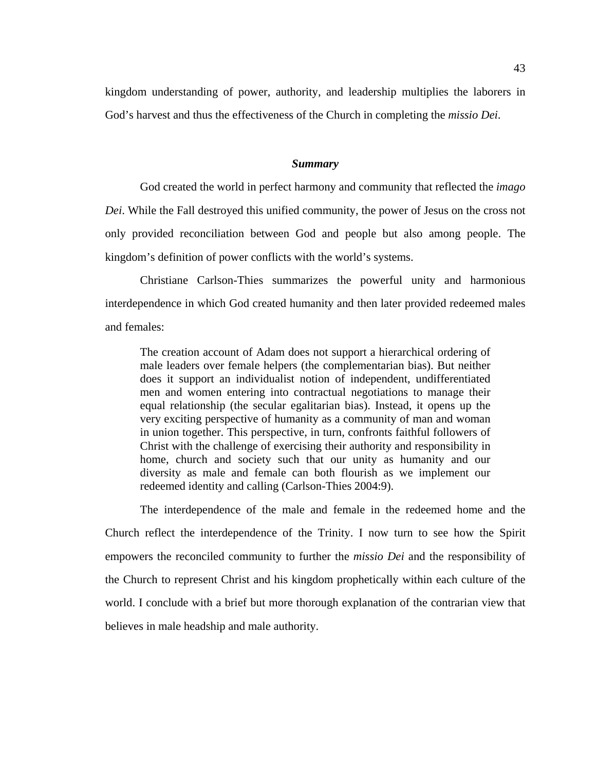kingdom understanding of power, authority, and leadership multiplies the laborers in God's harvest and thus the effectiveness of the Church in completing the *missio Dei*.

#### *Summary*

God created the world in perfect harmony and community that reflected the *imago Dei*. While the Fall destroyed this unified community, the power of Jesus on the cross not only provided reconciliation between God and people but also among people. The kingdom's definition of power conflicts with the world's systems.

Christiane Carlson-Thies summarizes the powerful unity and harmonious interdependence in which God created humanity and then later provided redeemed males and females:

The creation account of Adam does not support a hierarchical ordering of male leaders over female helpers (the complementarian bias). But neither does it support an individualist notion of independent, undifferentiated men and women entering into contractual negotiations to manage their equal relationship (the secular egalitarian bias). Instead, it opens up the very exciting perspective of humanity as a community of man and woman in union together. This perspective, in turn, confronts faithful followers of Christ with the challenge of exercising their authority and responsibility in home, church and society such that our unity as humanity and our diversity as male and female can both flourish as we implement our redeemed identity and calling (Carlson-Thies 2004:9).

The interdependence of the male and female in the redeemed home and the Church reflect the interdependence of the Trinity. I now turn to see how the Spirit empowers the reconciled community to further the *missio Dei* and the responsibility of the Church to represent Christ and his kingdom prophetically within each culture of the world. I conclude with a brief but more thorough explanation of the contrarian view that believes in male headship and male authority.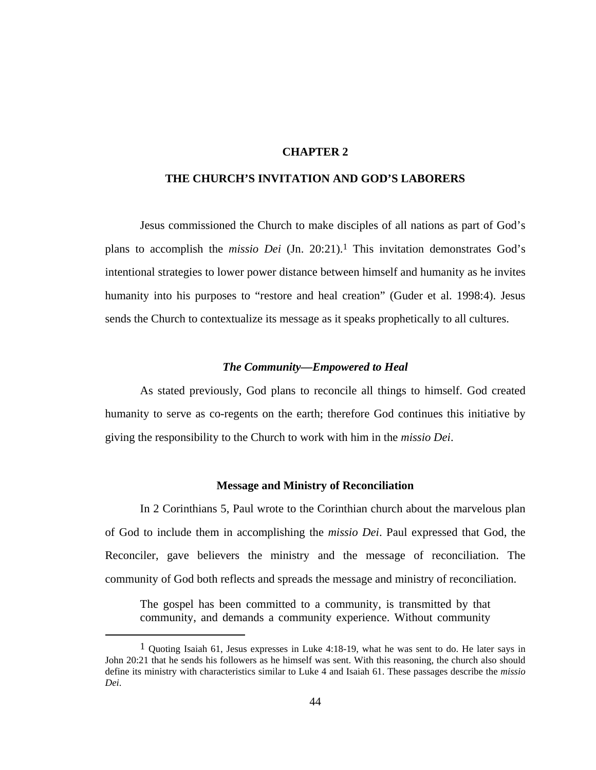# **CHAPTER 2**

# **THE CHURCH'S INVITATION AND GOD'S LABORERS**

Jesus commissioned the Church to make disciples of all nations as part of God's plans to accomplish the *missio Dei* (Jn. 20:21).1 This invitation demonstrates God's intentional strategies to lower power distance between himself and humanity as he invites humanity into his purposes to "restore and heal creation" (Guder et al. 1998:4). Jesus sends the Church to contextualize its message as it speaks prophetically to all cultures.

### *The Community—Empowered to Heal*

As stated previously, God plans to reconcile all things to himself. God created humanity to serve as co-regents on the earth; therefore God continues this initiative by giving the responsibility to the Church to work with him in the *missio Dei*.

#### **Message and Ministry of Reconciliation**

 In 2 Corinthians 5, Paul wrote to the Corinthian church about the marvelous plan of God to include them in accomplishing the *missio Dei*. Paul expressed that God, the Reconciler, gave believers the ministry and the message of reconciliation. The community of God both reflects and spreads the message and ministry of reconciliation.

The gospel has been committed to a community, is transmitted by that community, and demands a community experience. Without community

 $<sup>1</sup>$  Quoting Isaiah 61, Jesus expresses in Luke 4:18-19, what he was sent to do. He later says in</sup> John 20:21 that he sends his followers as he himself was sent. With this reasoning, the church also should define its ministry with characteristics similar to Luke 4 and Isaiah 61. These passages describe the *missio Dei*.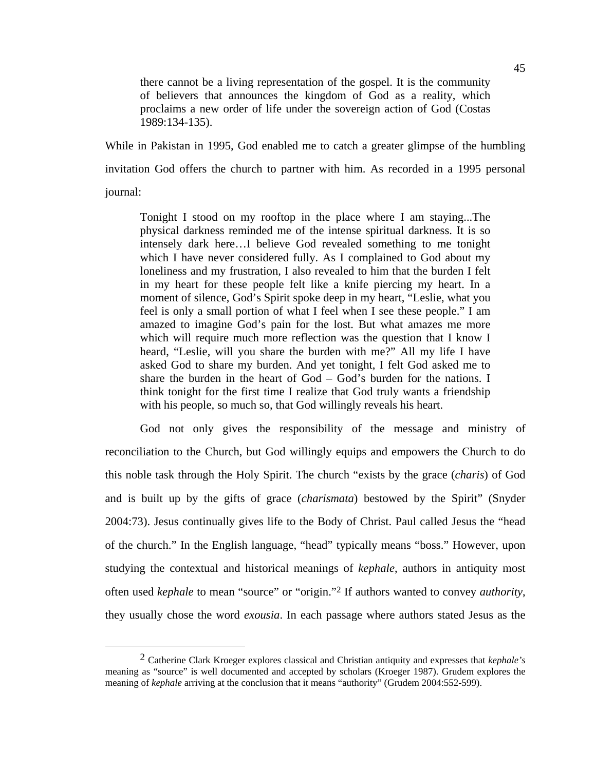there cannot be a living representation of the gospel. It is the community of believers that announces the kingdom of God as a reality, which proclaims a new order of life under the sovereign action of God (Costas 1989:134-135).

While in Pakistan in 1995, God enabled me to catch a greater glimpse of the humbling invitation God offers the church to partner with him. As recorded in a 1995 personal journal:

Tonight I stood on my rooftop in the place where I am staying...The physical darkness reminded me of the intense spiritual darkness. It is so intensely dark here…I believe God revealed something to me tonight which I have never considered fully. As I complained to God about my loneliness and my frustration, I also revealed to him that the burden I felt in my heart for these people felt like a knife piercing my heart. In a moment of silence, God's Spirit spoke deep in my heart, "Leslie, what you feel is only a small portion of what I feel when I see these people." I am amazed to imagine God's pain for the lost. But what amazes me more which will require much more reflection was the question that I know I heard, "Leslie, will you share the burden with me?" All my life I have asked God to share my burden. And yet tonight, I felt God asked me to share the burden in the heart of God – God's burden for the nations. I think tonight for the first time I realize that God truly wants a friendship with his people, so much so, that God willingly reveals his heart.

God not only gives the responsibility of the message and ministry of reconciliation to the Church, but God willingly equips and empowers the Church to do this noble task through the Holy Spirit. The church "exists by the grace (*charis*) of God and is built up by the gifts of grace (*charismata*) bestowed by the Spirit" (Snyder 2004:73). Jesus continually gives life to the Body of Christ. Paul called Jesus the "head of the church." In the English language, "head" typically means "boss." However, upon studying the contextual and historical meanings of *kephale*, authors in antiquity most often used *kephale* to mean "source" or "origin."2 If authors wanted to convey *authority*, they usually chose the word *exousia*. In each passage where authors stated Jesus as the

 <sup>2</sup> Catherine Clark Kroeger explores classical and Christian antiquity and expresses that *kephale's* meaning as "source" is well documented and accepted by scholars (Kroeger 1987). Grudem explores the meaning of *kephale* arriving at the conclusion that it means "authority" (Grudem 2004:552-599).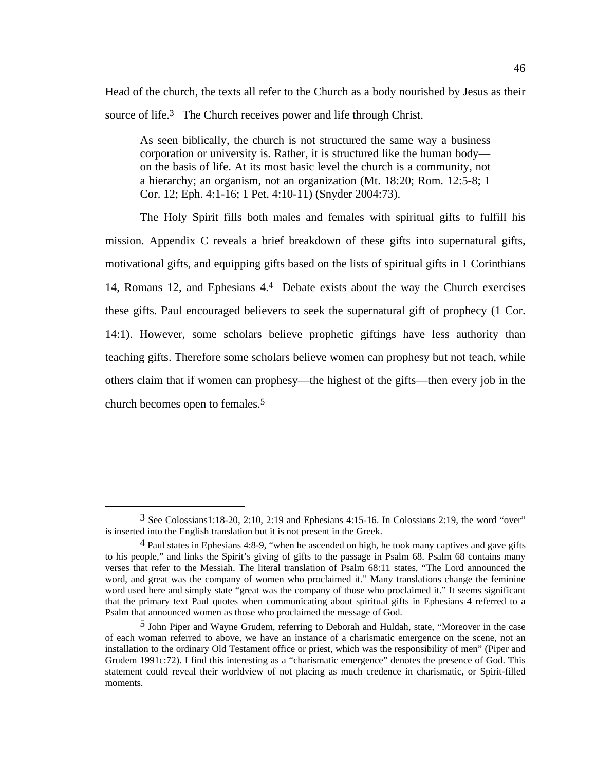Head of the church, the texts all refer to the Church as a body nourished by Jesus as their source of life.<sup>3</sup> The Church receives power and life through Christ.

As seen biblically, the church is not structured the same way a business corporation or university is. Rather, it is structured like the human body on the basis of life. At its most basic level the church is a community, not a hierarchy; an organism, not an organization (Mt. 18:20; Rom. 12:5-8; 1 Cor. 12; Eph. 4:1-16; 1 Pet. 4:10-11) (Snyder 2004:73).

The Holy Spirit fills both males and females with spiritual gifts to fulfill his mission. Appendix C reveals a brief breakdown of these gifts into supernatural gifts, motivational gifts, and equipping gifts based on the lists of spiritual gifts in 1 Corinthians 14, Romans 12, and Ephesians 4.4 Debate exists about the way the Church exercises these gifts. Paul encouraged believers to seek the supernatural gift of prophecy (1 Cor. 14:1). However, some scholars believe prophetic giftings have less authority than teaching gifts. Therefore some scholars believe women can prophesy but not teach, while others claim that if women can prophesy—the highest of the gifts—then every job in the church becomes open to females.5

 <sup>3</sup> See Colossians1:18-20, 2:10, 2:19 and Ephesians 4:15-16. In Colossians 2:19, the word "over" is inserted into the English translation but it is not present in the Greek.

<sup>4</sup> Paul states in Ephesians 4:8-9, "when he ascended on high, he took many captives and gave gifts to his people," and links the Spirit's giving of gifts to the passage in Psalm 68. Psalm 68 contains many verses that refer to the Messiah. The literal translation of Psalm 68:11 states, "The Lord announced the word, and great was the company of women who proclaimed it." Many translations change the feminine word used here and simply state "great was the company of those who proclaimed it." It seems significant that the primary text Paul quotes when communicating about spiritual gifts in Ephesians 4 referred to a Psalm that announced women as those who proclaimed the message of God.

<sup>5</sup> John Piper and Wayne Grudem, referring to Deborah and Huldah, state, "Moreover in the case of each woman referred to above, we have an instance of a charismatic emergence on the scene, not an installation to the ordinary Old Testament office or priest, which was the responsibility of men" (Piper and Grudem 1991c:72). I find this interesting as a "charismatic emergence" denotes the presence of God. This statement could reveal their worldview of not placing as much credence in charismatic, or Spirit-filled moments.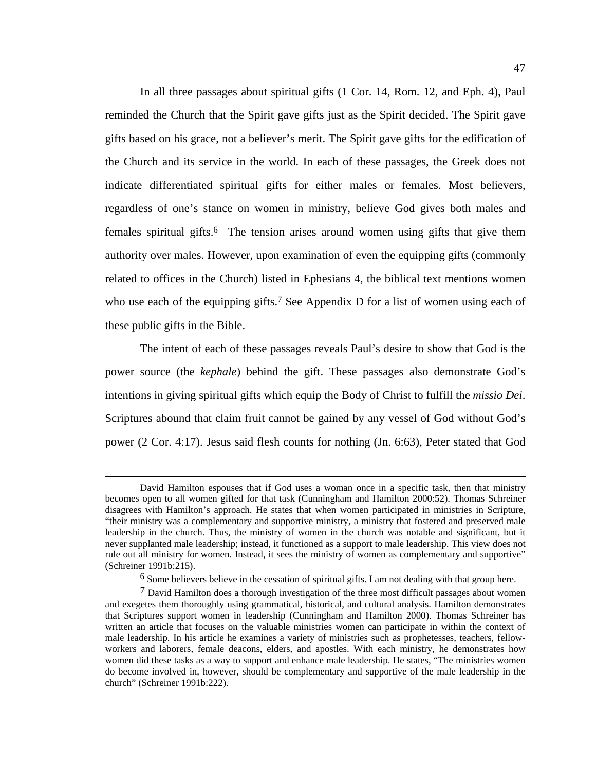In all three passages about spiritual gifts (1 Cor. 14, Rom. 12, and Eph. 4), Paul reminded the Church that the Spirit gave gifts just as the Spirit decided. The Spirit gave gifts based on his grace, not a believer's merit. The Spirit gave gifts for the edification of the Church and its service in the world. In each of these passages, the Greek does not indicate differentiated spiritual gifts for either males or females. Most believers, regardless of one's stance on women in ministry, believe God gives both males and females spiritual gifts.<sup>6</sup> The tension arises around women using gifts that give them authority over males. However, upon examination of even the equipping gifts (commonly related to offices in the Church) listed in Ephesians 4, the biblical text mentions women who use each of the equipping gifts.<sup>7</sup> See Appendix D for a list of women using each of these public gifts in the Bible.

The intent of each of these passages reveals Paul's desire to show that God is the power source (the *kephale*) behind the gift. These passages also demonstrate God's intentions in giving spiritual gifts which equip the Body of Christ to fulfill the *missio Dei*. Scriptures abound that claim fruit cannot be gained by any vessel of God without God's power (2 Cor. 4:17). Jesus said flesh counts for nothing (Jn. 6:63), Peter stated that God

David Hamilton espouses that if God uses a woman once in a specific task, then that ministry becomes open to all women gifted for that task (Cunningham and Hamilton 2000:52). Thomas Schreiner disagrees with Hamilton's approach. He states that when women participated in ministries in Scripture, "their ministry was a complementary and supportive ministry, a ministry that fostered and preserved male leadership in the church. Thus, the ministry of women in the church was notable and significant, but it never supplanted male leadership; instead, it functioned as a support to male leadership. This view does not rule out all ministry for women. Instead, it sees the ministry of women as complementary and supportive" (Schreiner 1991b:215).

<sup>6</sup> Some believers believe in the cessation of spiritual gifts. I am not dealing with that group here.

<sup>7</sup> David Hamilton does a thorough investigation of the three most difficult passages about women and exegetes them thoroughly using grammatical, historical, and cultural analysis. Hamilton demonstrates that Scriptures support women in leadership (Cunningham and Hamilton 2000). Thomas Schreiner has written an article that focuses on the valuable ministries women can participate in within the context of male leadership. In his article he examines a variety of ministries such as prophetesses, teachers, fellowworkers and laborers, female deacons, elders, and apostles. With each ministry, he demonstrates how women did these tasks as a way to support and enhance male leadership. He states, "The ministries women do become involved in, however, should be complementary and supportive of the male leadership in the church" (Schreiner 1991b:222).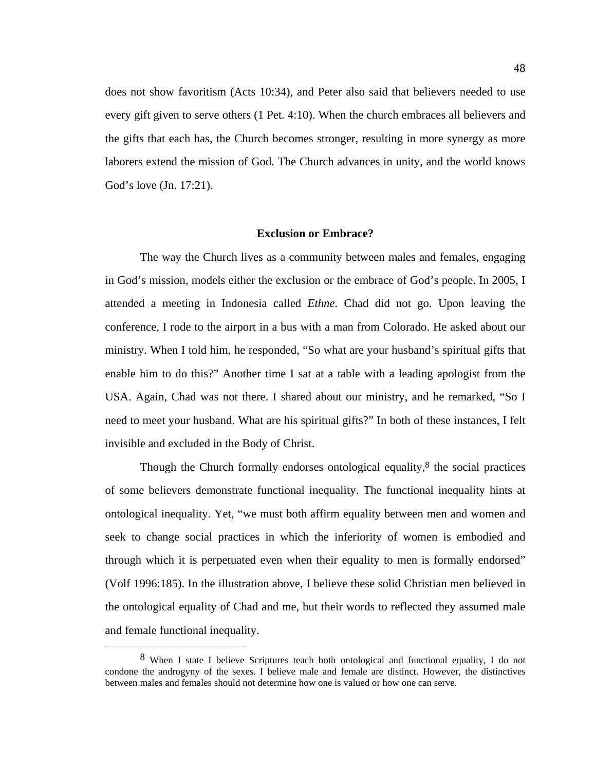does not show favoritism (Acts 10:34), and Peter also said that believers needed to use every gift given to serve others (1 Pet. 4:10). When the church embraces all believers and the gifts that each has, the Church becomes stronger, resulting in more synergy as more laborers extend the mission of God. The Church advances in unity, and the world knows God's love (Jn. 17:21).

### **Exclusion or Embrace?**

The way the Church lives as a community between males and females, engaging in God's mission, models either the exclusion or the embrace of God's people. In 2005, I attended a meeting in Indonesia called *Ethne*. Chad did not go. Upon leaving the conference, I rode to the airport in a bus with a man from Colorado. He asked about our ministry. When I told him, he responded, "So what are your husband's spiritual gifts that enable him to do this?" Another time I sat at a table with a leading apologist from the USA. Again, Chad was not there. I shared about our ministry, and he remarked, "So I need to meet your husband. What are his spiritual gifts?" In both of these instances, I felt invisible and excluded in the Body of Christ.

Though the Church formally endorses ontological equality, $\delta$  the social practices of some believers demonstrate functional inequality. The functional inequality hints at ontological inequality. Yet, "we must both affirm equality between men and women and seek to change social practices in which the inferiority of women is embodied and through which it is perpetuated even when their equality to men is formally endorsed" (Volf 1996:185). In the illustration above, I believe these solid Christian men believed in the ontological equality of Chad and me, but their words to reflected they assumed male and female functional inequality.

 $8$  When I state I believe Scriptures teach both ontological and functional equality, I do not condone the androgyny of the sexes. I believe male and female are distinct. However, the distinctives between males and females should not determine how one is valued or how one can serve.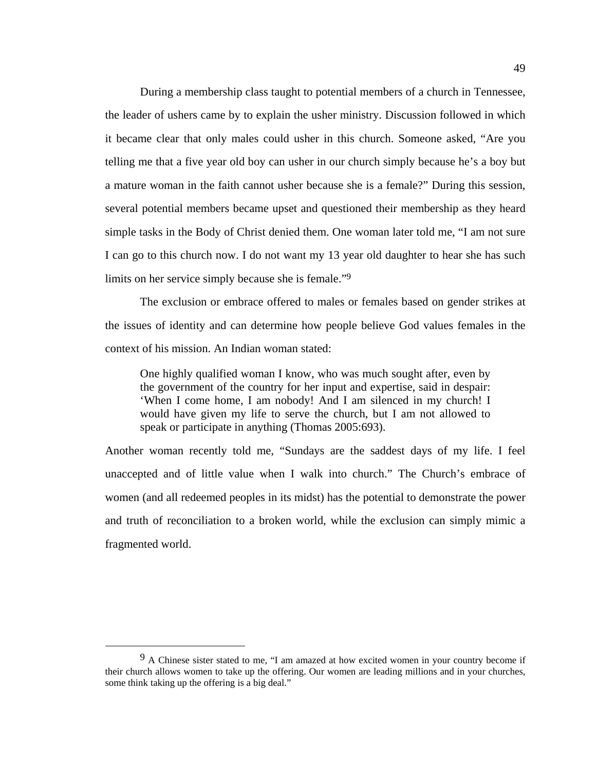During a membership class taught to potential members of a church in Tennessee, the leader of ushers came by to explain the usher ministry. Discussion followed in which it became clear that only males could usher in this church. Someone asked, "Are you telling me that a five year old boy can usher in our church simply because he's a boy but a mature woman in the faith cannot usher because she is a female?" During this session, several potential members became upset and questioned their membership as they heard simple tasks in the Body of Christ denied them. One woman later told me, "I am not sure I can go to this church now. I do not want my 13 year old daughter to hear she has such limits on her service simply because she is female."9

The exclusion or embrace offered to males or females based on gender strikes at the issues of identity and can determine how people believe God values females in the context of his mission. An Indian woman stated:

One highly qualified woman I know, who was much sought after, even by the government of the country for her input and expertise, said in despair: 'When I come home, I am nobody! And I am silenced in my church! I would have given my life to serve the church, but I am not allowed to speak or participate in anything (Thomas 2005:693).

Another woman recently told me, "Sundays are the saddest days of my life. I feel unaccepted and of little value when I walk into church." The Church's embrace of women (and all redeemed peoples in its midst) has the potential to demonstrate the power and truth of reconciliation to a broken world, while the exclusion can simply mimic a fragmented world.

 <sup>9</sup> A Chinese sister stated to me, "I am amazed at how excited women in your country become if their church allows women to take up the offering. Our women are leading millions and in your churches, some think taking up the offering is a big deal."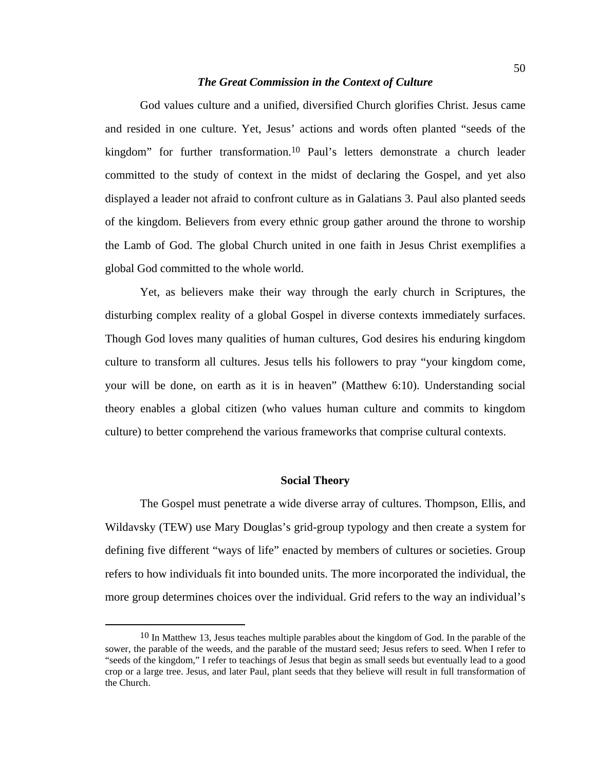## *The Great Commission in the Context of Culture*

God values culture and a unified, diversified Church glorifies Christ. Jesus came and resided in one culture. Yet, Jesus' actions and words often planted "seeds of the kingdom" for further transformation.10 Paul's letters demonstrate a church leader committed to the study of context in the midst of declaring the Gospel, and yet also displayed a leader not afraid to confront culture as in Galatians 3. Paul also planted seeds of the kingdom. Believers from every ethnic group gather around the throne to worship the Lamb of God. The global Church united in one faith in Jesus Christ exemplifies a global God committed to the whole world.

Yet, as believers make their way through the early church in Scriptures, the disturbing complex reality of a global Gospel in diverse contexts immediately surfaces. Though God loves many qualities of human cultures, God desires his enduring kingdom culture to transform all cultures. Jesus tells his followers to pray "your kingdom come, your will be done, on earth as it is in heaven" (Matthew 6:10). Understanding social theory enables a global citizen (who values human culture and commits to kingdom culture) to better comprehend the various frameworks that comprise cultural contexts.

## **Social Theory**

The Gospel must penetrate a wide diverse array of cultures. Thompson, Ellis, and Wildavsky (TEW) use Mary Douglas's grid-group typology and then create a system for defining five different "ways of life" enacted by members of cultures or societies. Group refers to how individuals fit into bounded units. The more incorporated the individual, the more group determines choices over the individual. Grid refers to the way an individual's

<sup>&</sup>lt;sup>10</sup> In Matthew 13, Jesus teaches multiple parables about the kingdom of God. In the parable of the sower, the parable of the weeds, and the parable of the mustard seed; Jesus refers to seed. When I refer to "seeds of the kingdom," I refer to teachings of Jesus that begin as small seeds but eventually lead to a good crop or a large tree. Jesus, and later Paul, plant seeds that they believe will result in full transformation of the Church.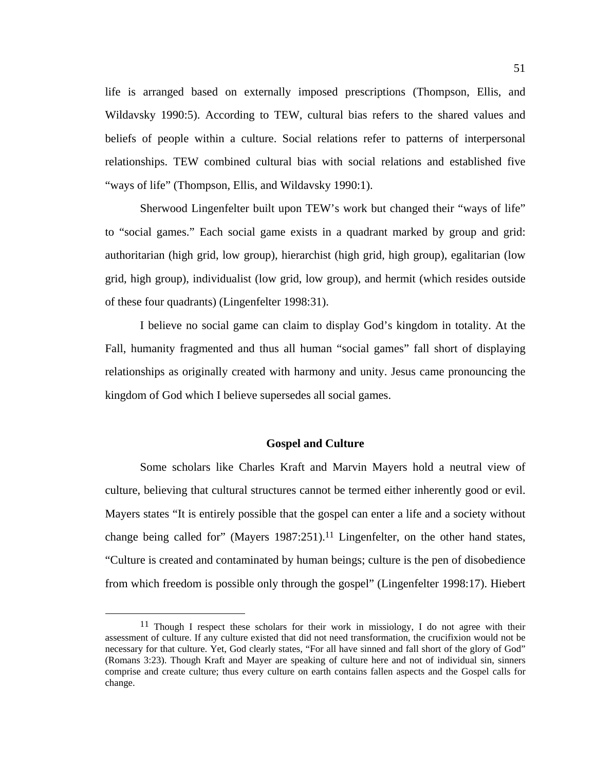life is arranged based on externally imposed prescriptions (Thompson, Ellis, and Wildavsky 1990:5). According to TEW, cultural bias refers to the shared values and beliefs of people within a culture. Social relations refer to patterns of interpersonal relationships. TEW combined cultural bias with social relations and established five "ways of life" (Thompson, Ellis, and Wildavsky 1990:1).

Sherwood Lingenfelter built upon TEW's work but changed their "ways of life" to "social games." Each social game exists in a quadrant marked by group and grid: authoritarian (high grid, low group), hierarchist (high grid, high group), egalitarian (low grid, high group), individualist (low grid, low group), and hermit (which resides outside of these four quadrants) (Lingenfelter 1998:31).

I believe no social game can claim to display God's kingdom in totality. At the Fall, humanity fragmented and thus all human "social games" fall short of displaying relationships as originally created with harmony and unity. Jesus came pronouncing the kingdom of God which I believe supersedes all social games.

## **Gospel and Culture**

Some scholars like Charles Kraft and Marvin Mayers hold a neutral view of culture, believing that cultural structures cannot be termed either inherently good or evil. Mayers states "It is entirely possible that the gospel can enter a life and a society without change being called for" (Mayers  $1987:251$ ).<sup>11</sup> Lingenfelter, on the other hand states, "Culture is created and contaminated by human beings; culture is the pen of disobedience from which freedom is possible only through the gospel" (Lingenfelter 1998:17). Hiebert

 $11$  Though I respect these scholars for their work in missiology, I do not agree with their assessment of culture. If any culture existed that did not need transformation, the crucifixion would not be necessary for that culture. Yet, God clearly states, "For all have sinned and fall short of the glory of God" (Romans 3:23). Though Kraft and Mayer are speaking of culture here and not of individual sin, sinners comprise and create culture; thus every culture on earth contains fallen aspects and the Gospel calls for change.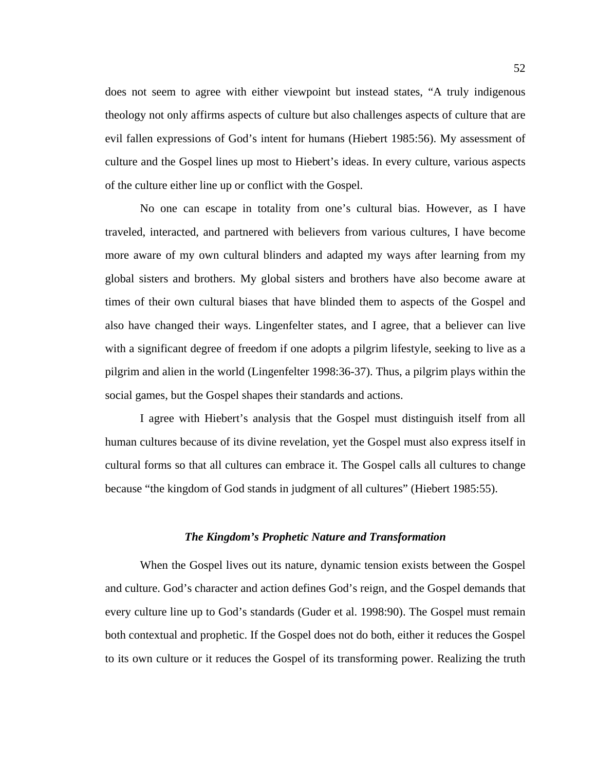does not seem to agree with either viewpoint but instead states, "A truly indigenous theology not only affirms aspects of culture but also challenges aspects of culture that are evil fallen expressions of God's intent for humans (Hiebert 1985:56). My assessment of culture and the Gospel lines up most to Hiebert's ideas. In every culture, various aspects of the culture either line up or conflict with the Gospel.

No one can escape in totality from one's cultural bias. However, as I have traveled, interacted, and partnered with believers from various cultures, I have become more aware of my own cultural blinders and adapted my ways after learning from my global sisters and brothers. My global sisters and brothers have also become aware at times of their own cultural biases that have blinded them to aspects of the Gospel and also have changed their ways. Lingenfelter states, and I agree, that a believer can live with a significant degree of freedom if one adopts a pilgrim lifestyle, seeking to live as a pilgrim and alien in the world (Lingenfelter 1998:36-37). Thus, a pilgrim plays within the social games, but the Gospel shapes their standards and actions.

I agree with Hiebert's analysis that the Gospel must distinguish itself from all human cultures because of its divine revelation, yet the Gospel must also express itself in cultural forms so that all cultures can embrace it. The Gospel calls all cultures to change because "the kingdom of God stands in judgment of all cultures" (Hiebert 1985:55).

## *The Kingdom's Prophetic Nature and Transformation*

When the Gospel lives out its nature, dynamic tension exists between the Gospel and culture. God's character and action defines God's reign, and the Gospel demands that every culture line up to God's standards (Guder et al. 1998:90). The Gospel must remain both contextual and prophetic. If the Gospel does not do both, either it reduces the Gospel to its own culture or it reduces the Gospel of its transforming power. Realizing the truth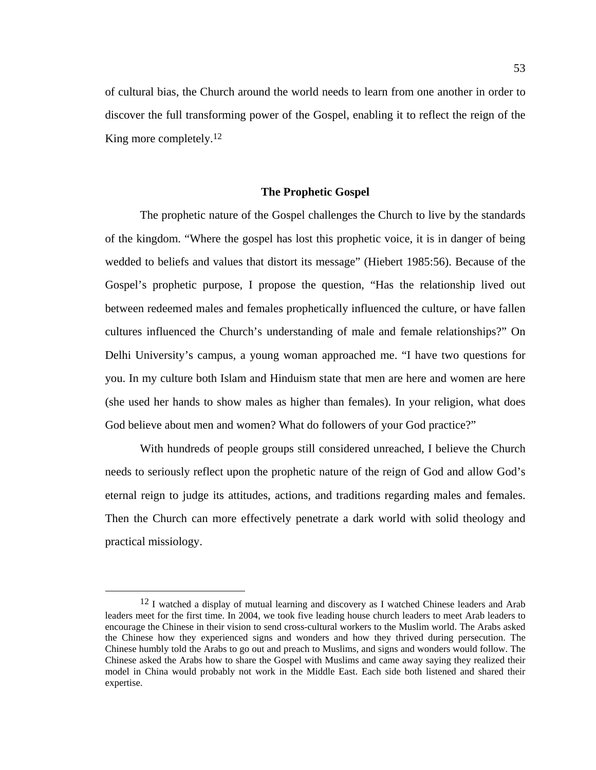of cultural bias, the Church around the world needs to learn from one another in order to discover the full transforming power of the Gospel, enabling it to reflect the reign of the King more completely.<sup>12</sup>

## **The Prophetic Gospel**

The prophetic nature of the Gospel challenges the Church to live by the standards of the kingdom. "Where the gospel has lost this prophetic voice, it is in danger of being wedded to beliefs and values that distort its message" (Hiebert 1985:56). Because of the Gospel's prophetic purpose, I propose the question, "Has the relationship lived out between redeemed males and females prophetically influenced the culture, or have fallen cultures influenced the Church's understanding of male and female relationships?" On Delhi University's campus, a young woman approached me. "I have two questions for you. In my culture both Islam and Hinduism state that men are here and women are here (she used her hands to show males as higher than females). In your religion, what does God believe about men and women? What do followers of your God practice?"

With hundreds of people groups still considered unreached, I believe the Church needs to seriously reflect upon the prophetic nature of the reign of God and allow God's eternal reign to judge its attitudes, actions, and traditions regarding males and females. Then the Church can more effectively penetrate a dark world with solid theology and practical missiology.

<sup>&</sup>lt;sup>12</sup> I watched a display of mutual learning and discovery as I watched Chinese leaders and Arab leaders meet for the first time. In 2004, we took five leading house church leaders to meet Arab leaders to encourage the Chinese in their vision to send cross-cultural workers to the Muslim world. The Arabs asked the Chinese how they experienced signs and wonders and how they thrived during persecution. The Chinese humbly told the Arabs to go out and preach to Muslims, and signs and wonders would follow. The Chinese asked the Arabs how to share the Gospel with Muslims and came away saying they realized their model in China would probably not work in the Middle East. Each side both listened and shared their expertise.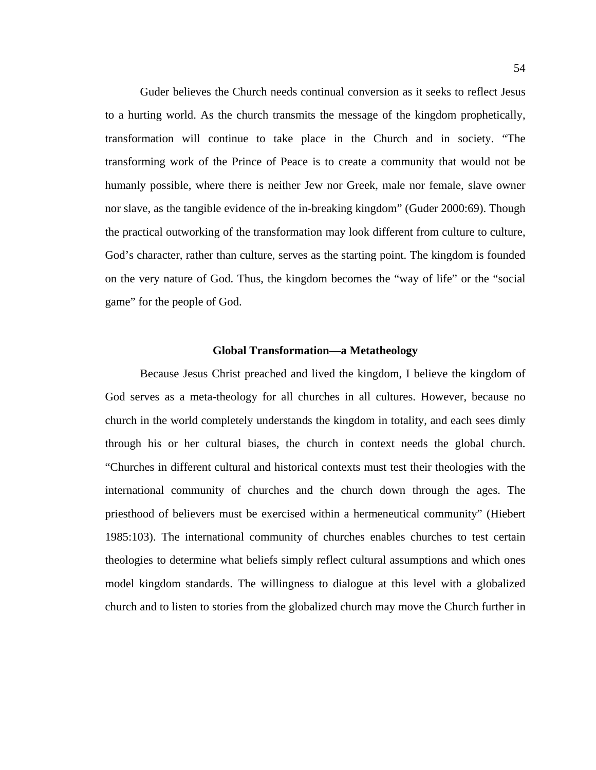Guder believes the Church needs continual conversion as it seeks to reflect Jesus to a hurting world. As the church transmits the message of the kingdom prophetically, transformation will continue to take place in the Church and in society. "The transforming work of the Prince of Peace is to create a community that would not be humanly possible, where there is neither Jew nor Greek, male nor female, slave owner nor slave, as the tangible evidence of the in-breaking kingdom" (Guder 2000:69). Though the practical outworking of the transformation may look different from culture to culture, God's character, rather than culture, serves as the starting point. The kingdom is founded on the very nature of God. Thus, the kingdom becomes the "way of life" or the "social game" for the people of God.

#### **Global Transformation—a Metatheology**

Because Jesus Christ preached and lived the kingdom, I believe the kingdom of God serves as a meta-theology for all churches in all cultures. However, because no church in the world completely understands the kingdom in totality, and each sees dimly through his or her cultural biases, the church in context needs the global church. "Churches in different cultural and historical contexts must test their theologies with the international community of churches and the church down through the ages. The priesthood of believers must be exercised within a hermeneutical community" (Hiebert 1985:103). The international community of churches enables churches to test certain theologies to determine what beliefs simply reflect cultural assumptions and which ones model kingdom standards. The willingness to dialogue at this level with a globalized church and to listen to stories from the globalized church may move the Church further in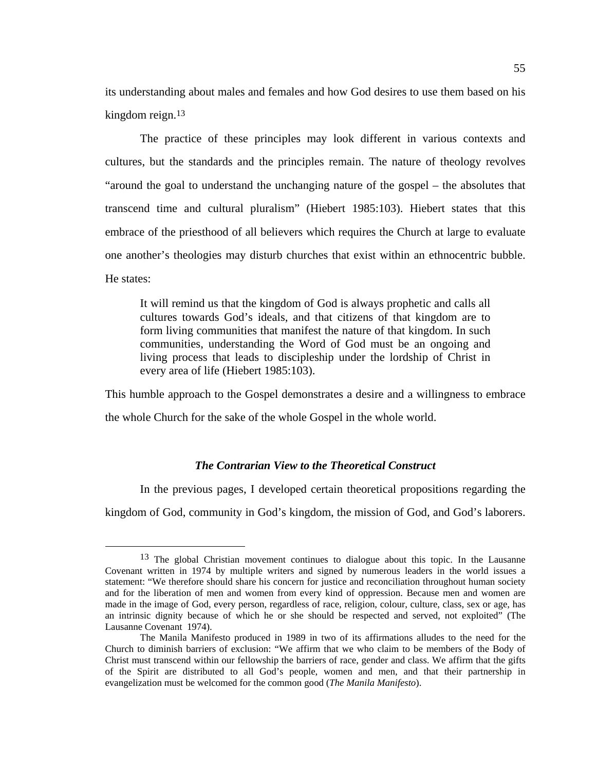its understanding about males and females and how God desires to use them based on his kingdom reign.13

The practice of these principles may look different in various contexts and cultures, but the standards and the principles remain. The nature of theology revolves "around the goal to understand the unchanging nature of the gospel – the absolutes that transcend time and cultural pluralism" (Hiebert 1985:103). Hiebert states that this embrace of the priesthood of all believers which requires the Church at large to evaluate one another's theologies may disturb churches that exist within an ethnocentric bubble. He states:

It will remind us that the kingdom of God is always prophetic and calls all cultures towards God's ideals, and that citizens of that kingdom are to form living communities that manifest the nature of that kingdom. In such communities, understanding the Word of God must be an ongoing and living process that leads to discipleship under the lordship of Christ in every area of life (Hiebert 1985:103).

This humble approach to the Gospel demonstrates a desire and a willingness to embrace the whole Church for the sake of the whole Gospel in the whole world.

# *The Contrarian View to the Theoretical Construct*

In the previous pages, I developed certain theoretical propositions regarding the kingdom of God, community in God's kingdom, the mission of God, and God's laborers.

<sup>&</sup>lt;sup>13</sup> The global Christian movement continues to dialogue about this topic. In the Lausanne Covenant written in 1974 by multiple writers and signed by numerous leaders in the world issues a statement: "We therefore should share his concern for justice and reconciliation throughout human society and for the liberation of men and women from every kind of oppression. Because men and women are made in the image of God, every person, regardless of race, religion, colour, culture, class, sex or age, has an intrinsic dignity because of which he or she should be respected and served, not exploited" (The Lausanne Covenant 1974).

The Manila Manifesto produced in 1989 in two of its affirmations alludes to the need for the Church to diminish barriers of exclusion: "We affirm that we who claim to be members of the Body of Christ must transcend within our fellowship the barriers of race, gender and class. We affirm that the gifts of the Spirit are distributed to all God's people, women and men, and that their partnership in evangelization must be welcomed for the common good (*The Manila Manifesto*).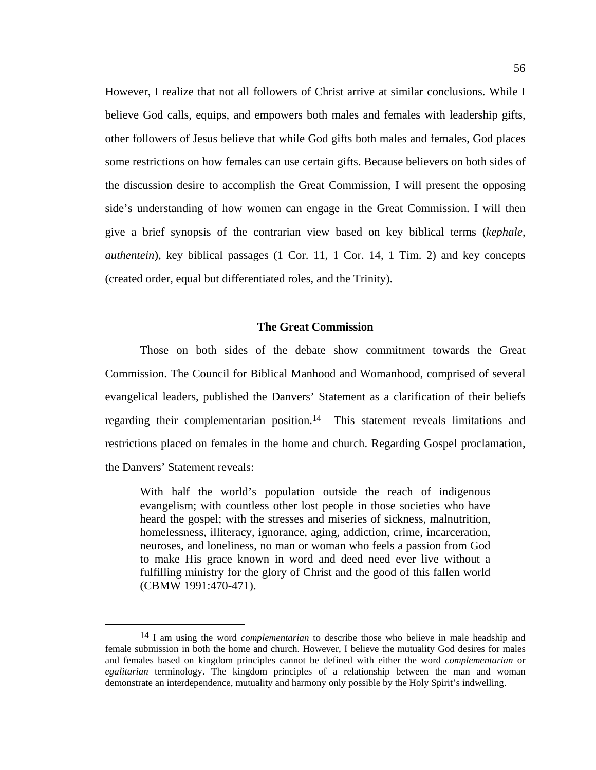However, I realize that not all followers of Christ arrive at similar conclusions. While I believe God calls, equips, and empowers both males and females with leadership gifts, other followers of Jesus believe that while God gifts both males and females, God places some restrictions on how females can use certain gifts. Because believers on both sides of the discussion desire to accomplish the Great Commission, I will present the opposing side's understanding of how women can engage in the Great Commission. I will then give a brief synopsis of the contrarian view based on key biblical terms (*kephale*, *authentein*), key biblical passages (1 Cor. 11, 1 Cor. 14, 1 Tim. 2) and key concepts (created order, equal but differentiated roles, and the Trinity).

## **The Great Commission**

Those on both sides of the debate show commitment towards the Great Commission. The Council for Biblical Manhood and Womanhood, comprised of several evangelical leaders, published the Danvers' Statement as a clarification of their beliefs regarding their complementarian position.14 This statement reveals limitations and restrictions placed on females in the home and church. Regarding Gospel proclamation, the Danvers' Statement reveals:

With half the world's population outside the reach of indigenous evangelism; with countless other lost people in those societies who have heard the gospel; with the stresses and miseries of sickness, malnutrition, homelessness, illiteracy, ignorance, aging, addiction, crime, incarceration, neuroses, and loneliness, no man or woman who feels a passion from God to make His grace known in word and deed need ever live without a fulfilling ministry for the glory of Christ and the good of this fallen world (CBMW 1991:470-471).

 <sup>14</sup> I am using the word *complementarian* to describe those who believe in male headship and female submission in both the home and church. However, I believe the mutuality God desires for males and females based on kingdom principles cannot be defined with either the word *complementarian* or *egalitarian* terminology. The kingdom principles of a relationship between the man and woman demonstrate an interdependence, mutuality and harmony only possible by the Holy Spirit's indwelling.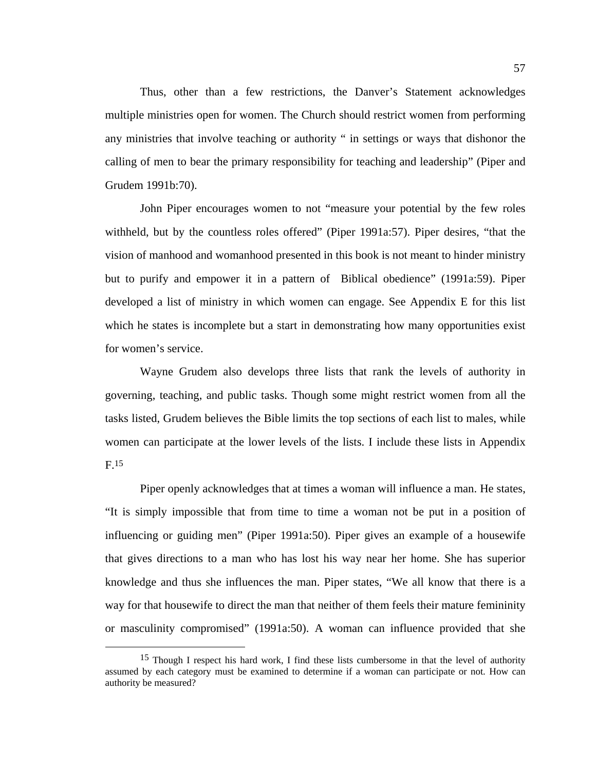Thus, other than a few restrictions, the Danver's Statement acknowledges multiple ministries open for women. The Church should restrict women from performing any ministries that involve teaching or authority " in settings or ways that dishonor the calling of men to bear the primary responsibility for teaching and leadership" (Piper and Grudem 1991b:70).

John Piper encourages women to not "measure your potential by the few roles withheld, but by the countless roles offered" (Piper 1991a:57). Piper desires, "that the vision of manhood and womanhood presented in this book is not meant to hinder ministry but to purify and empower it in a pattern of Biblical obedience" (1991a:59). Piper developed a list of ministry in which women can engage. See Appendix E for this list which he states is incomplete but a start in demonstrating how many opportunities exist for women's service.

Wayne Grudem also develops three lists that rank the levels of authority in governing, teaching, and public tasks. Though some might restrict women from all the tasks listed, Grudem believes the Bible limits the top sections of each list to males, while women can participate at the lower levels of the lists. I include these lists in Appendix  $F.15$ 

Piper openly acknowledges that at times a woman will influence a man. He states, "It is simply impossible that from time to time a woman not be put in a position of influencing or guiding men" (Piper 1991a:50). Piper gives an example of a housewife that gives directions to a man who has lost his way near her home. She has superior knowledge and thus she influences the man. Piper states, "We all know that there is a way for that housewife to direct the man that neither of them feels their mature femininity or masculinity compromised" (1991a:50). A woman can influence provided that she

 <sup>15</sup> Though I respect his hard work, I find these lists cumbersome in that the level of authority assumed by each category must be examined to determine if a woman can participate or not. How can authority be measured?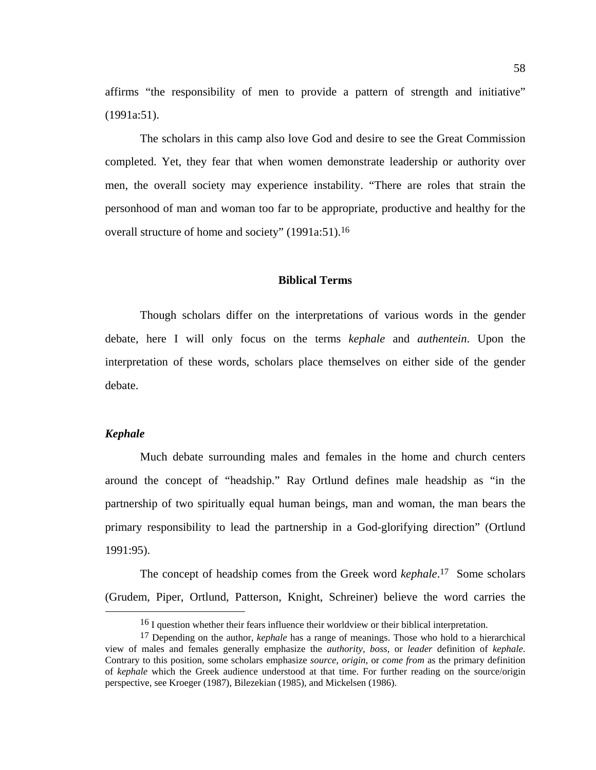affirms "the responsibility of men to provide a pattern of strength and initiative" (1991a:51).

The scholars in this camp also love God and desire to see the Great Commission completed. Yet, they fear that when women demonstrate leadership or authority over men, the overall society may experience instability. "There are roles that strain the personhood of man and woman too far to be appropriate, productive and healthy for the overall structure of home and society" (1991a:51).16

### **Biblical Terms**

Though scholars differ on the interpretations of various words in the gender debate, here I will only focus on the terms *kephale* and *authentein*. Upon the interpretation of these words, scholars place themselves on either side of the gender debate.

# *Kephale*

Much debate surrounding males and females in the home and church centers around the concept of "headship." Ray Ortlund defines male headship as "in the partnership of two spiritually equal human beings, man and woman, the man bears the primary responsibility to lead the partnership in a God-glorifying direction" (Ortlund 1991:95).

The concept of headship comes from the Greek word *kephale*. 17 Some scholars (Grudem, Piper, Ortlund, Patterson, Knight, Schreiner) believe the word carries the

<sup>&</sup>lt;sup>16</sup> I question whether their fears influence their worldview or their biblical interpretation.

<sup>17</sup> Depending on the author, *kephale* has a range of meanings. Those who hold to a hierarchical view of males and females generally emphasize the *authority, boss,* or *leader* definition of *kephale*. Contrary to this position, some scholars emphasize *source, origin,* or *come from* as the primary definition of *kephale* which the Greek audience understood at that time. For further reading on the source/origin perspective, see Kroeger (1987), Bilezekian (1985), and Mickelsen (1986).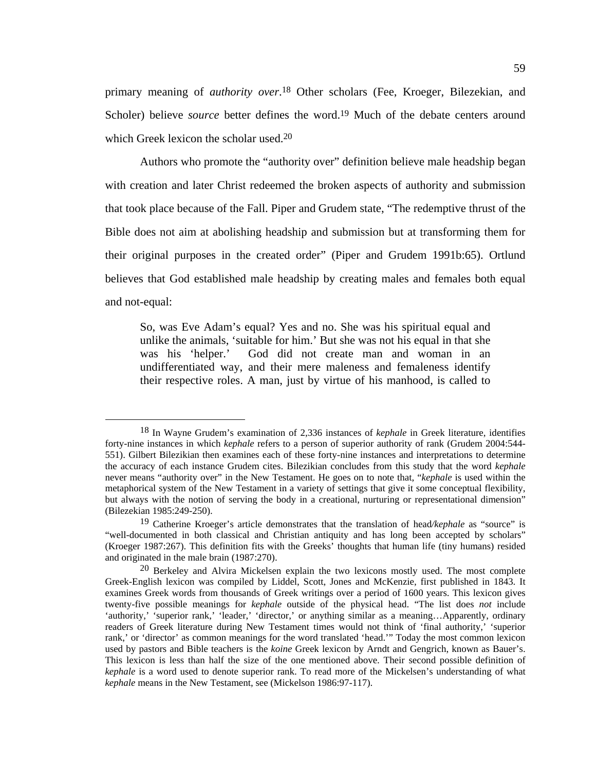primary meaning of *authority over*.18 Other scholars (Fee, Kroeger, Bilezekian, and Scholer) believe *source* better defines the word.<sup>19</sup> Much of the debate centers around which Greek lexicon the scholar used.20

Authors who promote the "authority over" definition believe male headship began with creation and later Christ redeemed the broken aspects of authority and submission that took place because of the Fall. Piper and Grudem state, "The redemptive thrust of the Bible does not aim at abolishing headship and submission but at transforming them for their original purposes in the created order" (Piper and Grudem 1991b:65). Ortlund believes that God established male headship by creating males and females both equal and not-equal:

So, was Eve Adam's equal? Yes and no. She was his spiritual equal and unlike the animals, 'suitable for him.' But she was not his equal in that she was his 'helper.' God did not create man and woman in an undifferentiated way, and their mere maleness and femaleness identify their respective roles. A man, just by virtue of his manhood, is called to

 <sup>18</sup> In Wayne Grudem's examination of 2,336 instances of *kephale* in Greek literature, identifies forty-nine instances in which *kephale* refers to a person of superior authority of rank (Grudem 2004:544- 551). Gilbert Bilezikian then examines each of these forty-nine instances and interpretations to determine the accuracy of each instance Grudem cites. Bilezikian concludes from this study that the word *kephale* never means "authority over" in the New Testament. He goes on to note that, "*kephale* is used within the metaphorical system of the New Testament in a variety of settings that give it some conceptual flexibility, but always with the notion of serving the body in a creational, nurturing or representational dimension" (Bilezekian 1985:249-250).

<sup>19</sup> Catherine Kroeger's article demonstrates that the translation of head*/kephale* as "source" is "well-documented in both classical and Christian antiquity and has long been accepted by scholars" (Kroeger 1987:267). This definition fits with the Greeks' thoughts that human life (tiny humans) resided and originated in the male brain (1987:270).

<sup>20</sup> Berkeley and Alvira Mickelsen explain the two lexicons mostly used. The most complete Greek-English lexicon was compiled by Liddel, Scott, Jones and McKenzie, first published in 1843. It examines Greek words from thousands of Greek writings over a period of 1600 years. This lexicon gives twenty-five possible meanings for *kephale* outside of the physical head. "The list does *not* include 'authority,' 'superior rank,' 'leader,' 'director,' or anything similar as a meaning...Apparently, ordinary readers of Greek literature during New Testament times would not think of 'final authority,' 'superior rank,' or 'director' as common meanings for the word translated 'head.'" Today the most common lexicon used by pastors and Bible teachers is the *koine* Greek lexicon by Arndt and Gengrich, known as Bauer's. This lexicon is less than half the size of the one mentioned above. Their second possible definition of *kephale* is a word used to denote superior rank. To read more of the Mickelsen's understanding of what *kephale* means in the New Testament, see (Mickelson 1986:97-117).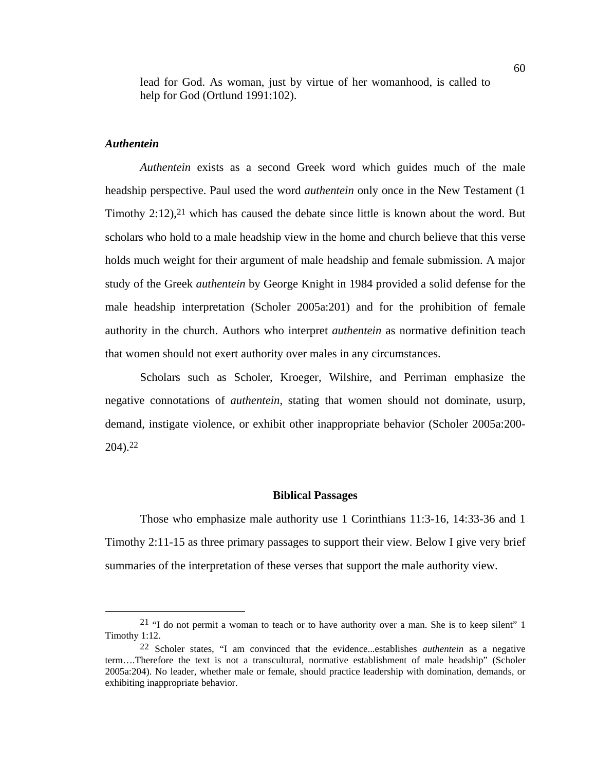lead for God. As woman, just by virtue of her womanhood, is called to help for God (Ortlund 1991:102).

## *Authentein*

*Authentein* exists as a second Greek word which guides much of the male headship perspective. Paul used the word *authentein* only once in the New Testament (1 Timothy  $2:12$ ,  $2<sup>1</sup>$  which has caused the debate since little is known about the word. But scholars who hold to a male headship view in the home and church believe that this verse holds much weight for their argument of male headship and female submission. A major study of the Greek *authentein* by George Knight in 1984 provided a solid defense for the male headship interpretation (Scholer 2005a:201) and for the prohibition of female authority in the church. Authors who interpret *authentein* as normative definition teach that women should not exert authority over males in any circumstances.

Scholars such as Scholer, Kroeger, Wilshire, and Perriman emphasize the negative connotations of *authentein*, stating that women should not dominate, usurp, demand, instigate violence, or exhibit other inappropriate behavior (Scholer 2005a:200- 204).22

#### **Biblical Passages**

Those who emphasize male authority use 1 Corinthians 11:3-16, 14:33-36 and 1 Timothy 2:11-15 as three primary passages to support their view. Below I give very brief summaries of the interpretation of these verses that support the male authority view.

<sup>&</sup>lt;sup>21</sup> "I do not permit a woman to teach or to have authority over a man. She is to keep silent" 1 Timothy 1:12.

<sup>22</sup> Scholer states, "I am convinced that the evidence...establishes *authentein* as a negative term….Therefore the text is not a transcultural, normative establishment of male headship" (Scholer 2005a:204). No leader, whether male or female, should practice leadership with domination, demands, or exhibiting inappropriate behavior.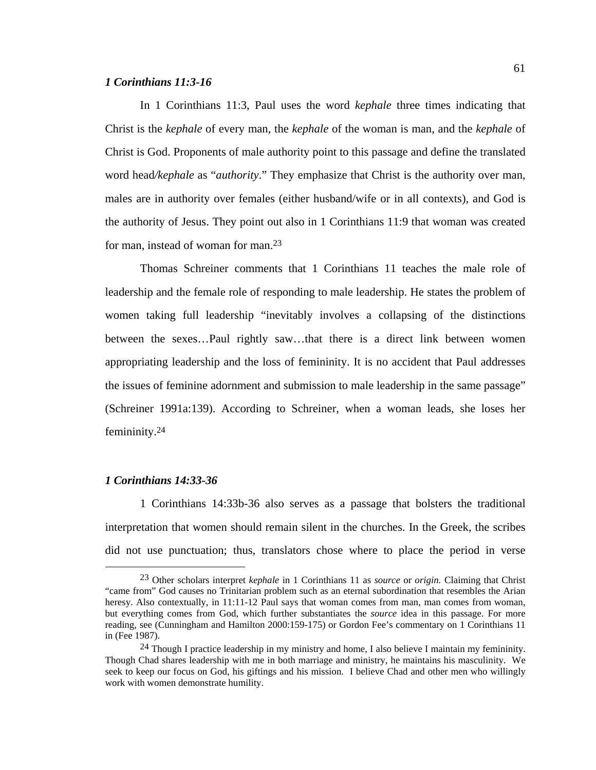## *1 Corinthians 11:3-16*

In 1 Corinthians 11:3, Paul uses the word *kephale* three times indicating that Christ is the *kephale* of every man, the *kephale* of the woman is man, and the *kephale* of Christ is God. Proponents of male authority point to this passage and define the translated word head*/kephale* as "*authority*." They emphasize that Christ is the authority over man, males are in authority over females (either husband/wife or in all contexts), and God is the authority of Jesus. They point out also in 1 Corinthians 11:9 that woman was created for man, instead of woman for man.23

Thomas Schreiner comments that 1 Corinthians 11 teaches the male role of leadership and the female role of responding to male leadership. He states the problem of women taking full leadership "inevitably involves a collapsing of the distinctions between the sexes…Paul rightly saw…that there is a direct link between women appropriating leadership and the loss of femininity. It is no accident that Paul addresses the issues of feminine adornment and submission to male leadership in the same passage" (Schreiner 1991a:139). According to Schreiner, when a woman leads, she loses her femininity.24

## *1 Corinthians 14:33-36*

1 Corinthians 14:33b-36 also serves as a passage that bolsters the traditional interpretation that women should remain silent in the churches. In the Greek, the scribes did not use punctuation; thus, translators chose where to place the period in verse

 <sup>23</sup> Other scholars interpret *kephale* in 1 Corinthians 11 as *source* or *origin.* Claiming that Christ "came from" God causes no Trinitarian problem such as an eternal subordination that resembles the Arian heresy. Also contextually, in 11:11-12 Paul says that woman comes from man, man comes from woman, but everything comes from God, which further substantiates the *source* idea in this passage. For more reading, see (Cunningham and Hamilton 2000:159-175) or Gordon Fee's commentary on 1 Corinthians 11 in (Fee 1987).

<sup>&</sup>lt;sup>24</sup> Though I practice leadership in my ministry and home, I also believe I maintain my femininity. Though Chad shares leadership with me in both marriage and ministry, he maintains his masculinity. We seek to keep our focus on God, his giftings and his mission. I believe Chad and other men who willingly work with women demonstrate humility.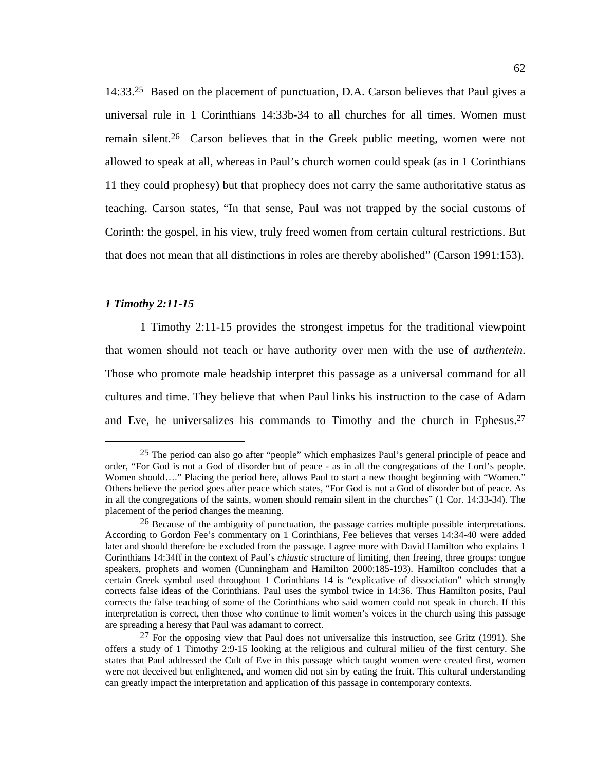14:33.25 Based on the placement of punctuation, D.A. Carson believes that Paul gives a universal rule in 1 Corinthians 14:33b-34 to all churches for all times. Women must remain silent.26 Carson believes that in the Greek public meeting, women were not allowed to speak at all, whereas in Paul's church women could speak (as in 1 Corinthians 11 they could prophesy) but that prophecy does not carry the same authoritative status as teaching. Carson states, "In that sense, Paul was not trapped by the social customs of Corinth: the gospel, in his view, truly freed women from certain cultural restrictions. But that does not mean that all distinctions in roles are thereby abolished" (Carson 1991:153).

## *1 Timothy 2:11-15*

1 Timothy 2:11-15 provides the strongest impetus for the traditional viewpoint that women should not teach or have authority over men with the use of *authentein*. Those who promote male headship interpret this passage as a universal command for all cultures and time. They believe that when Paul links his instruction to the case of Adam and Eve, he universalizes his commands to Timothy and the church in Ephesus.27

 <sup>25</sup> The period can also go after "people" which emphasizes Paul's general principle of peace and order, "For God is not a God of disorder but of peace - as in all the congregations of the Lord's people. Women should...." Placing the period here, allows Paul to start a new thought beginning with "Women." Others believe the period goes after peace which states, "For God is not a God of disorder but of peace. As in all the congregations of the saints, women should remain silent in the churches" (1 Cor. 14:33-34). The placement of the period changes the meaning.

<sup>&</sup>lt;sup>26</sup> Because of the ambiguity of punctuation, the passage carries multiple possible interpretations. According to Gordon Fee's commentary on 1 Corinthians, Fee believes that verses 14:34-40 were added later and should therefore be excluded from the passage. I agree more with David Hamilton who explains 1 Corinthians 14:34ff in the context of Paul's *chiastic* structure of limiting, then freeing, three groups: tongue speakers, prophets and women (Cunningham and Hamilton 2000:185-193). Hamilton concludes that a certain Greek symbol used throughout 1 Corinthians 14 is "explicative of dissociation" which strongly corrects false ideas of the Corinthians. Paul uses the symbol twice in 14:36. Thus Hamilton posits, Paul corrects the false teaching of some of the Corinthians who said women could not speak in church. If this interpretation is correct, then those who continue to limit women's voices in the church using this passage are spreading a heresy that Paul was adamant to correct.

 $27$  For the opposing view that Paul does not universalize this instruction, see Gritz (1991). She offers a study of 1 Timothy 2:9-15 looking at the religious and cultural milieu of the first century. She states that Paul addressed the Cult of Eve in this passage which taught women were created first, women were not deceived but enlightened, and women did not sin by eating the fruit. This cultural understanding can greatly impact the interpretation and application of this passage in contemporary contexts.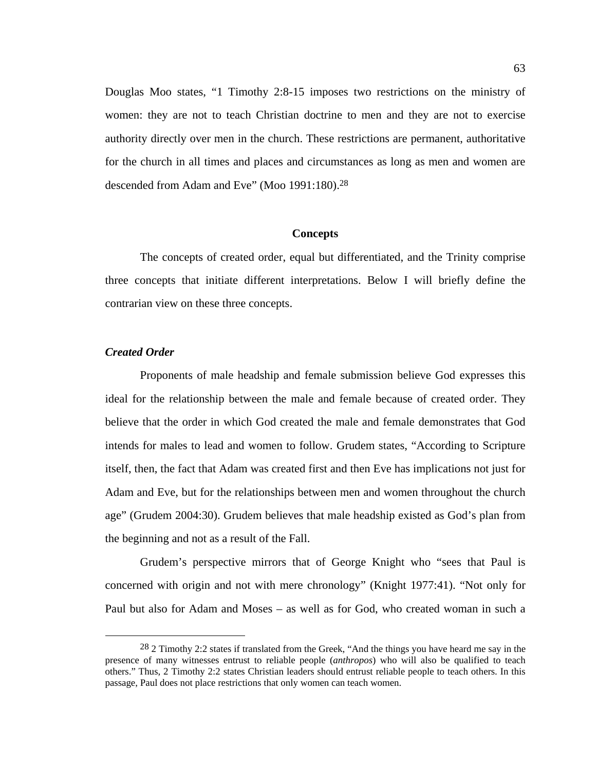Douglas Moo states, "1 Timothy 2:8-15 imposes two restrictions on the ministry of women: they are not to teach Christian doctrine to men and they are not to exercise authority directly over men in the church. These restrictions are permanent, authoritative for the church in all times and places and circumstances as long as men and women are descended from Adam and Eve" (Moo 1991:180).28

#### **Concepts**

The concepts of created order, equal but differentiated, and the Trinity comprise three concepts that initiate different interpretations. Below I will briefly define the contrarian view on these three concepts.

## *Created Order*

Proponents of male headship and female submission believe God expresses this ideal for the relationship between the male and female because of created order. They believe that the order in which God created the male and female demonstrates that God intends for males to lead and women to follow. Grudem states, "According to Scripture itself, then, the fact that Adam was created first and then Eve has implications not just for Adam and Eve, but for the relationships between men and women throughout the church age" (Grudem 2004:30). Grudem believes that male headship existed as God's plan from the beginning and not as a result of the Fall.

Grudem's perspective mirrors that of George Knight who "sees that Paul is concerned with origin and not with mere chronology" (Knight 1977:41). "Not only for Paul but also for Adam and Moses – as well as for God, who created woman in such a

<sup>&</sup>lt;sup>28</sup> 2 Timothy 2:2 states if translated from the Greek, "And the things you have heard me say in the presence of many witnesses entrust to reliable people (*anthropos*) who will also be qualified to teach others." Thus, 2 Timothy 2:2 states Christian leaders should entrust reliable people to teach others. In this passage, Paul does not place restrictions that only women can teach women.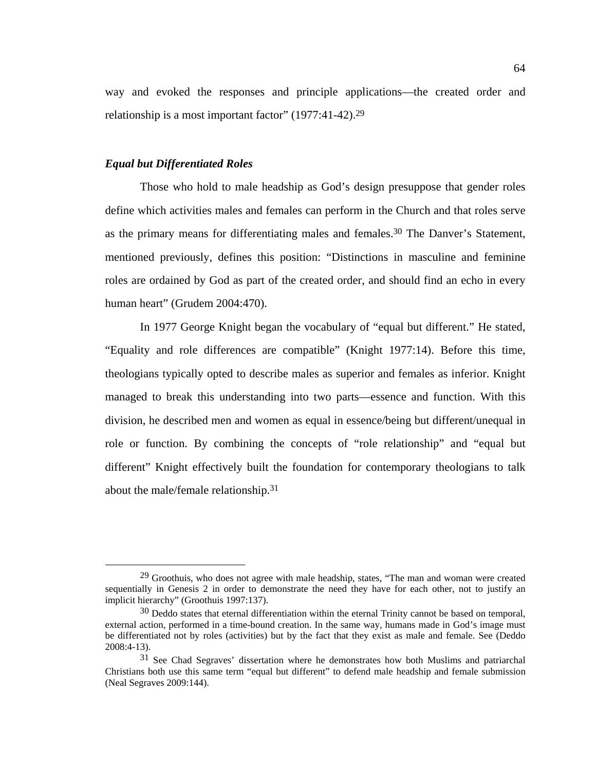way and evoked the responses and principle applications—the created order and relationship is a most important factor" (1977:41-42).29

#### *Equal but Differentiated Roles*

Those who hold to male headship as God's design presuppose that gender roles define which activities males and females can perform in the Church and that roles serve as the primary means for differentiating males and females.<sup>30</sup> The Danver's Statement, mentioned previously, defines this position: "Distinctions in masculine and feminine roles are ordained by God as part of the created order, and should find an echo in every human heart" (Grudem 2004:470).

In 1977 George Knight began the vocabulary of "equal but different." He stated, "Equality and role differences are compatible" (Knight 1977:14). Before this time, theologians typically opted to describe males as superior and females as inferior. Knight managed to break this understanding into two parts—essence and function. With this division, he described men and women as equal in essence/being but different/unequal in role or function. By combining the concepts of "role relationship" and "equal but different" Knight effectively built the foundation for contemporary theologians to talk about the male/female relationship.31

 <sup>29</sup> Groothuis, who does not agree with male headship, states, "The man and woman were created sequentially in Genesis 2 in order to demonstrate the need they have for each other, not to justify an implicit hierarchy" (Groothuis 1997:137).

<sup>&</sup>lt;sup>30</sup> Deddo states that eternal differentiation within the eternal Trinity cannot be based on temporal, external action, performed in a time-bound creation. In the same way, humans made in God's image must be differentiated not by roles (activities) but by the fact that they exist as male and female. See (Deddo 2008:4-13).

<sup>31</sup> See Chad Segraves' dissertation where he demonstrates how both Muslims and patriarchal Christians both use this same term "equal but different" to defend male headship and female submission (Neal Segraves 2009:144).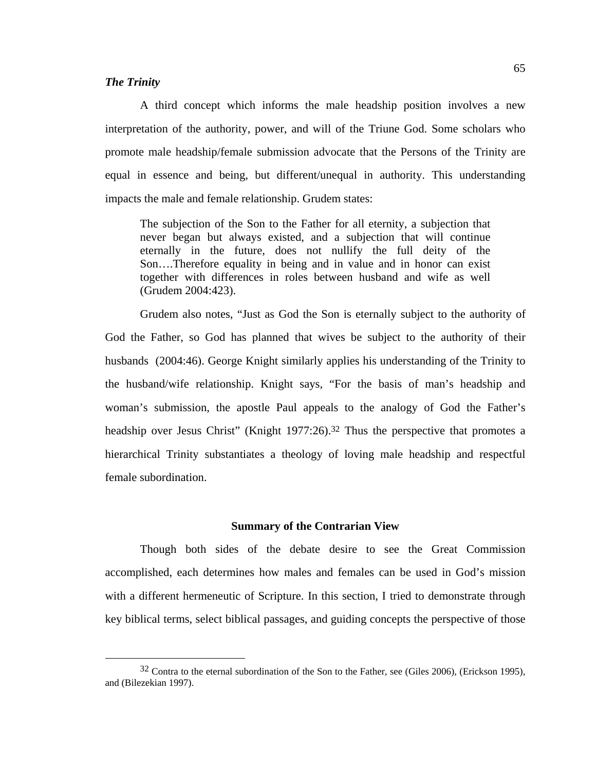## *The Trinity*

A third concept which informs the male headship position involves a new interpretation of the authority, power, and will of the Triune God. Some scholars who promote male headship/female submission advocate that the Persons of the Trinity are equal in essence and being, but different/unequal in authority. This understanding impacts the male and female relationship. Grudem states:

The subjection of the Son to the Father for all eternity, a subjection that never began but always existed, and a subjection that will continue eternally in the future, does not nullify the full deity of the Son….Therefore equality in being and in value and in honor can exist together with differences in roles between husband and wife as well (Grudem 2004:423).

Grudem also notes, "Just as God the Son is eternally subject to the authority of God the Father, so God has planned that wives be subject to the authority of their husbands (2004:46). George Knight similarly applies his understanding of the Trinity to the husband/wife relationship. Knight says, "For the basis of man's headship and woman's submission, the apostle Paul appeals to the analogy of God the Father's headship over Jesus Christ" (Knight 1977:26).<sup>32</sup> Thus the perspective that promotes a hierarchical Trinity substantiates a theology of loving male headship and respectful female subordination.

## **Summary of the Contrarian View**

Though both sides of the debate desire to see the Great Commission accomplished, each determines how males and females can be used in God's mission with a different hermeneutic of Scripture. In this section, I tried to demonstrate through key biblical terms, select biblical passages, and guiding concepts the perspective of those

 <sup>32</sup> Contra to the eternal subordination of the Son to the Father, see (Giles 2006), (Erickson 1995), and (Bilezekian 1997).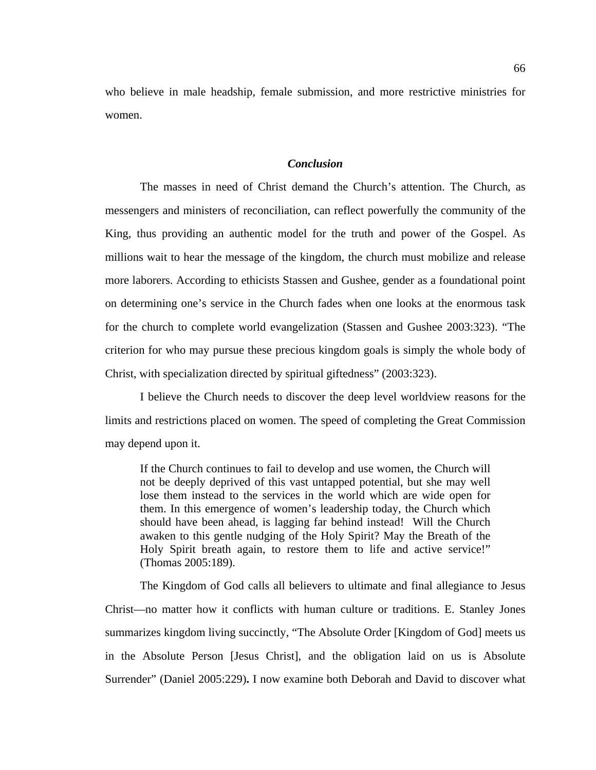who believe in male headship, female submission, and more restrictive ministries for women.

## *Conclusion*

The masses in need of Christ demand the Church's attention. The Church, as messengers and ministers of reconciliation, can reflect powerfully the community of the King, thus providing an authentic model for the truth and power of the Gospel. As millions wait to hear the message of the kingdom, the church must mobilize and release more laborers. According to ethicists Stassen and Gushee, gender as a foundational point on determining one's service in the Church fades when one looks at the enormous task for the church to complete world evangelization (Stassen and Gushee 2003:323). "The criterion for who may pursue these precious kingdom goals is simply the whole body of Christ, with specialization directed by spiritual giftedness" (2003:323).

I believe the Church needs to discover the deep level worldview reasons for the limits and restrictions placed on women. The speed of completing the Great Commission may depend upon it.

If the Church continues to fail to develop and use women, the Church will not be deeply deprived of this vast untapped potential, but she may well lose them instead to the services in the world which are wide open for them. In this emergence of women's leadership today, the Church which should have been ahead, is lagging far behind instead! Will the Church awaken to this gentle nudging of the Holy Spirit? May the Breath of the Holy Spirit breath again, to restore them to life and active service!" (Thomas 2005:189).

The Kingdom of God calls all believers to ultimate and final allegiance to Jesus Christ—no matter how it conflicts with human culture or traditions. E. Stanley Jones summarizes kingdom living succinctly, "The Absolute Order [Kingdom of God] meets us in the Absolute Person [Jesus Christ], and the obligation laid on us is Absolute Surrender" (Daniel 2005:229)**.** I now examine both Deborah and David to discover what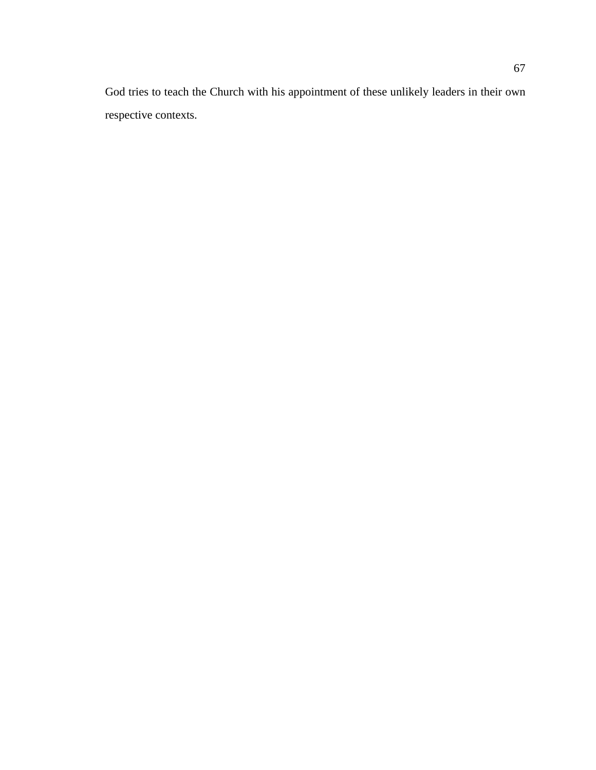God tries to teach the Church with his appointment of these unlikely leaders in their own respective contexts.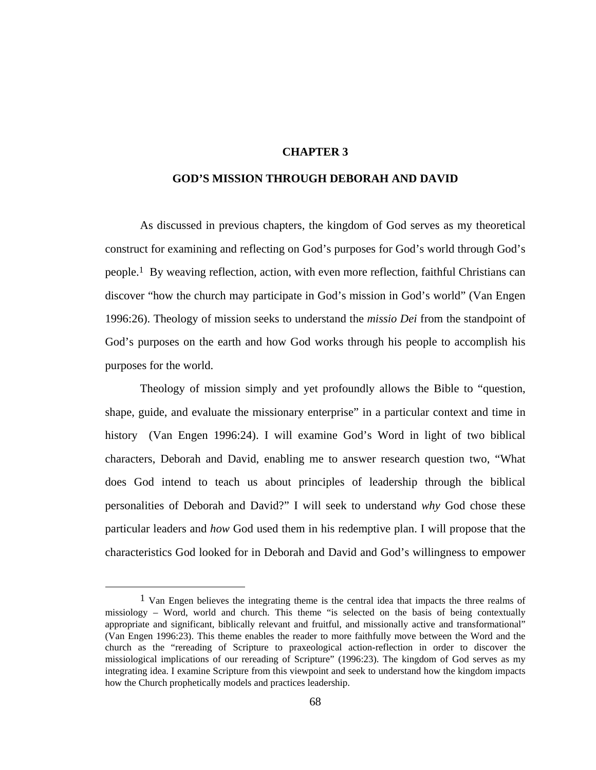## **CHAPTER 3**

### **GOD'S MISSION THROUGH DEBORAH AND DAVID**

As discussed in previous chapters, the kingdom of God serves as my theoretical construct for examining and reflecting on God's purposes for God's world through God's people.1 By weaving reflection, action, with even more reflection, faithful Christians can discover "how the church may participate in God's mission in God's world" (Van Engen 1996:26). Theology of mission seeks to understand the *missio Dei* from the standpoint of God's purposes on the earth and how God works through his people to accomplish his purposes for the world.

Theology of mission simply and yet profoundly allows the Bible to "question, shape, guide, and evaluate the missionary enterprise" in a particular context and time in history (Van Engen 1996:24). I will examine God's Word in light of two biblical characters, Deborah and David, enabling me to answer research question two, "What does God intend to teach us about principles of leadership through the biblical personalities of Deborah and David?" I will seek to understand *why* God chose these particular leaders and *how* God used them in his redemptive plan. I will propose that the characteristics God looked for in Deborah and David and God's willingness to empower

 <sup>1</sup> Van Engen believes the integrating theme is the central idea that impacts the three realms of missiology – Word, world and church. This theme "is selected on the basis of being contextually appropriate and significant, biblically relevant and fruitful, and missionally active and transformational" (Van Engen 1996:23). This theme enables the reader to more faithfully move between the Word and the church as the "rereading of Scripture to praxeological action-reflection in order to discover the missiological implications of our rereading of Scripture" (1996:23). The kingdom of God serves as my integrating idea. I examine Scripture from this viewpoint and seek to understand how the kingdom impacts how the Church prophetically models and practices leadership.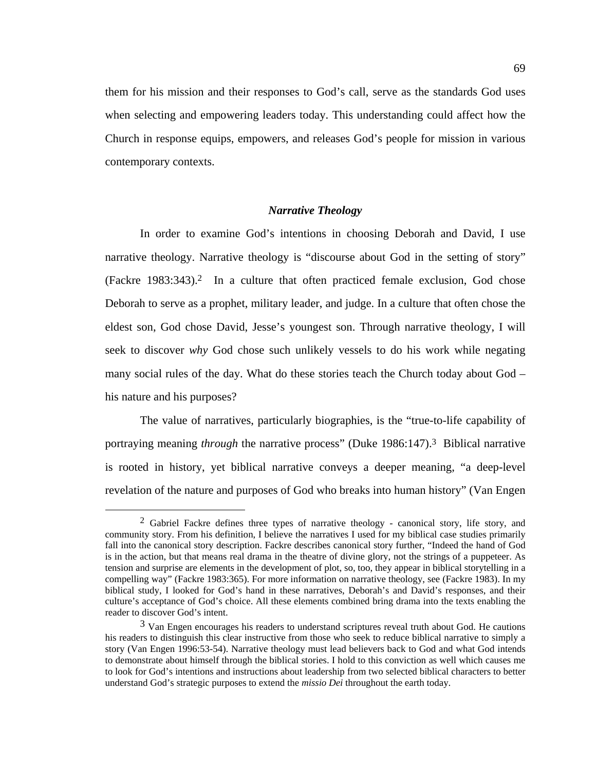them for his mission and their responses to God's call, serve as the standards God uses when selecting and empowering leaders today. This understanding could affect how the Church in response equips, empowers, and releases God's people for mission in various contemporary contexts.

## *Narrative Theology*

In order to examine God's intentions in choosing Deborah and David, I use narrative theology. Narrative theology is "discourse about God in the setting of story" (Fackre 1983:343).2 In a culture that often practiced female exclusion, God chose Deborah to serve as a prophet, military leader, and judge. In a culture that often chose the eldest son, God chose David, Jesse's youngest son. Through narrative theology, I will seek to discover *why* God chose such unlikely vessels to do his work while negating many social rules of the day. What do these stories teach the Church today about God – his nature and his purposes?

The value of narratives, particularly biographies, is the "true-to-life capability of portraying meaning *through* the narrative process" (Duke 1986:147).3 Biblical narrative is rooted in history, yet biblical narrative conveys a deeper meaning, "a deep-level revelation of the nature and purposes of God who breaks into human history" (Van Engen

<sup>&</sup>lt;sup>2</sup> Gabriel Fackre defines three types of narrative theology - canonical story, life story, and community story. From his definition, I believe the narratives I used for my biblical case studies primarily fall into the canonical story description. Fackre describes canonical story further, "Indeed the hand of God is in the action, but that means real drama in the theatre of divine glory, not the strings of a puppeteer. As tension and surprise are elements in the development of plot, so, too, they appear in biblical storytelling in a compelling way" (Fackre 1983:365). For more information on narrative theology, see (Fackre 1983). In my biblical study, I looked for God's hand in these narratives, Deborah's and David's responses, and their culture's acceptance of God's choice. All these elements combined bring drama into the texts enabling the reader to discover God's intent.

<sup>&</sup>lt;sup>3</sup> Van Engen encourages his readers to understand scriptures reveal truth about God. He cautions his readers to distinguish this clear instructive from those who seek to reduce biblical narrative to simply a story (Van Engen 1996:53-54). Narrative theology must lead believers back to God and what God intends to demonstrate about himself through the biblical stories. I hold to this conviction as well which causes me to look for God's intentions and instructions about leadership from two selected biblical characters to better understand God's strategic purposes to extend the *missio Dei* throughout the earth today.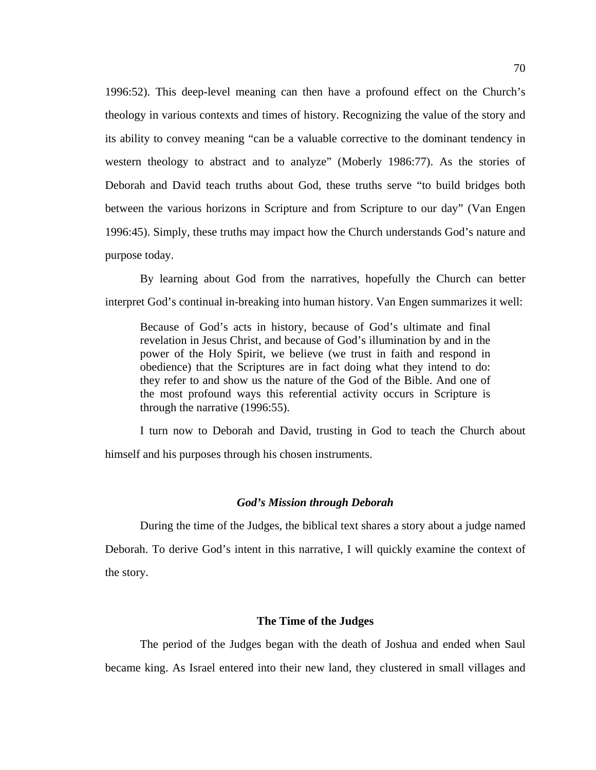1996:52). This deep-level meaning can then have a profound effect on the Church's theology in various contexts and times of history. Recognizing the value of the story and its ability to convey meaning "can be a valuable corrective to the dominant tendency in western theology to abstract and to analyze" (Moberly 1986:77). As the stories of Deborah and David teach truths about God, these truths serve "to build bridges both between the various horizons in Scripture and from Scripture to our day" (Van Engen 1996:45). Simply, these truths may impact how the Church understands God's nature and purpose today.

By learning about God from the narratives, hopefully the Church can better interpret God's continual in-breaking into human history. Van Engen summarizes it well:

Because of God's acts in history, because of God's ultimate and final revelation in Jesus Christ, and because of God's illumination by and in the power of the Holy Spirit, we believe (we trust in faith and respond in obedience) that the Scriptures are in fact doing what they intend to do: they refer to and show us the nature of the God of the Bible. And one of the most profound ways this referential activity occurs in Scripture is through the narrative (1996:55).

I turn now to Deborah and David, trusting in God to teach the Church about himself and his purposes through his chosen instruments.

## *God's Mission through Deborah*

During the time of the Judges, the biblical text shares a story about a judge named Deborah. To derive God's intent in this narrative, I will quickly examine the context of the story.

#### **The Time of the Judges**

The period of the Judges began with the death of Joshua and ended when Saul became king. As Israel entered into their new land, they clustered in small villages and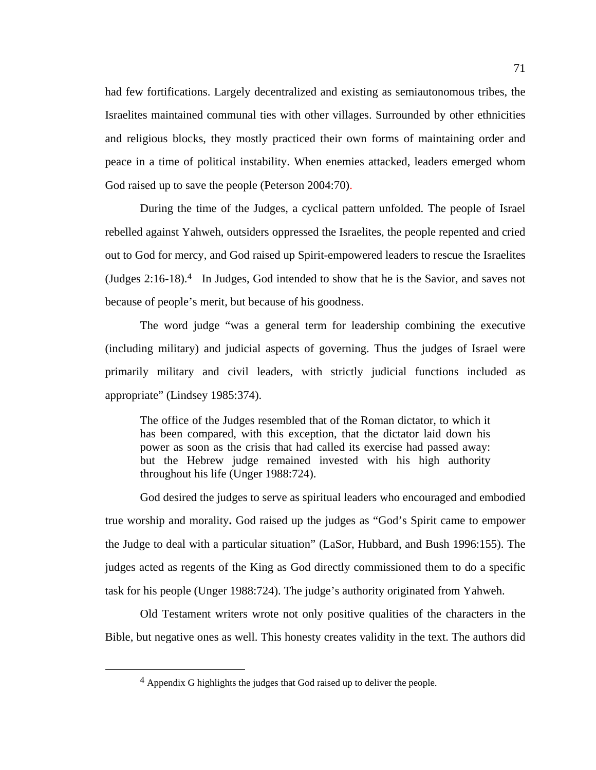had few fortifications. Largely decentralized and existing as semiautonomous tribes, the Israelites maintained communal ties with other villages. Surrounded by other ethnicities and religious blocks, they mostly practiced their own forms of maintaining order and peace in a time of political instability. When enemies attacked, leaders emerged whom God raised up to save the people (Peterson 2004:70).

During the time of the Judges, a cyclical pattern unfolded. The people of Israel rebelled against Yahweh, outsiders oppressed the Israelites, the people repented and cried out to God for mercy, and God raised up Spirit-empowered leaders to rescue the Israelites (Judges  $2:16-18$ )<sup>4</sup> In Judges, God intended to show that he is the Savior, and saves not because of people's merit, but because of his goodness.

The word judge "was a general term for leadership combining the executive (including military) and judicial aspects of governing. Thus the judges of Israel were primarily military and civil leaders, with strictly judicial functions included as appropriate" (Lindsey 1985:374).

The office of the Judges resembled that of the Roman dictator, to which it has been compared, with this exception, that the dictator laid down his power as soon as the crisis that had called its exercise had passed away: but the Hebrew judge remained invested with his high authority throughout his life (Unger 1988:724).

God desired the judges to serve as spiritual leaders who encouraged and embodied true worship and morality**.** God raised up the judges as "God's Spirit came to empower the Judge to deal with a particular situation" (LaSor, Hubbard, and Bush 1996:155). The judges acted as regents of the King as God directly commissioned them to do a specific task for his people (Unger 1988:724). The judge's authority originated from Yahweh.

Old Testament writers wrote not only positive qualities of the characters in the Bible, but negative ones as well. This honesty creates validity in the text. The authors did

 <sup>4</sup> Appendix G highlights the judges that God raised up to deliver the people.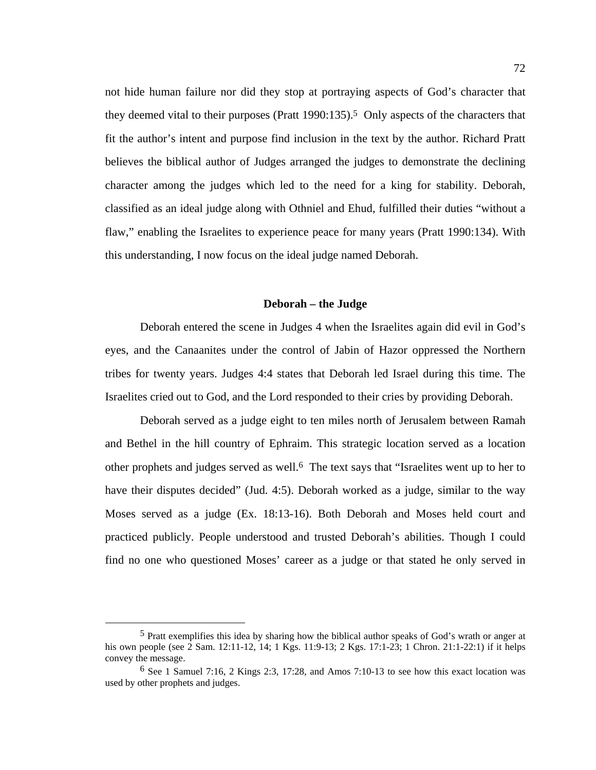not hide human failure nor did they stop at portraying aspects of God's character that they deemed vital to their purposes (Pratt 1990:135).5 Only aspects of the characters that fit the author's intent and purpose find inclusion in the text by the author. Richard Pratt believes the biblical author of Judges arranged the judges to demonstrate the declining character among the judges which led to the need for a king for stability. Deborah, classified as an ideal judge along with Othniel and Ehud, fulfilled their duties "without a flaw," enabling the Israelites to experience peace for many years (Pratt 1990:134). With this understanding, I now focus on the ideal judge named Deborah.

### **Deborah – the Judge**

Deborah entered the scene in Judges 4 when the Israelites again did evil in God's eyes, and the Canaanites under the control of Jabin of Hazor oppressed the Northern tribes for twenty years. Judges 4:4 states that Deborah led Israel during this time. The Israelites cried out to God, and the Lord responded to their cries by providing Deborah.

Deborah served as a judge eight to ten miles north of Jerusalem between Ramah and Bethel in the hill country of Ephraim. This strategic location served as a location other prophets and judges served as well.6 The text says that "Israelites went up to her to have their disputes decided" (Jud. 4:5). Deborah worked as a judge, similar to the way Moses served as a judge (Ex. 18:13-16). Both Deborah and Moses held court and practiced publicly. People understood and trusted Deborah's abilities. Though I could find no one who questioned Moses' career as a judge or that stated he only served in

 <sup>5</sup> Pratt exemplifies this idea by sharing how the biblical author speaks of God's wrath or anger at his own people (see 2 Sam. 12:11-12, 14; 1 Kgs. 11:9-13; 2 Kgs. 17:1-23; 1 Chron. 21:1-22:1) if it helps convey the message.

 $6$  See 1 Samuel 7:16, 2 Kings 2:3, 17:28, and Amos 7:10-13 to see how this exact location was used by other prophets and judges.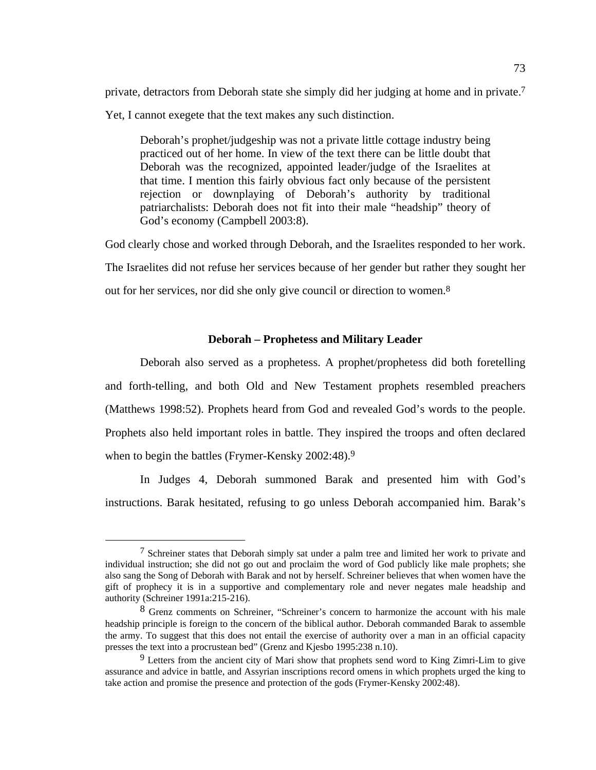private, detractors from Deborah state she simply did her judging at home and in private.7 Yet, I cannot exegete that the text makes any such distinction.

Deborah's prophet/judgeship was not a private little cottage industry being practiced out of her home. In view of the text there can be little doubt that Deborah was the recognized, appointed leader/judge of the Israelites at that time. I mention this fairly obvious fact only because of the persistent rejection or downplaying of Deborah's authority by traditional patriarchalists: Deborah does not fit into their male "headship" theory of God's economy (Campbell 2003:8).

God clearly chose and worked through Deborah, and the Israelites responded to her work.

The Israelites did not refuse her services because of her gender but rather they sought her

out for her services, nor did she only give council or direction to women.8

## **Deborah – Prophetess and Military Leader**

Deborah also served as a prophetess. A prophet/prophetess did both foretelling and forth-telling, and both Old and New Testament prophets resembled preachers (Matthews 1998:52). Prophets heard from God and revealed God's words to the people. Prophets also held important roles in battle. They inspired the troops and often declared when to begin the battles (Frymer-Kensky 2002:48).<sup>9</sup>

In Judges 4, Deborah summoned Barak and presented him with God's instructions. Barak hesitated, refusing to go unless Deborah accompanied him. Barak's

 <sup>7</sup> Schreiner states that Deborah simply sat under a palm tree and limited her work to private and individual instruction; she did not go out and proclaim the word of God publicly like male prophets; she also sang the Song of Deborah with Barak and not by herself. Schreiner believes that when women have the gift of prophecy it is in a supportive and complementary role and never negates male headship and authority (Schreiner 1991a:215-216).

<sup>8</sup> Grenz comments on Schreiner, "Schreiner's concern to harmonize the account with his male headship principle is foreign to the concern of the biblical author. Deborah commanded Barak to assemble the army. To suggest that this does not entail the exercise of authority over a man in an official capacity presses the text into a procrustean bed" (Grenz and Kjesbo 1995:238 n.10).

<sup>9</sup> Letters from the ancient city of Mari show that prophets send word to King Zimri-Lim to give assurance and advice in battle, and Assyrian inscriptions record omens in which prophets urged the king to take action and promise the presence and protection of the gods (Frymer-Kensky 2002:48).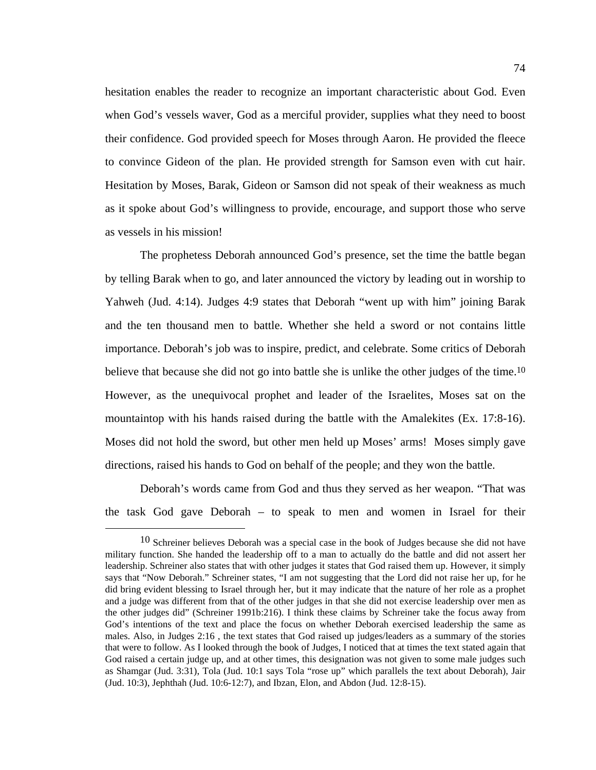hesitation enables the reader to recognize an important characteristic about God. Even when God's vessels waver, God as a merciful provider, supplies what they need to boost their confidence. God provided speech for Moses through Aaron. He provided the fleece to convince Gideon of the plan. He provided strength for Samson even with cut hair. Hesitation by Moses, Barak, Gideon or Samson did not speak of their weakness as much as it spoke about God's willingness to provide, encourage, and support those who serve as vessels in his mission!

The prophetess Deborah announced God's presence, set the time the battle began by telling Barak when to go, and later announced the victory by leading out in worship to Yahweh (Jud. 4:14). Judges 4:9 states that Deborah "went up with him" joining Barak and the ten thousand men to battle. Whether she held a sword or not contains little importance. Deborah's job was to inspire, predict, and celebrate. Some critics of Deborah believe that because she did not go into battle she is unlike the other judges of the time.<sup>10</sup> However, as the unequivocal prophet and leader of the Israelites, Moses sat on the mountaintop with his hands raised during the battle with the Amalekites (Ex. 17:8-16). Moses did not hold the sword, but other men held up Moses' arms! Moses simply gave directions, raised his hands to God on behalf of the people; and they won the battle.

Deborah's words came from God and thus they served as her weapon. "That was the task God gave Deborah – to speak to men and women in Israel for their

<sup>&</sup>lt;sup>10</sup> Schreiner believes Deborah was a special case in the book of Judges because she did not have military function. She handed the leadership off to a man to actually do the battle and did not assert her leadership. Schreiner also states that with other judges it states that God raised them up. However, it simply says that "Now Deborah." Schreiner states, "I am not suggesting that the Lord did not raise her up, for he did bring evident blessing to Israel through her, but it may indicate that the nature of her role as a prophet and a judge was different from that of the other judges in that she did not exercise leadership over men as the other judges did" (Schreiner 1991b:216). I think these claims by Schreiner take the focus away from God's intentions of the text and place the focus on whether Deborah exercised leadership the same as males. Also, in Judges 2:16 , the text states that God raised up judges/leaders as a summary of the stories that were to follow. As I looked through the book of Judges, I noticed that at times the text stated again that God raised a certain judge up, and at other times, this designation was not given to some male judges such as Shamgar (Jud. 3:31), Tola (Jud. 10:1 says Tola "rose up" which parallels the text about Deborah), Jair (Jud. 10:3), Jephthah (Jud. 10:6-12:7), and Ibzan, Elon, and Abdon (Jud. 12:8-15).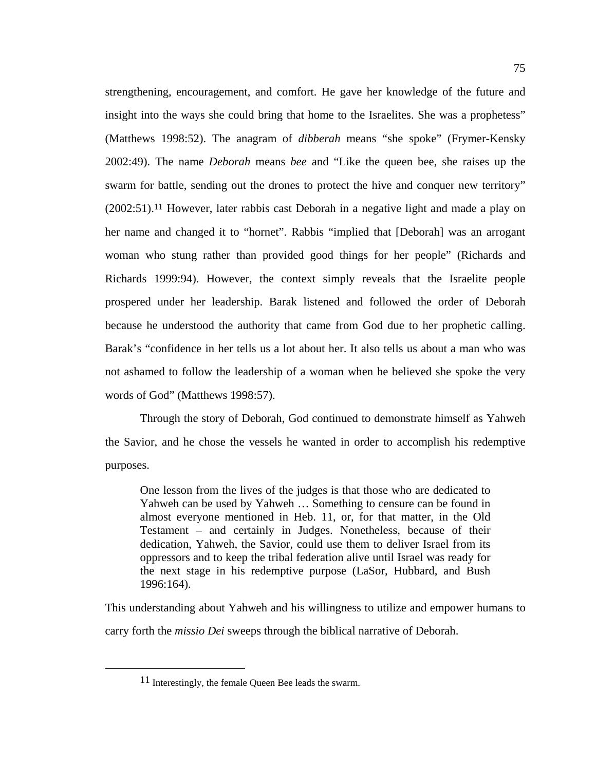strengthening, encouragement, and comfort. He gave her knowledge of the future and insight into the ways she could bring that home to the Israelites. She was a prophetess" (Matthews 1998:52). The anagram of *dibberah* means "she spoke" (Frymer-Kensky 2002:49). The name *Deborah* means *bee* and "Like the queen bee, she raises up the swarm for battle, sending out the drones to protect the hive and conquer new territory" (2002:51).11 However, later rabbis cast Deborah in a negative light and made a play on her name and changed it to "hornet". Rabbis "implied that [Deborah] was an arrogant woman who stung rather than provided good things for her people" (Richards and Richards 1999:94). However, the context simply reveals that the Israelite people prospered under her leadership. Barak listened and followed the order of Deborah because he understood the authority that came from God due to her prophetic calling. Barak's "confidence in her tells us a lot about her. It also tells us about a man who was not ashamed to follow the leadership of a woman when he believed she spoke the very words of God" (Matthews 1998:57).

Through the story of Deborah, God continued to demonstrate himself as Yahweh the Savior, and he chose the vessels he wanted in order to accomplish his redemptive purposes.

One lesson from the lives of the judges is that those who are dedicated to Yahweh can be used by Yahweh … Something to censure can be found in almost everyone mentioned in Heb. 11, or, for that matter, in the Old Testament – and certainly in Judges. Nonetheless, because of their dedication, Yahweh, the Savior, could use them to deliver Israel from its oppressors and to keep the tribal federation alive until Israel was ready for the next stage in his redemptive purpose (LaSor, Hubbard, and Bush 1996:164).

This understanding about Yahweh and his willingness to utilize and empower humans to carry forth the *missio Dei* sweeps through the biblical narrative of Deborah.

 <sup>11</sup> Interestingly, the female Queen Bee leads the swarm.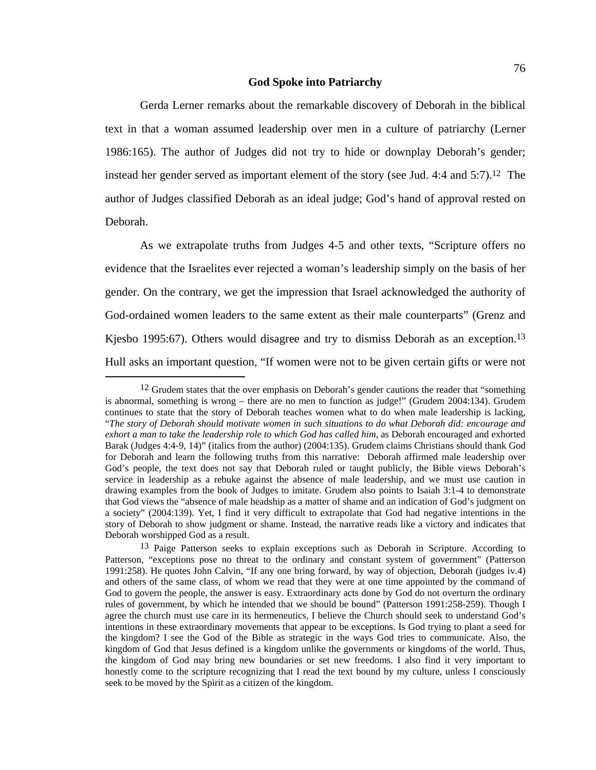#### **God Spoke into Patriarchy**

Gerda Lerner remarks about the remarkable discovery of Deborah in the biblical text in that a woman assumed leadership over men in a culture of patriarchy (Lerner 1986:165). The author of Judges did not try to hide or downplay Deborah's gender; instead her gender served as important element of the story (see Jud. 4:4 and 5:7).12 The author of Judges classified Deborah as an ideal judge; God's hand of approval rested on Deborah.

As we extrapolate truths from Judges 4-5 and other texts, "Scripture offers no evidence that the Israelites ever rejected a woman's leadership simply on the basis of her gender. On the contrary, we get the impression that Israel acknowledged the authority of God-ordained women leaders to the same extent as their male counterparts" (Grenz and Kjesbo 1995:67). Others would disagree and try to dismiss Deborah as an exception.<sup>13</sup> Hull asks an important question, "If women were not to be given certain gifts or were not

<sup>&</sup>lt;sup>12</sup> Grudem states that the over emphasis on Deborah's gender cautions the reader that "something" is abnormal, something is wrong – there are no men to function as judge!" (Grudem 2004:134). Grudem continues to state that the story of Deborah teaches women what to do when male leadership is lacking, "*The story of Deborah should motivate women in such situations to do what Deborah did: encourage and exhort a man to take the leadership role to which God has called him,* as Deborah encouraged and exhorted Barak (Judges 4:4-9, 14)" (italics from the author) (2004:135). Grudem claims Christians should thank God for Deborah and learn the following truths from this narrative: Deborah affirmed male leadership over God's people, the text does not say that Deborah ruled or taught publicly, the Bible views Deborah's service in leadership as a rebuke against the absence of male leadership, and we must use caution in drawing examples from the book of Judges to imitate. Grudem also points to Isaiah 3:1-4 to demonstrate that God views the "absence of male headship as a matter of shame and an indication of God's judgment on a society" (2004:139). Yet, I find it very difficult to extrapolate that God had negative intentions in the story of Deborah to show judgment or shame. Instead, the narrative reads like a victory and indicates that Deborah worshipped God as a result.

<sup>&</sup>lt;sup>13</sup> Paige Patterson seeks to explain exceptions such as Deborah in Scripture. According to Patterson, "exceptions pose no threat to the ordinary and constant system of government" (Patterson 1991:258). He quotes John Calvin, "If any one bring forward, by way of objection, Deborah (judges iv.4) and others of the same class, of whom we read that they were at one time appointed by the command of God to govern the people, the answer is easy. Extraordinary acts done by God do not overturn the ordinary rules of government, by which he intended that we should be bound" (Patterson 1991:258-259). Though I agree the church must use care in its hermeneutics, I believe the Church should seek to understand God's intentions in these extraordinary movements that appear to be exceptions. Is God trying to plant a seed for the kingdom? I see the God of the Bible as strategic in the ways God tries to communicate. Also, the kingdom of God that Jesus defined is a kingdom unlike the governments or kingdoms of the world. Thus, the kingdom of God may bring new boundaries or set new freedoms. I also find it very important to honestly come to the scripture recognizing that I read the text bound by my culture, unless I consciously seek to be moved by the Spirit as a citizen of the kingdom.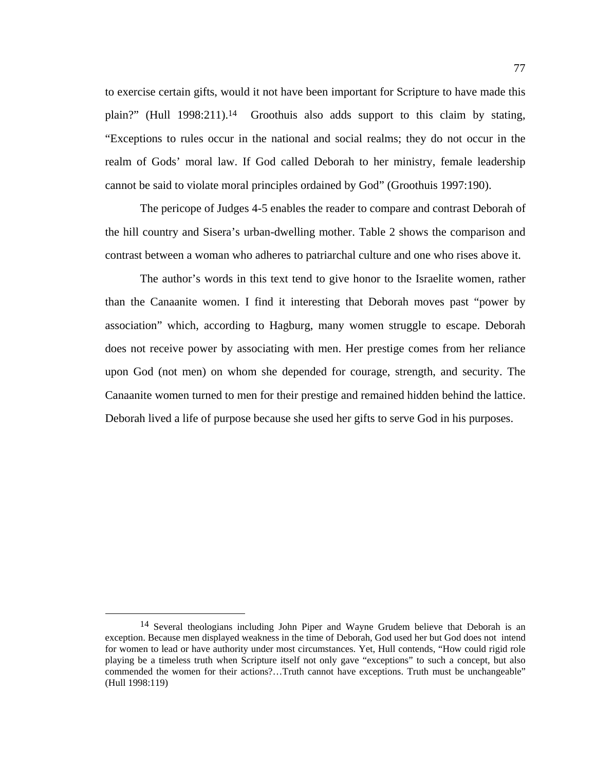to exercise certain gifts, would it not have been important for Scripture to have made this plain?" (Hull 1998:211).<sup>14</sup> Groothuis also adds support to this claim by stating, "Exceptions to rules occur in the national and social realms; they do not occur in the realm of Gods' moral law. If God called Deborah to her ministry, female leadership cannot be said to violate moral principles ordained by God" (Groothuis 1997:190).

The pericope of Judges 4-5 enables the reader to compare and contrast Deborah of the hill country and Sisera's urban-dwelling mother. Table 2 shows the comparison and contrast between a woman who adheres to patriarchal culture and one who rises above it.

The author's words in this text tend to give honor to the Israelite women, rather than the Canaanite women. I find it interesting that Deborah moves past "power by association" which, according to Hagburg, many women struggle to escape. Deborah does not receive power by associating with men. Her prestige comes from her reliance upon God (not men) on whom she depended for courage, strength, and security. The Canaanite women turned to men for their prestige and remained hidden behind the lattice. Deborah lived a life of purpose because she used her gifts to serve God in his purposes.

 <sup>14</sup> Several theologians including John Piper and Wayne Grudem believe that Deborah is an exception. Because men displayed weakness in the time of Deborah, God used her but God does not intend for women to lead or have authority under most circumstances. Yet, Hull contends, "How could rigid role playing be a timeless truth when Scripture itself not only gave "exceptions" to such a concept, but also commended the women for their actions?…Truth cannot have exceptions. Truth must be unchangeable" (Hull 1998:119)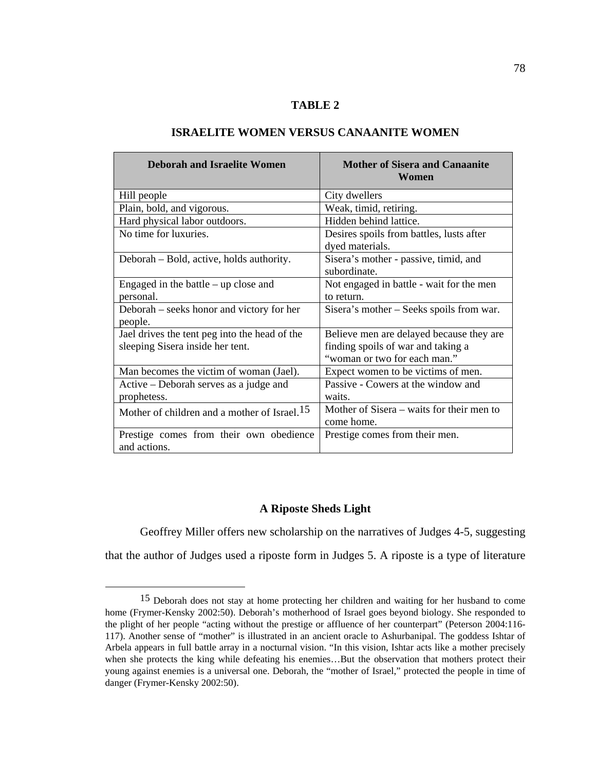## **TABLE 2**

| <b>Deborah and Israelite Women</b>                                                | <b>Mother of Sisera and Canaanite</b><br>Women                                                                 |
|-----------------------------------------------------------------------------------|----------------------------------------------------------------------------------------------------------------|
| Hill people                                                                       | City dwellers                                                                                                  |
| Plain, bold, and vigorous.                                                        | Weak, timid, retiring.                                                                                         |
| Hard physical labor outdoors.                                                     | Hidden behind lattice.                                                                                         |
| No time for luxuries.                                                             | Desires spoils from battles, lusts after<br>dyed materials.                                                    |
| Deborah – Bold, active, holds authority.                                          | Sisera's mother - passive, timid, and<br>subordinate.                                                          |
| Engaged in the battle $-$ up close and<br>personal.                               | Not engaged in battle - wait for the men<br>to return.                                                         |
| Deborah – seeks honor and victory for her<br>people.                              | Sisera's mother – Seeks spoils from war.                                                                       |
| Jael drives the tent peg into the head of the<br>sleeping Sisera inside her tent. | Believe men are delayed because they are<br>finding spoils of war and taking a<br>"woman or two for each man." |
| Man becomes the victim of woman (Jael).                                           | Expect women to be victims of men.                                                                             |
| Active – Deborah serves as a judge and<br>prophetess.                             | Passive - Cowers at the window and<br>waits.                                                                   |
| Mother of children and a mother of Israel. <sup>15</sup>                          | Mother of Sisera – waits for their men to<br>come home.                                                        |
| Prestige comes from their own obedience<br>and actions.                           | Prestige comes from their men.                                                                                 |

## **ISRAELITE WOMEN VERSUS CANAANITE WOMEN**

### **A Riposte Sheds Light**

Geoffrey Miller offers new scholarship on the narratives of Judges 4-5, suggesting that the author of Judges used a riposte form in Judges 5. A riposte is a type of literature

 <sup>15</sup> Deborah does not stay at home protecting her children and waiting for her husband to come home (Frymer-Kensky 2002:50). Deborah's motherhood of Israel goes beyond biology. She responded to the plight of her people "acting without the prestige or affluence of her counterpart" (Peterson 2004:116- 117). Another sense of "mother" is illustrated in an ancient oracle to Ashurbanipal. The goddess Ishtar of Arbela appears in full battle array in a nocturnal vision. "In this vision, Ishtar acts like a mother precisely when she protects the king while defeating his enemies…But the observation that mothers protect their young against enemies is a universal one. Deborah, the "mother of Israel," protected the people in time of danger (Frymer-Kensky 2002:50).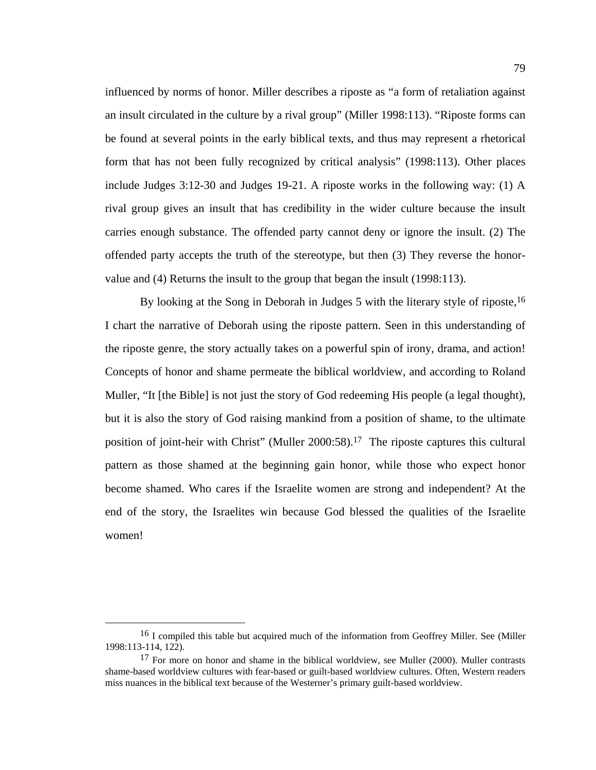influenced by norms of honor. Miller describes a riposte as "a form of retaliation against an insult circulated in the culture by a rival group" (Miller 1998:113). "Riposte forms can be found at several points in the early biblical texts, and thus may represent a rhetorical form that has not been fully recognized by critical analysis" (1998:113). Other places include Judges 3:12-30 and Judges 19-21. A riposte works in the following way: (1) A rival group gives an insult that has credibility in the wider culture because the insult carries enough substance. The offended party cannot deny or ignore the insult. (2) The offended party accepts the truth of the stereotype, but then (3) They reverse the honorvalue and (4) Returns the insult to the group that began the insult (1998:113).

By looking at the Song in Deborah in Judges 5 with the literary style of riposte,<sup>16</sup> I chart the narrative of Deborah using the riposte pattern. Seen in this understanding of the riposte genre, the story actually takes on a powerful spin of irony, drama, and action! Concepts of honor and shame permeate the biblical worldview, and according to Roland Muller, "It [the Bible] is not just the story of God redeeming His people (a legal thought), but it is also the story of God raising mankind from a position of shame, to the ultimate position of joint-heir with Christ" (Muller 2000:58).17 The riposte captures this cultural pattern as those shamed at the beginning gain honor, while those who expect honor become shamed. Who cares if the Israelite women are strong and independent? At the end of the story, the Israelites win because God blessed the qualities of the Israelite women!

<sup>&</sup>lt;sup>16</sup> I compiled this table but acquired much of the information from Geoffrey Miller. See (Miller 1998:113-114, 122).

<sup>&</sup>lt;sup>17</sup> For more on honor and shame in the biblical worldview, see Muller (2000). Muller contrasts shame-based worldview cultures with fear-based or guilt-based worldview cultures. Often, Western readers miss nuances in the biblical text because of the Westerner's primary guilt-based worldview.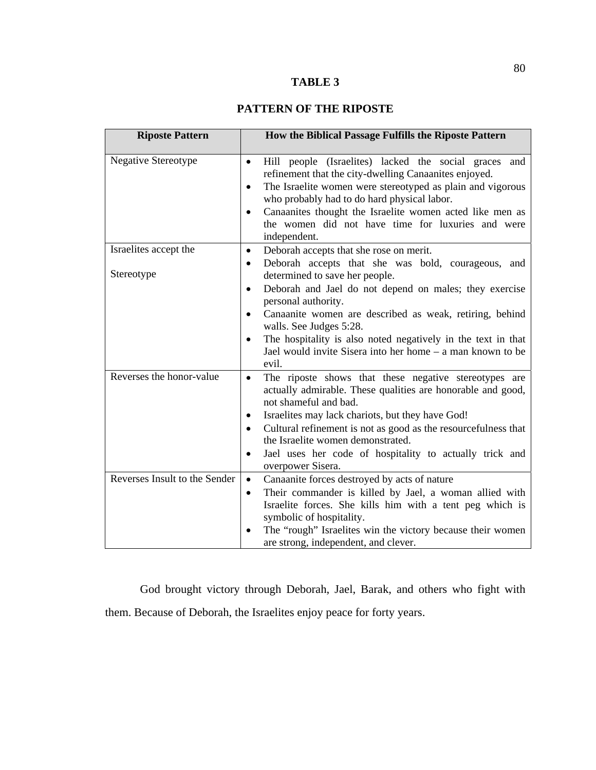# **TABLE 3**

# **PATTERN OF THE RIPOSTE**

| <b>Riposte Pattern</b>              | How the Biblical Passage Fulfills the Riposte Pattern                                                                                                                                                                                                                                                                                                                                                                                                                                                          |
|-------------------------------------|----------------------------------------------------------------------------------------------------------------------------------------------------------------------------------------------------------------------------------------------------------------------------------------------------------------------------------------------------------------------------------------------------------------------------------------------------------------------------------------------------------------|
| Negative Stereotype                 | Hill people (Israelites) lacked the social graces and<br>$\bullet$<br>refinement that the city-dwelling Canaanites enjoyed.<br>The Israelite women were stereotyped as plain and vigorous<br>$\bullet$<br>who probably had to do hard physical labor.<br>Canaanites thought the Israelite women acted like men as<br>$\bullet$<br>the women did not have time for luxuries and were<br>independent.                                                                                                            |
| Israelites accept the<br>Stereotype | Deborah accepts that she rose on merit.<br>$\bullet$<br>Deborah accepts that she was bold, courageous, and<br>$\bullet$<br>determined to save her people.<br>Deborah and Jael do not depend on males; they exercise<br>$\bullet$<br>personal authority.<br>Canaanite women are described as weak, retiring, behind<br>$\bullet$<br>walls. See Judges 5:28.<br>The hospitality is also noted negatively in the text in that<br>$\bullet$<br>Jael would invite Sisera into her home – a man known to be<br>evil. |
| Reverses the honor-value            | The riposte shows that these negative stereotypes are<br>$\bullet$<br>actually admirable. These qualities are honorable and good,<br>not shameful and bad.<br>Israelites may lack chariots, but they have God!<br>٠<br>Cultural refinement is not as good as the resourcefulness that<br>$\bullet$<br>the Israelite women demonstrated.<br>Jael uses her code of hospitality to actually trick and<br>$\bullet$<br>overpower Sisera.                                                                           |
| Reverses Insult to the Sender       | Canaanite forces destroyed by acts of nature<br>$\bullet$<br>Their commander is killed by Jael, a woman allied with<br>$\bullet$<br>Israelite forces. She kills him with a tent peg which is<br>symbolic of hospitality.<br>The "rough" Israelites win the victory because their women<br>٠<br>are strong, independent, and clever.                                                                                                                                                                            |

God brought victory through Deborah, Jael, Barak, and others who fight with them. Because of Deborah, the Israelites enjoy peace for forty years.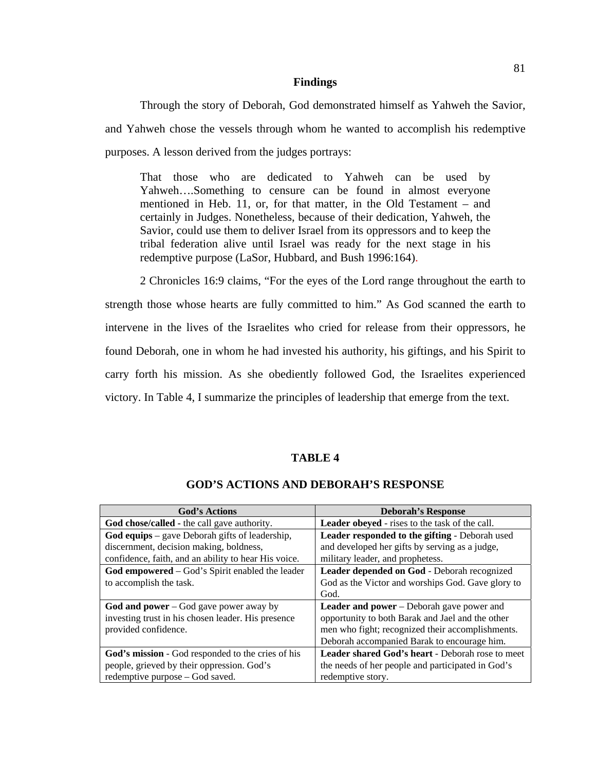#### **Findings**

Through the story of Deborah, God demonstrated himself as Yahweh the Savior, and Yahweh chose the vessels through whom he wanted to accomplish his redemptive purposes. A lesson derived from the judges portrays:

That those who are dedicated to Yahweh can be used by Yahweh….Something to censure can be found in almost everyone mentioned in Heb. 11, or, for that matter, in the Old Testament – and certainly in Judges. Nonetheless, because of their dedication, Yahweh, the Savior, could use them to deliver Israel from its oppressors and to keep the tribal federation alive until Israel was ready for the next stage in his redemptive purpose (LaSor, Hubbard, and Bush 1996:164).

2 Chronicles 16:9 claims, "For the eyes of the Lord range throughout the earth to strength those whose hearts are fully committed to him." As God scanned the earth to intervene in the lives of the Israelites who cried for release from their oppressors, he found Deborah, one in whom he had invested his authority, his giftings, and his Spirit to carry forth his mission. As she obediently followed God, the Israelites experienced victory. In Table 4, I summarize the principles of leadership that emerge from the text.

## **TABLE 4**

| <b>God's Actions</b>                                   | <b>Deborah's Response</b>                               |
|--------------------------------------------------------|---------------------------------------------------------|
| God chose/called - the call gave authority.            | Leader obeyed - rises to the task of the call.          |
| God equips $-$ gave Deborah gifts of leadership,       | Leader responded to the gifting - Deborah used          |
| discernment, decision making, boldness,                | and developed her gifts by serving as a judge,          |
| confidence, faith, and an ability to hear His voice.   | military leader, and prophetess.                        |
| <b>God empowered</b> – God's Spirit enabled the leader | <b>Leader depended on God - Deborah recognized</b>      |
| to accomplish the task.                                | God as the Victor and worships God. Gave glory to       |
|                                                        | God.                                                    |
| God and power $-$ God gave power away by               | <b>Leader and power</b> – Deborah gave power and        |
| investing trust in his chosen leader. His presence     | opportunity to both Barak and Jael and the other        |
| provided confidence.                                   | men who fight; recognized their accomplishments.        |
|                                                        | Deborah accompanied Barak to encourage him.             |
| God's mission - God responded to the cries of his      | <b>Leader shared God's heart - Deborah rose to meet</b> |
| people, grieved by their oppression. God's             | the needs of her people and participated in God's       |
| redemptive purpose – God saved.                        | redemptive story.                                       |

# **GOD'S ACTIONS AND DEBORAH'S RESPONSE**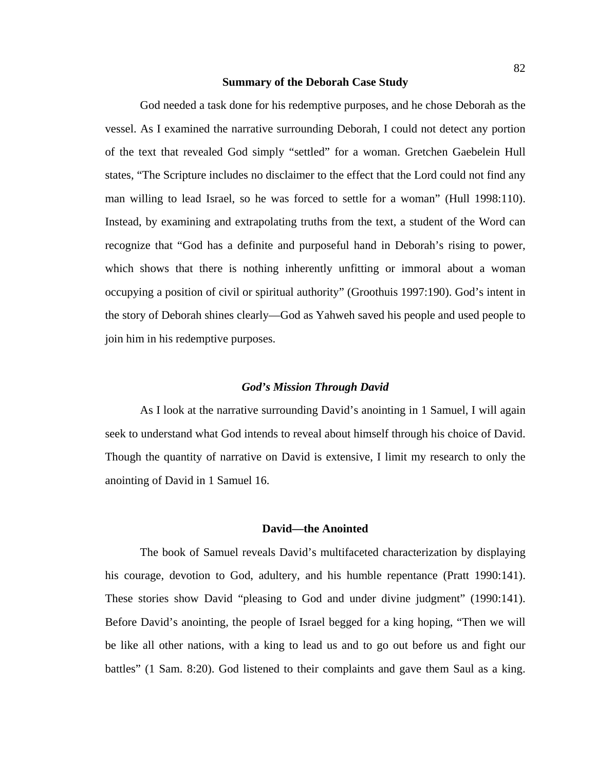# **Summary of the Deborah Case Study**

God needed a task done for his redemptive purposes, and he chose Deborah as the vessel. As I examined the narrative surrounding Deborah, I could not detect any portion of the text that revealed God simply "settled" for a woman. Gretchen Gaebelein Hull states, "The Scripture includes no disclaimer to the effect that the Lord could not find any man willing to lead Israel, so he was forced to settle for a woman" (Hull 1998:110). Instead, by examining and extrapolating truths from the text, a student of the Word can recognize that "God has a definite and purposeful hand in Deborah's rising to power, which shows that there is nothing inherently unfitting or immoral about a woman occupying a position of civil or spiritual authority" (Groothuis 1997:190). God's intent in the story of Deborah shines clearly—God as Yahweh saved his people and used people to join him in his redemptive purposes.

#### *God's Mission Through David*

 As I look at the narrative surrounding David's anointing in 1 Samuel, I will again seek to understand what God intends to reveal about himself through his choice of David. Though the quantity of narrative on David is extensive, I limit my research to only the anointing of David in 1 Samuel 16.

#### **David—the Anointed**

The book of Samuel reveals David's multifaceted characterization by displaying his courage, devotion to God, adultery, and his humble repentance (Pratt 1990:141). These stories show David "pleasing to God and under divine judgment" (1990:141). Before David's anointing, the people of Israel begged for a king hoping, "Then we will be like all other nations, with a king to lead us and to go out before us and fight our battles" (1 Sam. 8:20). God listened to their complaints and gave them Saul as a king.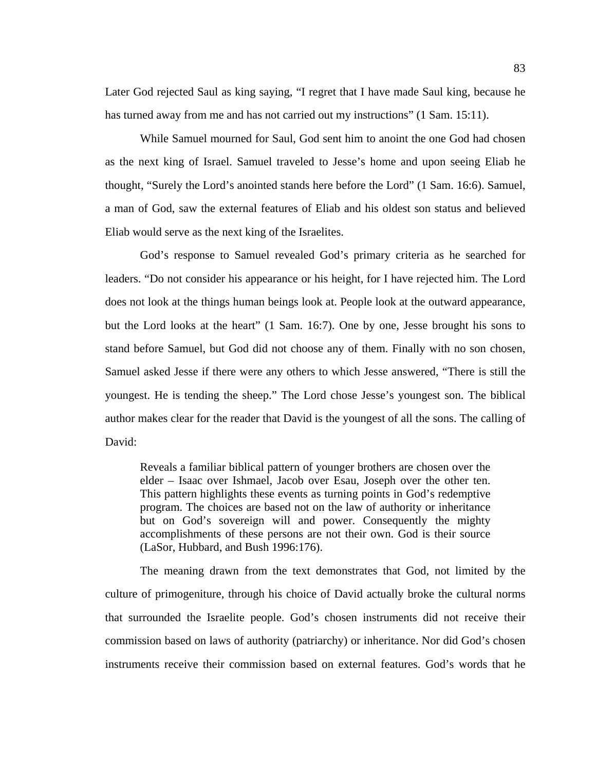Later God rejected Saul as king saying, "I regret that I have made Saul king, because he has turned away from me and has not carried out my instructions" (1 Sam. 15:11).

While Samuel mourned for Saul, God sent him to anoint the one God had chosen as the next king of Israel. Samuel traveled to Jesse's home and upon seeing Eliab he thought, "Surely the Lord's anointed stands here before the Lord" (1 Sam. 16:6). Samuel, a man of God, saw the external features of Eliab and his oldest son status and believed Eliab would serve as the next king of the Israelites.

God's response to Samuel revealed God's primary criteria as he searched for leaders. "Do not consider his appearance or his height, for I have rejected him. The Lord does not look at the things human beings look at. People look at the outward appearance, but the Lord looks at the heart" (1 Sam. 16:7). One by one, Jesse brought his sons to stand before Samuel, but God did not choose any of them. Finally with no son chosen, Samuel asked Jesse if there were any others to which Jesse answered, "There is still the youngest. He is tending the sheep." The Lord chose Jesse's youngest son. The biblical author makes clear for the reader that David is the youngest of all the sons. The calling of David:

Reveals a familiar biblical pattern of younger brothers are chosen over the elder – Isaac over Ishmael, Jacob over Esau, Joseph over the other ten. This pattern highlights these events as turning points in God's redemptive program. The choices are based not on the law of authority or inheritance but on God's sovereign will and power. Consequently the mighty accomplishments of these persons are not their own. God is their source (LaSor, Hubbard, and Bush 1996:176).

The meaning drawn from the text demonstrates that God, not limited by the culture of primogeniture, through his choice of David actually broke the cultural norms that surrounded the Israelite people. God's chosen instruments did not receive their commission based on laws of authority (patriarchy) or inheritance. Nor did God's chosen instruments receive their commission based on external features. God's words that he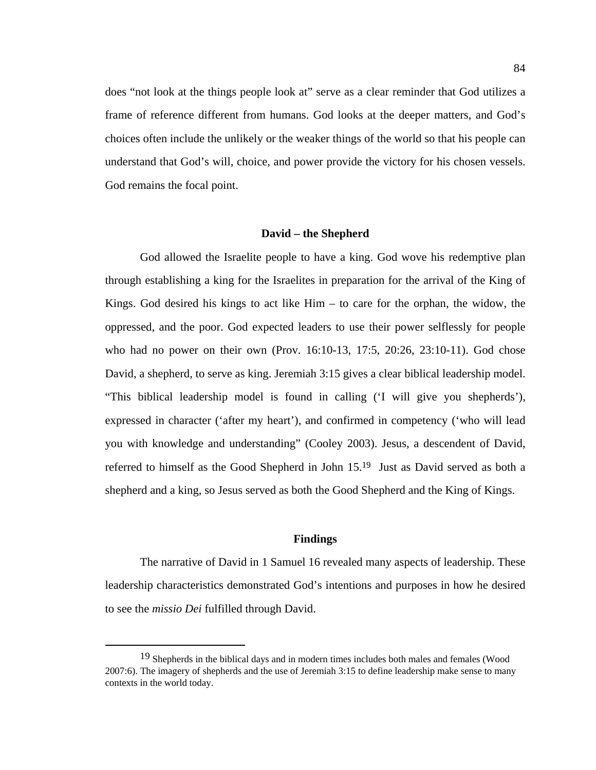does "not look at the things people look at" serve as a clear reminder that God utilizes a frame of reference different from humans. God looks at the deeper matters, and God's choices often include the unlikely or the weaker things of the world so that his people can understand that God's will, choice, and power provide the victory for his chosen vessels. God remains the focal point.

#### **David – the Shepherd**

God allowed the Israelite people to have a king. God wove his redemptive plan through establishing a king for the Israelites in preparation for the arrival of the King of Kings. God desired his kings to act like  $\text{Him}$  – to care for the orphan, the widow, the oppressed, and the poor. God expected leaders to use their power selflessly for people who had no power on their own (Prov. 16:10-13, 17:5, 20:26, 23:10-11). God chose David, a shepherd, to serve as king. Jeremiah 3:15 gives a clear biblical leadership model. "This biblical leadership model is found in calling ('I will give you shepherds'), expressed in character ('after my heart'), and confirmed in competency ('who will lead you with knowledge and understanding" (Cooley 2003). Jesus, a descendent of David, referred to himself as the Good Shepherd in John 15.19 Just as David served as both a shepherd and a king, so Jesus served as both the Good Shepherd and the King of Kings.

#### **Findings**

The narrative of David in 1 Samuel 16 revealed many aspects of leadership. These leadership characteristics demonstrated God's intentions and purposes in how he desired to see the *missio Dei* fulfilled through David.

 <sup>19</sup> Shepherds in the biblical days and in modern times includes both males and females (Wood 2007:6). The imagery of shepherds and the use of Jeremiah 3:15 to define leadership make sense to many contexts in the world today.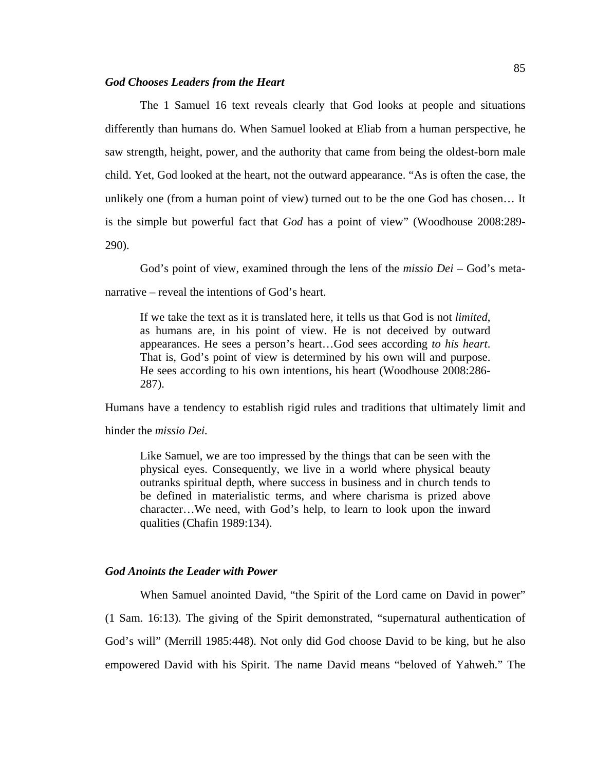### *God Chooses Leaders from the Heart*

The 1 Samuel 16 text reveals clearly that God looks at people and situations differently than humans do. When Samuel looked at Eliab from a human perspective, he saw strength, height, power, and the authority that came from being the oldest-born male child. Yet, God looked at the heart, not the outward appearance. "As is often the case, the unlikely one (from a human point of view) turned out to be the one God has chosen… It is the simple but powerful fact that *God* has a point of view" (Woodhouse 2008:289- 290).

God's point of view, examined through the lens of the *missio Dei –* God's metanarrative – reveal the intentions of God's heart.

If we take the text as it is translated here, it tells us that God is not *limited*, as humans are, in his point of view. He is not deceived by outward appearances. He sees a person's heart…God sees according *to his heart*. That is, God's point of view is determined by his own will and purpose. He sees according to his own intentions, his heart (Woodhouse 2008:286- 287).

Humans have a tendency to establish rigid rules and traditions that ultimately limit and

hinder the *missio Dei.* 

Like Samuel, we are too impressed by the things that can be seen with the physical eyes. Consequently, we live in a world where physical beauty outranks spiritual depth, where success in business and in church tends to be defined in materialistic terms, and where charisma is prized above character…We need, with God's help, to learn to look upon the inward qualities (Chafin 1989:134).

## *God Anoints the Leader with Power*

When Samuel anointed David, "the Spirit of the Lord came on David in power" (1 Sam. 16:13). The giving of the Spirit demonstrated, "supernatural authentication of God's will" (Merrill 1985:448). Not only did God choose David to be king, but he also empowered David with his Spirit. The name David means "beloved of Yahweh." The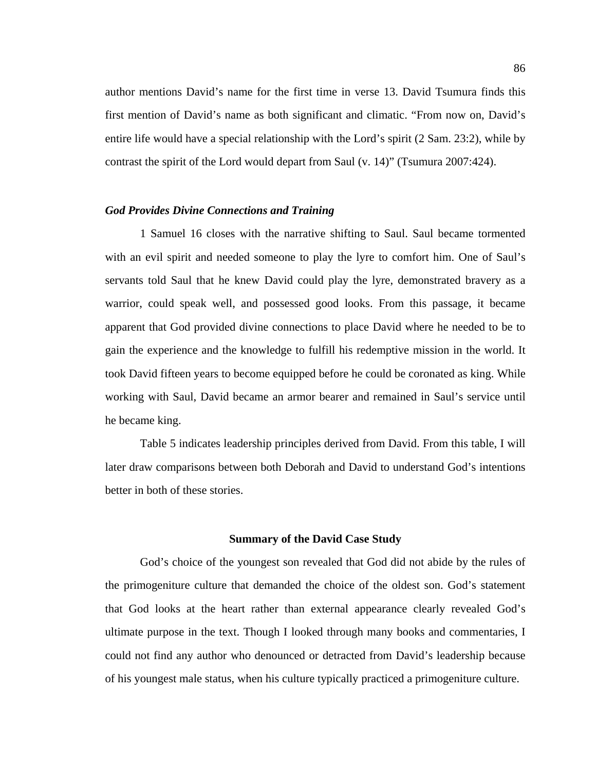author mentions David's name for the first time in verse 13. David Tsumura finds this first mention of David's name as both significant and climatic. "From now on, David's entire life would have a special relationship with the Lord's spirit (2 Sam. 23:2), while by contrast the spirit of the Lord would depart from Saul (v. 14)" (Tsumura 2007:424).

## *God Provides Divine Connections and Training*

 1 Samuel 16 closes with the narrative shifting to Saul. Saul became tormented with an evil spirit and needed someone to play the lyre to comfort him. One of Saul's servants told Saul that he knew David could play the lyre, demonstrated bravery as a warrior, could speak well, and possessed good looks. From this passage, it became apparent that God provided divine connections to place David where he needed to be to gain the experience and the knowledge to fulfill his redemptive mission in the world. It took David fifteen years to become equipped before he could be coronated as king. While working with Saul, David became an armor bearer and remained in Saul's service until he became king.

Table 5 indicates leadership principles derived from David. From this table, I will later draw comparisons between both Deborah and David to understand God's intentions better in both of these stories.

#### **Summary of the David Case Study**

 God's choice of the youngest son revealed that God did not abide by the rules of the primogeniture culture that demanded the choice of the oldest son. God's statement that God looks at the heart rather than external appearance clearly revealed God's ultimate purpose in the text. Though I looked through many books and commentaries, I could not find any author who denounced or detracted from David's leadership because of his youngest male status, when his culture typically practiced a primogeniture culture.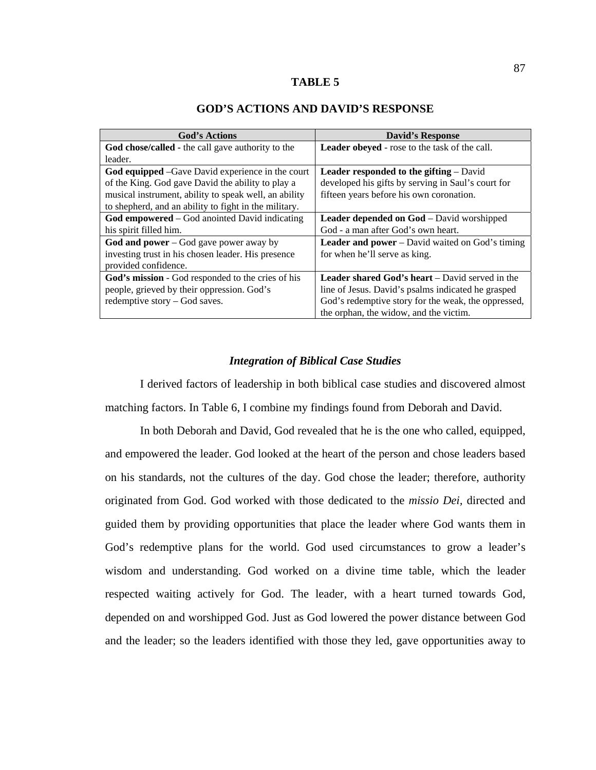#### **TABLE 5**

| <b>God's Actions</b>                                    | <b>David's Response</b>                                |
|---------------------------------------------------------|--------------------------------------------------------|
| God chose/called - the call gave authority to the       | Leader obeyed - rose to the task of the call.          |
| leader.                                                 |                                                        |
| <b>God equipped</b> –Gave David experience in the court | <b>Leader responded to the gifting</b> $-$ David       |
| of the King. God gave David the ability to play a       | developed his gifts by serving in Saul's court for     |
| musical instrument, ability to speak well, an ability   | fifteen years before his own coronation.               |
| to shepherd, and an ability to fight in the military.   |                                                        |
| <b>God empowered</b> – God anointed David indicating    | <b>Leader depended on God</b> – David worshipped       |
| his spirit filled him.                                  | God - a man after God's own heart.                     |
| God and power $-$ God gave power away by                | <b>Leader and power</b> – David waited on God's timing |
| investing trust in his chosen leader. His presence      | for when he'll serve as king.                          |
| provided confidence.                                    |                                                        |
| God's mission - God responded to the cries of his       | <b>Leader shared God's heart</b> – David served in the |
| people, grieved by their oppression. God's              | line of Jesus. David's psalms indicated he grasped     |
| redemptive story – God saves.                           | God's redemptive story for the weak, the oppressed,    |
|                                                         | the orphan, the widow, and the victim.                 |

## **GOD'S ACTIONS AND DAVID'S RESPONSE**

#### *Integration of Biblical Case Studies*

I derived factors of leadership in both biblical case studies and discovered almost matching factors. In Table 6, I combine my findings found from Deborah and David.

In both Deborah and David, God revealed that he is the one who called, equipped, and empowered the leader. God looked at the heart of the person and chose leaders based on his standards, not the cultures of the day. God chose the leader; therefore, authority originated from God. God worked with those dedicated to the *missio Dei,* directed and guided them by providing opportunities that place the leader where God wants them in God's redemptive plans for the world. God used circumstances to grow a leader's wisdom and understanding. God worked on a divine time table, which the leader respected waiting actively for God. The leader, with a heart turned towards God, depended on and worshipped God. Just as God lowered the power distance between God and the leader; so the leaders identified with those they led, gave opportunities away to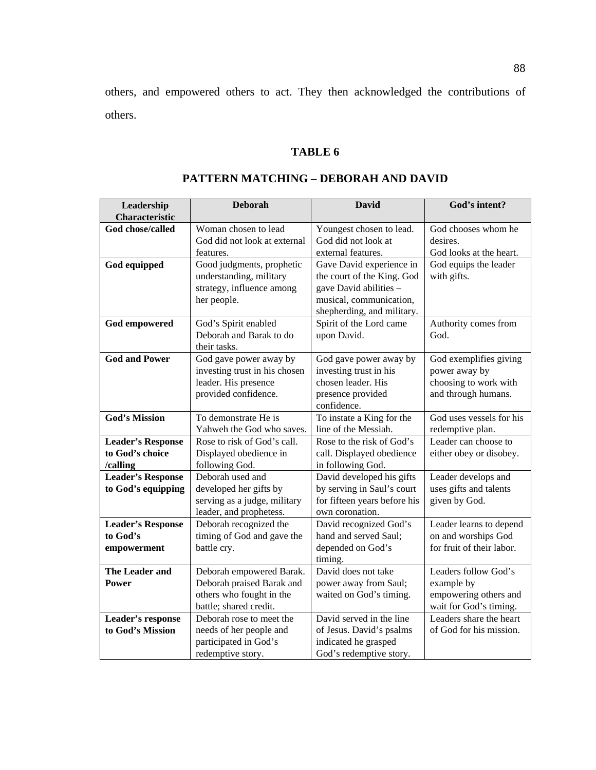others, and empowered others to act. They then acknowledged the contributions of others.

# **TABLE 6**

| Leadership               | <b>Deborah</b>                                   | <b>David</b>                 | God's intent?             |  |
|--------------------------|--------------------------------------------------|------------------------------|---------------------------|--|
| <b>Characteristic</b>    |                                                  |                              |                           |  |
| God chose/called         | Woman chosen to lead                             | Youngest chosen to lead.     | God chooses whom he       |  |
|                          | God did not look at external                     | God did not look at          | desires.                  |  |
|                          |                                                  | external features.           | God looks at the heart.   |  |
|                          | features.                                        |                              |                           |  |
| God equipped             | Good judgments, prophetic                        | Gave David experience in     | God equips the leader     |  |
|                          | understanding, military                          | the court of the King. God   | with gifts.               |  |
|                          | strategy, influence among                        | gave David abilities -       |                           |  |
|                          | her people.                                      | musical, communication,      |                           |  |
|                          |                                                  | shepherding, and military.   |                           |  |
| <b>God empowered</b>     | God's Spirit enabled                             | Spirit of the Lord came      | Authority comes from      |  |
|                          | Deborah and Barak to do                          | upon David.                  | God.                      |  |
|                          | their tasks.                                     |                              |                           |  |
| <b>God and Power</b>     | God gave power away by<br>God gave power away by |                              | God exemplifies giving    |  |
|                          | investing trust in his chosen                    | investing trust in his       | power away by             |  |
|                          | leader. His presence                             | chosen leader. His           | choosing to work with     |  |
|                          | provided confidence.                             | presence provided            | and through humans.       |  |
|                          |                                                  | confidence.                  |                           |  |
| <b>God's Mission</b>     | To demonstrate He is                             | To instate a King for the    | God uses vessels for his  |  |
|                          | Yahweh the God who saves.                        | line of the Messiah.         | redemptive plan.          |  |
| <b>Leader's Response</b> | Rose to risk of God's call.                      | Rose to the risk of God's    | Leader can choose to      |  |
| to God's choice          | Displayed obedience in                           | call. Displayed obedience    | either obey or disobey.   |  |
| /calling                 | following God.                                   | in following God.            |                           |  |
| <b>Leader's Response</b> | Deborah used and                                 | David developed his gifts    | Leader develops and       |  |
| to God's equipping       | developed her gifts by                           | by serving in Saul's court   | uses gifts and talents    |  |
|                          | serving as a judge, military                     | for fifteen years before his | given by God.             |  |
|                          | leader, and prophetess.                          | own coronation.              |                           |  |
| <b>Leader's Response</b> | Deborah recognized the                           | David recognized God's       | Leader learns to depend   |  |
| to God's                 | timing of God and gave the                       | hand and served Saul;        | on and worships God       |  |
| empowerment              | battle cry.                                      | depended on God's            | for fruit of their labor. |  |
|                          |                                                  | timing.                      |                           |  |
| The Leader and           | Deborah empowered Barak.                         | David does not take          | Leaders follow God's      |  |
| Power                    | Deborah praised Barak and                        | power away from Saul;        | example by                |  |
|                          | others who fought in the                         | waited on God's timing.      | empowering others and     |  |
|                          | battle; shared credit.                           |                              | wait for God's timing.    |  |
| Leader's response        | Deborah rose to meet the                         | David served in the line     | Leaders share the heart   |  |
| to God's Mission         | needs of her people and                          | of Jesus. David's psalms     | of God for his mission.   |  |
|                          | participated in God's                            | indicated he grasped         |                           |  |
|                          | redemptive story.                                | God's redemptive story.      |                           |  |

# **PATTERN MATCHING – DEBORAH AND DAVID**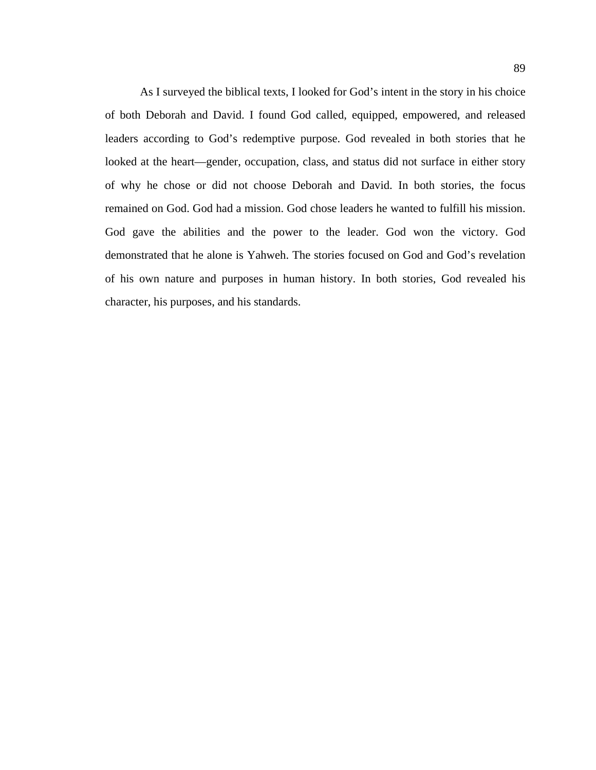As I surveyed the biblical texts, I looked for God's intent in the story in his choice of both Deborah and David. I found God called, equipped, empowered, and released leaders according to God's redemptive purpose. God revealed in both stories that he looked at the heart—gender, occupation, class, and status did not surface in either story of why he chose or did not choose Deborah and David. In both stories, the focus remained on God. God had a mission. God chose leaders he wanted to fulfill his mission. God gave the abilities and the power to the leader. God won the victory. God demonstrated that he alone is Yahweh. The stories focused on God and God's revelation of his own nature and purposes in human history. In both stories, God revealed his character, his purposes, and his standards.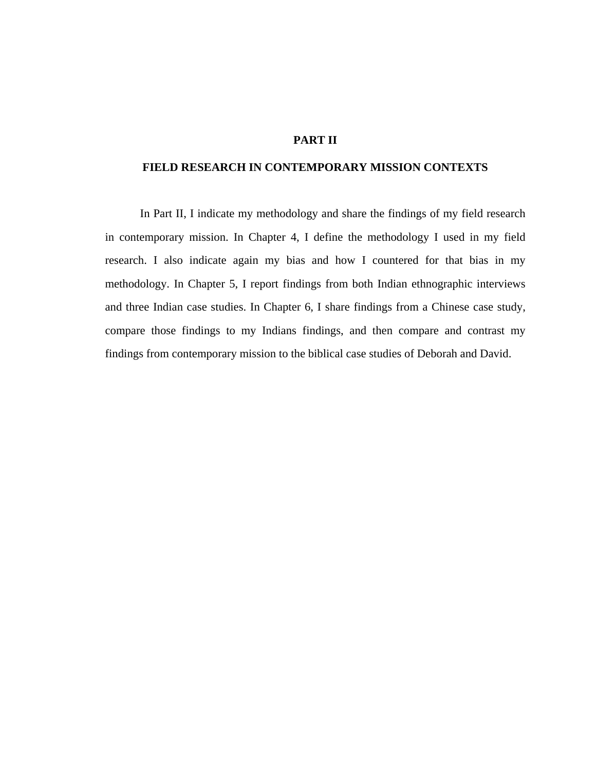# **PART II**

## **FIELD RESEARCH IN CONTEMPORARY MISSION CONTEXTS**

In Part II, I indicate my methodology and share the findings of my field research in contemporary mission. In Chapter 4, I define the methodology I used in my field research. I also indicate again my bias and how I countered for that bias in my methodology. In Chapter 5, I report findings from both Indian ethnographic interviews and three Indian case studies. In Chapter 6, I share findings from a Chinese case study, compare those findings to my Indians findings, and then compare and contrast my findings from contemporary mission to the biblical case studies of Deborah and David.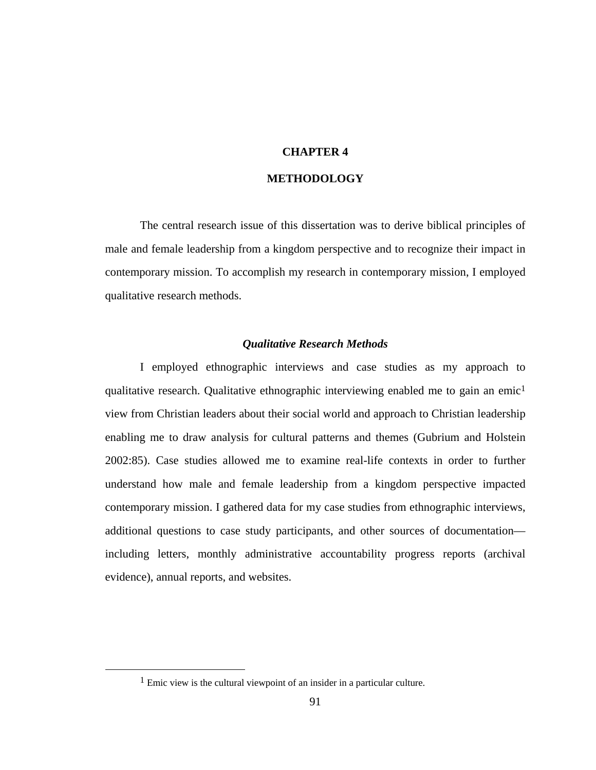# **CHAPTER 4**

# **METHODOLOGY**

The central research issue of this dissertation was to derive biblical principles of male and female leadership from a kingdom perspective and to recognize their impact in contemporary mission. To accomplish my research in contemporary mission, I employed qualitative research methods.

## *Qualitative Research Methods*

I employed ethnographic interviews and case studies as my approach to qualitative research. Qualitative ethnographic interviewing enabled me to gain an emic<sup>1</sup> view from Christian leaders about their social world and approach to Christian leadership enabling me to draw analysis for cultural patterns and themes (Gubrium and Holstein 2002:85). Case studies allowed me to examine real-life contexts in order to further understand how male and female leadership from a kingdom perspective impacted contemporary mission. I gathered data for my case studies from ethnographic interviews, additional questions to case study participants, and other sources of documentation including letters, monthly administrative accountability progress reports (archival evidence), annual reports, and websites.

 <sup>1</sup> Emic view is the cultural viewpoint of an insider in a particular culture.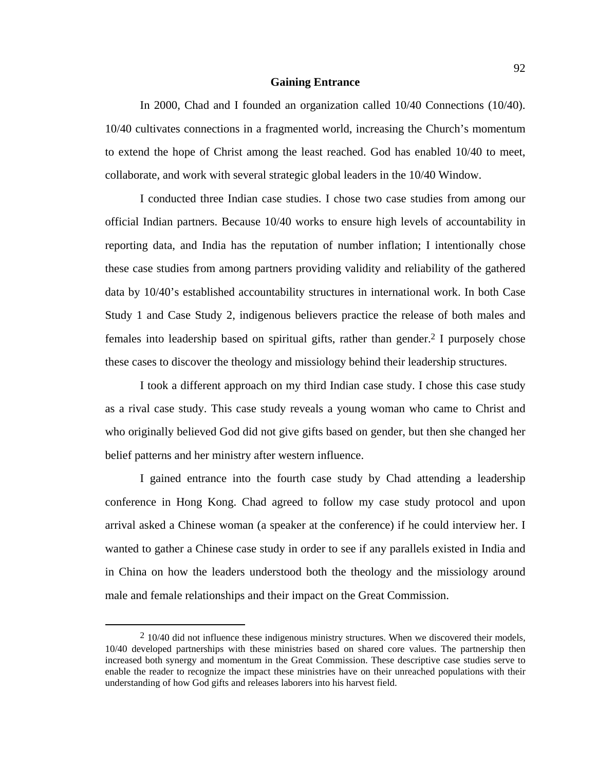#### **Gaining Entrance**

In 2000, Chad and I founded an organization called 10/40 Connections (10/40). 10/40 cultivates connections in a fragmented world, increasing the Church's momentum to extend the hope of Christ among the least reached. God has enabled 10/40 to meet, collaborate, and work with several strategic global leaders in the 10/40 Window.

I conducted three Indian case studies. I chose two case studies from among our official Indian partners. Because 10/40 works to ensure high levels of accountability in reporting data, and India has the reputation of number inflation; I intentionally chose these case studies from among partners providing validity and reliability of the gathered data by 10/40's established accountability structures in international work. In both Case Study 1 and Case Study 2, indigenous believers practice the release of both males and females into leadership based on spiritual gifts, rather than gender.2 I purposely chose these cases to discover the theology and missiology behind their leadership structures.

I took a different approach on my third Indian case study. I chose this case study as a rival case study. This case study reveals a young woman who came to Christ and who originally believed God did not give gifts based on gender, but then she changed her belief patterns and her ministry after western influence.

I gained entrance into the fourth case study by Chad attending a leadership conference in Hong Kong. Chad agreed to follow my case study protocol and upon arrival asked a Chinese woman (a speaker at the conference) if he could interview her. I wanted to gather a Chinese case study in order to see if any parallels existed in India and in China on how the leaders understood both the theology and the missiology around male and female relationships and their impact on the Great Commission.

 $2 \frac{10}{40}$  did not influence these indigenous ministry structures. When we discovered their models, 10/40 developed partnerships with these ministries based on shared core values. The partnership then increased both synergy and momentum in the Great Commission. These descriptive case studies serve to enable the reader to recognize the impact these ministries have on their unreached populations with their understanding of how God gifts and releases laborers into his harvest field.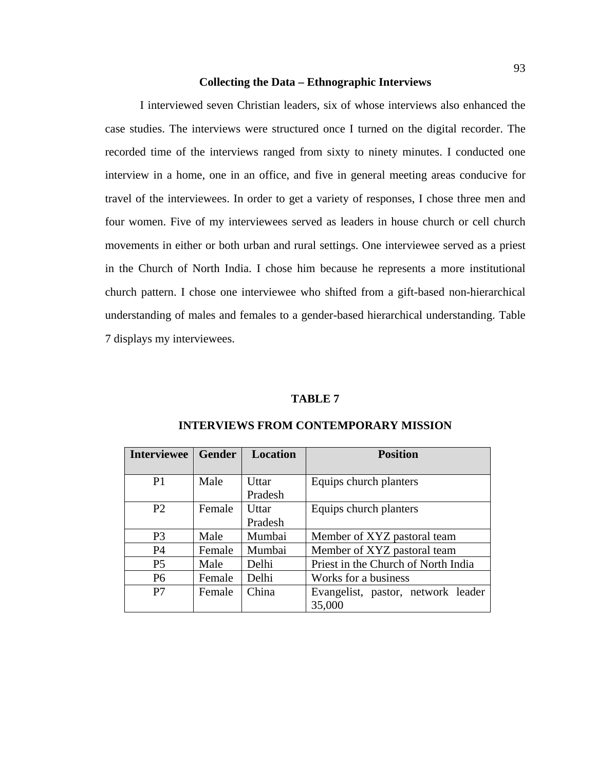#### **Collecting the Data – Ethnographic Interviews**

I interviewed seven Christian leaders, six of whose interviews also enhanced the case studies. The interviews were structured once I turned on the digital recorder. The recorded time of the interviews ranged from sixty to ninety minutes. I conducted one interview in a home, one in an office, and five in general meeting areas conducive for travel of the interviewees. In order to get a variety of responses, I chose three men and four women. Five of my interviewees served as leaders in house church or cell church movements in either or both urban and rural settings. One interviewee served as a priest in the Church of North India. I chose him because he represents a more institutional church pattern. I chose one interviewee who shifted from a gift-based non-hierarchical understanding of males and females to a gender-based hierarchical understanding. Table 7 displays my interviewees.

#### **TABLE 7**

| <b>Interviewee</b> | <b>Gender</b> | <b>Location</b> | <b>Position</b>                     |  |
|--------------------|---------------|-----------------|-------------------------------------|--|
| P <sub>1</sub>     | Male          | <b>U</b> ttar   | Equips church planters              |  |
|                    |               | Pradesh         |                                     |  |
| P <sub>2</sub>     | Female        | <b>U</b> ttar   | Equips church planters              |  |
|                    |               | Pradesh         |                                     |  |
| P <sub>3</sub>     | Male          | Mumbai          | Member of XYZ pastoral team         |  |
| <b>P4</b>          | Female        | Mumbai          | Member of XYZ pastoral team         |  |
| P <sub>5</sub>     | Male          | Delhi           | Priest in the Church of North India |  |
| P <sub>6</sub>     | Female        | Delhi           | Works for a business                |  |
| P7                 | Female        | China           | Evangelist, pastor, network leader  |  |
|                    |               |                 | 35,000                              |  |

#### **INTERVIEWS FROM CONTEMPORARY MISSION**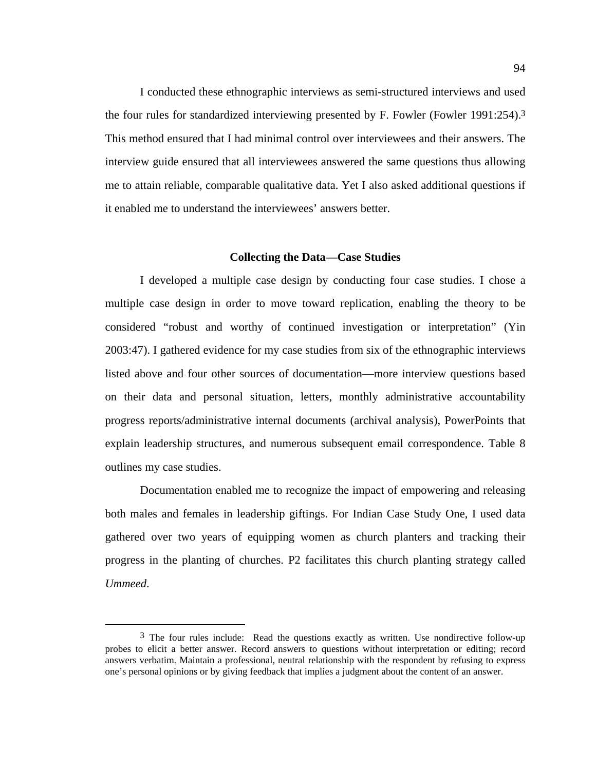I conducted these ethnographic interviews as semi-structured interviews and used the four rules for standardized interviewing presented by F. Fowler (Fowler 1991:254).3 This method ensured that I had minimal control over interviewees and their answers. The interview guide ensured that all interviewees answered the same questions thus allowing me to attain reliable, comparable qualitative data. Yet I also asked additional questions if it enabled me to understand the interviewees' answers better.

#### **Collecting the Data—Case Studies**

I developed a multiple case design by conducting four case studies. I chose a multiple case design in order to move toward replication, enabling the theory to be considered "robust and worthy of continued investigation or interpretation" (Yin 2003:47). I gathered evidence for my case studies from six of the ethnographic interviews listed above and four other sources of documentation—more interview questions based on their data and personal situation, letters, monthly administrative accountability progress reports/administrative internal documents (archival analysis), PowerPoints that explain leadership structures, and numerous subsequent email correspondence. Table 8 outlines my case studies.

Documentation enabled me to recognize the impact of empowering and releasing both males and females in leadership giftings. For Indian Case Study One, I used data gathered over two years of equipping women as church planters and tracking their progress in the planting of churches. P2 facilitates this church planting strategy called *Ummeed*.

 $3$  The four rules include: Read the questions exactly as written. Use nondirective follow-up probes to elicit a better answer. Record answers to questions without interpretation or editing; record answers verbatim. Maintain a professional, neutral relationship with the respondent by refusing to express one's personal opinions or by giving feedback that implies a judgment about the content of an answer.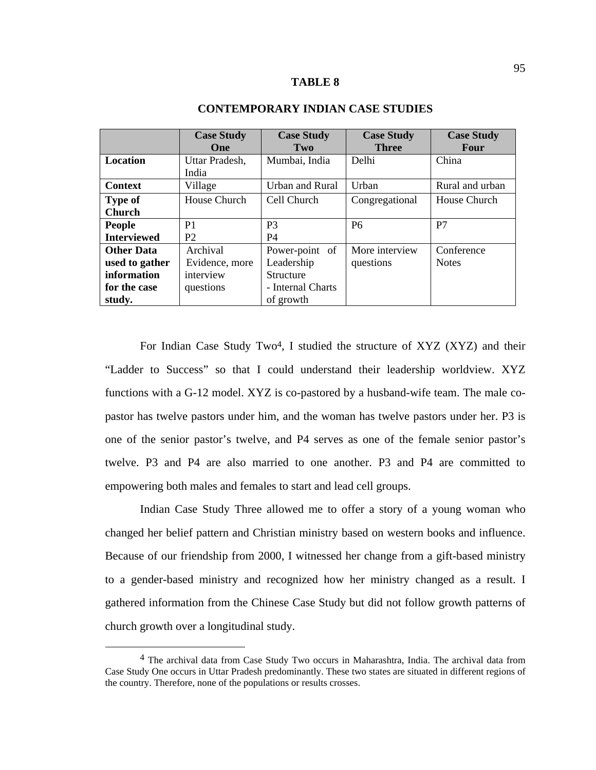#### **TABLE 8**

|                    | <b>Case Study</b> | <b>Case Study</b> | <b>Case Study</b> | <b>Case Study</b> |
|--------------------|-------------------|-------------------|-------------------|-------------------|
|                    | <b>One</b>        | Two               | <b>Three</b>      | Four              |
| <b>Location</b>    | Uttar Pradesh,    | Mumbai, India     | Delhi             | China             |
|                    | India             |                   |                   |                   |
| <b>Context</b>     | Village           | Urban and Rural   | Urban             | Rural and urban   |
| <b>Type of</b>     | House Church      | Cell Church       | Congregational    | House Church      |
| <b>Church</b>      |                   |                   |                   |                   |
| <b>People</b>      | P <sub>1</sub>    | P <sub>3</sub>    | P <sub>6</sub>    | P7                |
| <b>Interviewed</b> | P <sub>2</sub>    | <b>P4</b>         |                   |                   |
| <b>Other Data</b>  | Archival          | Power-point of    | More interview    | Conference        |
| used to gather     | Evidence, more    | Leadership        | questions         | <b>Notes</b>      |
| information        | interview         | <b>Structure</b>  |                   |                   |
| for the case       | questions         | - Internal Charts |                   |                   |
| study.             |                   | of growth         |                   |                   |

# **CONTEMPORARY INDIAN CASE STUDIES**

For Indian Case Study Two<sup>4</sup>, I studied the structure of XYZ (XYZ) and their "Ladder to Success" so that I could understand their leadership worldview. XYZ functions with a G-12 model. XYZ is co-pastored by a husband-wife team. The male copastor has twelve pastors under him, and the woman has twelve pastors under her. P3 is one of the senior pastor's twelve, and P4 serves as one of the female senior pastor's twelve. P3 and P4 are also married to one another. P3 and P4 are committed to empowering both males and females to start and lead cell groups.

 Indian Case Study Three allowed me to offer a story of a young woman who changed her belief pattern and Christian ministry based on western books and influence. Because of our friendship from 2000, I witnessed her change from a gift-based ministry to a gender-based ministry and recognized how her ministry changed as a result. I gathered information from the Chinese Case Study but did not follow growth patterns of church growth over a longitudinal study.

 <sup>4</sup> The archival data from Case Study Two occurs in Maharashtra, India. The archival data from Case Study One occurs in Uttar Pradesh predominantly. These two states are situated in different regions of the country. Therefore, none of the populations or results crosses.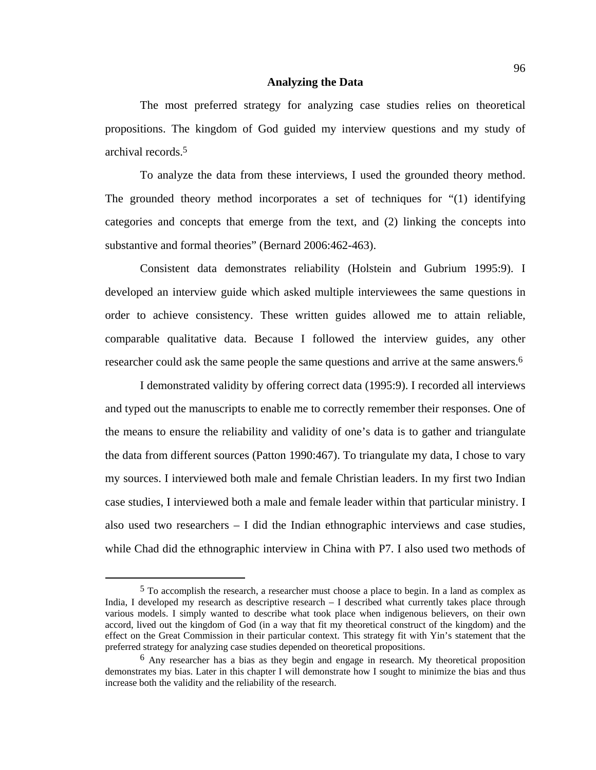#### **Analyzing the Data**

The most preferred strategy for analyzing case studies relies on theoretical propositions. The kingdom of God guided my interview questions and my study of archival records.5

To analyze the data from these interviews, I used the grounded theory method. The grounded theory method incorporates a set of techniques for "(1) identifying categories and concepts that emerge from the text, and (2) linking the concepts into substantive and formal theories" (Bernard 2006:462-463).

Consistent data demonstrates reliability (Holstein and Gubrium 1995:9). I developed an interview guide which asked multiple interviewees the same questions in order to achieve consistency. These written guides allowed me to attain reliable, comparable qualitative data. Because I followed the interview guides, any other researcher could ask the same people the same questions and arrive at the same answers.6

I demonstrated validity by offering correct data (1995:9). I recorded all interviews and typed out the manuscripts to enable me to correctly remember their responses. One of the means to ensure the reliability and validity of one's data is to gather and triangulate the data from different sources (Patton 1990:467). To triangulate my data, I chose to vary my sources. I interviewed both male and female Christian leaders. In my first two Indian case studies, I interviewed both a male and female leader within that particular ministry. I also used two researchers  $-1$  did the Indian ethnographic interviews and case studies, while Chad did the ethnographic interview in China with P7. I also used two methods of

 <sup>5</sup> To accomplish the research, a researcher must choose a place to begin. In a land as complex as India, I developed my research as descriptive research – I described what currently takes place through various models. I simply wanted to describe what took place when indigenous believers, on their own accord, lived out the kingdom of God (in a way that fit my theoretical construct of the kingdom) and the effect on the Great Commission in their particular context. This strategy fit with Yin's statement that the preferred strategy for analyzing case studies depended on theoretical propositions.

<sup>6</sup> Any researcher has a bias as they begin and engage in research. My theoretical proposition demonstrates my bias. Later in this chapter I will demonstrate how I sought to minimize the bias and thus increase both the validity and the reliability of the research.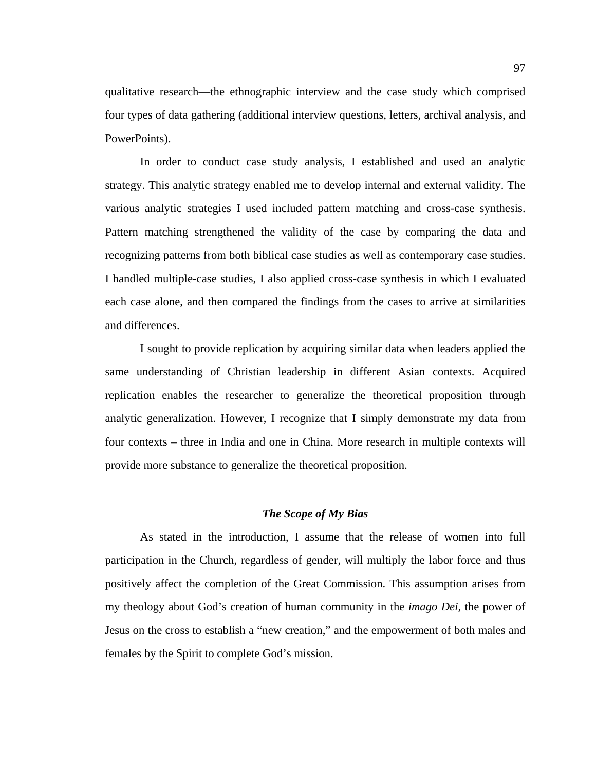qualitative research—the ethnographic interview and the case study which comprised four types of data gathering (additional interview questions, letters, archival analysis, and PowerPoints).

In order to conduct case study analysis, I established and used an analytic strategy. This analytic strategy enabled me to develop internal and external validity. The various analytic strategies I used included pattern matching and cross-case synthesis. Pattern matching strengthened the validity of the case by comparing the data and recognizing patterns from both biblical case studies as well as contemporary case studies. I handled multiple-case studies, I also applied cross-case synthesis in which I evaluated each case alone, and then compared the findings from the cases to arrive at similarities and differences.

I sought to provide replication by acquiring similar data when leaders applied the same understanding of Christian leadership in different Asian contexts. Acquired replication enables the researcher to generalize the theoretical proposition through analytic generalization. However, I recognize that I simply demonstrate my data from four contexts – three in India and one in China. More research in multiple contexts will provide more substance to generalize the theoretical proposition.

#### *The Scope of My Bias*

As stated in the introduction, I assume that the release of women into full participation in the Church, regardless of gender, will multiply the labor force and thus positively affect the completion of the Great Commission. This assumption arises from my theology about God's creation of human community in the *imago Dei,* the power of Jesus on the cross to establish a "new creation," and the empowerment of both males and females by the Spirit to complete God's mission.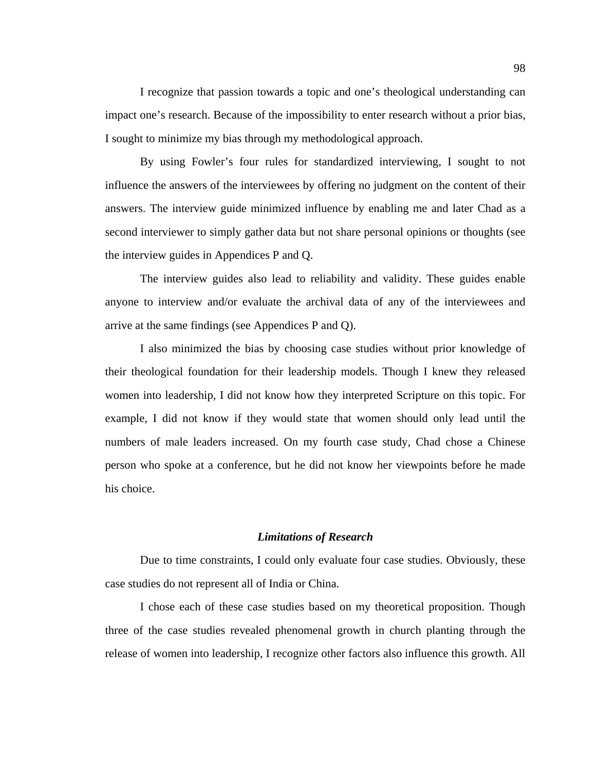I recognize that passion towards a topic and one's theological understanding can impact one's research. Because of the impossibility to enter research without a prior bias, I sought to minimize my bias through my methodological approach.

By using Fowler's four rules for standardized interviewing, I sought to not influence the answers of the interviewees by offering no judgment on the content of their answers. The interview guide minimized influence by enabling me and later Chad as a second interviewer to simply gather data but not share personal opinions or thoughts (see the interview guides in Appendices P and Q.

The interview guides also lead to reliability and validity. These guides enable anyone to interview and/or evaluate the archival data of any of the interviewees and arrive at the same findings (see Appendices P and Q).

I also minimized the bias by choosing case studies without prior knowledge of their theological foundation for their leadership models. Though I knew they released women into leadership, I did not know how they interpreted Scripture on this topic. For example, I did not know if they would state that women should only lead until the numbers of male leaders increased. On my fourth case study, Chad chose a Chinese person who spoke at a conference, but he did not know her viewpoints before he made his choice.

#### *Limitations of Research*

Due to time constraints, I could only evaluate four case studies. Obviously, these case studies do not represent all of India or China.

I chose each of these case studies based on my theoretical proposition. Though three of the case studies revealed phenomenal growth in church planting through the release of women into leadership, I recognize other factors also influence this growth. All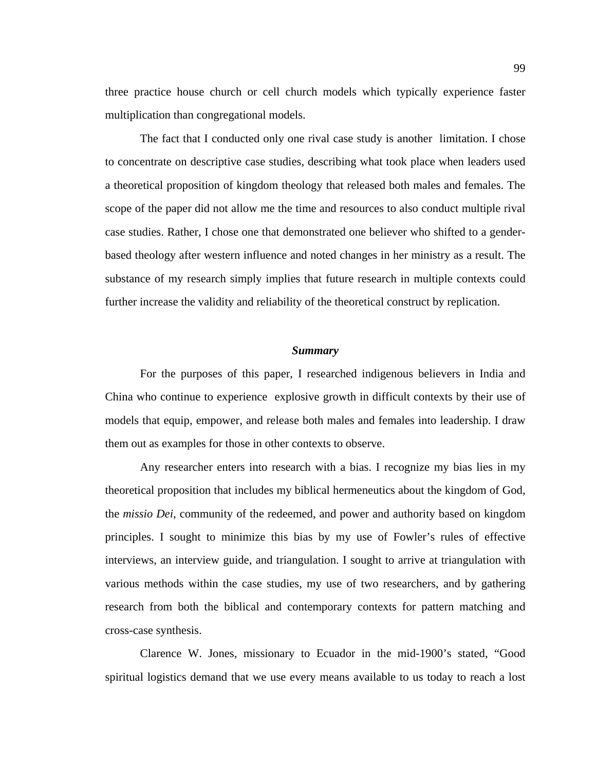three practice house church or cell church models which typically experience faster multiplication than congregational models.

The fact that I conducted only one rival case study is another limitation. I chose to concentrate on descriptive case studies, describing what took place when leaders used a theoretical proposition of kingdom theology that released both males and females. The scope of the paper did not allow me the time and resources to also conduct multiple rival case studies. Rather, I chose one that demonstrated one believer who shifted to a genderbased theology after western influence and noted changes in her ministry as a result. The substance of my research simply implies that future research in multiple contexts could further increase the validity and reliability of the theoretical construct by replication.

#### *Summary*

For the purposes of this paper, I researched indigenous believers in India and China who continue to experience explosive growth in difficult contexts by their use of models that equip, empower, and release both males and females into leadership. I draw them out as examples for those in other contexts to observe.

Any researcher enters into research with a bias. I recognize my bias lies in my theoretical proposition that includes my biblical hermeneutics about the kingdom of God, the *missio Dei*, community of the redeemed, and power and authority based on kingdom principles. I sought to minimize this bias by my use of Fowler's rules of effective interviews, an interview guide, and triangulation. I sought to arrive at triangulation with various methods within the case studies, my use of two researchers, and by gathering research from both the biblical and contemporary contexts for pattern matching and cross-case synthesis.

Clarence W. Jones, missionary to Ecuador in the mid-1900's stated, "Good spiritual logistics demand that we use every means available to us today to reach a lost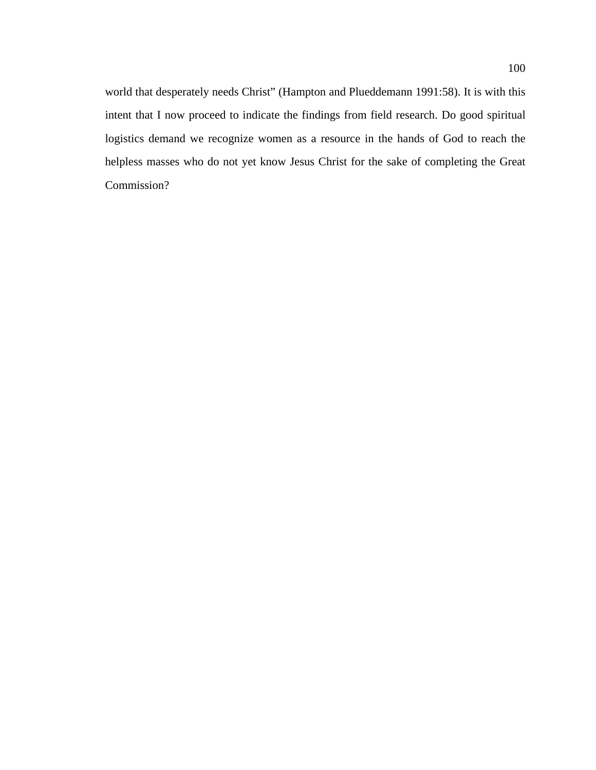world that desperately needs Christ" (Hampton and Plueddemann 1991:58). It is with this intent that I now proceed to indicate the findings from field research. Do good spiritual logistics demand we recognize women as a resource in the hands of God to reach the helpless masses who do not yet know Jesus Christ for the sake of completing the Great Commission?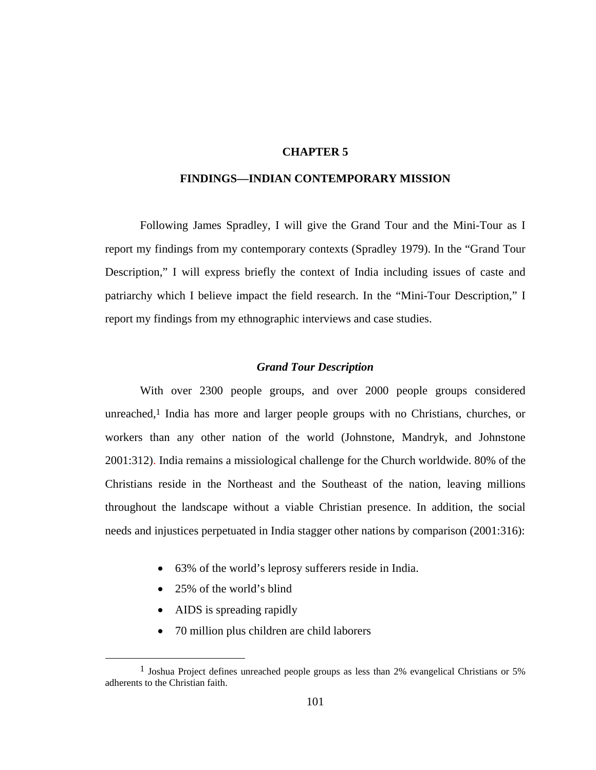# **CHAPTER 5**

# **FINDINGS—INDIAN CONTEMPORARY MISSION**

Following James Spradley, I will give the Grand Tour and the Mini-Tour as I report my findings from my contemporary contexts (Spradley 1979). In the "Grand Tour Description," I will express briefly the context of India including issues of caste and patriarchy which I believe impact the field research. In the "Mini-Tour Description," I report my findings from my ethnographic interviews and case studies.

#### *Grand Tour Description*

With over 2300 people groups, and over 2000 people groups considered unreached,<sup>1</sup> India has more and larger people groups with no Christians, churches, or workers than any other nation of the world (Johnstone, Mandryk, and Johnstone 2001:312). India remains a missiological challenge for the Church worldwide. 80% of the Christians reside in the Northeast and the Southeast of the nation, leaving millions throughout the landscape without a viable Christian presence. In addition, the social needs and injustices perpetuated in India stagger other nations by comparison (2001:316):

- 63% of the world's leprosy sufferers reside in India.
- 25% of the world's blind
- AIDS is spreading rapidly
- 70 million plus children are child laborers

<sup>&</sup>lt;sup>1</sup> Joshua Project defines unreached people groups as less than 2% evangelical Christians or 5% adherents to the Christian faith.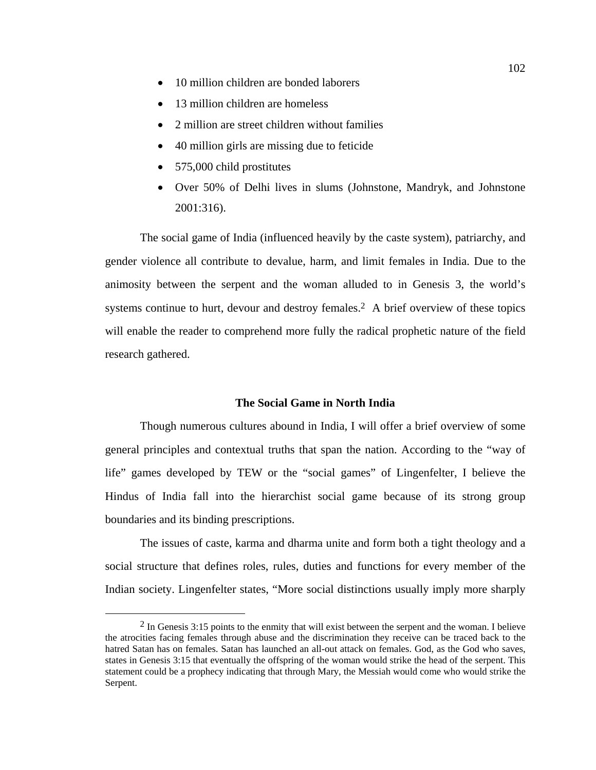- 10 million children are bonded laborers
- 13 million children are homeless
- 2 million are street children without families
- 40 million girls are missing due to feticide
- 575,000 child prostitutes
- Over 50% of Delhi lives in slums (Johnstone, Mandryk, and Johnstone 2001:316).

The social game of India (influenced heavily by the caste system), patriarchy, and gender violence all contribute to devalue, harm, and limit females in India. Due to the animosity between the serpent and the woman alluded to in Genesis 3, the world's systems continue to hurt, devour and destroy females.<sup>2</sup> A brief overview of these topics will enable the reader to comprehend more fully the radical prophetic nature of the field research gathered.

#### **The Social Game in North India**

Though numerous cultures abound in India, I will offer a brief overview of some general principles and contextual truths that span the nation. According to the "way of life" games developed by TEW or the "social games" of Lingenfelter, I believe the Hindus of India fall into the hierarchist social game because of its strong group boundaries and its binding prescriptions.

The issues of caste, karma and dharma unite and form both a tight theology and a social structure that defines roles, rules, duties and functions for every member of the Indian society. Lingenfelter states, "More social distinctions usually imply more sharply

<sup>&</sup>lt;sup>2</sup> In Genesis 3:15 points to the enmity that will exist between the serpent and the woman. I believe the atrocities facing females through abuse and the discrimination they receive can be traced back to the hatred Satan has on females. Satan has launched an all-out attack on females. God, as the God who saves, states in Genesis 3:15 that eventually the offspring of the woman would strike the head of the serpent. This statement could be a prophecy indicating that through Mary, the Messiah would come who would strike the Serpent.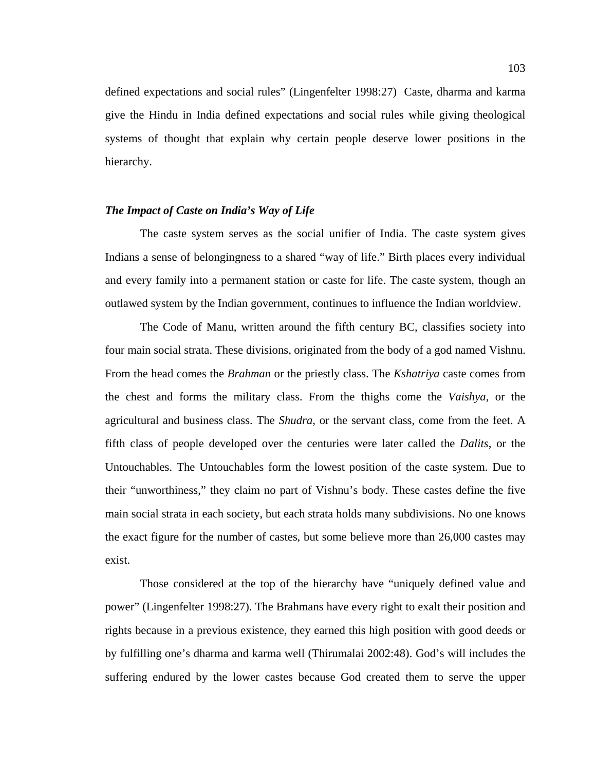defined expectations and social rules" (Lingenfelter 1998:27) Caste, dharma and karma give the Hindu in India defined expectations and social rules while giving theological systems of thought that explain why certain people deserve lower positions in the hierarchy.

### *The Impact of Caste on India's Way of Life*

The caste system serves as the social unifier of India. The caste system gives Indians a sense of belongingness to a shared "way of life." Birth places every individual and every family into a permanent station or caste for life. The caste system, though an outlawed system by the Indian government, continues to influence the Indian worldview.

The Code of Manu, written around the fifth century BC, classifies society into four main social strata. These divisions, originated from the body of a god named Vishnu. From the head comes the *Brahman* or the priestly class. The *Kshatriya* caste comes from the chest and forms the military class. From the thighs come the *Vaishya*, or the agricultural and business class. The *Shudra*, or the servant class, come from the feet. A fifth class of people developed over the centuries were later called the *Dalits*, or the Untouchables. The Untouchables form the lowest position of the caste system. Due to their "unworthiness," they claim no part of Vishnu's body. These castes define the five main social strata in each society, but each strata holds many subdivisions. No one knows the exact figure for the number of castes, but some believe more than 26,000 castes may exist.

Those considered at the top of the hierarchy have "uniquely defined value and power" (Lingenfelter 1998:27). The Brahmans have every right to exalt their position and rights because in a previous existence, they earned this high position with good deeds or by fulfilling one's dharma and karma well (Thirumalai 2002:48). God's will includes the suffering endured by the lower castes because God created them to serve the upper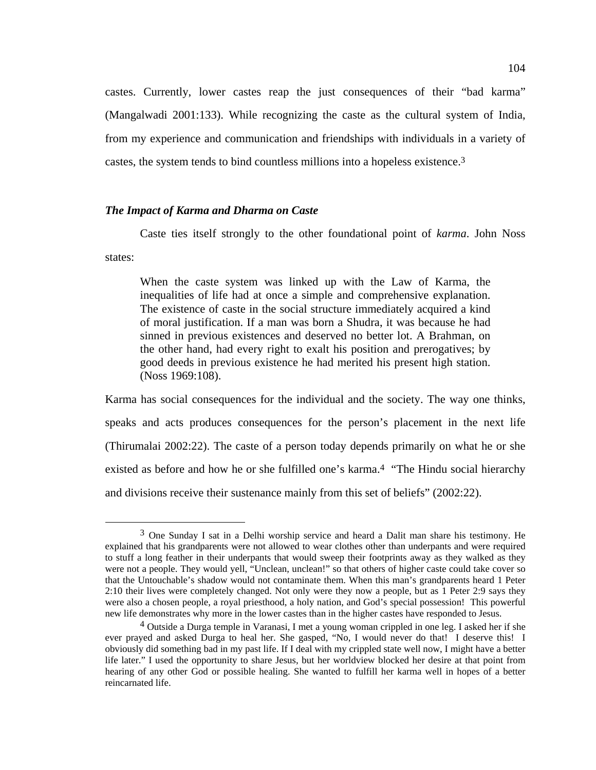castes. Currently, lower castes reap the just consequences of their "bad karma" (Mangalwadi 2001:133). While recognizing the caste as the cultural system of India, from my experience and communication and friendships with individuals in a variety of castes, the system tends to bind countless millions into a hopeless existence.3

### *The Impact of Karma and Dharma on Caste*

Caste ties itself strongly to the other foundational point of *karma*. John Noss states:

When the caste system was linked up with the Law of Karma, the inequalities of life had at once a simple and comprehensive explanation. The existence of caste in the social structure immediately acquired a kind of moral justification. If a man was born a Shudra, it was because he had sinned in previous existences and deserved no better lot. A Brahman, on the other hand, had every right to exalt his position and prerogatives; by good deeds in previous existence he had merited his present high station. (Noss 1969:108).

Karma has social consequences for the individual and the society. The way one thinks, speaks and acts produces consequences for the person's placement in the next life (Thirumalai 2002:22). The caste of a person today depends primarily on what he or she existed as before and how he or she fulfilled one's karma.<sup>4</sup> "The Hindu social hierarchy and divisions receive their sustenance mainly from this set of beliefs" (2002:22).

 <sup>3</sup> One Sunday I sat in a Delhi worship service and heard a Dalit man share his testimony. He explained that his grandparents were not allowed to wear clothes other than underpants and were required to stuff a long feather in their underpants that would sweep their footprints away as they walked as they were not a people. They would yell, "Unclean, unclean!" so that others of higher caste could take cover so that the Untouchable's shadow would not contaminate them. When this man's grandparents heard 1 Peter 2:10 their lives were completely changed. Not only were they now a people, but as 1 Peter 2:9 says they were also a chosen people, a royal priesthood, a holy nation, and God's special possession! This powerful new life demonstrates why more in the lower castes than in the higher castes have responded to Jesus.

<sup>4</sup> Outside a Durga temple in Varanasi, I met a young woman crippled in one leg. I asked her if she ever prayed and asked Durga to heal her. She gasped, "No, I would never do that! I deserve this! I obviously did something bad in my past life. If I deal with my crippled state well now, I might have a better life later." I used the opportunity to share Jesus, but her worldview blocked her desire at that point from hearing of any other God or possible healing. She wanted to fulfill her karma well in hopes of a better reincarnated life.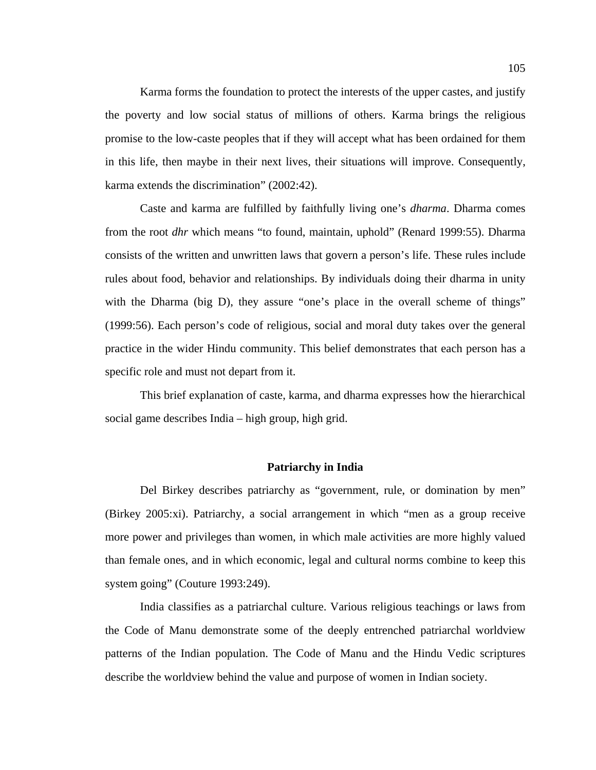Karma forms the foundation to protect the interests of the upper castes, and justify the poverty and low social status of millions of others. Karma brings the religious promise to the low-caste peoples that if they will accept what has been ordained for them in this life, then maybe in their next lives, their situations will improve. Consequently, karma extends the discrimination" (2002:42).

Caste and karma are fulfilled by faithfully living one's *dharma*. Dharma comes from the root *dhr* which means "to found, maintain, uphold" (Renard 1999:55). Dharma consists of the written and unwritten laws that govern a person's life. These rules include rules about food, behavior and relationships. By individuals doing their dharma in unity with the Dharma (big D), they assure "one's place in the overall scheme of things" (1999:56). Each person's code of religious, social and moral duty takes over the general practice in the wider Hindu community. This belief demonstrates that each person has a specific role and must not depart from it.

This brief explanation of caste, karma, and dharma expresses how the hierarchical social game describes India – high group, high grid.

#### **Patriarchy in India**

Del Birkey describes patriarchy as "government, rule, or domination by men" (Birkey 2005:xi). Patriarchy, a social arrangement in which "men as a group receive more power and privileges than women, in which male activities are more highly valued than female ones, and in which economic, legal and cultural norms combine to keep this system going" (Couture 1993:249).

India classifies as a patriarchal culture. Various religious teachings or laws from the Code of Manu demonstrate some of the deeply entrenched patriarchal worldview patterns of the Indian population. The Code of Manu and the Hindu Vedic scriptures describe the worldview behind the value and purpose of women in Indian society.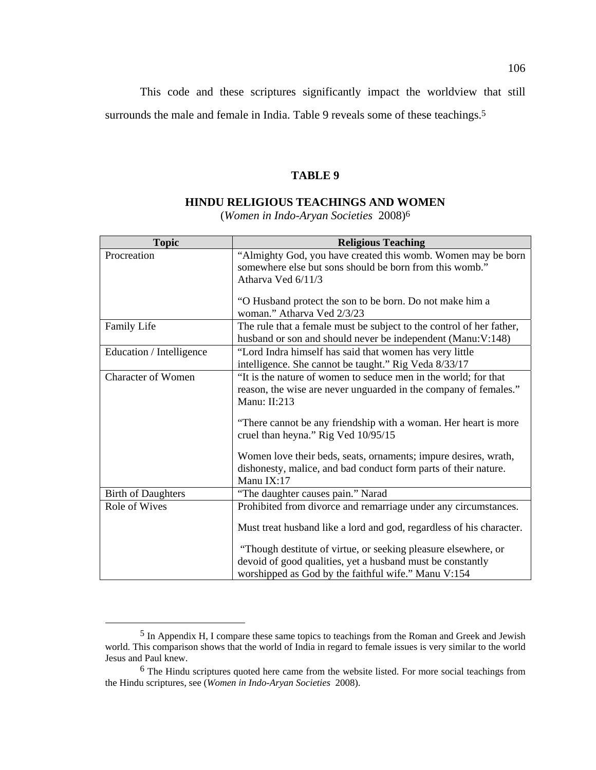This code and these scriptures significantly impact the worldview that still surrounds the male and female in India. Table 9 reveals some of these teachings.<sup>5</sup>

#### **TABLE 9**

## **HINDU RELIGIOUS TEACHINGS AND WOMEN**

(*Women in Indo-Aryan Societies* 2008)6

| <b>Topic</b>              | <b>Religious Teaching</b>                                                                                        |  |  |  |
|---------------------------|------------------------------------------------------------------------------------------------------------------|--|--|--|
| Procreation               | "Almighty God, you have created this womb. Women may be born                                                     |  |  |  |
|                           | somewhere else but sons should be born from this womb."                                                          |  |  |  |
|                           | Atharya Ved 6/11/3                                                                                               |  |  |  |
|                           | "O Husband protect the son to be born. Do not make him a<br>woman." Atharva Ved 2/3/23                           |  |  |  |
| Family Life               | The rule that a female must be subject to the control of her father,                                             |  |  |  |
|                           | husband or son and should never be independent (Manu:V:148)                                                      |  |  |  |
| Education / Intelligence  | "Lord Indra himself has said that women has very little<br>intelligence. She cannot be taught." Rig Veda 8/33/17 |  |  |  |
| <b>Character of Women</b> | "It is the nature of women to seduce men in the world; for that                                                  |  |  |  |
|                           | reason, the wise are never unguarded in the company of females."                                                 |  |  |  |
|                           | Manu: II:213                                                                                                     |  |  |  |
|                           | "There cannot be any friendship with a woman. Her heart is more<br>cruel than heyna." Rig Ved 10/95/15           |  |  |  |
|                           | Women love their beds, seats, ornaments; impure desires, wrath,                                                  |  |  |  |
|                           | dishonesty, malice, and bad conduct form parts of their nature.                                                  |  |  |  |
|                           | Manu IX:17                                                                                                       |  |  |  |
| <b>Birth of Daughters</b> | "The daughter causes pain." Narad                                                                                |  |  |  |
| Role of Wives             | Prohibited from divorce and remarriage under any circumstances.                                                  |  |  |  |
|                           | Must treat husband like a lord and god, regardless of his character.                                             |  |  |  |
|                           | "Though destitute of virtue, or seeking pleasure elsewhere, or                                                   |  |  |  |
|                           | devoid of good qualities, yet a husband must be constantly                                                       |  |  |  |
|                           | worshipped as God by the faithful wife." Manu V:154                                                              |  |  |  |

 <sup>5</sup> In Appendix H, I compare these same topics to teachings from the Roman and Greek and Jewish world. This comparison shows that the world of India in regard to female issues is very similar to the world Jesus and Paul knew.

<sup>6</sup> The Hindu scriptures quoted here came from the website listed. For more social teachings from the Hindu scriptures, see (*Women in Indo-Aryan Societies* 2008).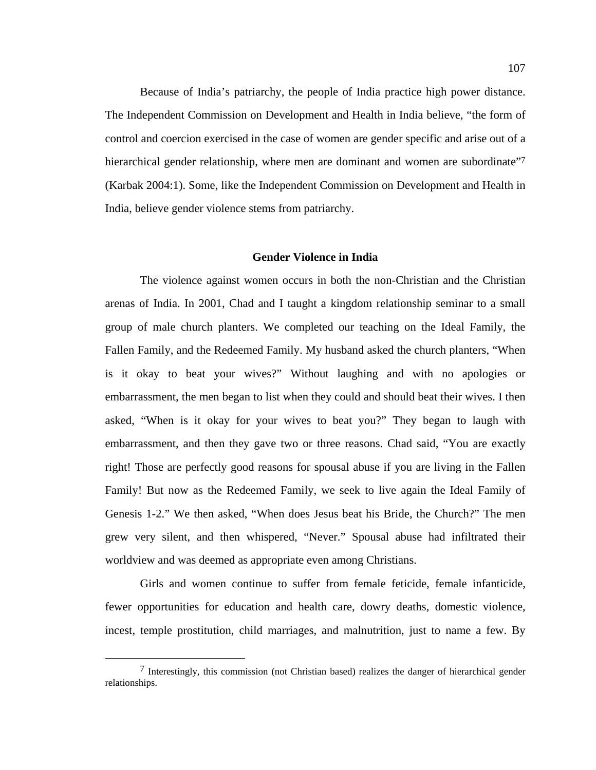Because of India's patriarchy, the people of India practice high power distance. The Independent Commission on Development and Health in India believe, "the form of control and coercion exercised in the case of women are gender specific and arise out of a hierarchical gender relationship, where men are dominant and women are subordinate" (Karbak 2004:1). Some, like the Independent Commission on Development and Health in India, believe gender violence stems from patriarchy.

#### **Gender Violence in India**

The violence against women occurs in both the non-Christian and the Christian arenas of India. In 2001, Chad and I taught a kingdom relationship seminar to a small group of male church planters. We completed our teaching on the Ideal Family, the Fallen Family, and the Redeemed Family. My husband asked the church planters, "When is it okay to beat your wives?" Without laughing and with no apologies or embarrassment, the men began to list when they could and should beat their wives. I then asked, "When is it okay for your wives to beat you?" They began to laugh with embarrassment, and then they gave two or three reasons. Chad said, "You are exactly right! Those are perfectly good reasons for spousal abuse if you are living in the Fallen Family! But now as the Redeemed Family, we seek to live again the Ideal Family of Genesis 1-2." We then asked, "When does Jesus beat his Bride, the Church?" The men grew very silent, and then whispered, "Never." Spousal abuse had infiltrated their worldview and was deemed as appropriate even among Christians.

Girls and women continue to suffer from female feticide, female infanticide, fewer opportunities for education and health care, dowry deaths, domestic violence, incest, temple prostitution, child marriages, and malnutrition, just to name a few. By

 $<sup>7</sup>$  Interestingly, this commission (not Christian based) realizes the danger of hierarchical gender</sup> relationships.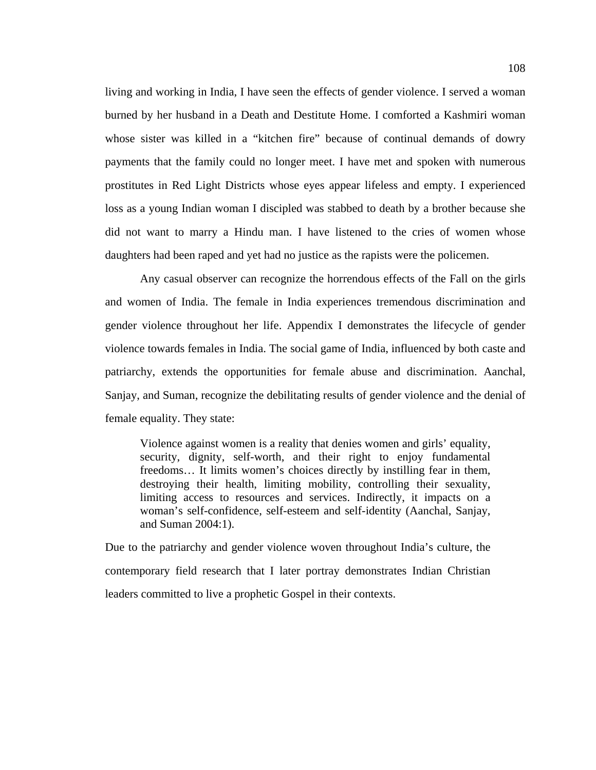living and working in India, I have seen the effects of gender violence. I served a woman burned by her husband in a Death and Destitute Home. I comforted a Kashmiri woman whose sister was killed in a "kitchen fire" because of continual demands of dowry payments that the family could no longer meet. I have met and spoken with numerous prostitutes in Red Light Districts whose eyes appear lifeless and empty. I experienced loss as a young Indian woman I discipled was stabbed to death by a brother because she did not want to marry a Hindu man. I have listened to the cries of women whose daughters had been raped and yet had no justice as the rapists were the policemen.

Any casual observer can recognize the horrendous effects of the Fall on the girls and women of India. The female in India experiences tremendous discrimination and gender violence throughout her life. Appendix I demonstrates the lifecycle of gender violence towards females in India. The social game of India, influenced by both caste and patriarchy, extends the opportunities for female abuse and discrimination. Aanchal, Sanjay, and Suman, recognize the debilitating results of gender violence and the denial of female equality. They state:

Violence against women is a reality that denies women and girls' equality, security, dignity, self-worth, and their right to enjoy fundamental freedoms… It limits women's choices directly by instilling fear in them, destroying their health, limiting mobility, controlling their sexuality, limiting access to resources and services. Indirectly, it impacts on a woman's self-confidence, self-esteem and self-identity (Aanchal, Sanjay, and Suman 2004:1).

Due to the patriarchy and gender violence woven throughout India's culture, the contemporary field research that I later portray demonstrates Indian Christian leaders committed to live a prophetic Gospel in their contexts.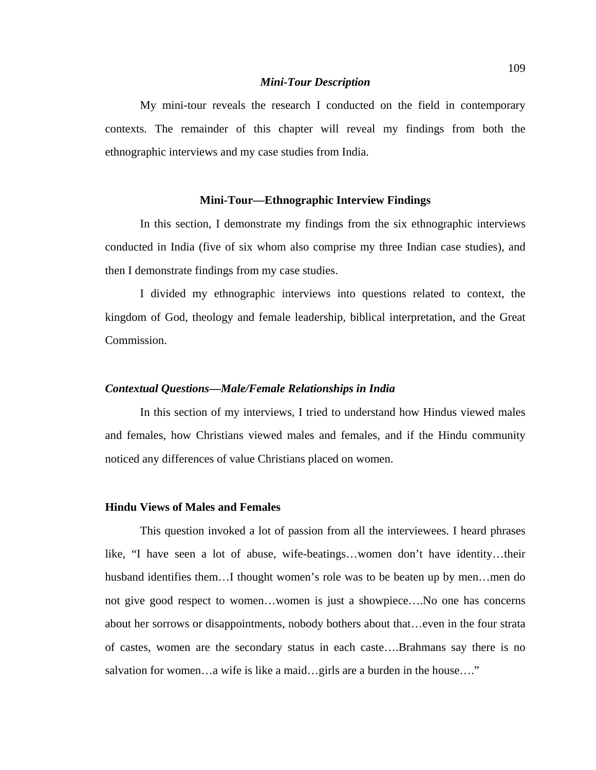#### *Mini-Tour Description*

My mini-tour reveals the research I conducted on the field in contemporary contexts. The remainder of this chapter will reveal my findings from both the ethnographic interviews and my case studies from India.

#### **Mini-Tour—Ethnographic Interview Findings**

In this section, I demonstrate my findings from the six ethnographic interviews conducted in India (five of six whom also comprise my three Indian case studies), and then I demonstrate findings from my case studies.

I divided my ethnographic interviews into questions related to context, the kingdom of God, theology and female leadership, biblical interpretation, and the Great Commission.

# *Contextual Questions—Male/Female Relationships in India*

In this section of my interviews, I tried to understand how Hindus viewed males and females, how Christians viewed males and females, and if the Hindu community noticed any differences of value Christians placed on women.

#### **Hindu Views of Males and Females**

This question invoked a lot of passion from all the interviewees. I heard phrases like, "I have seen a lot of abuse, wife-beatings…women don't have identity…their husband identifies them...I thought women's role was to be beaten up by men...men do not give good respect to women…women is just a showpiece….No one has concerns about her sorrows or disappointments, nobody bothers about that…even in the four strata of castes, women are the secondary status in each caste….Brahmans say there is no salvation for women…a wife is like a maid…girls are a burden in the house…."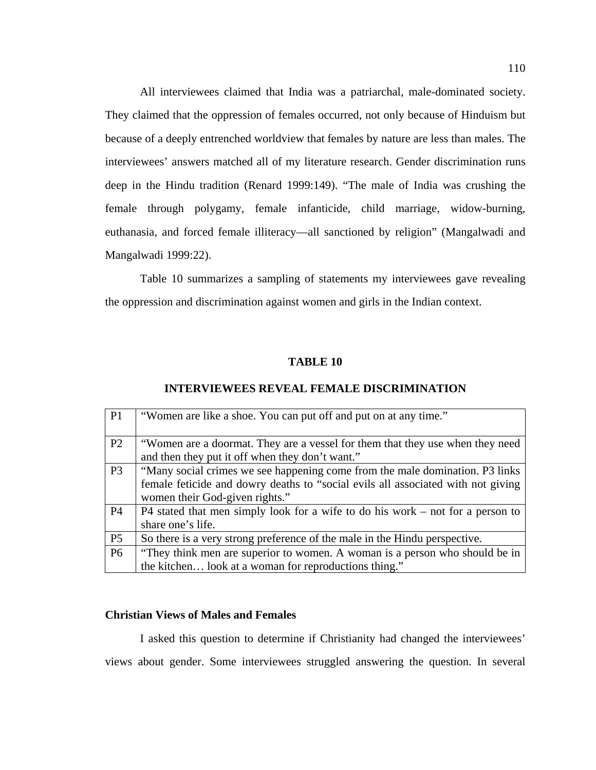All interviewees claimed that India was a patriarchal, male-dominated society. They claimed that the oppression of females occurred, not only because of Hinduism but because of a deeply entrenched worldview that females by nature are less than males. The interviewees' answers matched all of my literature research. Gender discrimination runs deep in the Hindu tradition (Renard 1999:149). "The male of India was crushing the female through polygamy, female infanticide, child marriage, widow-burning, euthanasia, and forced female illiteracy—all sanctioned by religion" (Mangalwadi and Mangalwadi 1999:22).

Table 10 summarizes a sampling of statements my interviewees gave revealing the oppression and discrimination against women and girls in the Indian context.

#### **TABLE 10**

#### **INTERVIEWEES REVEAL FEMALE DISCRIMINATION**

| P1             | "Women are like a shoe. You can put off and put on at any time."                                                                                                                                   |
|----------------|----------------------------------------------------------------------------------------------------------------------------------------------------------------------------------------------------|
| P <sub>2</sub> | "Women are a doormat. They are a vessel for them that they use when they need<br>and then they put it off when they don't want."                                                                   |
| P <sub>3</sub> | "Many social crimes we see happening come from the male domination. P3 links<br>female feticide and dowry deaths to "social evils all associated with not giving<br>women their God-given rights." |
| <b>P4</b>      | P4 stated that men simply look for a wife to do his work – not for a person to<br>share one's life.                                                                                                |
| P <sub>5</sub> | So there is a very strong preference of the male in the Hindu perspective.                                                                                                                         |
| <b>P6</b>      | "They think men are superior to women. A woman is a person who should be in<br>the kitchen look at a woman for reproductions thing."                                                               |

# **Christian Views of Males and Females**

I asked this question to determine if Christianity had changed the interviewees' views about gender. Some interviewees struggled answering the question. In several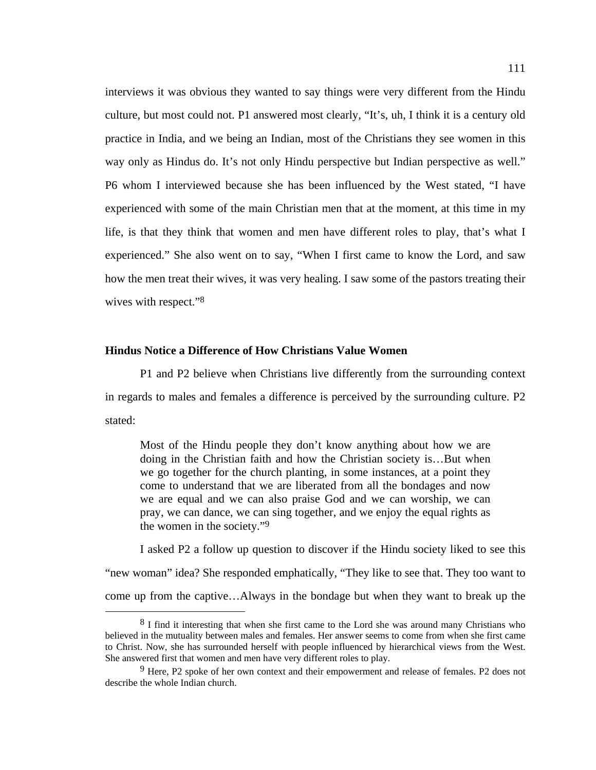interviews it was obvious they wanted to say things were very different from the Hindu culture, but most could not. P1 answered most clearly, "It's, uh, I think it is a century old practice in India, and we being an Indian, most of the Christians they see women in this way only as Hindus do. It's not only Hindu perspective but Indian perspective as well." P6 whom I interviewed because she has been influenced by the West stated, "I have experienced with some of the main Christian men that at the moment, at this time in my life, is that they think that women and men have different roles to play, that's what I experienced." She also went on to say, "When I first came to know the Lord, and saw how the men treat their wives, it was very healing. I saw some of the pastors treating their wives with respect."8

#### **Hindus Notice a Difference of How Christians Value Women**

P1 and P2 believe when Christians live differently from the surrounding context in regards to males and females a difference is perceived by the surrounding culture. P2 stated:

Most of the Hindu people they don't know anything about how we are doing in the Christian faith and how the Christian society is…But when we go together for the church planting, in some instances, at a point they come to understand that we are liberated from all the bondages and now we are equal and we can also praise God and we can worship, we can pray, we can dance, we can sing together, and we enjoy the equal rights as the women in the society."9

I asked P2 a follow up question to discover if the Hindu society liked to see this "new woman" idea? She responded emphatically, "They like to see that. They too want to come up from the captive…Always in the bondage but when they want to break up the

<sup>&</sup>lt;sup>8</sup> I find it interesting that when she first came to the Lord she was around many Christians who believed in the mutuality between males and females. Her answer seems to come from when she first came to Christ. Now, she has surrounded herself with people influenced by hierarchical views from the West. She answered first that women and men have very different roles to play.

 $9$  Here, P2 spoke of her own context and their empowerment and release of females. P2 does not describe the whole Indian church.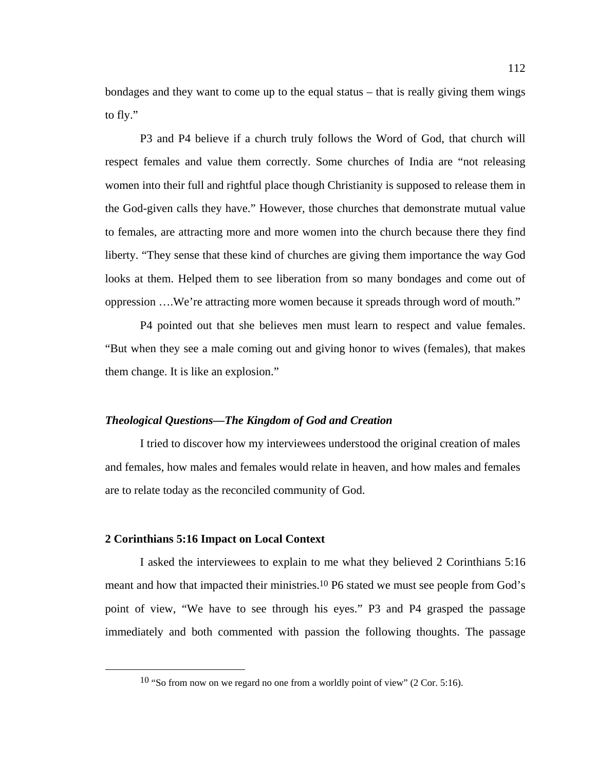bondages and they want to come up to the equal status – that is really giving them wings to fly."

 P3 and P4 believe if a church truly follows the Word of God, that church will respect females and value them correctly. Some churches of India are "not releasing women into their full and rightful place though Christianity is supposed to release them in the God-given calls they have." However, those churches that demonstrate mutual value to females, are attracting more and more women into the church because there they find liberty. "They sense that these kind of churches are giving them importance the way God looks at them. Helped them to see liberation from so many bondages and come out of oppression ….We're attracting more women because it spreads through word of mouth."

 P4 pointed out that she believes men must learn to respect and value females. "But when they see a male coming out and giving honor to wives (females), that makes them change. It is like an explosion."

#### *Theological Questions—The Kingdom of God and Creation*

I tried to discover how my interviewees understood the original creation of males and females, how males and females would relate in heaven, and how males and females are to relate today as the reconciled community of God.

#### **2 Corinthians 5:16 Impact on Local Context**

I asked the interviewees to explain to me what they believed 2 Corinthians 5:16 meant and how that impacted their ministries.10 P6 stated we must see people from God's point of view, "We have to see through his eyes." P3 and P4 grasped the passage immediately and both commented with passion the following thoughts. The passage

 $10$  "So from now on we regard no one from a worldly point of view" (2 Cor. 5:16).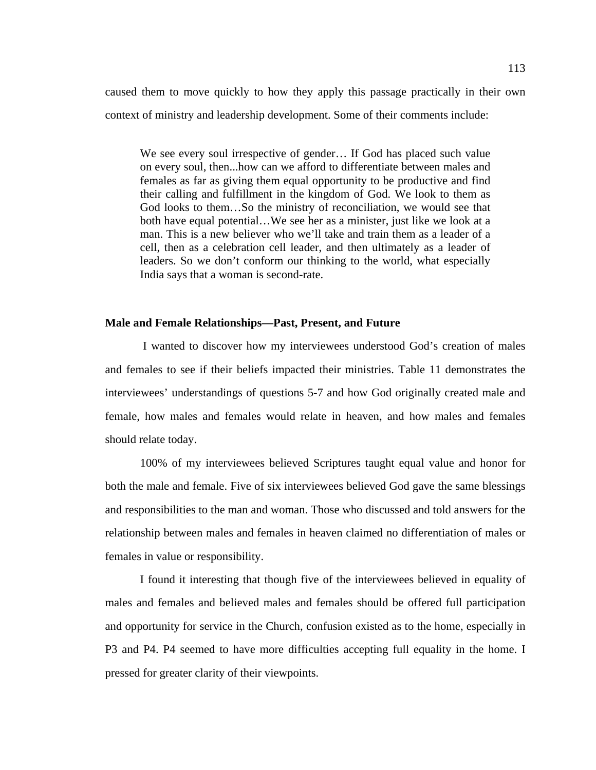caused them to move quickly to how they apply this passage practically in their own context of ministry and leadership development. Some of their comments include:

We see every soul irrespective of gender… If God has placed such value on every soul, then...how can we afford to differentiate between males and females as far as giving them equal opportunity to be productive and find their calling and fulfillment in the kingdom of God. We look to them as God looks to them…So the ministry of reconciliation, we would see that both have equal potential…We see her as a minister, just like we look at a man. This is a new believer who we'll take and train them as a leader of a cell, then as a celebration cell leader, and then ultimately as a leader of leaders. So we don't conform our thinking to the world, what especially India says that a woman is second-rate.

#### **Male and Female Relationships—Past, Present, and Future**

 I wanted to discover how my interviewees understood God's creation of males and females to see if their beliefs impacted their ministries. Table 11 demonstrates the interviewees' understandings of questions 5-7 and how God originally created male and female, how males and females would relate in heaven, and how males and females should relate today.

100% of my interviewees believed Scriptures taught equal value and honor for both the male and female. Five of six interviewees believed God gave the same blessings and responsibilities to the man and woman. Those who discussed and told answers for the relationship between males and females in heaven claimed no differentiation of males or females in value or responsibility.

I found it interesting that though five of the interviewees believed in equality of males and females and believed males and females should be offered full participation and opportunity for service in the Church, confusion existed as to the home, especially in P3 and P4. P4 seemed to have more difficulties accepting full equality in the home. I pressed for greater clarity of their viewpoints.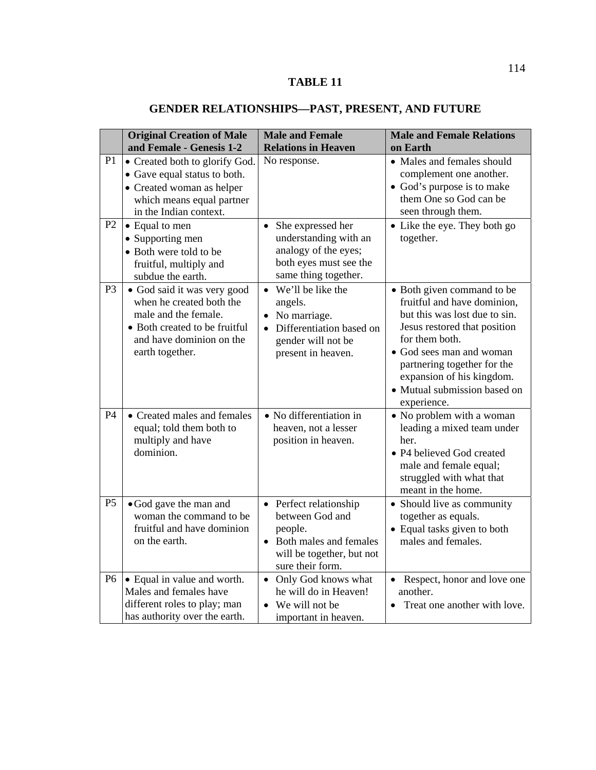# **TABLE 11**

|                      | <b>Original Creation of Male</b><br>and Female - Genesis 1-2                                                                                                         | <b>Male and Female</b><br><b>Relations in Heaven</b>                                                                              | <b>Male and Female Relations</b><br>on Earth                                                                                                                                                                                                                                        |
|----------------------|----------------------------------------------------------------------------------------------------------------------------------------------------------------------|-----------------------------------------------------------------------------------------------------------------------------------|-------------------------------------------------------------------------------------------------------------------------------------------------------------------------------------------------------------------------------------------------------------------------------------|
| P1<br>P <sub>2</sub> | • Created both to glorify God.<br>• Gave equal status to both.<br>• Created woman as helper<br>which means equal partner<br>in the Indian context.<br>• Equal to men | No response.<br>She expressed her<br>$\bullet$                                                                                    | • Males and females should<br>complement one another.<br>• God's purpose is to make<br>them One so God can be<br>seen through them.<br>• Like the eye. They both go                                                                                                                 |
|                      | • Supporting men<br>• Both were told to be<br>fruitful, multiply and<br>subdue the earth.                                                                            | understanding with an<br>analogy of the eyes;<br>both eyes must see the<br>same thing together.                                   | together.                                                                                                                                                                                                                                                                           |
| P <sub>3</sub>       | · God said it was very good<br>when he created both the<br>male and the female.<br>• Both created to be fruitful<br>and have dominion on the<br>earth together.      | • We'll be like the<br>angels.<br>• No marriage.<br>Differentiation based on<br>gender will not be<br>present in heaven.          | • Both given command to be<br>fruitful and have dominion,<br>but this was lost due to sin.<br>Jesus restored that position<br>for them both.<br>• God sees man and woman<br>partnering together for the<br>expansion of his kingdom.<br>• Mutual submission based on<br>experience. |
| <b>P4</b>            | • Created males and females<br>equal; told them both to<br>multiply and have<br>dominion.                                                                            | • No differentiation in<br>heaven, not a lesser<br>position in heaven.                                                            | • No problem with a woman<br>leading a mixed team under<br>her.<br>• P4 believed God created<br>male and female equal;<br>struggled with what that<br>meant in the home.                                                                                                            |
| P <sub>5</sub>       | • God gave the man and<br>woman the command to be<br>fruitful and have dominion<br>on the earth.                                                                     | • Perfect relationship<br>between God and<br>people.<br>• Both males and females<br>will be together, but not<br>sure their form. | • Should live as community<br>together as equals.<br>• Equal tasks given to both<br>males and females.                                                                                                                                                                              |
| <b>P6</b>            | • Equal in value and worth.<br>Males and females have<br>different roles to play; man<br>has authority over the earth.                                               | Only God knows what<br>$\bullet$<br>he will do in Heaven!<br>We will not be<br>important in heaven.                               | Respect, honor and love one<br>another.<br>Treat one another with love.                                                                                                                                                                                                             |

# **GENDER RELATIONSHIPS—PAST, PRESENT, AND FUTURE**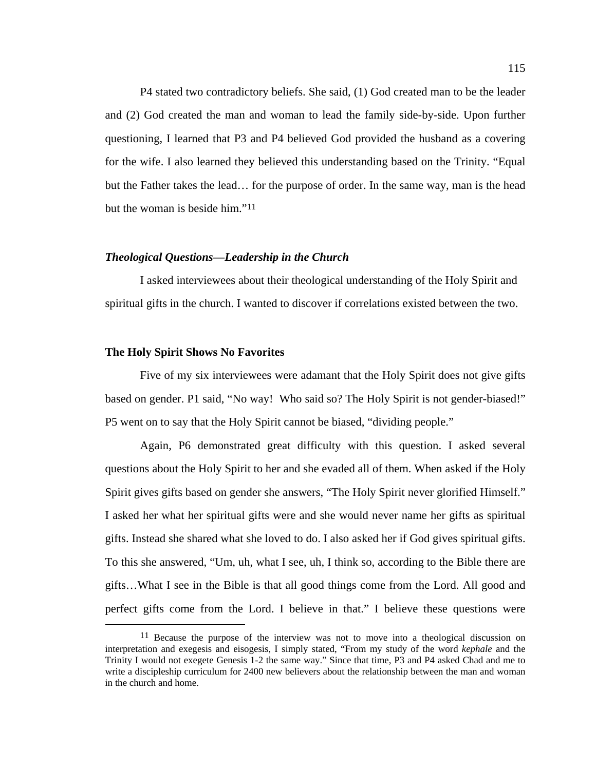P4 stated two contradictory beliefs. She said, (1) God created man to be the leader and (2) God created the man and woman to lead the family side-by-side. Upon further questioning, I learned that P3 and P4 believed God provided the husband as a covering for the wife. I also learned they believed this understanding based on the Trinity. "Equal but the Father takes the lead… for the purpose of order. In the same way, man is the head but the woman is beside him."11

# *Theological Questions—Leadership in the Church*

I asked interviewees about their theological understanding of the Holy Spirit and spiritual gifts in the church. I wanted to discover if correlations existed between the two.

#### **The Holy Spirit Shows No Favorites**

Five of my six interviewees were adamant that the Holy Spirit does not give gifts based on gender. P1 said, "No way! Who said so? The Holy Spirit is not gender-biased!" P5 went on to say that the Holy Spirit cannot be biased, "dividing people."

Again, P6 demonstrated great difficulty with this question. I asked several questions about the Holy Spirit to her and she evaded all of them. When asked if the Holy Spirit gives gifts based on gender she answers, "The Holy Spirit never glorified Himself." I asked her what her spiritual gifts were and she would never name her gifts as spiritual gifts. Instead she shared what she loved to do. I also asked her if God gives spiritual gifts. To this she answered, "Um, uh, what I see, uh, I think so, according to the Bible there are gifts…What I see in the Bible is that all good things come from the Lord. All good and perfect gifts come from the Lord. I believe in that." I believe these questions were

<sup>&</sup>lt;sup>11</sup> Because the purpose of the interview was not to move into a theological discussion on interpretation and exegesis and eisogesis, I simply stated, "From my study of the word *kephale* and the Trinity I would not exegete Genesis 1-2 the same way." Since that time, P3 and P4 asked Chad and me to write a discipleship curriculum for 2400 new believers about the relationship between the man and woman in the church and home.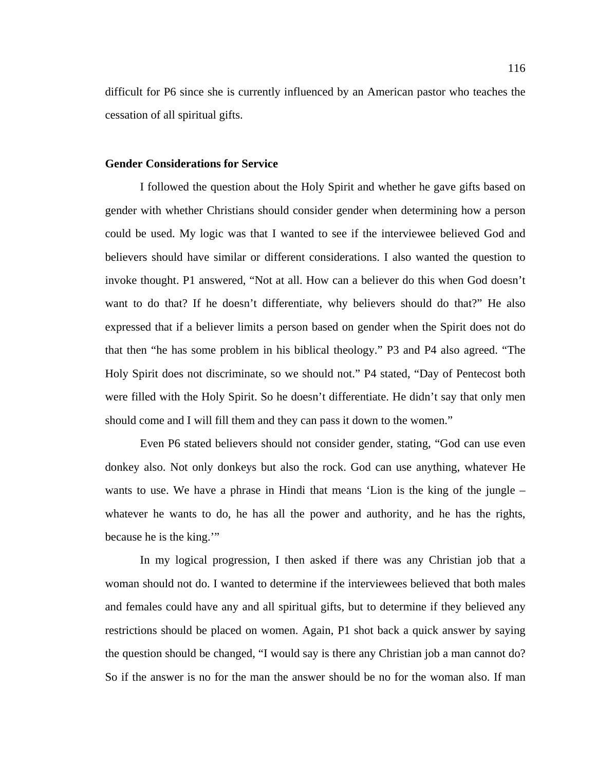difficult for P6 since she is currently influenced by an American pastor who teaches the cessation of all spiritual gifts.

#### **Gender Considerations for Service**

I followed the question about the Holy Spirit and whether he gave gifts based on gender with whether Christians should consider gender when determining how a person could be used. My logic was that I wanted to see if the interviewee believed God and believers should have similar or different considerations. I also wanted the question to invoke thought. P1 answered, "Not at all. How can a believer do this when God doesn't want to do that? If he doesn't differentiate, why believers should do that?" He also expressed that if a believer limits a person based on gender when the Spirit does not do that then "he has some problem in his biblical theology." P3 and P4 also agreed. "The Holy Spirit does not discriminate, so we should not." P4 stated, "Day of Pentecost both were filled with the Holy Spirit. So he doesn't differentiate. He didn't say that only men should come and I will fill them and they can pass it down to the women."

Even P6 stated believers should not consider gender, stating, "God can use even donkey also. Not only donkeys but also the rock. God can use anything, whatever He wants to use. We have a phrase in Hindi that means 'Lion is the king of the jungle – whatever he wants to do, he has all the power and authority, and he has the rights, because he is the king."

In my logical progression, I then asked if there was any Christian job that a woman should not do. I wanted to determine if the interviewees believed that both males and females could have any and all spiritual gifts, but to determine if they believed any restrictions should be placed on women. Again, P1 shot back a quick answer by saying the question should be changed, "I would say is there any Christian job a man cannot do? So if the answer is no for the man the answer should be no for the woman also. If man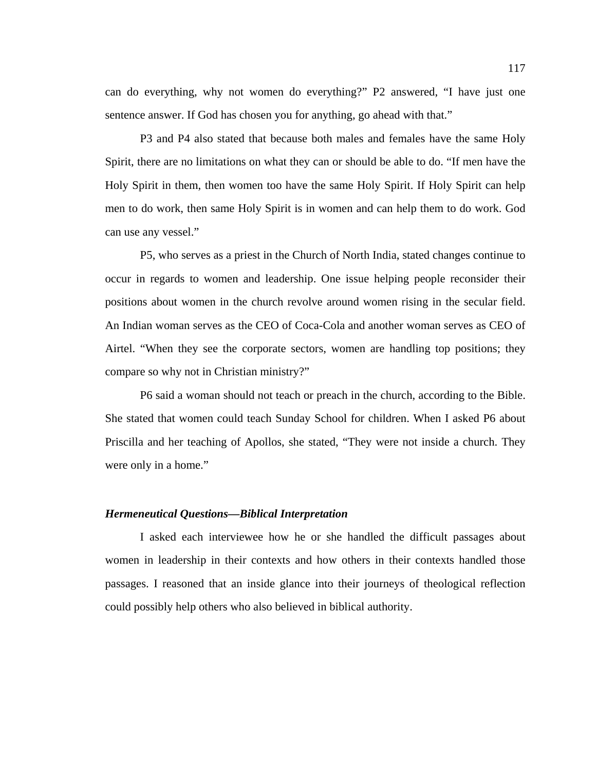can do everything, why not women do everything?" P2 answered, "I have just one sentence answer. If God has chosen you for anything, go ahead with that."

P3 and P4 also stated that because both males and females have the same Holy Spirit, there are no limitations on what they can or should be able to do. "If men have the Holy Spirit in them, then women too have the same Holy Spirit. If Holy Spirit can help men to do work, then same Holy Spirit is in women and can help them to do work. God can use any vessel."

P5, who serves as a priest in the Church of North India, stated changes continue to occur in regards to women and leadership. One issue helping people reconsider their positions about women in the church revolve around women rising in the secular field. An Indian woman serves as the CEO of Coca-Cola and another woman serves as CEO of Airtel. "When they see the corporate sectors, women are handling top positions; they compare so why not in Christian ministry?"

P6 said a woman should not teach or preach in the church, according to the Bible. She stated that women could teach Sunday School for children. When I asked P6 about Priscilla and her teaching of Apollos, she stated, "They were not inside a church. They were only in a home."

#### *Hermeneutical Questions—Biblical Interpretation*

I asked each interviewee how he or she handled the difficult passages about women in leadership in their contexts and how others in their contexts handled those passages. I reasoned that an inside glance into their journeys of theological reflection could possibly help others who also believed in biblical authority.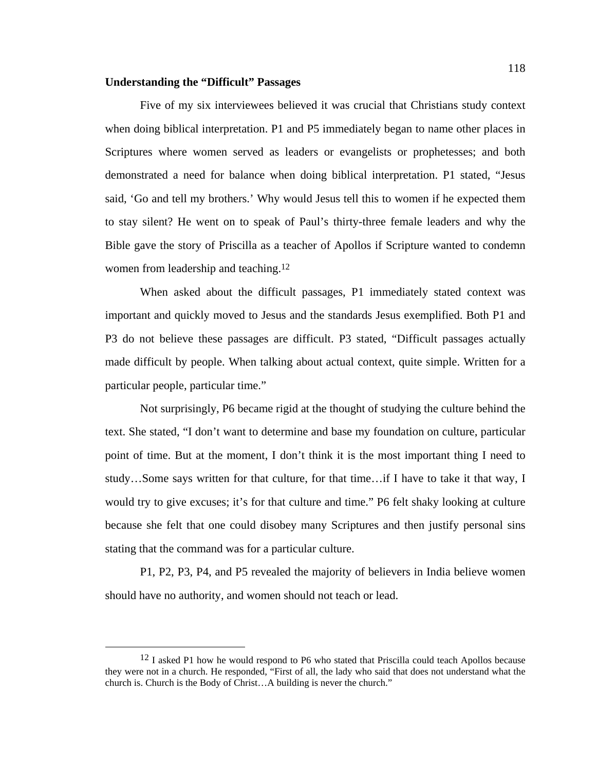#### **Understanding the "Difficult" Passages**

 Five of my six interviewees believed it was crucial that Christians study context when doing biblical interpretation. P1 and P5 immediately began to name other places in Scriptures where women served as leaders or evangelists or prophetesses; and both demonstrated a need for balance when doing biblical interpretation. P1 stated, "Jesus said, 'Go and tell my brothers.' Why would Jesus tell this to women if he expected them to stay silent? He went on to speak of Paul's thirty-three female leaders and why the Bible gave the story of Priscilla as a teacher of Apollos if Scripture wanted to condemn women from leadership and teaching.<sup>12</sup>

When asked about the difficult passages, P1 immediately stated context was important and quickly moved to Jesus and the standards Jesus exemplified. Both P1 and P3 do not believe these passages are difficult. P3 stated, "Difficult passages actually made difficult by people. When talking about actual context, quite simple. Written for a particular people, particular time."

Not surprisingly, P6 became rigid at the thought of studying the culture behind the text. She stated, "I don't want to determine and base my foundation on culture, particular point of time. But at the moment, I don't think it is the most important thing I need to study…Some says written for that culture, for that time…if I have to take it that way, I would try to give excuses; it's for that culture and time." P6 felt shaky looking at culture because she felt that one could disobey many Scriptures and then justify personal sins stating that the command was for a particular culture.

P1, P2, P3, P4, and P5 revealed the majority of believers in India believe women should have no authority, and women should not teach or lead.

<sup>&</sup>lt;sup>12</sup> I asked P1 how he would respond to P6 who stated that Priscilla could teach Apollos because they were not in a church. He responded, "First of all, the lady who said that does not understand what the church is. Church is the Body of Christ…A building is never the church."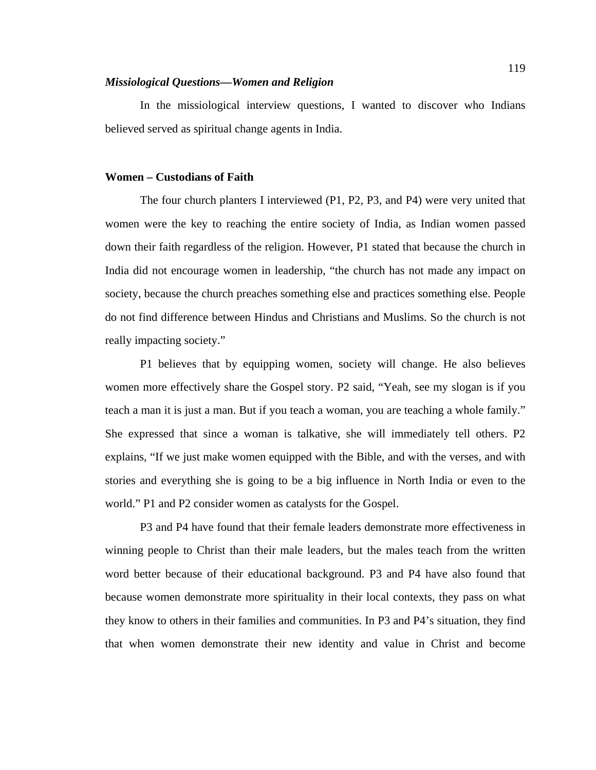#### *Missiological Questions—Women and Religion*

In the missiological interview questions, I wanted to discover who Indians believed served as spiritual change agents in India.

#### **Women – Custodians of Faith**

The four church planters I interviewed (P1, P2, P3, and P4) were very united that women were the key to reaching the entire society of India, as Indian women passed down their faith regardless of the religion. However, P1 stated that because the church in India did not encourage women in leadership, "the church has not made any impact on society, because the church preaches something else and practices something else. People do not find difference between Hindus and Christians and Muslims. So the church is not really impacting society."

P1 believes that by equipping women, society will change. He also believes women more effectively share the Gospel story. P2 said, "Yeah, see my slogan is if you teach a man it is just a man. But if you teach a woman, you are teaching a whole family." She expressed that since a woman is talkative, she will immediately tell others. P2 explains, "If we just make women equipped with the Bible, and with the verses, and with stories and everything she is going to be a big influence in North India or even to the world." P1 and P2 consider women as catalysts for the Gospel.

P3 and P4 have found that their female leaders demonstrate more effectiveness in winning people to Christ than their male leaders, but the males teach from the written word better because of their educational background. P3 and P4 have also found that because women demonstrate more spirituality in their local contexts, they pass on what they know to others in their families and communities. In P3 and P4's situation, they find that when women demonstrate their new identity and value in Christ and become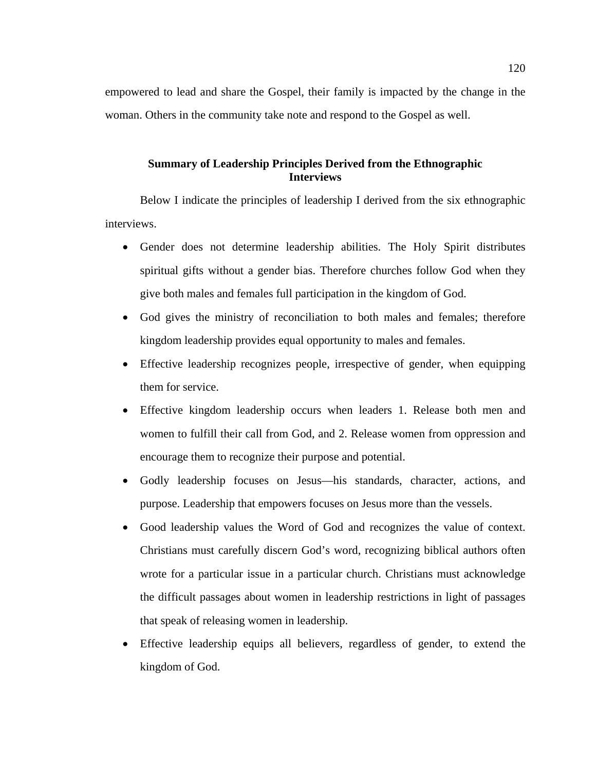empowered to lead and share the Gospel, their family is impacted by the change in the woman. Others in the community take note and respond to the Gospel as well.

# **Summary of Leadership Principles Derived from the Ethnographic Interviews**

Below I indicate the principles of leadership I derived from the six ethnographic interviews.

- Gender does not determine leadership abilities. The Holy Spirit distributes spiritual gifts without a gender bias. Therefore churches follow God when they give both males and females full participation in the kingdom of God.
- God gives the ministry of reconciliation to both males and females; therefore kingdom leadership provides equal opportunity to males and females.
- Effective leadership recognizes people, irrespective of gender, when equipping them for service.
- Effective kingdom leadership occurs when leaders 1. Release both men and women to fulfill their call from God, and 2. Release women from oppression and encourage them to recognize their purpose and potential.
- Godly leadership focuses on Jesus—his standards, character, actions, and purpose. Leadership that empowers focuses on Jesus more than the vessels.
- Good leadership values the Word of God and recognizes the value of context. Christians must carefully discern God's word, recognizing biblical authors often wrote for a particular issue in a particular church. Christians must acknowledge the difficult passages about women in leadership restrictions in light of passages that speak of releasing women in leadership.
- Effective leadership equips all believers, regardless of gender, to extend the kingdom of God.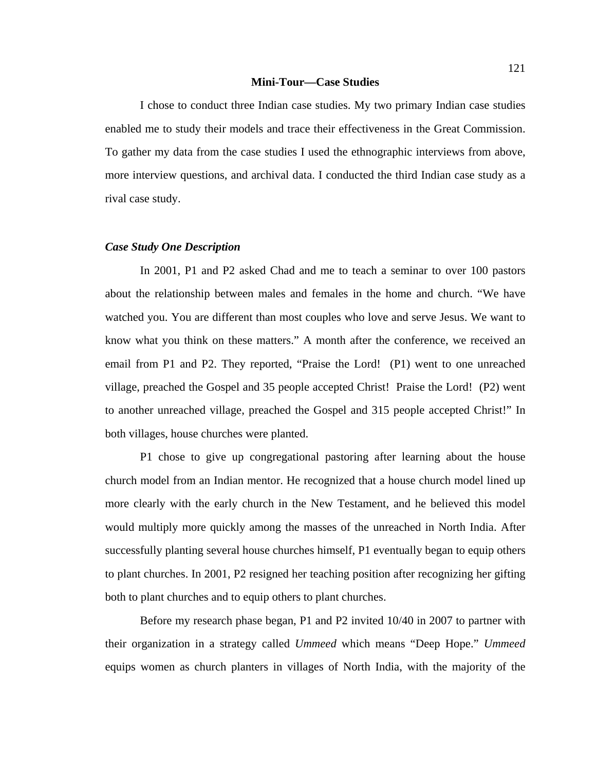#### **Mini-Tour—Case Studies**

I chose to conduct three Indian case studies. My two primary Indian case studies enabled me to study their models and trace their effectiveness in the Great Commission. To gather my data from the case studies I used the ethnographic interviews from above, more interview questions, and archival data. I conducted the third Indian case study as a rival case study.

#### *Case Study One Description*

In 2001, P1 and P2 asked Chad and me to teach a seminar to over 100 pastors about the relationship between males and females in the home and church. "We have watched you. You are different than most couples who love and serve Jesus. We want to know what you think on these matters." A month after the conference, we received an email from P1 and P2. They reported, "Praise the Lord! (P1) went to one unreached village, preached the Gospel and 35 people accepted Christ! Praise the Lord! (P2) went to another unreached village, preached the Gospel and 315 people accepted Christ!" In both villages, house churches were planted.

P1 chose to give up congregational pastoring after learning about the house church model from an Indian mentor. He recognized that a house church model lined up more clearly with the early church in the New Testament, and he believed this model would multiply more quickly among the masses of the unreached in North India. After successfully planting several house churches himself, P1 eventually began to equip others to plant churches. In 2001, P2 resigned her teaching position after recognizing her gifting both to plant churches and to equip others to plant churches.

Before my research phase began, P1 and P2 invited 10/40 in 2007 to partner with their organization in a strategy called *Ummeed* which means "Deep Hope." *Ummeed* equips women as church planters in villages of North India, with the majority of the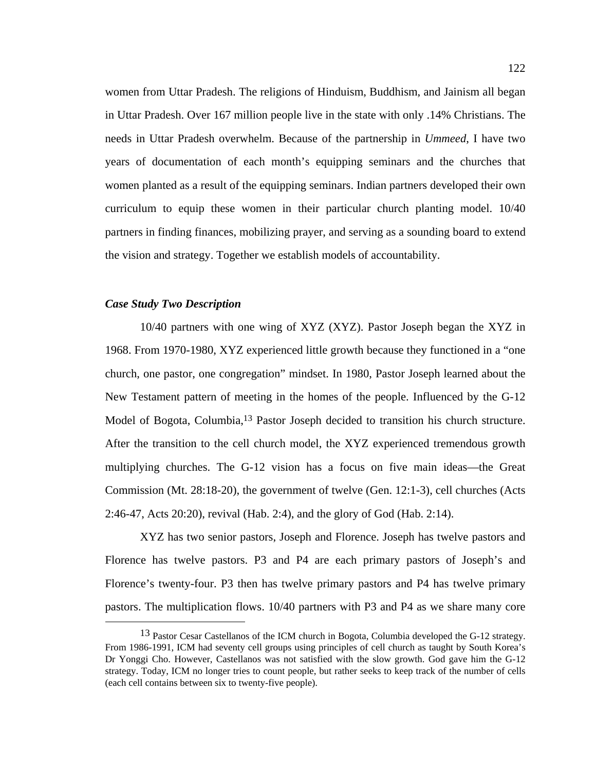women from Uttar Pradesh. The religions of Hinduism, Buddhism, and Jainism all began in Uttar Pradesh. Over 167 million people live in the state with only .14% Christians. The needs in Uttar Pradesh overwhelm. Because of the partnership in *Ummeed*, I have two years of documentation of each month's equipping seminars and the churches that women planted as a result of the equipping seminars. Indian partners developed their own curriculum to equip these women in their particular church planting model. 10/40 partners in finding finances, mobilizing prayer, and serving as a sounding board to extend the vision and strategy. Together we establish models of accountability.

#### *Case Study Two Description*

10/40 partners with one wing of XYZ (XYZ). Pastor Joseph began the XYZ in 1968. From 1970-1980, XYZ experienced little growth because they functioned in a "one church, one pastor, one congregation" mindset. In 1980, Pastor Joseph learned about the New Testament pattern of meeting in the homes of the people. Influenced by the G-12 Model of Bogota, Columbia,<sup>13</sup> Pastor Joseph decided to transition his church structure. After the transition to the cell church model, the XYZ experienced tremendous growth multiplying churches. The G-12 vision has a focus on five main ideas—the Great Commission (Mt. 28:18-20), the government of twelve (Gen. 12:1-3), cell churches (Acts 2:46-47, Acts 20:20), revival (Hab. 2:4), and the glory of God (Hab. 2:14).

XYZ has two senior pastors, Joseph and Florence. Joseph has twelve pastors and Florence has twelve pastors. P3 and P4 are each primary pastors of Joseph's and Florence's twenty-four. P3 then has twelve primary pastors and P4 has twelve primary pastors. The multiplication flows. 10/40 partners with P3 and P4 as we share many core

<sup>&</sup>lt;sup>13</sup> Pastor Cesar Castellanos of the ICM church in Bogota, Columbia developed the G-12 strategy. From 1986-1991, ICM had seventy cell groups using principles of cell church as taught by South Korea's Dr Yonggi Cho. However, Castellanos was not satisfied with the slow growth. God gave him the G-12 strategy. Today, ICM no longer tries to count people, but rather seeks to keep track of the number of cells (each cell contains between six to twenty-five people).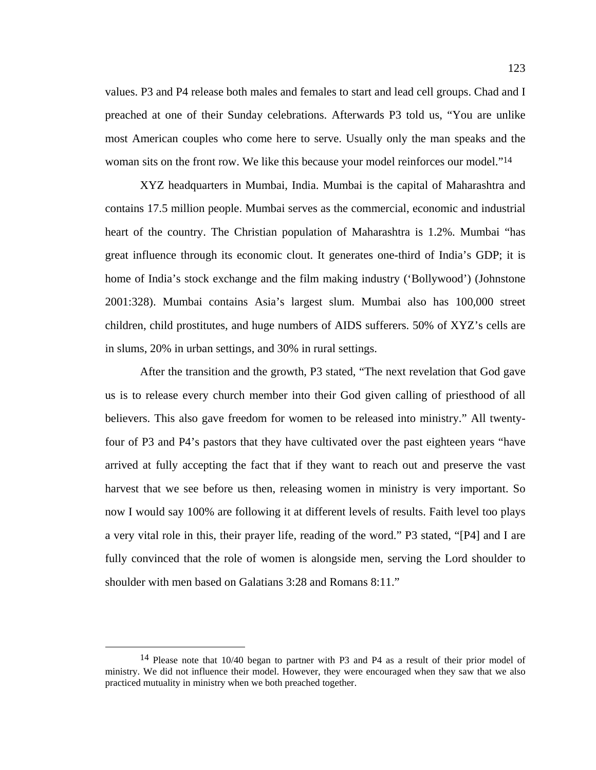values. P3 and P4 release both males and females to start and lead cell groups. Chad and I preached at one of their Sunday celebrations. Afterwards P3 told us, "You are unlike most American couples who come here to serve. Usually only the man speaks and the woman sits on the front row. We like this because your model reinforces our model."<sup>14</sup>

XYZ headquarters in Mumbai, India. Mumbai is the capital of Maharashtra and contains 17.5 million people. Mumbai serves as the commercial, economic and industrial heart of the country. The Christian population of Maharashtra is 1.2%. Mumbai "has great influence through its economic clout. It generates one-third of India's GDP; it is home of India's stock exchange and the film making industry ('Bollywood') (Johnstone 2001:328). Mumbai contains Asia's largest slum. Mumbai also has 100,000 street children, child prostitutes, and huge numbers of AIDS sufferers. 50% of XYZ's cells are in slums, 20% in urban settings, and 30% in rural settings.

After the transition and the growth, P3 stated, "The next revelation that God gave us is to release every church member into their God given calling of priesthood of all believers. This also gave freedom for women to be released into ministry." All twentyfour of P3 and P4's pastors that they have cultivated over the past eighteen years "have arrived at fully accepting the fact that if they want to reach out and preserve the vast harvest that we see before us then, releasing women in ministry is very important. So now I would say 100% are following it at different levels of results. Faith level too plays a very vital role in this, their prayer life, reading of the word." P3 stated, "[P4] and I are fully convinced that the role of women is alongside men, serving the Lord shoulder to shoulder with men based on Galatians 3:28 and Romans 8:11."

 <sup>14</sup> Please note that 10/40 began to partner with P3 and P4 as a result of their prior model of ministry. We did not influence their model. However, they were encouraged when they saw that we also practiced mutuality in ministry when we both preached together.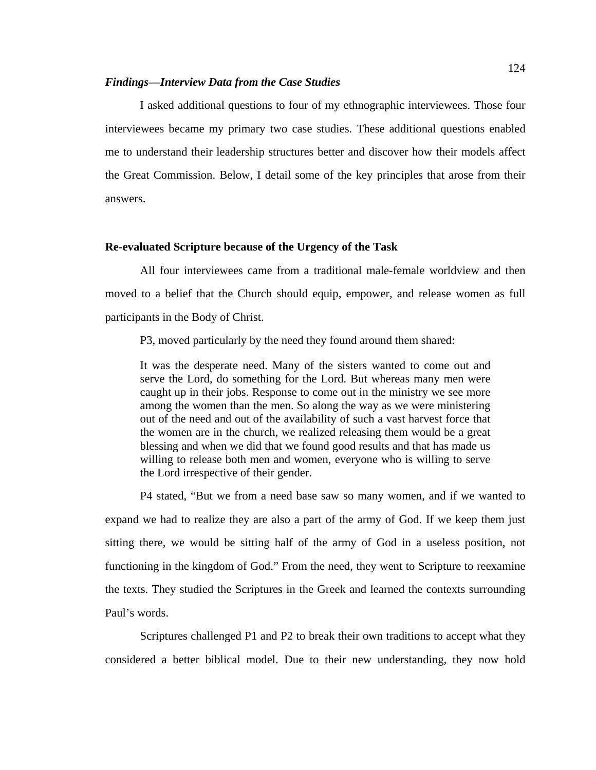#### *Findings—Interview Data from the Case Studies*

I asked additional questions to four of my ethnographic interviewees. Those four interviewees became my primary two case studies. These additional questions enabled me to understand their leadership structures better and discover how their models affect the Great Commission. Below, I detail some of the key principles that arose from their answers.

#### **Re-evaluated Scripture because of the Urgency of the Task**

All four interviewees came from a traditional male-female worldview and then moved to a belief that the Church should equip, empower, and release women as full participants in the Body of Christ.

P3, moved particularly by the need they found around them shared:

It was the desperate need. Many of the sisters wanted to come out and serve the Lord, do something for the Lord. But whereas many men were caught up in their jobs. Response to come out in the ministry we see more among the women than the men. So along the way as we were ministering out of the need and out of the availability of such a vast harvest force that the women are in the church, we realized releasing them would be a great blessing and when we did that we found good results and that has made us willing to release both men and women, everyone who is willing to serve the Lord irrespective of their gender.

P4 stated, "But we from a need base saw so many women, and if we wanted to expand we had to realize they are also a part of the army of God. If we keep them just sitting there, we would be sitting half of the army of God in a useless position, not functioning in the kingdom of God." From the need, they went to Scripture to reexamine the texts. They studied the Scriptures in the Greek and learned the contexts surrounding Paul's words.

Scriptures challenged P1 and P2 to break their own traditions to accept what they considered a better biblical model. Due to their new understanding, they now hold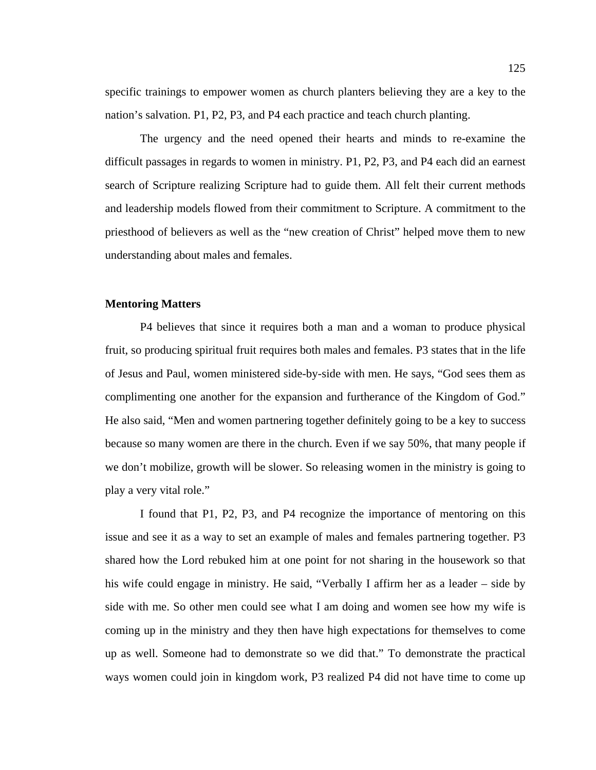specific trainings to empower women as church planters believing they are a key to the nation's salvation. P1, P2, P3, and P4 each practice and teach church planting.

The urgency and the need opened their hearts and minds to re-examine the difficult passages in regards to women in ministry. P1, P2, P3, and P4 each did an earnest search of Scripture realizing Scripture had to guide them. All felt their current methods and leadership models flowed from their commitment to Scripture. A commitment to the priesthood of believers as well as the "new creation of Christ" helped move them to new understanding about males and females.

# **Mentoring Matters**

P4 believes that since it requires both a man and a woman to produce physical fruit, so producing spiritual fruit requires both males and females. P3 states that in the life of Jesus and Paul, women ministered side-by-side with men. He says, "God sees them as complimenting one another for the expansion and furtherance of the Kingdom of God." He also said, "Men and women partnering together definitely going to be a key to success because so many women are there in the church. Even if we say 50%, that many people if we don't mobilize, growth will be slower. So releasing women in the ministry is going to play a very vital role."

I found that P1, P2, P3, and P4 recognize the importance of mentoring on this issue and see it as a way to set an example of males and females partnering together. P3 shared how the Lord rebuked him at one point for not sharing in the housework so that his wife could engage in ministry. He said, "Verbally I affirm her as a leader – side by side with me. So other men could see what I am doing and women see how my wife is coming up in the ministry and they then have high expectations for themselves to come up as well. Someone had to demonstrate so we did that." To demonstrate the practical ways women could join in kingdom work, P3 realized P4 did not have time to come up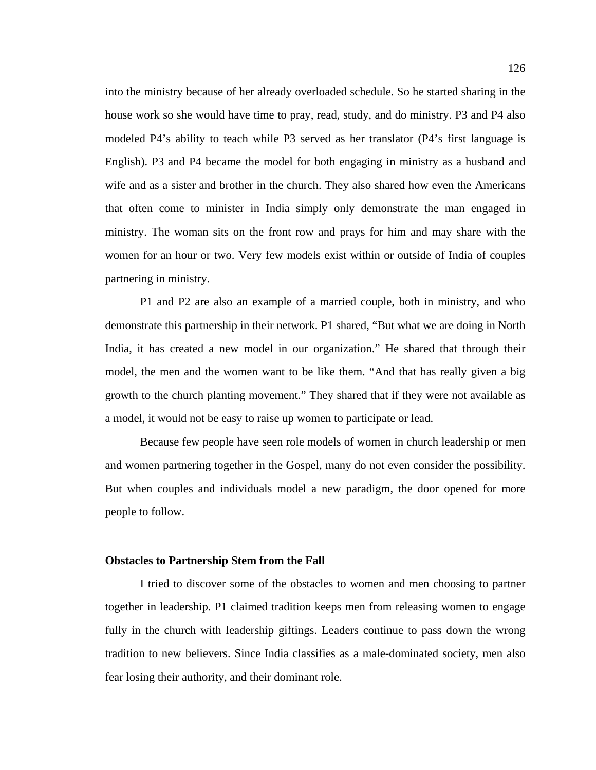into the ministry because of her already overloaded schedule. So he started sharing in the house work so she would have time to pray, read, study, and do ministry. P3 and P4 also modeled P4's ability to teach while P3 served as her translator (P4's first language is English). P3 and P4 became the model for both engaging in ministry as a husband and wife and as a sister and brother in the church. They also shared how even the Americans that often come to minister in India simply only demonstrate the man engaged in ministry. The woman sits on the front row and prays for him and may share with the women for an hour or two. Very few models exist within or outside of India of couples partnering in ministry.

P1 and P2 are also an example of a married couple, both in ministry, and who demonstrate this partnership in their network. P1 shared, "But what we are doing in North India, it has created a new model in our organization." He shared that through their model, the men and the women want to be like them. "And that has really given a big growth to the church planting movement." They shared that if they were not available as a model, it would not be easy to raise up women to participate or lead.

Because few people have seen role models of women in church leadership or men and women partnering together in the Gospel, many do not even consider the possibility. But when couples and individuals model a new paradigm, the door opened for more people to follow.

#### **Obstacles to Partnership Stem from the Fall**

I tried to discover some of the obstacles to women and men choosing to partner together in leadership. P1 claimed tradition keeps men from releasing women to engage fully in the church with leadership giftings. Leaders continue to pass down the wrong tradition to new believers. Since India classifies as a male-dominated society, men also fear losing their authority, and their dominant role.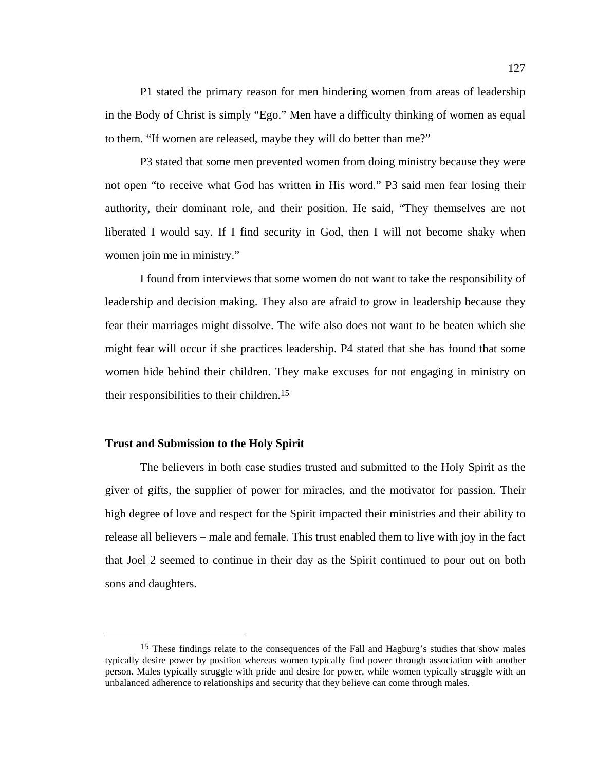P1 stated the primary reason for men hindering women from areas of leadership in the Body of Christ is simply "Ego." Men have a difficulty thinking of women as equal to them. "If women are released, maybe they will do better than me?"

P3 stated that some men prevented women from doing ministry because they were not open "to receive what God has written in His word." P3 said men fear losing their authority, their dominant role, and their position. He said, "They themselves are not liberated I would say. If I find security in God, then I will not become shaky when women join me in ministry."

I found from interviews that some women do not want to take the responsibility of leadership and decision making. They also are afraid to grow in leadership because they fear their marriages might dissolve. The wife also does not want to be beaten which she might fear will occur if she practices leadership. P4 stated that she has found that some women hide behind their children. They make excuses for not engaging in ministry on their responsibilities to their children.15

#### **Trust and Submission to the Holy Spirit**

 The believers in both case studies trusted and submitted to the Holy Spirit as the giver of gifts, the supplier of power for miracles, and the motivator for passion. Their high degree of love and respect for the Spirit impacted their ministries and their ability to release all believers – male and female. This trust enabled them to live with joy in the fact that Joel 2 seemed to continue in their day as the Spirit continued to pour out on both sons and daughters.

<sup>&</sup>lt;sup>15</sup> These findings relate to the consequences of the Fall and Hagburg's studies that show males typically desire power by position whereas women typically find power through association with another person. Males typically struggle with pride and desire for power, while women typically struggle with an unbalanced adherence to relationships and security that they believe can come through males.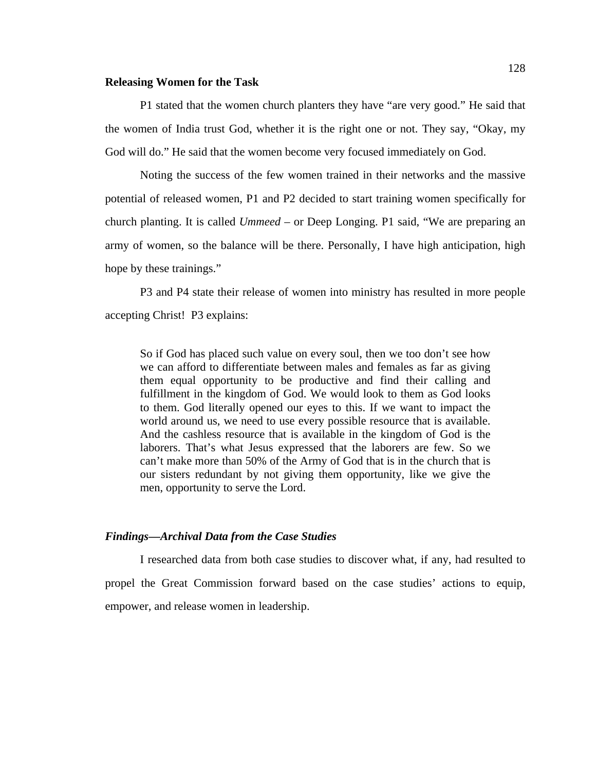#### **Releasing Women for the Task**

P1 stated that the women church planters they have "are very good." He said that the women of India trust God, whether it is the right one or not. They say, "Okay, my God will do." He said that the women become very focused immediately on God.

Noting the success of the few women trained in their networks and the massive potential of released women, P1 and P2 decided to start training women specifically for church planting. It is called *Ummeed* – or Deep Longing. P1 said, "We are preparing an army of women, so the balance will be there. Personally, I have high anticipation, high hope by these trainings."

P3 and P4 state their release of women into ministry has resulted in more people accepting Christ! P3 explains:

So if God has placed such value on every soul, then we too don't see how we can afford to differentiate between males and females as far as giving them equal opportunity to be productive and find their calling and fulfillment in the kingdom of God. We would look to them as God looks to them. God literally opened our eyes to this. If we want to impact the world around us, we need to use every possible resource that is available. And the cashless resource that is available in the kingdom of God is the laborers. That's what Jesus expressed that the laborers are few. So we can't make more than 50% of the Army of God that is in the church that is our sisters redundant by not giving them opportunity, like we give the men, opportunity to serve the Lord.

#### *Findings—Archival Data from the Case Studies*

I researched data from both case studies to discover what, if any, had resulted to propel the Great Commission forward based on the case studies' actions to equip, empower, and release women in leadership.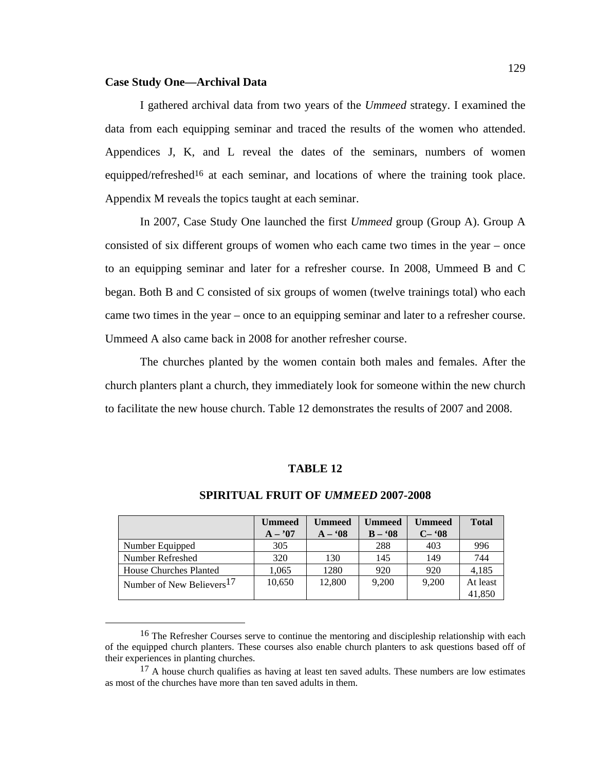#### **Case Study One—Archival Data**

I gathered archival data from two years of the *Ummeed* strategy. I examined the data from each equipping seminar and traced the results of the women who attended. Appendices J, K, and L reveal the dates of the seminars, numbers of women equipped/refreshed<sup>16</sup> at each seminar, and locations of where the training took place. Appendix M reveals the topics taught at each seminar.

In 2007, Case Study One launched the first *Ummeed* group (Group A). Group A consisted of six different groups of women who each came two times in the year – once to an equipping seminar and later for a refresher course. In 2008, Ummeed B and C began. Both B and C consisted of six groups of women (twelve trainings total) who each came two times in the year – once to an equipping seminar and later to a refresher course. Ummeed A also came back in 2008 for another refresher course.

The churches planted by the women contain both males and females. After the church planters plant a church, they immediately look for someone within the new church to facilitate the new house church. Table 12 demonstrates the results of 2007 and 2008.

#### **TABLE 12**

|                                       | <b>Ummeed</b> | <b>Ummeed</b> | Ummeed     | <b>Ummeed</b> | <b>Total</b> |
|---------------------------------------|---------------|---------------|------------|---------------|--------------|
|                                       | $A - 07$      | $A - 08$      | $B - 0.08$ | $C-$ '08      |              |
| Number Equipped                       | 305           |               | 288        | 403           | 996          |
| Number Refreshed                      | 320           | 130           | 145        | 149           | 744          |
| House Churches Planted                | 1,065         | 1280          | 920        | 920           | 4,185        |
| Number of New Believers <sup>17</sup> | 10,650        | 12,800        | 9.200      | 9,200         | At least     |
|                                       |               |               |            |               | 41,850       |

# **SPIRITUAL FRUIT OF** *UMMEED* **2007-2008**

<sup>&</sup>lt;sup>16</sup> The Refresher Courses serve to continue the mentoring and discipleship relationship with each of the equipped church planters. These courses also enable church planters to ask questions based off of their experiences in planting churches.

 $17$  A house church qualifies as having at least ten saved adults. These numbers are low estimates as most of the churches have more than ten saved adults in them.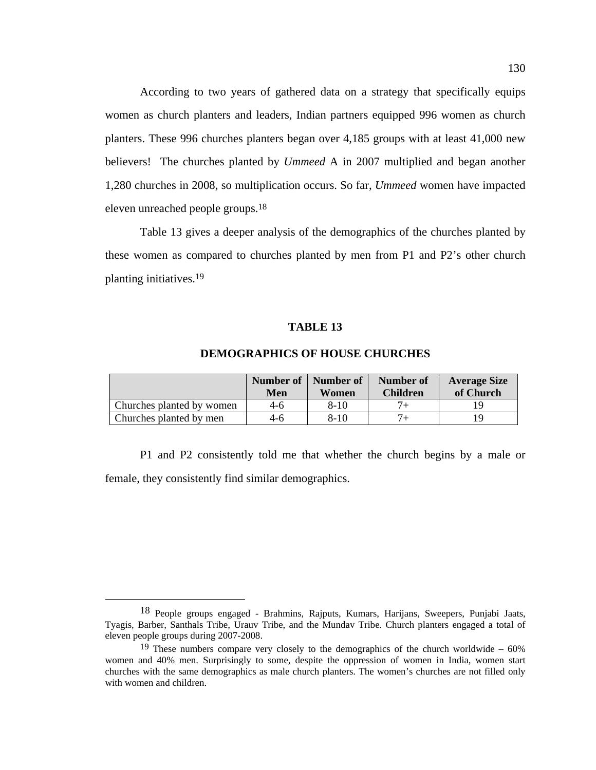According to two years of gathered data on a strategy that specifically equips women as church planters and leaders, Indian partners equipped 996 women as church planters. These 996 churches planters began over 4,185 groups with at least 41,000 new believers! The churches planted by *Ummeed* A in 2007 multiplied and began another 1,280 churches in 2008, so multiplication occurs. So far, *Ummeed* women have impacted eleven unreached people groups.18

 Table 13 gives a deeper analysis of the demographics of the churches planted by these women as compared to churches planted by men from P1 and P2's other church planting initiatives.19

# **TABLE 13**

|                           | Number of<br>Men | Number of<br>Women | Number of<br><b>Children</b> | <b>Average Size</b><br>of Church |
|---------------------------|------------------|--------------------|------------------------------|----------------------------------|
| Churches planted by women | 4-6              | $8 - 10$           |                              |                                  |
| Churches planted by men   | 4-6              | $8-10$             |                              |                                  |

# **DEMOGRAPHICS OF HOUSE CHURCHES**

 P1 and P2 consistently told me that whether the church begins by a male or female, they consistently find similar demographics.

 <sup>18</sup> People groups engaged - Brahmins, Rajputs, Kumars, Harijans, Sweepers, Punjabi Jaats, Tyagis, Barber, Santhals Tribe, Urauv Tribe, and the Mundav Tribe. Church planters engaged a total of eleven people groups during 2007-2008.

<sup>&</sup>lt;sup>19</sup> These numbers compare very closely to the demographics of the church worldwide –  $60\%$ women and 40% men. Surprisingly to some, despite the oppression of women in India, women start churches with the same demographics as male church planters. The women's churches are not filled only with women and children.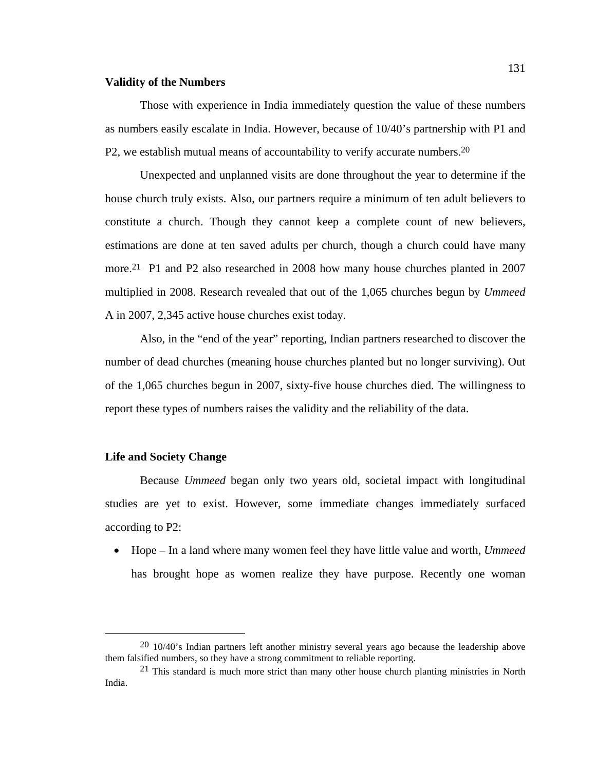### **Validity of the Numbers**

Those with experience in India immediately question the value of these numbers as numbers easily escalate in India. However, because of 10/40's partnership with P1 and P2, we establish mutual means of accountability to verify accurate numbers.20

Unexpected and unplanned visits are done throughout the year to determine if the house church truly exists. Also, our partners require a minimum of ten adult believers to constitute a church. Though they cannot keep a complete count of new believers, estimations are done at ten saved adults per church, though a church could have many more.21 P1 and P2 also researched in 2008 how many house churches planted in 2007 multiplied in 2008. Research revealed that out of the 1,065 churches begun by *Ummeed* A in 2007, 2,345 active house churches exist today.

Also, in the "end of the year" reporting, Indian partners researched to discover the number of dead churches (meaning house churches planted but no longer surviving). Out of the 1,065 churches begun in 2007, sixty-five house churches died. The willingness to report these types of numbers raises the validity and the reliability of the data.

#### **Life and Society Change**

Because *Ummeed* began only two years old, societal impact with longitudinal studies are yet to exist. However, some immediate changes immediately surfaced according to P2:

 Hope – In a land where many women feel they have little value and worth, *Ummeed* has brought hope as women realize they have purpose. Recently one woman

<sup>&</sup>lt;sup>20</sup> 10/40's Indian partners left another ministry several years ago because the leadership above them falsified numbers, so they have a strong commitment to reliable reporting.

 $21$  This standard is much more strict than many other house church planting ministries in North India.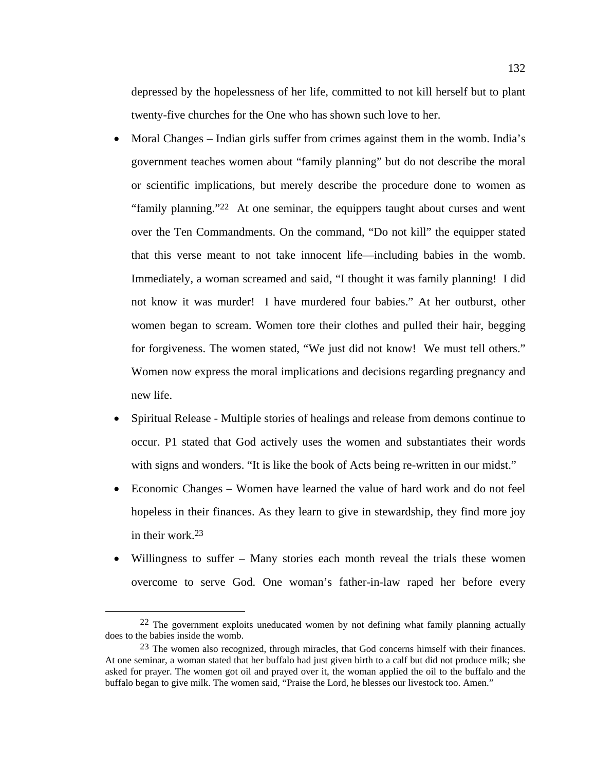depressed by the hopelessness of her life, committed to not kill herself but to plant twenty-five churches for the One who has shown such love to her.

- Moral Changes Indian girls suffer from crimes against them in the womb. India's government teaches women about "family planning" but do not describe the moral or scientific implications, but merely describe the procedure done to women as "family planning."22 At one seminar, the equippers taught about curses and went over the Ten Commandments. On the command, "Do not kill" the equipper stated that this verse meant to not take innocent life—including babies in the womb. Immediately, a woman screamed and said, "I thought it was family planning! I did not know it was murder! I have murdered four babies." At her outburst, other women began to scream. Women tore their clothes and pulled their hair, begging for forgiveness. The women stated, "We just did not know! We must tell others." Women now express the moral implications and decisions regarding pregnancy and new life.
- Spiritual Release Multiple stories of healings and release from demons continue to occur. P1 stated that God actively uses the women and substantiates their words with signs and wonders. "It is like the book of Acts being re-written in our midst."
- Economic Changes Women have learned the value of hard work and do not feel hopeless in their finances. As they learn to give in stewardship, they find more joy in their work.23
- Willingness to suffer Many stories each month reveal the trials these women overcome to serve God. One woman's father-in-law raped her before every

 $22$  The government exploits uneducated women by not defining what family planning actually does to the babies inside the womb.

 $^{23}$  The women also recognized, through miracles, that God concerns himself with their finances. At one seminar, a woman stated that her buffalo had just given birth to a calf but did not produce milk; she asked for prayer. The women got oil and prayed over it, the woman applied the oil to the buffalo and the buffalo began to give milk. The women said, "Praise the Lord, he blesses our livestock too. Amen."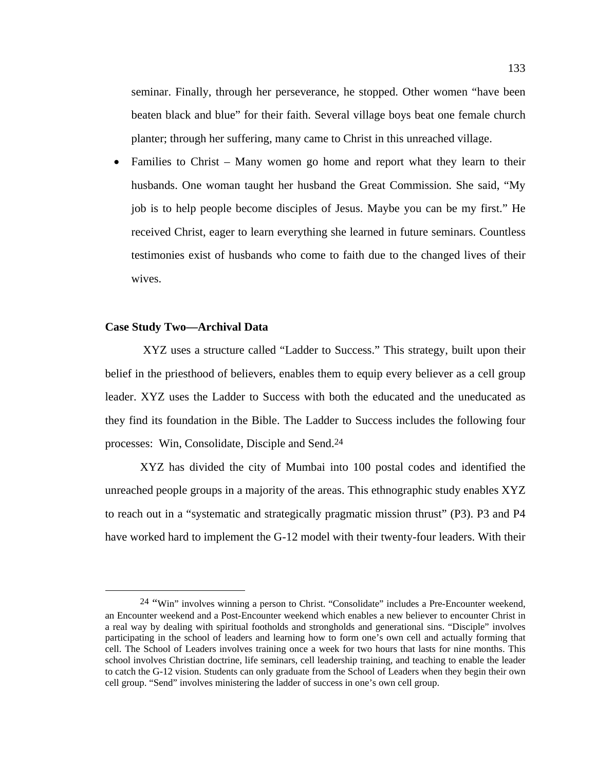seminar. Finally, through her perseverance, he stopped. Other women "have been beaten black and blue" for their faith. Several village boys beat one female church planter; through her suffering, many came to Christ in this unreached village.

 Families to Christ – Many women go home and report what they learn to their husbands. One woman taught her husband the Great Commission. She said, "My job is to help people become disciples of Jesus. Maybe you can be my first." He received Christ, eager to learn everything she learned in future seminars. Countless testimonies exist of husbands who come to faith due to the changed lives of their wives.

### **Case Study Two—Archival Data**

 XYZ uses a structure called "Ladder to Success." This strategy, built upon their belief in the priesthood of believers, enables them to equip every believer as a cell group leader. XYZ uses the Ladder to Success with both the educated and the uneducated as they find its foundation in the Bible. The Ladder to Success includes the following four processes: Win, Consolidate, Disciple and Send.24

XYZ has divided the city of Mumbai into 100 postal codes and identified the unreached people groups in a majority of the areas. This ethnographic study enables XYZ to reach out in a "systematic and strategically pragmatic mission thrust" (P3). P3 and P4 have worked hard to implement the G-12 model with their twenty-four leaders. With their

 <sup>24 &</sup>quot;Win" involves winning a person to Christ. "Consolidate" includes a Pre-Encounter weekend, an Encounter weekend and a Post-Encounter weekend which enables a new believer to encounter Christ in a real way by dealing with spiritual footholds and strongholds and generational sins. "Disciple" involves participating in the school of leaders and learning how to form one's own cell and actually forming that cell. The School of Leaders involves training once a week for two hours that lasts for nine months. This school involves Christian doctrine, life seminars, cell leadership training, and teaching to enable the leader to catch the G-12 vision. Students can only graduate from the School of Leaders when they begin their own cell group. "Send" involves ministering the ladder of success in one's own cell group.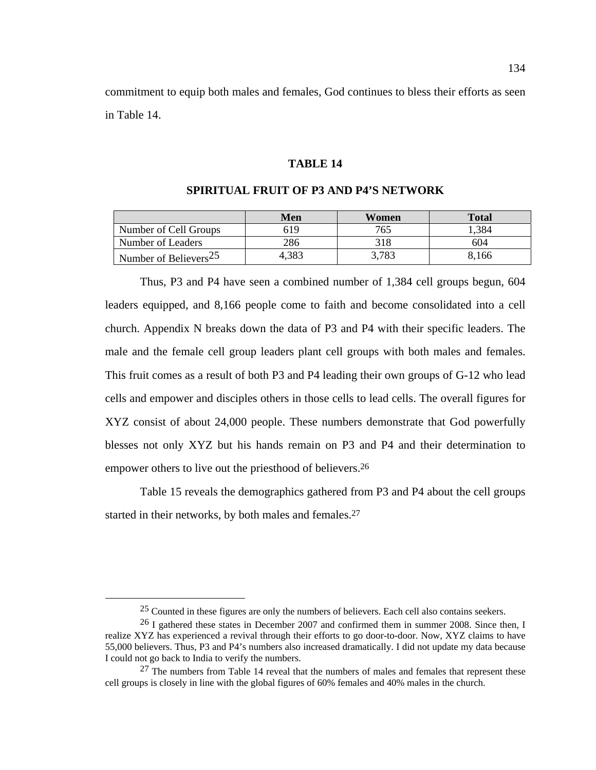commitment to equip both males and females, God continues to bless their efforts as seen in Table 14.

## **TABLE 14**

|                                                 | Men   | Women | <b>Total</b> |
|-------------------------------------------------|-------|-------|--------------|
| Number of Cell Groups                           | 619   | 765   | .384         |
| Number of Leaders                               | 286   | 318   | 604          |
| $\frac{1}{2}$ Number of Believers <sup>25</sup> | 4.383 | 3,783 | 8.166        |

### **SPIRITUAL FRUIT OF P3 AND P4'S NETWORK**

Thus, P3 and P4 have seen a combined number of 1,384 cell groups begun, 604 leaders equipped, and 8,166 people come to faith and become consolidated into a cell church. Appendix N breaks down the data of P3 and P4 with their specific leaders. The male and the female cell group leaders plant cell groups with both males and females. This fruit comes as a result of both P3 and P4 leading their own groups of G-12 who lead cells and empower and disciples others in those cells to lead cells. The overall figures for XYZ consist of about 24,000 people. These numbers demonstrate that God powerfully blesses not only XYZ but his hands remain on P3 and P4 and their determination to empower others to live out the priesthood of believers.<sup>26</sup>

Table 15 reveals the demographics gathered from P3 and P4 about the cell groups started in their networks, by both males and females.<sup>27</sup>

 <sup>25</sup> Counted in these figures are only the numbers of believers. Each cell also contains seekers.

<sup>&</sup>lt;sup>26</sup> I gathered these states in December 2007 and confirmed them in summer 2008. Since then, I realize XYZ has experienced a revival through their efforts to go door-to-door. Now, XYZ claims to have 55,000 believers. Thus, P3 and P4's numbers also increased dramatically. I did not update my data because I could not go back to India to verify the numbers.

 $27$  The numbers from Table 14 reveal that the numbers of males and females that represent these cell groups is closely in line with the global figures of 60% females and 40% males in the church.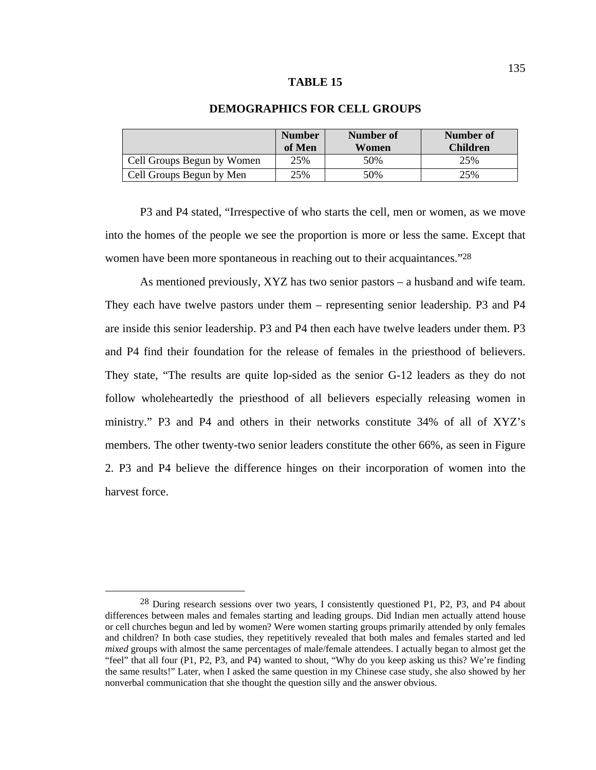|                            | <b>Number</b><br>of Men | Number of<br>Women | Number of<br><b>Children</b> |
|----------------------------|-------------------------|--------------------|------------------------------|
| Cell Groups Begun by Women | 25%                     | 50%                | 25%                          |
| Cell Groups Begun by Men   | 25%                     | 50%                | 25%                          |

# **DEMOGRAPHICS FOR CELL GROUPS**

P3 and P4 stated, "Irrespective of who starts the cell, men or women, as we move into the homes of the people we see the proportion is more or less the same. Except that women have been more spontaneous in reaching out to their acquaintances."<sup>28</sup>

 As mentioned previously, XYZ has two senior pastors – a husband and wife team. They each have twelve pastors under them – representing senior leadership. P3 and P4 are inside this senior leadership. P3 and P4 then each have twelve leaders under them. P3 and P4 find their foundation for the release of females in the priesthood of believers. They state, "The results are quite lop-sided as the senior G-12 leaders as they do not follow wholeheartedly the priesthood of all believers especially releasing women in ministry." P3 and P4 and others in their networks constitute 34% of all of XYZ's members. The other twenty-two senior leaders constitute the other 66%, as seen in Figure 2. P3 and P4 believe the difference hinges on their incorporation of women into the harvest force.

 <sup>28</sup> During research sessions over two years, I consistently questioned P1, P2, P3, and P4 about differences between males and females starting and leading groups. Did Indian men actually attend house or cell churches begun and led by women? Were women starting groups primarily attended by only females and children? In both case studies, they repetitively revealed that both males and females started and led *mixed* groups with almost the same percentages of male/female attendees. I actually began to almost get the "feel" that all four (P1, P2, P3, and P4) wanted to shout, "Why do you keep asking us this? We're finding the same results!" Later, when I asked the same question in my Chinese case study, she also showed by her nonverbal communication that she thought the question silly and the answer obvious.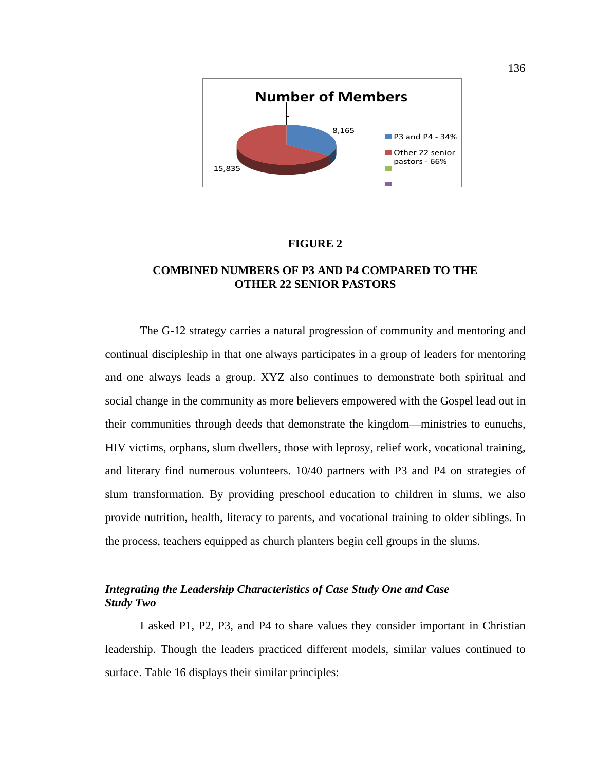

### **FIGURE 2**

# **COMBINED NUMBERS OF P3 AND P4 COMPARED TO THE OTHER 22 SENIOR PASTORS**

The G-12 strategy carries a natural progression of community and mentoring and continual discipleship in that one always participates in a group of leaders for mentoring and one always leads a group. XYZ also continues to demonstrate both spiritual and social change in the community as more believers empowered with the Gospel lead out in their communities through deeds that demonstrate the kingdom—ministries to eunuchs, HIV victims, orphans, slum dwellers, those with leprosy, relief work, vocational training, and literary find numerous volunteers. 10/40 partners with P3 and P4 on strategies of slum transformation. By providing preschool education to children in slums, we also provide nutrition, health, literacy to parents, and vocational training to older siblings. In the process, teachers equipped as church planters begin cell groups in the slums.

# *Integrating the Leadership Characteristics of Case Study One and Case Study Two*

I asked P1, P2, P3, and P4 to share values they consider important in Christian leadership. Though the leaders practiced different models, similar values continued to surface. Table 16 displays their similar principles: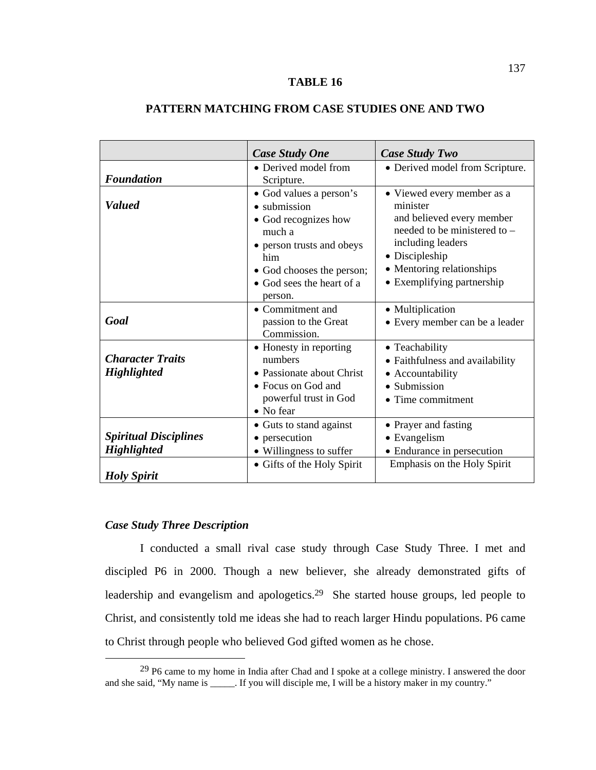## **TABLE 16**

# **PATTERN MATCHING FROM CASE STUDIES ONE AND TWO**

|                                                                          | <b>Case Study One</b>                                                                                                                                                                      | Case Study Two                                                                                                                                                                                        |
|--------------------------------------------------------------------------|--------------------------------------------------------------------------------------------------------------------------------------------------------------------------------------------|-------------------------------------------------------------------------------------------------------------------------------------------------------------------------------------------------------|
| <b>Foundation</b>                                                        | • Derived model from<br>Scripture.                                                                                                                                                         | • Derived model from Scripture.                                                                                                                                                                       |
| <b>Valued</b>                                                            | • God values a person's<br>$\bullet$ submission<br>• God recognizes how<br>much a<br>• person trusts and obeys<br>him<br>• God chooses the person;<br>• God sees the heart of a<br>person. | • Viewed every member as a<br>minister<br>and believed every member<br>needed to be ministered to –<br>including leaders<br>• Discipleship<br>• Mentoring relationships<br>• Exemplifying partnership |
| Goal                                                                     | • Commitment and<br>passion to the Great<br>Commission.                                                                                                                                    | • Multiplication<br>• Every member can be a leader                                                                                                                                                    |
| <b>Character Traits</b><br><b>Highlighted</b>                            | • Honesty in reporting<br>numbers<br>• Passionate about Christ<br>$\bullet$ Focus on God and<br>powerful trust in God<br>• No fear                                                         | • Teachability<br>• Faithfulness and availability<br>• Accountability<br>• Submission<br>• Time commitment                                                                                            |
| <b>Spiritual Disciplines</b><br><b>Highlighted</b><br><b>Holy Spirit</b> | • Guts to stand against<br>• persecution<br>• Willingness to suffer<br>• Gifts of the Holy Spirit                                                                                          | • Prayer and fasting<br>• Evangelism<br>• Endurance in persecution<br>Emphasis on the Holy Spirit                                                                                                     |

# *Case Study Three Description*

I conducted a small rival case study through Case Study Three. I met and discipled P6 in 2000. Though a new believer, she already demonstrated gifts of leadership and evangelism and apologetics.29 She started house groups, led people to Christ, and consistently told me ideas she had to reach larger Hindu populations. P6 came to Christ through people who believed God gifted women as he chose.

 <sup>29</sup> P6 came to my home in India after Chad and I spoke at a college ministry. I answered the door and she said, "My name is \_\_\_\_\_. If you will disciple me, I will be a history maker in my country."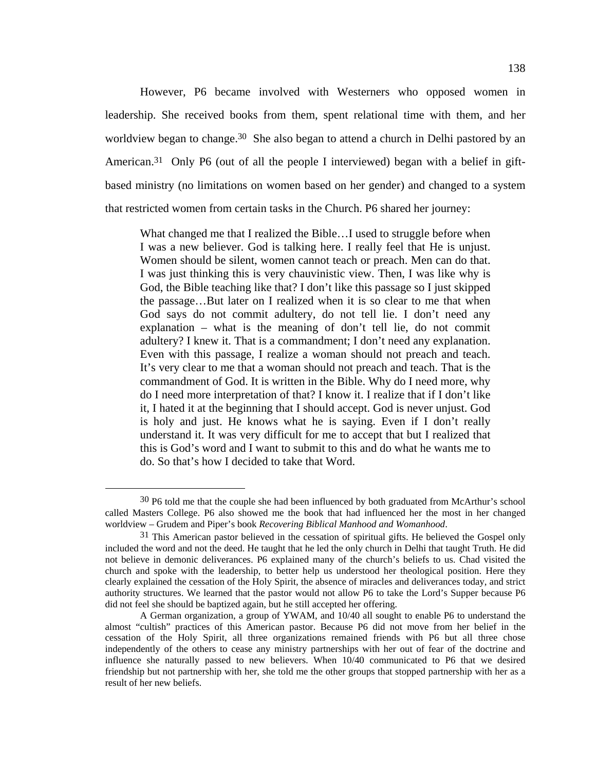However, P6 became involved with Westerners who opposed women in leadership. She received books from them, spent relational time with them, and her worldview began to change.<sup>30</sup> She also began to attend a church in Delhi pastored by an American.<sup>31</sup> Only P6 (out of all the people I interviewed) began with a belief in giftbased ministry (no limitations on women based on her gender) and changed to a system that restricted women from certain tasks in the Church. P6 shared her journey:

What changed me that I realized the Bible…I used to struggle before when I was a new believer. God is talking here. I really feel that He is unjust. Women should be silent, women cannot teach or preach. Men can do that. I was just thinking this is very chauvinistic view. Then, I was like why is God, the Bible teaching like that? I don't like this passage so I just skipped the passage…But later on I realized when it is so clear to me that when God says do not commit adultery, do not tell lie. I don't need any explanation – what is the meaning of don't tell lie, do not commit adultery? I knew it. That is a commandment; I don't need any explanation. Even with this passage, I realize a woman should not preach and teach. It's very clear to me that a woman should not preach and teach. That is the commandment of God. It is written in the Bible. Why do I need more, why do I need more interpretation of that? I know it. I realize that if I don't like it, I hated it at the beginning that I should accept. God is never unjust. God is holy and just. He knows what he is saying. Even if I don't really understand it. It was very difficult for me to accept that but I realized that this is God's word and I want to submit to this and do what he wants me to do. So that's how I decided to take that Word.

<sup>&</sup>lt;sup>30</sup> P6 told me that the couple she had been influenced by both graduated from McArthur's school called Masters College. P6 also showed me the book that had influenced her the most in her changed worldview – Grudem and Piper's book *Recovering Biblical Manhood and Womanhood*.

<sup>&</sup>lt;sup>31</sup> This American pastor believed in the cessation of spiritual gifts. He believed the Gospel only included the word and not the deed. He taught that he led the only church in Delhi that taught Truth. He did not believe in demonic deliverances. P6 explained many of the church's beliefs to us. Chad visited the church and spoke with the leadership, to better help us understood her theological position. Here they clearly explained the cessation of the Holy Spirit, the absence of miracles and deliverances today, and strict authority structures. We learned that the pastor would not allow P6 to take the Lord's Supper because P6 did not feel she should be baptized again, but he still accepted her offering.

A German organization, a group of YWAM, and 10/40 all sought to enable P6 to understand the almost "cultish" practices of this American pastor. Because P6 did not move from her belief in the cessation of the Holy Spirit, all three organizations remained friends with P6 but all three chose independently of the others to cease any ministry partnerships with her out of fear of the doctrine and influence she naturally passed to new believers. When 10/40 communicated to P6 that we desired friendship but not partnership with her, she told me the other groups that stopped partnership with her as a result of her new beliefs.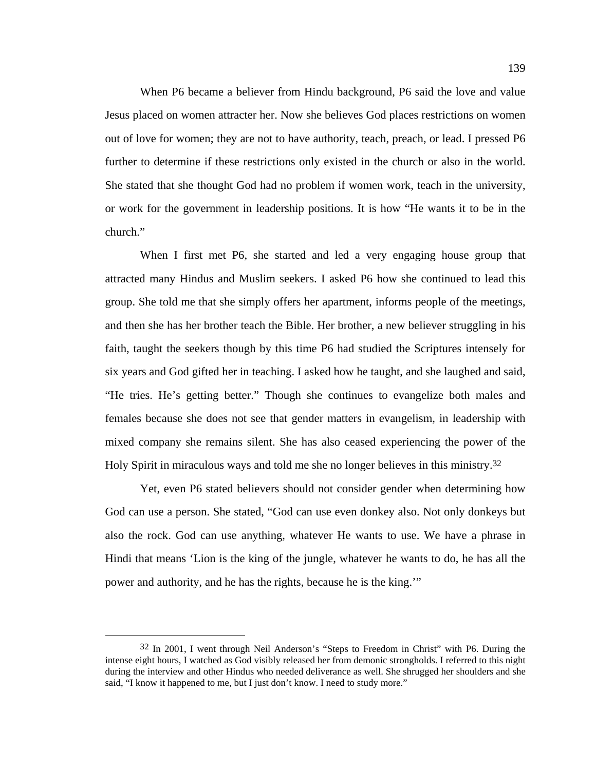When P6 became a believer from Hindu background, P6 said the love and value Jesus placed on women attracter her. Now she believes God places restrictions on women out of love for women; they are not to have authority, teach, preach, or lead. I pressed P6 further to determine if these restrictions only existed in the church or also in the world. She stated that she thought God had no problem if women work, teach in the university, or work for the government in leadership positions. It is how "He wants it to be in the church."

When I first met P6, she started and led a very engaging house group that attracted many Hindus and Muslim seekers. I asked P6 how she continued to lead this group. She told me that she simply offers her apartment, informs people of the meetings, and then she has her brother teach the Bible. Her brother, a new believer struggling in his faith, taught the seekers though by this time P6 had studied the Scriptures intensely for six years and God gifted her in teaching. I asked how he taught, and she laughed and said, "He tries. He's getting better." Though she continues to evangelize both males and females because she does not see that gender matters in evangelism, in leadership with mixed company she remains silent. She has also ceased experiencing the power of the Holy Spirit in miraculous ways and told me she no longer believes in this ministry.32

Yet, even P6 stated believers should not consider gender when determining how God can use a person. She stated, "God can use even donkey also. Not only donkeys but also the rock. God can use anything, whatever He wants to use. We have a phrase in Hindi that means 'Lion is the king of the jungle, whatever he wants to do, he has all the power and authority, and he has the rights, because he is the king.'"

 <sup>32</sup> In 2001, I went through Neil Anderson's "Steps to Freedom in Christ" with P6. During the intense eight hours, I watched as God visibly released her from demonic strongholds. I referred to this night during the interview and other Hindus who needed deliverance as well. She shrugged her shoulders and she said, "I know it happened to me, but I just don't know. I need to study more."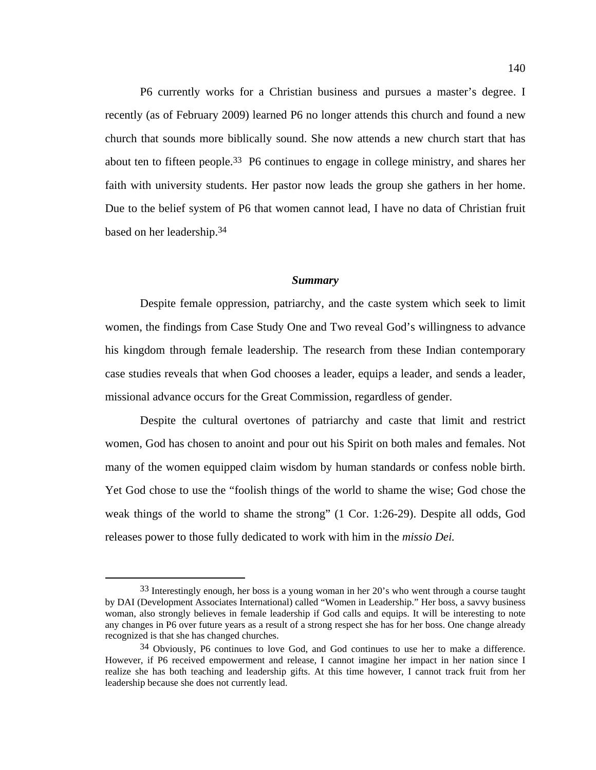P6 currently works for a Christian business and pursues a master's degree. I recently (as of February 2009) learned P6 no longer attends this church and found a new church that sounds more biblically sound. She now attends a new church start that has about ten to fifteen people.33 P6 continues to engage in college ministry, and shares her faith with university students. Her pastor now leads the group she gathers in her home. Due to the belief system of P6 that women cannot lead, I have no data of Christian fruit based on her leadership.34

#### *Summary*

Despite female oppression, patriarchy, and the caste system which seek to limit women, the findings from Case Study One and Two reveal God's willingness to advance his kingdom through female leadership. The research from these Indian contemporary case studies reveals that when God chooses a leader, equips a leader, and sends a leader, missional advance occurs for the Great Commission, regardless of gender.

Despite the cultural overtones of patriarchy and caste that limit and restrict women, God has chosen to anoint and pour out his Spirit on both males and females. Not many of the women equipped claim wisdom by human standards or confess noble birth. Yet God chose to use the "foolish things of the world to shame the wise; God chose the weak things of the world to shame the strong" (1 Cor. 1:26-29). Despite all odds, God releases power to those fully dedicated to work with him in the *missio Dei.*

 <sup>33</sup> Interestingly enough, her boss is a young woman in her 20's who went through a course taught by DAI (Development Associates International) called "Women in Leadership." Her boss, a savvy business woman, also strongly believes in female leadership if God calls and equips. It will be interesting to note any changes in P6 over future years as a result of a strong respect she has for her boss. One change already recognized is that she has changed churches.

<sup>34</sup> Obviously, P6 continues to love God, and God continues to use her to make a difference. However, if P6 received empowerment and release, I cannot imagine her impact in her nation since I realize she has both teaching and leadership gifts. At this time however, I cannot track fruit from her leadership because she does not currently lead.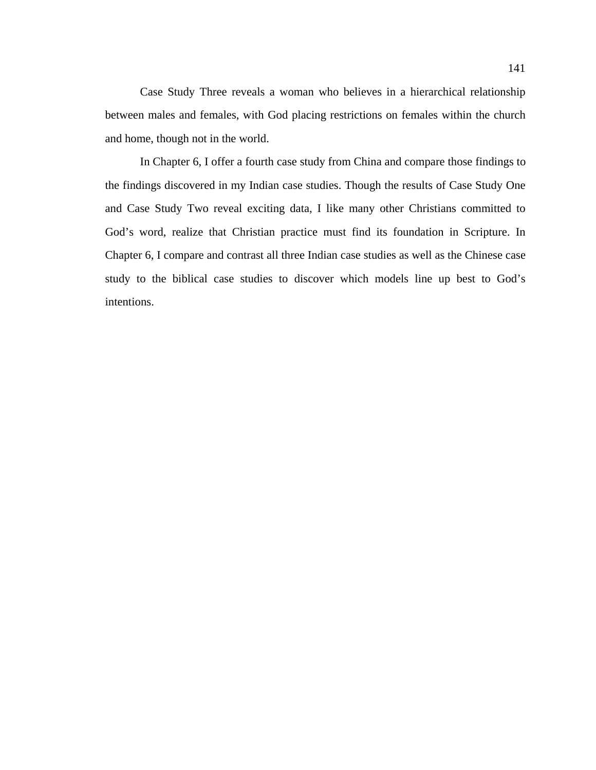Case Study Three reveals a woman who believes in a hierarchical relationship between males and females, with God placing restrictions on females within the church and home, though not in the world.

In Chapter 6, I offer a fourth case study from China and compare those findings to the findings discovered in my Indian case studies. Though the results of Case Study One and Case Study Two reveal exciting data, I like many other Christians committed to God's word, realize that Christian practice must find its foundation in Scripture. In Chapter 6, I compare and contrast all three Indian case studies as well as the Chinese case study to the biblical case studies to discover which models line up best to God's intentions.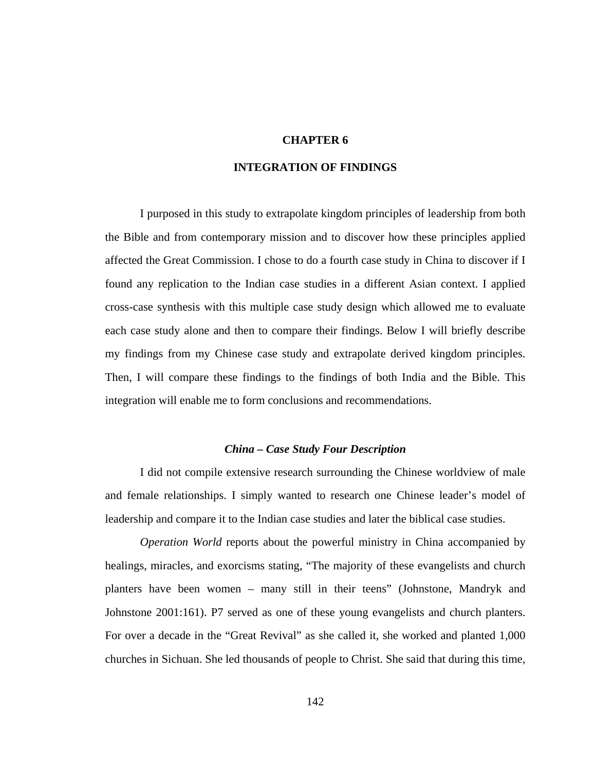# **CHAPTER 6**

### **INTEGRATION OF FINDINGS**

I purposed in this study to extrapolate kingdom principles of leadership from both the Bible and from contemporary mission and to discover how these principles applied affected the Great Commission. I chose to do a fourth case study in China to discover if I found any replication to the Indian case studies in a different Asian context. I applied cross-case synthesis with this multiple case study design which allowed me to evaluate each case study alone and then to compare their findings. Below I will briefly describe my findings from my Chinese case study and extrapolate derived kingdom principles. Then, I will compare these findings to the findings of both India and the Bible. This integration will enable me to form conclusions and recommendations.

## *China – Case Study Four Description*

I did not compile extensive research surrounding the Chinese worldview of male and female relationships. I simply wanted to research one Chinese leader's model of leadership and compare it to the Indian case studies and later the biblical case studies.

*Operation World* reports about the powerful ministry in China accompanied by healings, miracles, and exorcisms stating, "The majority of these evangelists and church planters have been women – many still in their teens" (Johnstone, Mandryk and Johnstone 2001:161). P7 served as one of these young evangelists and church planters. For over a decade in the "Great Revival" as she called it, she worked and planted 1,000 churches in Sichuan. She led thousands of people to Christ. She said that during this time,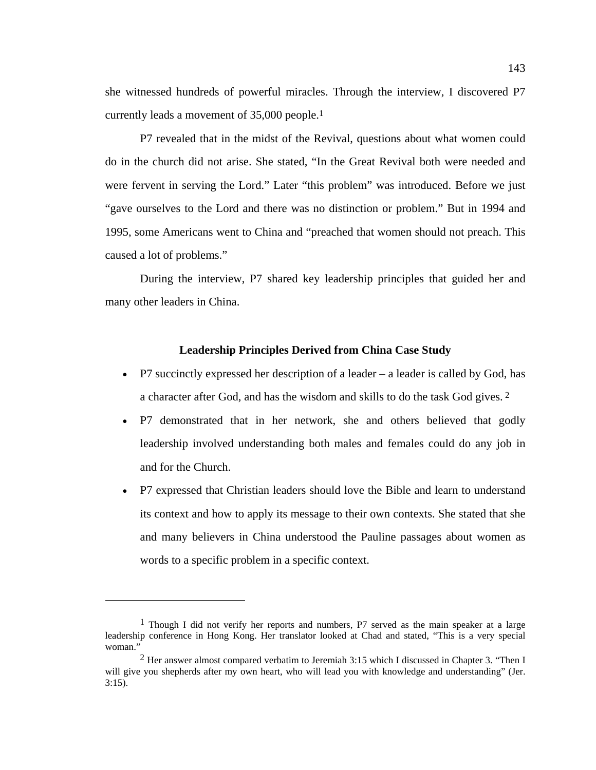she witnessed hundreds of powerful miracles. Through the interview, I discovered P7 currently leads a movement of 35,000 people.1

P7 revealed that in the midst of the Revival, questions about what women could do in the church did not arise. She stated, "In the Great Revival both were needed and were fervent in serving the Lord." Later "this problem" was introduced. Before we just "gave ourselves to the Lord and there was no distinction or problem." But in 1994 and 1995, some Americans went to China and "preached that women should not preach. This caused a lot of problems."

During the interview, P7 shared key leadership principles that guided her and many other leaders in China.

## **Leadership Principles Derived from China Case Study**

- P7 succinctly expressed her description of a leader  $-$  a leader is called by God, has a character after God, and has the wisdom and skills to do the task God gives. 2
- P7 demonstrated that in her network, she and others believed that godly leadership involved understanding both males and females could do any job in and for the Church.
- P7 expressed that Christian leaders should love the Bible and learn to understand its context and how to apply its message to their own contexts. She stated that she and many believers in China understood the Pauline passages about women as words to a specific problem in a specific context.

 $\overline{a}$ 

<sup>1</sup> Though I did not verify her reports and numbers, P7 served as the main speaker at a large leadership conference in Hong Kong. Her translator looked at Chad and stated, "This is a very special woman."

<sup>2</sup> Her answer almost compared verbatim to Jeremiah 3:15 which I discussed in Chapter 3. "Then I will give you shepherds after my own heart, who will lead you with knowledge and understanding" (Jer. 3:15).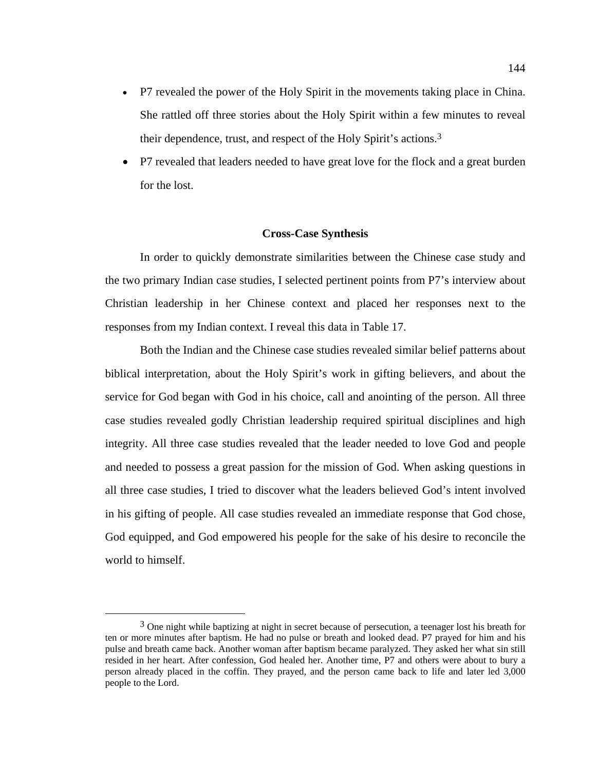- P7 revealed the power of the Holy Spirit in the movements taking place in China. She rattled off three stories about the Holy Spirit within a few minutes to reveal their dependence, trust, and respect of the Holy Spirit's actions.3
- P7 revealed that leaders needed to have great love for the flock and a great burden for the lost.

#### **Cross-Case Synthesis**

In order to quickly demonstrate similarities between the Chinese case study and the two primary Indian case studies, I selected pertinent points from P7's interview about Christian leadership in her Chinese context and placed her responses next to the responses from my Indian context. I reveal this data in Table 17.

Both the Indian and the Chinese case studies revealed similar belief patterns about biblical interpretation, about the Holy Spirit's work in gifting believers, and about the service for God began with God in his choice, call and anointing of the person. All three case studies revealed godly Christian leadership required spiritual disciplines and high integrity. All three case studies revealed that the leader needed to love God and people and needed to possess a great passion for the mission of God. When asking questions in all three case studies, I tried to discover what the leaders believed God's intent involved in his gifting of people. All case studies revealed an immediate response that God chose, God equipped, and God empowered his people for the sake of his desire to reconcile the world to himself.

 $3$  One night while baptizing at night in secret because of persecution, a teenager lost his breath for ten or more minutes after baptism. He had no pulse or breath and looked dead. P7 prayed for him and his pulse and breath came back. Another woman after baptism became paralyzed. They asked her what sin still resided in her heart. After confession, God healed her. Another time, P7 and others were about to bury a person already placed in the coffin. They prayed, and the person came back to life and later led 3,000 people to the Lord.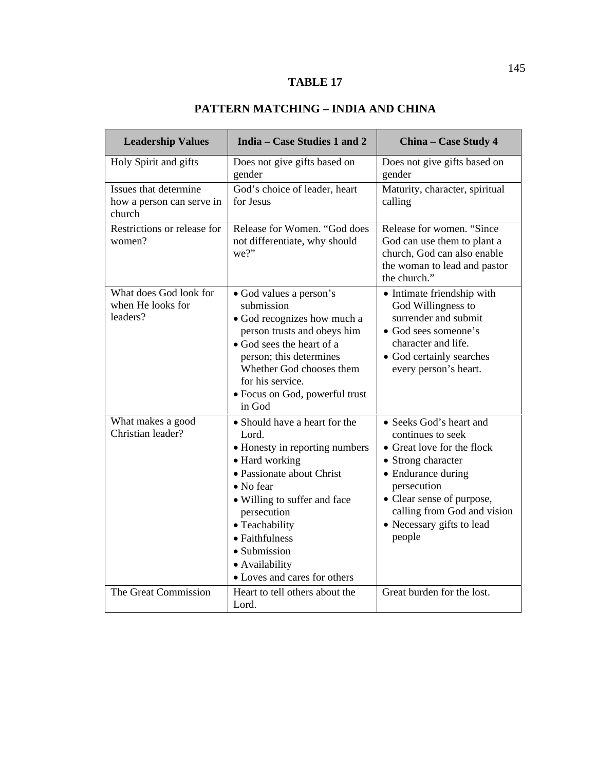# **TABLE 17**

# **PATTERN MATCHING – INDIA AND CHINA**

| <b>Leadership Values</b>                                     | India - Case Studies 1 and 2                                                                                                                                                                                                                                                              | China - Case Study 4                                                                                                                                                                                                                     |
|--------------------------------------------------------------|-------------------------------------------------------------------------------------------------------------------------------------------------------------------------------------------------------------------------------------------------------------------------------------------|------------------------------------------------------------------------------------------------------------------------------------------------------------------------------------------------------------------------------------------|
| Holy Spirit and gifts                                        | Does not give gifts based on<br>gender                                                                                                                                                                                                                                                    | Does not give gifts based on<br>gender                                                                                                                                                                                                   |
| Issues that determine<br>how a person can serve in<br>church | God's choice of leader, heart<br>for Jesus                                                                                                                                                                                                                                                | Maturity, character, spiritual<br>calling                                                                                                                                                                                                |
| Restrictions or release for<br>women?                        | Release for Women. "God does<br>not differentiate, why should<br>we?"                                                                                                                                                                                                                     | Release for women. "Since<br>God can use them to plant a<br>church, God can also enable<br>the woman to lead and pastor<br>the church."                                                                                                  |
| What does God look for<br>when He looks for<br>leaders?      | • God values a person's<br>submission<br>• God recognizes how much a<br>person trusts and obeys him<br>• God sees the heart of a<br>person; this determines<br>Whether God chooses them<br>for his service.<br>• Focus on God, powerful trust<br>in God                                   | • Intimate friendship with<br>God Willingness to<br>surrender and submit<br>• God sees someone's<br>character and life.<br>• God certainly searches<br>every person's heart.                                                             |
| What makes a good<br>Christian leader?                       | • Should have a heart for the<br>Lord.<br>• Honesty in reporting numbers<br>• Hard working<br>• Passionate about Christ<br>• No fear<br>• Willing to suffer and face<br>persecution<br>• Teachability<br>• Faithfulness<br>· Submission<br>• Availability<br>• Loves and cares for others | • Seeks God's heart and<br>continues to seek<br>• Great love for the flock<br>• Strong character<br>• Endurance during<br>persecution<br>• Clear sense of purpose,<br>calling from God and vision<br>• Necessary gifts to lead<br>people |
| The Great Commission                                         | Heart to tell others about the<br>Lord.                                                                                                                                                                                                                                                   | Great burden for the lost.                                                                                                                                                                                                               |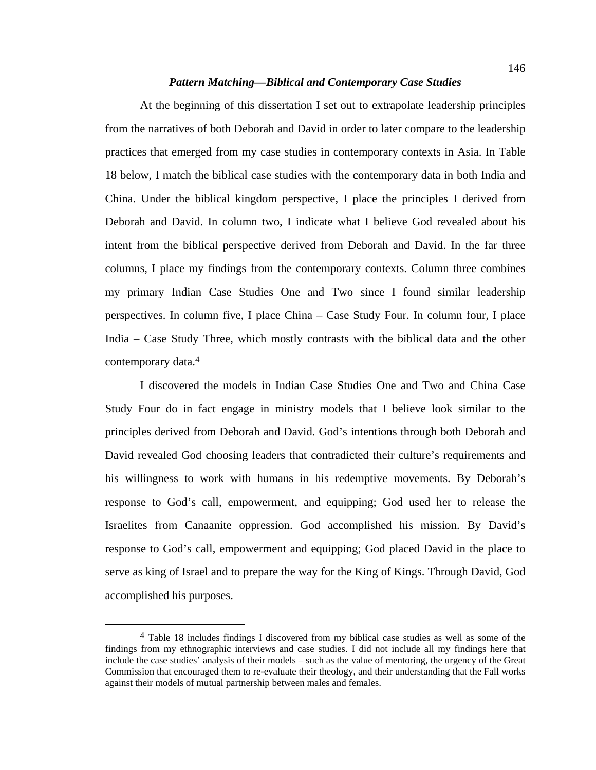### *Pattern Matching—Biblical and Contemporary Case Studies*

At the beginning of this dissertation I set out to extrapolate leadership principles from the narratives of both Deborah and David in order to later compare to the leadership practices that emerged from my case studies in contemporary contexts in Asia. In Table 18 below, I match the biblical case studies with the contemporary data in both India and China. Under the biblical kingdom perspective, I place the principles I derived from Deborah and David. In column two, I indicate what I believe God revealed about his intent from the biblical perspective derived from Deborah and David. In the far three columns, I place my findings from the contemporary contexts. Column three combines my primary Indian Case Studies One and Two since I found similar leadership perspectives. In column five, I place China – Case Study Four. In column four, I place India – Case Study Three, which mostly contrasts with the biblical data and the other contemporary data.4

I discovered the models in Indian Case Studies One and Two and China Case Study Four do in fact engage in ministry models that I believe look similar to the principles derived from Deborah and David. God's intentions through both Deborah and David revealed God choosing leaders that contradicted their culture's requirements and his willingness to work with humans in his redemptive movements. By Deborah's response to God's call, empowerment, and equipping; God used her to release the Israelites from Canaanite oppression. God accomplished his mission. By David's response to God's call, empowerment and equipping; God placed David in the place to serve as king of Israel and to prepare the way for the King of Kings. Through David, God accomplished his purposes.

 <sup>4</sup> Table 18 includes findings I discovered from my biblical case studies as well as some of the findings from my ethnographic interviews and case studies. I did not include all my findings here that include the case studies' analysis of their models – such as the value of mentoring, the urgency of the Great Commission that encouraged them to re-evaluate their theology, and their understanding that the Fall works against their models of mutual partnership between males and females.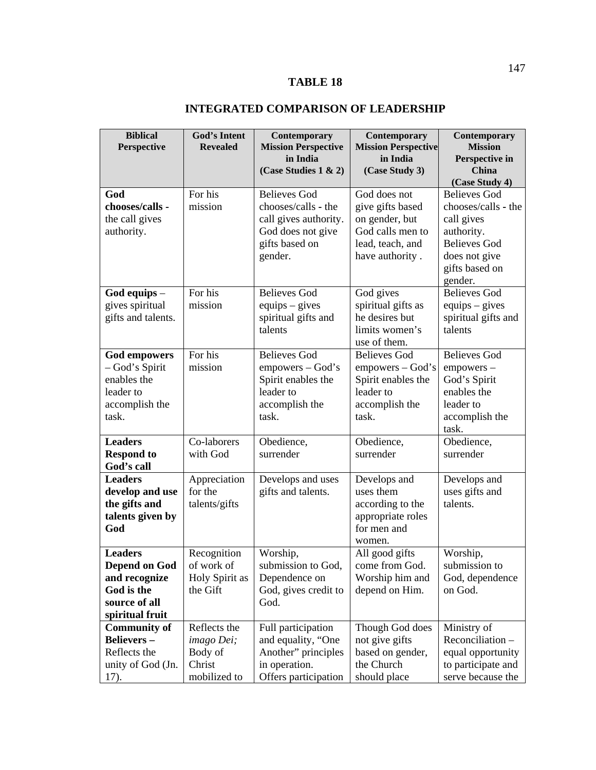# **TABLE 18**

# **INTEGRATED COMPARISON OF LEADERSHIP**

| <b>Biblical</b>                      | <b>God's Intent</b> | Contemporary               | Contemporary               | Contemporary            |
|--------------------------------------|---------------------|----------------------------|----------------------------|-------------------------|
| Perspective                          | <b>Revealed</b>     | <b>Mission Perspective</b> | <b>Mission Perspective</b> | <b>Mission</b>          |
|                                      |                     | in India                   | in India                   | Perspective in<br>China |
|                                      |                     | (Case Studies $1 \& 2$ )   | (Case Study 3)             | (Case Study 4)          |
| God                                  | For his             | <b>Believes God</b>        | God does not               | <b>Believes God</b>     |
| chooses/calls -                      | mission             | chooses/calls - the        | give gifts based           | chooses/calls - the     |
| the call gives                       |                     | call gives authority.      | on gender, but             | call gives              |
| authority.                           |                     | God does not give          | God calls men to           | authority.              |
|                                      |                     | gifts based on             | lead, teach, and           | <b>Believes God</b>     |
|                                      |                     | gender.                    | have authority.            | does not give           |
|                                      |                     |                            |                            | gifts based on          |
|                                      |                     |                            |                            | gender.                 |
| $\boldsymbol{\text{God}}$ equips $-$ | For his             | <b>Believes God</b>        | God gives                  | <b>Believes God</b>     |
| gives spiritual                      | mission             | $equips - gives$           | spiritual gifts as         | $equips - gives$        |
| gifts and talents.                   |                     | spiritual gifts and        | he desires but             | spiritual gifts and     |
|                                      |                     | talents                    | limits women's             | talents                 |
|                                      |                     |                            | use of them.               |                         |
| <b>God empowers</b>                  | For his             | <b>Believes God</b>        | <b>Believes God</b>        | <b>Believes God</b>     |
| – God's Spirit                       | mission             | empowers - God's           | $empowers - God's$         | empowers -              |
| enables the                          |                     | Spirit enables the         | Spirit enables the         | God's Spirit            |
| leader to                            |                     | leader to                  | leader to                  | enables the             |
| accomplish the                       |                     | accomplish the             | accomplish the             | leader to               |
| task.                                |                     | task.                      | task.                      | accomplish the<br>task. |
| <b>Leaders</b>                       | Co-laborers         | Obedience,                 | Obedience,                 | Obedience,              |
| <b>Respond to</b>                    | with God            | surrender                  | surrender                  | surrender               |
| God's call                           |                     |                            |                            |                         |
| <b>Leaders</b>                       | Appreciation        | Develops and uses          | Develops and               | Develops and            |
| develop and use                      | for the             | gifts and talents.         | uses them                  | uses gifts and          |
| the gifts and                        | talents/gifts       |                            | according to the           | talents.                |
| talents given by                     |                     |                            | appropriate roles          |                         |
| God                                  |                     |                            | for men and                |                         |
|                                      |                     |                            | women.                     |                         |
| <b>Leaders</b>                       | Recognition         | Worship,                   | All good gifts             | Worship,                |
| <b>Depend on God</b>                 | of work of          | submission to God,         | come from God.             | submission to           |
| and recognize                        | Holy Spirit as      | Dependence on              | Worship him and            | God, dependence         |
| God is the                           | the Gift            | God, gives credit to       | depend on Him.             | on God.                 |
| source of all                        |                     | God.                       |                            |                         |
| spiritual fruit                      |                     |                            |                            |                         |
| <b>Community of</b>                  | Reflects the        | Full participation         | Though God does            | Ministry of             |
| <b>Believers-</b>                    | imago Dei;          | and equality, "One         | not give gifts             | Reconciliation-         |
| Reflects the                         | Body of             | Another" principles        | based on gender,           | equal opportunity       |
| unity of God (Jn.                    | Christ              | in operation.              | the Church                 | to participate and      |
| 17).                                 | mobilized to        | Offers participation       | should place               | serve because the       |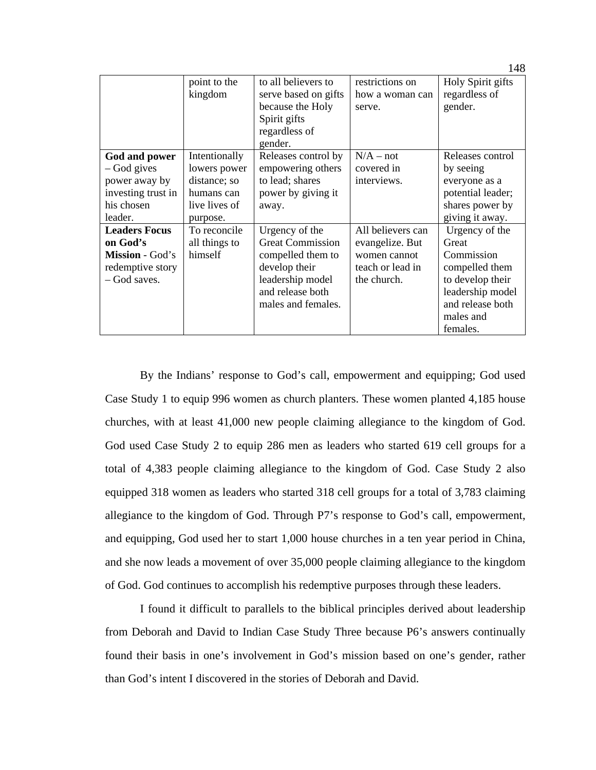|                      | point to the<br>kingdom | to all believers to<br>serve based on gifts<br>because the Holy<br>Spirit gifts<br>regardless of<br>gender. | restrictions on<br>how a woman can<br>serve. | Holy Spirit gifts<br>regardless of<br>gender. |
|----------------------|-------------------------|-------------------------------------------------------------------------------------------------------------|----------------------------------------------|-----------------------------------------------|
| God and power        | Intentionally           | Releases control by                                                                                         | $N/A - not$                                  | Releases control                              |
| – God gives          | lowers power            | empowering others                                                                                           | covered in                                   | by seeing                                     |
| power away by        | distance; so            | to lead; shares                                                                                             | interviews.                                  | everyone as a                                 |
| investing trust in   | humans can              | power by giving it                                                                                          |                                              | potential leader;                             |
| his chosen           | live lives of           | away.                                                                                                       |                                              | shares power by                               |
| leader.              | purpose.                |                                                                                                             |                                              | giving it away.                               |
| <b>Leaders Focus</b> | To reconcile            | Urgency of the                                                                                              | All believers can                            | Urgency of the                                |
| on God's             | all things to           | <b>Great Commission</b>                                                                                     | evangelize. But                              | Great                                         |
| Mission - God's      | himself                 | compelled them to                                                                                           | women cannot                                 | Commission                                    |
| redemptive story     |                         | develop their                                                                                               | teach or lead in                             | compelled them                                |
| - God saves.         |                         | leadership model                                                                                            | the church.                                  | to develop their                              |
|                      |                         | and release both                                                                                            |                                              | leadership model                              |
|                      |                         | males and females.                                                                                          |                                              | and release both                              |
|                      |                         |                                                                                                             |                                              | males and                                     |
|                      |                         |                                                                                                             |                                              | females.                                      |

By the Indians' response to God's call, empowerment and equipping; God used Case Study 1 to equip 996 women as church planters. These women planted 4,185 house churches, with at least 41,000 new people claiming allegiance to the kingdom of God. God used Case Study 2 to equip 286 men as leaders who started 619 cell groups for a total of 4,383 people claiming allegiance to the kingdom of God. Case Study 2 also equipped 318 women as leaders who started 318 cell groups for a total of 3,783 claiming allegiance to the kingdom of God. Through P7's response to God's call, empowerment, and equipping, God used her to start 1,000 house churches in a ten year period in China, and she now leads a movement of over 35,000 people claiming allegiance to the kingdom of God. God continues to accomplish his redemptive purposes through these leaders.

I found it difficult to parallels to the biblical principles derived about leadership from Deborah and David to Indian Case Study Three because P6's answers continually found their basis in one's involvement in God's mission based on one's gender, rather than God's intent I discovered in the stories of Deborah and David.

148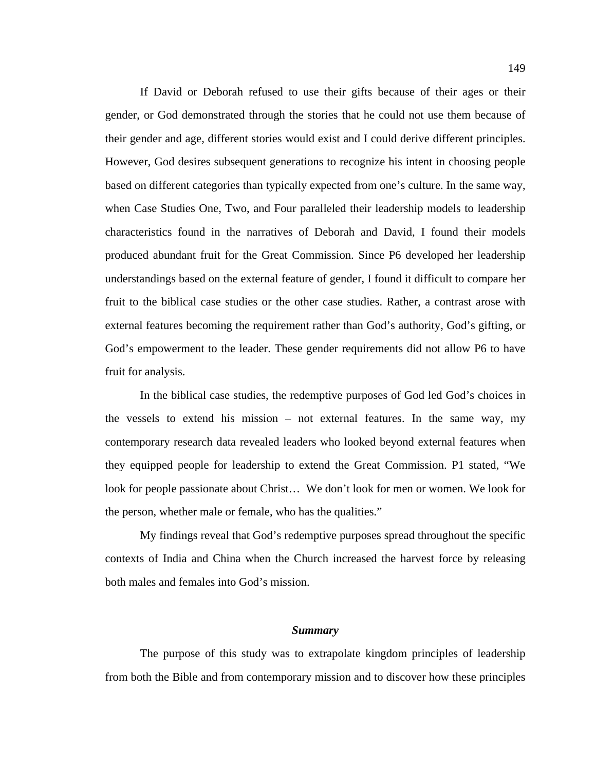If David or Deborah refused to use their gifts because of their ages or their gender, or God demonstrated through the stories that he could not use them because of their gender and age, different stories would exist and I could derive different principles. However, God desires subsequent generations to recognize his intent in choosing people based on different categories than typically expected from one's culture. In the same way, when Case Studies One, Two, and Four paralleled their leadership models to leadership characteristics found in the narratives of Deborah and David, I found their models produced abundant fruit for the Great Commission. Since P6 developed her leadership understandings based on the external feature of gender, I found it difficult to compare her fruit to the biblical case studies or the other case studies. Rather, a contrast arose with external features becoming the requirement rather than God's authority, God's gifting, or God's empowerment to the leader. These gender requirements did not allow P6 to have fruit for analysis.

In the biblical case studies, the redemptive purposes of God led God's choices in the vessels to extend his mission – not external features. In the same way, my contemporary research data revealed leaders who looked beyond external features when they equipped people for leadership to extend the Great Commission. P1 stated, "We look for people passionate about Christ… We don't look for men or women. We look for the person, whether male or female, who has the qualities."

My findings reveal that God's redemptive purposes spread throughout the specific contexts of India and China when the Church increased the harvest force by releasing both males and females into God's mission.

## *Summary*

The purpose of this study was to extrapolate kingdom principles of leadership from both the Bible and from contemporary mission and to discover how these principles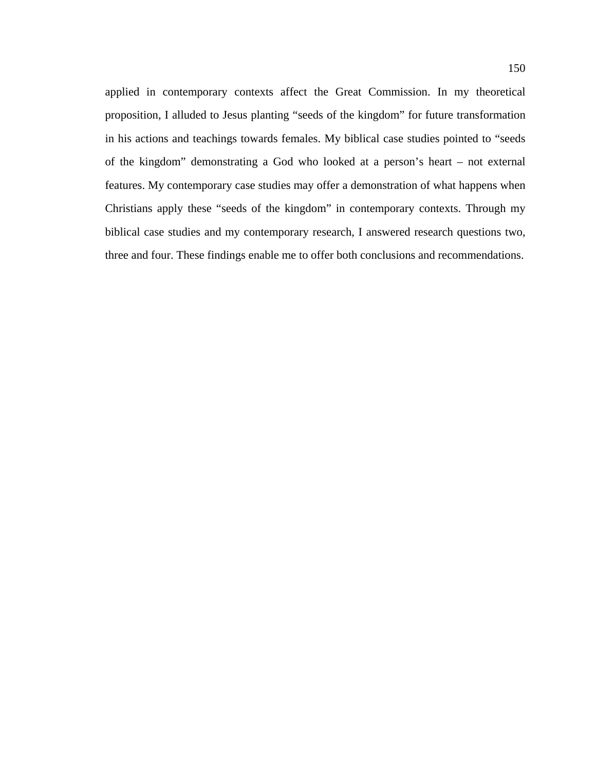applied in contemporary contexts affect the Great Commission. In my theoretical proposition, I alluded to Jesus planting "seeds of the kingdom" for future transformation in his actions and teachings towards females. My biblical case studies pointed to "seeds of the kingdom" demonstrating a God who looked at a person's heart – not external features. My contemporary case studies may offer a demonstration of what happens when Christians apply these "seeds of the kingdom" in contemporary contexts. Through my biblical case studies and my contemporary research, I answered research questions two, three and four. These findings enable me to offer both conclusions and recommendations.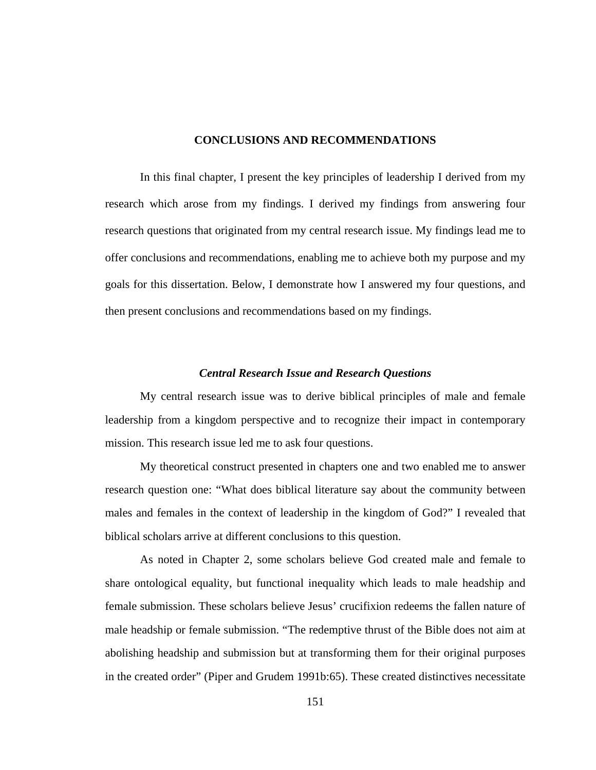## **CONCLUSIONS AND RECOMMENDATIONS**

In this final chapter, I present the key principles of leadership I derived from my research which arose from my findings. I derived my findings from answering four research questions that originated from my central research issue. My findings lead me to offer conclusions and recommendations, enabling me to achieve both my purpose and my goals for this dissertation. Below, I demonstrate how I answered my four questions, and then present conclusions and recommendations based on my findings.

### *Central Research Issue and Research Questions*

My central research issue was to derive biblical principles of male and female leadership from a kingdom perspective and to recognize their impact in contemporary mission. This research issue led me to ask four questions.

My theoretical construct presented in chapters one and two enabled me to answer research question one: "What does biblical literature say about the community between males and females in the context of leadership in the kingdom of God?" I revealed that biblical scholars arrive at different conclusions to this question.

As noted in Chapter 2, some scholars believe God created male and female to share ontological equality, but functional inequality which leads to male headship and female submission. These scholars believe Jesus' crucifixion redeems the fallen nature of male headship or female submission. "The redemptive thrust of the Bible does not aim at abolishing headship and submission but at transforming them for their original purposes in the created order" (Piper and Grudem 1991b:65). These created distinctives necessitate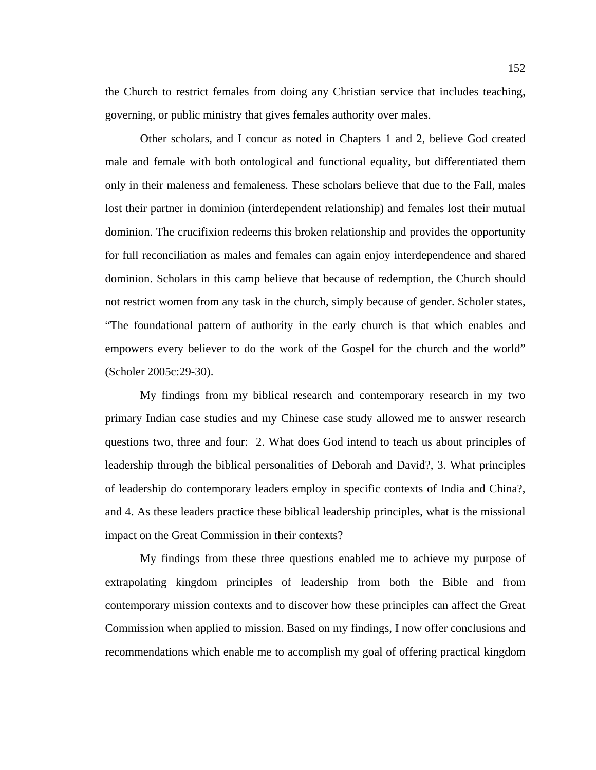the Church to restrict females from doing any Christian service that includes teaching, governing, or public ministry that gives females authority over males.

Other scholars, and I concur as noted in Chapters 1 and 2, believe God created male and female with both ontological and functional equality, but differentiated them only in their maleness and femaleness. These scholars believe that due to the Fall, males lost their partner in dominion (interdependent relationship) and females lost their mutual dominion. The crucifixion redeems this broken relationship and provides the opportunity for full reconciliation as males and females can again enjoy interdependence and shared dominion. Scholars in this camp believe that because of redemption, the Church should not restrict women from any task in the church, simply because of gender. Scholer states, "The foundational pattern of authority in the early church is that which enables and empowers every believer to do the work of the Gospel for the church and the world" (Scholer 2005c:29-30).

My findings from my biblical research and contemporary research in my two primary Indian case studies and my Chinese case study allowed me to answer research questions two, three and four: 2. What does God intend to teach us about principles of leadership through the biblical personalities of Deborah and David?, 3. What principles of leadership do contemporary leaders employ in specific contexts of India and China?, and 4. As these leaders practice these biblical leadership principles, what is the missional impact on the Great Commission in their contexts?

My findings from these three questions enabled me to achieve my purpose of extrapolating kingdom principles of leadership from both the Bible and from contemporary mission contexts and to discover how these principles can affect the Great Commission when applied to mission. Based on my findings, I now offer conclusions and recommendations which enable me to accomplish my goal of offering practical kingdom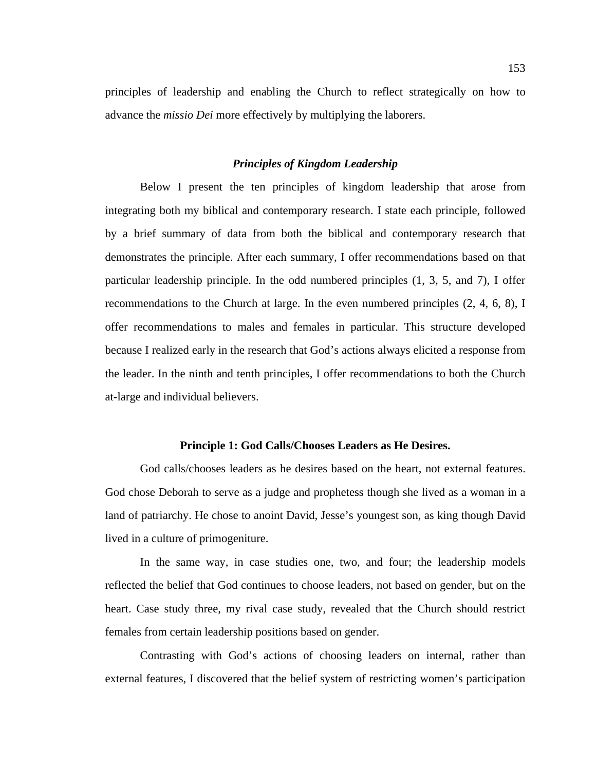principles of leadership and enabling the Church to reflect strategically on how to advance the *missio Dei* more effectively by multiplying the laborers.

### *Principles of Kingdom Leadership*

 Below I present the ten principles of kingdom leadership that arose from integrating both my biblical and contemporary research. I state each principle, followed by a brief summary of data from both the biblical and contemporary research that demonstrates the principle. After each summary, I offer recommendations based on that particular leadership principle. In the odd numbered principles (1, 3, 5, and 7), I offer recommendations to the Church at large. In the even numbered principles (2, 4, 6, 8), I offer recommendations to males and females in particular. This structure developed because I realized early in the research that God's actions always elicited a response from the leader. In the ninth and tenth principles, I offer recommendations to both the Church at-large and individual believers.

## **Principle 1: God Calls/Chooses Leaders as He Desires.**

God calls/chooses leaders as he desires based on the heart, not external features. God chose Deborah to serve as a judge and prophetess though she lived as a woman in a land of patriarchy. He chose to anoint David, Jesse's youngest son, as king though David lived in a culture of primogeniture.

In the same way, in case studies one, two, and four; the leadership models reflected the belief that God continues to choose leaders, not based on gender, but on the heart. Case study three, my rival case study, revealed that the Church should restrict females from certain leadership positions based on gender.

Contrasting with God's actions of choosing leaders on internal, rather than external features, I discovered that the belief system of restricting women's participation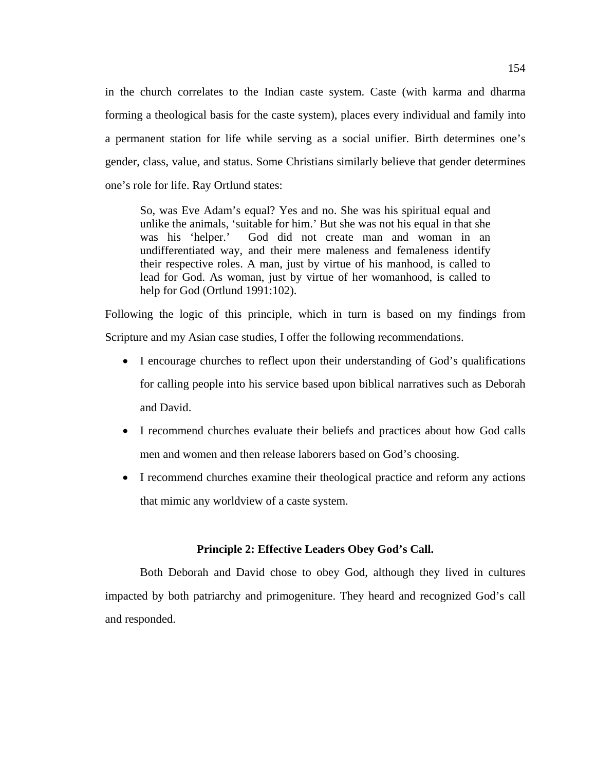in the church correlates to the Indian caste system. Caste (with karma and dharma forming a theological basis for the caste system), places every individual and family into a permanent station for life while serving as a social unifier. Birth determines one's gender, class, value, and status. Some Christians similarly believe that gender determines one's role for life. Ray Ortlund states:

So, was Eve Adam's equal? Yes and no. She was his spiritual equal and unlike the animals, 'suitable for him.' But she was not his equal in that she was his 'helper.' God did not create man and woman in an undifferentiated way, and their mere maleness and femaleness identify their respective roles. A man, just by virtue of his manhood, is called to lead for God. As woman, just by virtue of her womanhood, is called to help for God (Ortlund 1991:102).

Following the logic of this principle, which in turn is based on my findings from Scripture and my Asian case studies, I offer the following recommendations.

- I encourage churches to reflect upon their understanding of God's qualifications for calling people into his service based upon biblical narratives such as Deborah and David.
- I recommend churches evaluate their beliefs and practices about how God calls men and women and then release laborers based on God's choosing.
- I recommend churches examine their theological practice and reform any actions that mimic any worldview of a caste system.

# **Principle 2: Effective Leaders Obey God's Call.**

Both Deborah and David chose to obey God, although they lived in cultures impacted by both patriarchy and primogeniture. They heard and recognized God's call and responded.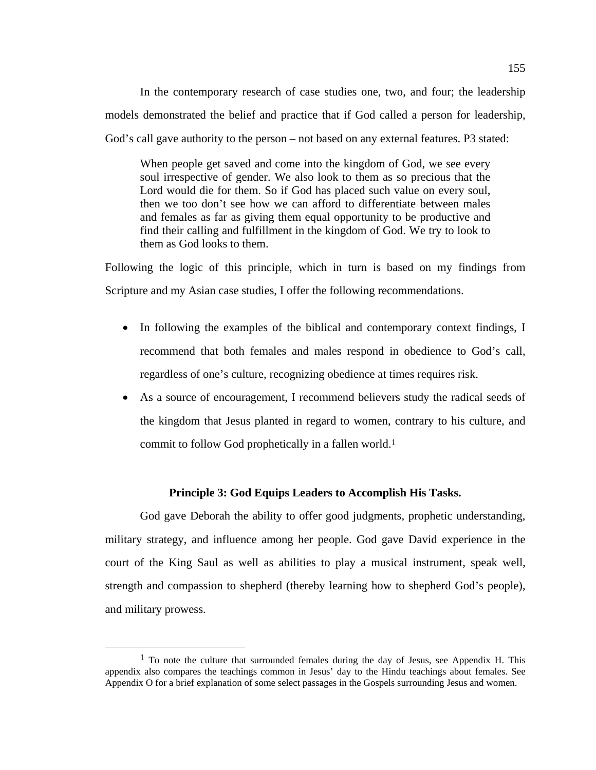In the contemporary research of case studies one, two, and four; the leadership models demonstrated the belief and practice that if God called a person for leadership, God's call gave authority to the person – not based on any external features. P3 stated:

When people get saved and come into the kingdom of God, we see every soul irrespective of gender. We also look to them as so precious that the Lord would die for them. So if God has placed such value on every soul, then we too don't see how we can afford to differentiate between males and females as far as giving them equal opportunity to be productive and find their calling and fulfillment in the kingdom of God. We try to look to them as God looks to them.

Following the logic of this principle, which in turn is based on my findings from Scripture and my Asian case studies, I offer the following recommendations.

- In following the examples of the biblical and contemporary context findings, I recommend that both females and males respond in obedience to God's call, regardless of one's culture, recognizing obedience at times requires risk.
- As a source of encouragement, I recommend believers study the radical seeds of the kingdom that Jesus planted in regard to women, contrary to his culture, and commit to follow God prophetically in a fallen world.1

# **Principle 3: God Equips Leaders to Accomplish His Tasks.**

God gave Deborah the ability to offer good judgments, prophetic understanding, military strategy, and influence among her people. God gave David experience in the court of the King Saul as well as abilities to play a musical instrument, speak well, strength and compassion to shepherd (thereby learning how to shepherd God's people), and military prowess.

 $<sup>1</sup>$  To note the culture that surrounded females during the day of Jesus, see Appendix H. This</sup> appendix also compares the teachings common in Jesus' day to the Hindu teachings about females. See Appendix O for a brief explanation of some select passages in the Gospels surrounding Jesus and women.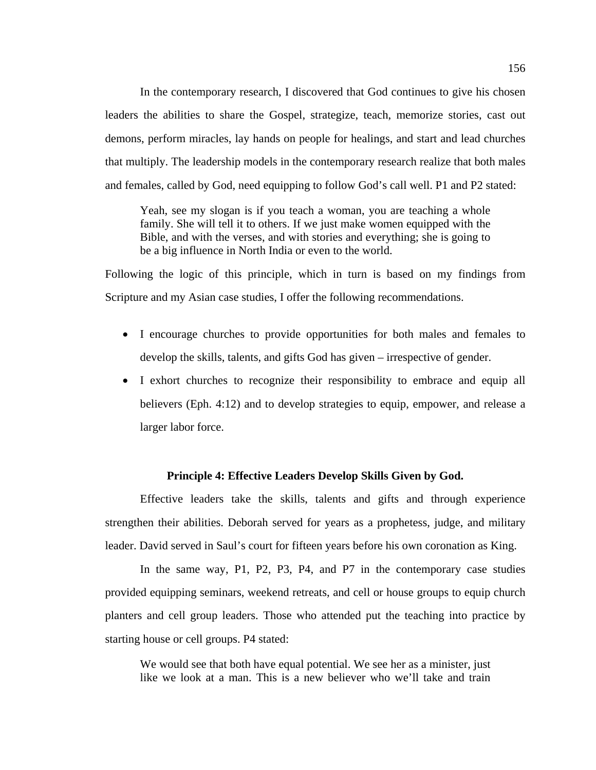In the contemporary research, I discovered that God continues to give his chosen leaders the abilities to share the Gospel, strategize, teach, memorize stories, cast out demons, perform miracles, lay hands on people for healings, and start and lead churches that multiply. The leadership models in the contemporary research realize that both males and females, called by God, need equipping to follow God's call well. P1 and P2 stated:

Yeah, see my slogan is if you teach a woman, you are teaching a whole family. She will tell it to others. If we just make women equipped with the Bible, and with the verses, and with stories and everything; she is going to be a big influence in North India or even to the world.

Following the logic of this principle, which in turn is based on my findings from Scripture and my Asian case studies, I offer the following recommendations.

- I encourage churches to provide opportunities for both males and females to develop the skills, talents, and gifts God has given – irrespective of gender.
- I exhort churches to recognize their responsibility to embrace and equip all believers (Eph. 4:12) and to develop strategies to equip, empower, and release a larger labor force.

## **Principle 4: Effective Leaders Develop Skills Given by God.**

Effective leaders take the skills, talents and gifts and through experience strengthen their abilities. Deborah served for years as a prophetess, judge, and military leader. David served in Saul's court for fifteen years before his own coronation as King.

In the same way, P1, P2, P3, P4, and P7 in the contemporary case studies provided equipping seminars, weekend retreats, and cell or house groups to equip church planters and cell group leaders. Those who attended put the teaching into practice by starting house or cell groups. P4 stated:

We would see that both have equal potential. We see her as a minister, just like we look at a man. This is a new believer who we'll take and train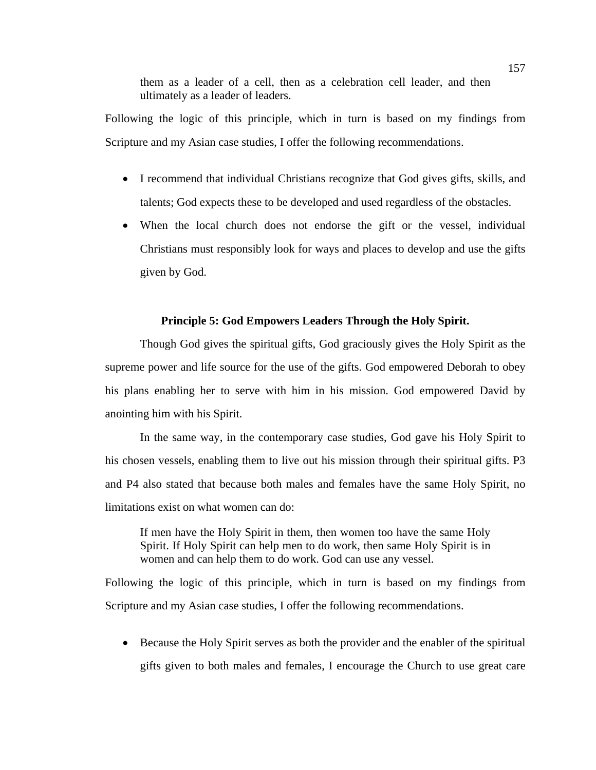them as a leader of a cell, then as a celebration cell leader, and then ultimately as a leader of leaders.

Following the logic of this principle, which in turn is based on my findings from Scripture and my Asian case studies, I offer the following recommendations.

- I recommend that individual Christians recognize that God gives gifts, skills, and talents; God expects these to be developed and used regardless of the obstacles.
- When the local church does not endorse the gift or the vessel, individual Christians must responsibly look for ways and places to develop and use the gifts given by God.

# **Principle 5: God Empowers Leaders Through the Holy Spirit.**

Though God gives the spiritual gifts, God graciously gives the Holy Spirit as the supreme power and life source for the use of the gifts. God empowered Deborah to obey his plans enabling her to serve with him in his mission. God empowered David by anointing him with his Spirit.

In the same way, in the contemporary case studies, God gave his Holy Spirit to his chosen vessels, enabling them to live out his mission through their spiritual gifts. P3 and P4 also stated that because both males and females have the same Holy Spirit, no limitations exist on what women can do:

If men have the Holy Spirit in them, then women too have the same Holy Spirit. If Holy Spirit can help men to do work, then same Holy Spirit is in women and can help them to do work. God can use any vessel.

Following the logic of this principle, which in turn is based on my findings from Scripture and my Asian case studies, I offer the following recommendations.

 Because the Holy Spirit serves as both the provider and the enabler of the spiritual gifts given to both males and females, I encourage the Church to use great care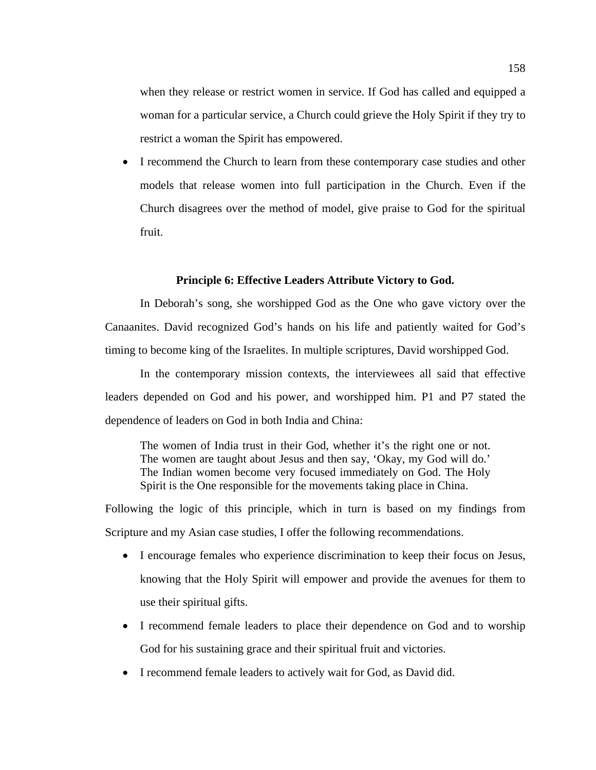when they release or restrict women in service. If God has called and equipped a woman for a particular service, a Church could grieve the Holy Spirit if they try to restrict a woman the Spirit has empowered.

 I recommend the Church to learn from these contemporary case studies and other models that release women into full participation in the Church. Even if the Church disagrees over the method of model, give praise to God for the spiritual fruit.

## **Principle 6: Effective Leaders Attribute Victory to God.**

In Deborah's song, she worshipped God as the One who gave victory over the Canaanites. David recognized God's hands on his life and patiently waited for God's timing to become king of the Israelites. In multiple scriptures, David worshipped God.

In the contemporary mission contexts, the interviewees all said that effective leaders depended on God and his power, and worshipped him. P1 and P7 stated the dependence of leaders on God in both India and China:

The women of India trust in their God, whether it's the right one or not. The women are taught about Jesus and then say, 'Okay, my God will do.' The Indian women become very focused immediately on God. The Holy Spirit is the One responsible for the movements taking place in China.

- I encourage females who experience discrimination to keep their focus on Jesus, knowing that the Holy Spirit will empower and provide the avenues for them to use their spiritual gifts.
- I recommend female leaders to place their dependence on God and to worship God for his sustaining grace and their spiritual fruit and victories.
- I recommend female leaders to actively wait for God, as David did.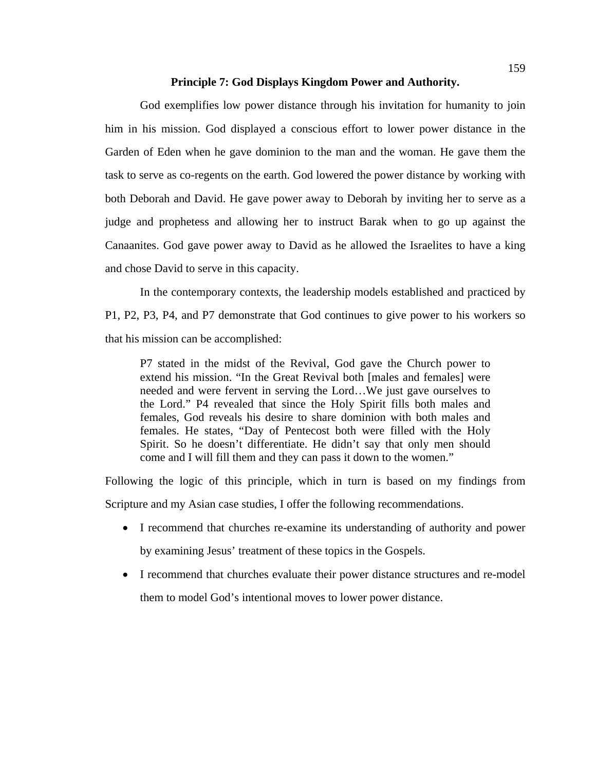### **Principle 7: God Displays Kingdom Power and Authority.**

God exemplifies low power distance through his invitation for humanity to join him in his mission. God displayed a conscious effort to lower power distance in the Garden of Eden when he gave dominion to the man and the woman. He gave them the task to serve as co-regents on the earth. God lowered the power distance by working with both Deborah and David. He gave power away to Deborah by inviting her to serve as a judge and prophetess and allowing her to instruct Barak when to go up against the Canaanites. God gave power away to David as he allowed the Israelites to have a king and chose David to serve in this capacity.

In the contemporary contexts, the leadership models established and practiced by P1, P2, P3, P4, and P7 demonstrate that God continues to give power to his workers so that his mission can be accomplished:

P7 stated in the midst of the Revival, God gave the Church power to extend his mission. "In the Great Revival both [males and females] were needed and were fervent in serving the Lord…We just gave ourselves to the Lord." P4 revealed that since the Holy Spirit fills both males and females, God reveals his desire to share dominion with both males and females. He states, "Day of Pentecost both were filled with the Holy Spirit. So he doesn't differentiate. He didn't say that only men should come and I will fill them and they can pass it down to the women."

- I recommend that churches re-examine its understanding of authority and power by examining Jesus' treatment of these topics in the Gospels.
- I recommend that churches evaluate their power distance structures and re-model them to model God's intentional moves to lower power distance.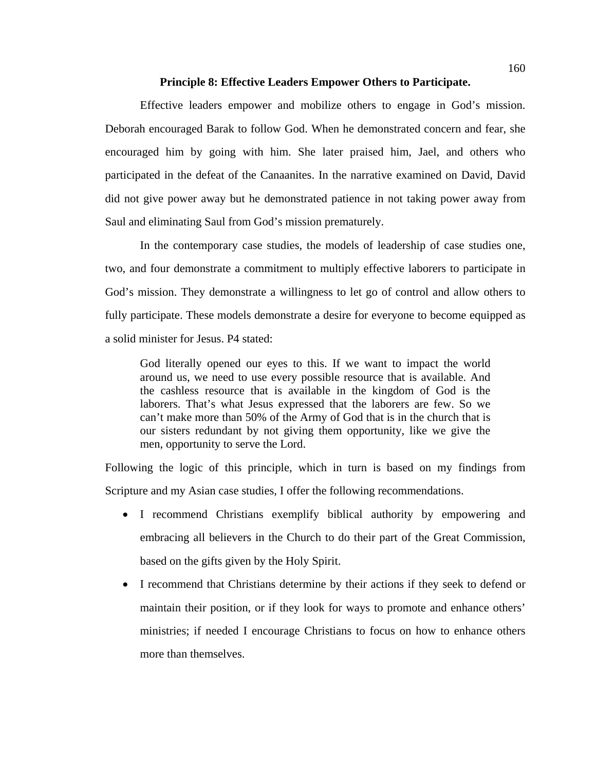### **Principle 8: Effective Leaders Empower Others to Participate.**

Effective leaders empower and mobilize others to engage in God's mission. Deborah encouraged Barak to follow God. When he demonstrated concern and fear, she encouraged him by going with him. She later praised him, Jael, and others who participated in the defeat of the Canaanites. In the narrative examined on David, David did not give power away but he demonstrated patience in not taking power away from Saul and eliminating Saul from God's mission prematurely.

In the contemporary case studies, the models of leadership of case studies one, two, and four demonstrate a commitment to multiply effective laborers to participate in God's mission. They demonstrate a willingness to let go of control and allow others to fully participate. These models demonstrate a desire for everyone to become equipped as a solid minister for Jesus. P4 stated:

God literally opened our eyes to this. If we want to impact the world around us, we need to use every possible resource that is available. And the cashless resource that is available in the kingdom of God is the laborers. That's what Jesus expressed that the laborers are few. So we can't make more than 50% of the Army of God that is in the church that is our sisters redundant by not giving them opportunity, like we give the men, opportunity to serve the Lord.

- I recommend Christians exemplify biblical authority by empowering and embracing all believers in the Church to do their part of the Great Commission, based on the gifts given by the Holy Spirit.
- I recommend that Christians determine by their actions if they seek to defend or maintain their position, or if they look for ways to promote and enhance others' ministries; if needed I encourage Christians to focus on how to enhance others more than themselves.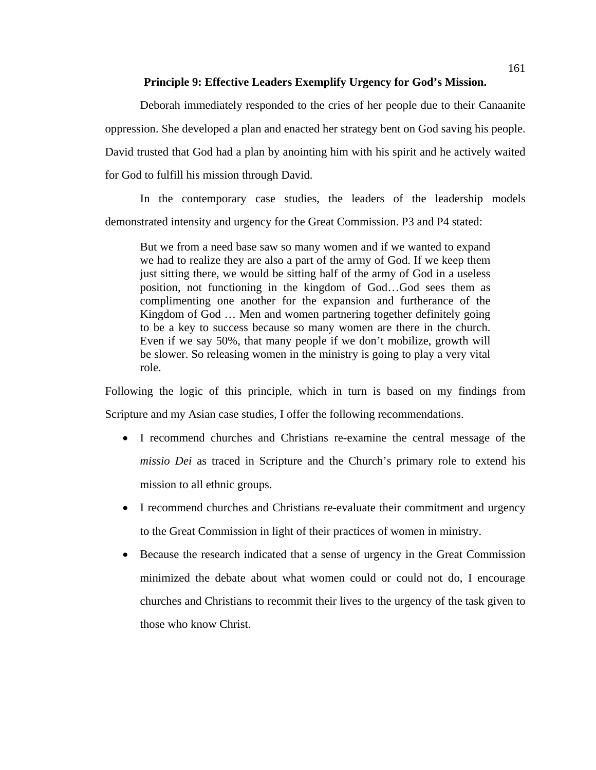### **Principle 9: Effective Leaders Exemplify Urgency for God's Mission.**

Deborah immediately responded to the cries of her people due to their Canaanite oppression. She developed a plan and enacted her strategy bent on God saving his people. David trusted that God had a plan by anointing him with his spirit and he actively waited for God to fulfill his mission through David.

In the contemporary case studies, the leaders of the leadership models demonstrated intensity and urgency for the Great Commission. P3 and P4 stated:

But we from a need base saw so many women and if we wanted to expand we had to realize they are also a part of the army of God. If we keep them just sitting there, we would be sitting half of the army of God in a useless position, not functioning in the kingdom of God…God sees them as complimenting one another for the expansion and furtherance of the Kingdom of God … Men and women partnering together definitely going to be a key to success because so many women are there in the church. Even if we say 50%, that many people if we don't mobilize, growth will be slower. So releasing women in the ministry is going to play a very vital role.

- I recommend churches and Christians re-examine the central message of the *missio Dei* as traced in Scripture and the Church's primary role to extend his mission to all ethnic groups.
- I recommend churches and Christians re-evaluate their commitment and urgency to the Great Commission in light of their practices of women in ministry.
- Because the research indicated that a sense of urgency in the Great Commission minimized the debate about what women could or could not do, I encourage churches and Christians to recommit their lives to the urgency of the task given to those who know Christ.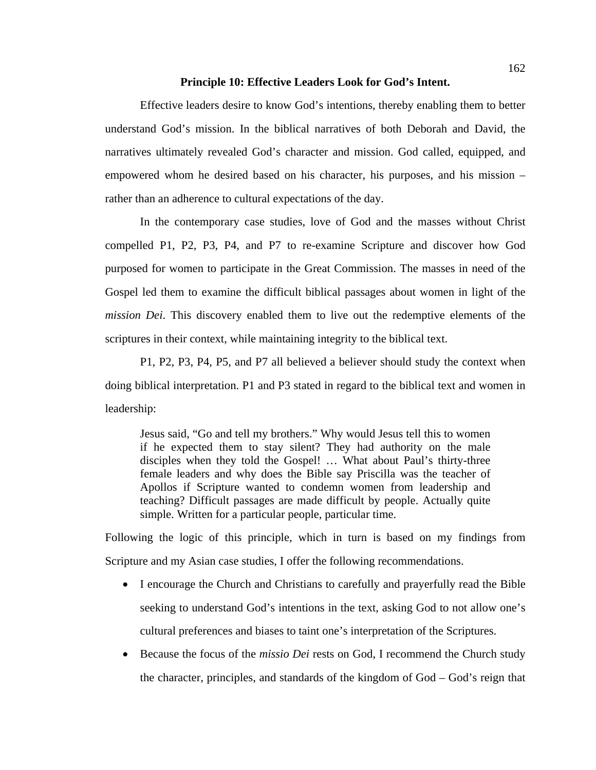### **Principle 10: Effective Leaders Look for God's Intent.**

Effective leaders desire to know God's intentions, thereby enabling them to better understand God's mission. In the biblical narratives of both Deborah and David, the narratives ultimately revealed God's character and mission. God called, equipped, and empowered whom he desired based on his character, his purposes, and his mission – rather than an adherence to cultural expectations of the day.

In the contemporary case studies, love of God and the masses without Christ compelled P1, P2, P3, P4, and P7 to re-examine Scripture and discover how God purposed for women to participate in the Great Commission. The masses in need of the Gospel led them to examine the difficult biblical passages about women in light of the *mission Dei*. This discovery enabled them to live out the redemptive elements of the scriptures in their context, while maintaining integrity to the biblical text.

P1, P2, P3, P4, P5, and P7 all believed a believer should study the context when doing biblical interpretation. P1 and P3 stated in regard to the biblical text and women in leadership:

Jesus said, "Go and tell my brothers." Why would Jesus tell this to women if he expected them to stay silent? They had authority on the male disciples when they told the Gospel! … What about Paul's thirty-three female leaders and why does the Bible say Priscilla was the teacher of Apollos if Scripture wanted to condemn women from leadership and teaching? Difficult passages are made difficult by people. Actually quite simple. Written for a particular people, particular time.

- I encourage the Church and Christians to carefully and prayerfully read the Bible seeking to understand God's intentions in the text, asking God to not allow one's cultural preferences and biases to taint one's interpretation of the Scriptures.
- Because the focus of the *missio Dei* rests on God, I recommend the Church study the character, principles, and standards of the kingdom of God – God's reign that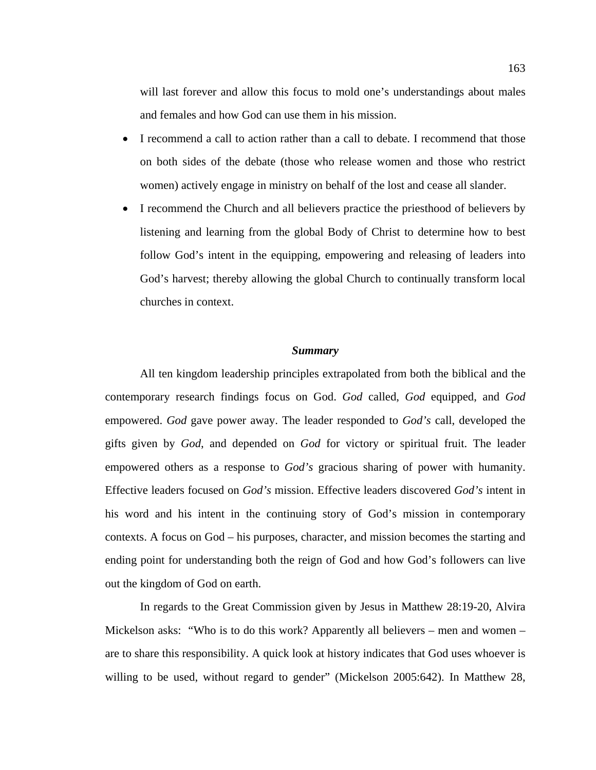will last forever and allow this focus to mold one's understandings about males and females and how God can use them in his mission.

- I recommend a call to action rather than a call to debate. I recommend that those on both sides of the debate (those who release women and those who restrict women) actively engage in ministry on behalf of the lost and cease all slander.
- I recommend the Church and all believers practice the priesthood of believers by listening and learning from the global Body of Christ to determine how to best follow God's intent in the equipping, empowering and releasing of leaders into God's harvest; thereby allowing the global Church to continually transform local churches in context.

### *Summary*

All ten kingdom leadership principles extrapolated from both the biblical and the contemporary research findings focus on God. *God* called, *God* equipped, and *God* empowered. *God* gave power away. The leader responded to *God's* call, developed the gifts given by *God*, and depended on *God* for victory or spiritual fruit. The leader empowered others as a response to *God's* gracious sharing of power with humanity. Effective leaders focused on *God's* mission. Effective leaders discovered *God's* intent in his word and his intent in the continuing story of God's mission in contemporary contexts. A focus on God – his purposes, character, and mission becomes the starting and ending point for understanding both the reign of God and how God's followers can live out the kingdom of God on earth.

In regards to the Great Commission given by Jesus in Matthew 28:19-20, Alvira Mickelson asks: "Who is to do this work? Apparently all believers – men and women – are to share this responsibility. A quick look at history indicates that God uses whoever is willing to be used, without regard to gender" (Mickelson 2005:642). In Matthew 28,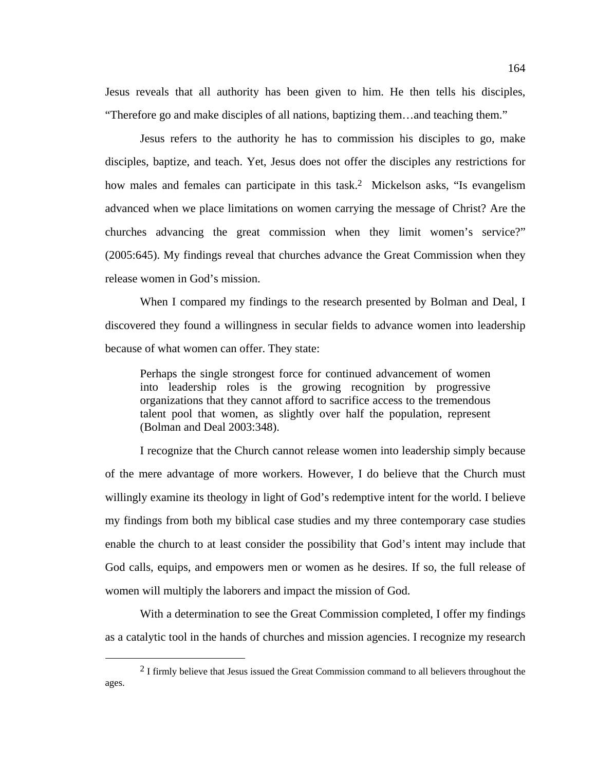Jesus reveals that all authority has been given to him. He then tells his disciples, "Therefore go and make disciples of all nations, baptizing them…and teaching them."

Jesus refers to the authority he has to commission his disciples to go, make disciples, baptize, and teach. Yet, Jesus does not offer the disciples any restrictions for how males and females can participate in this task.<sup>2</sup> Mickelson asks, "Is evangelism" advanced when we place limitations on women carrying the message of Christ? Are the churches advancing the great commission when they limit women's service?" (2005:645). My findings reveal that churches advance the Great Commission when they release women in God's mission.

When I compared my findings to the research presented by Bolman and Deal, I discovered they found a willingness in secular fields to advance women into leadership because of what women can offer. They state:

Perhaps the single strongest force for continued advancement of women into leadership roles is the growing recognition by progressive organizations that they cannot afford to sacrifice access to the tremendous talent pool that women, as slightly over half the population, represent (Bolman and Deal 2003:348).

I recognize that the Church cannot release women into leadership simply because of the mere advantage of more workers. However, I do believe that the Church must willingly examine its theology in light of God's redemptive intent for the world. I believe my findings from both my biblical case studies and my three contemporary case studies enable the church to at least consider the possibility that God's intent may include that God calls, equips, and empowers men or women as he desires. If so, the full release of women will multiply the laborers and impact the mission of God.

With a determination to see the Great Commission completed, I offer my findings as a catalytic tool in the hands of churches and mission agencies. I recognize my research

<sup>&</sup>lt;sup>2</sup> I firmly believe that Jesus issued the Great Commission command to all believers throughout the ages.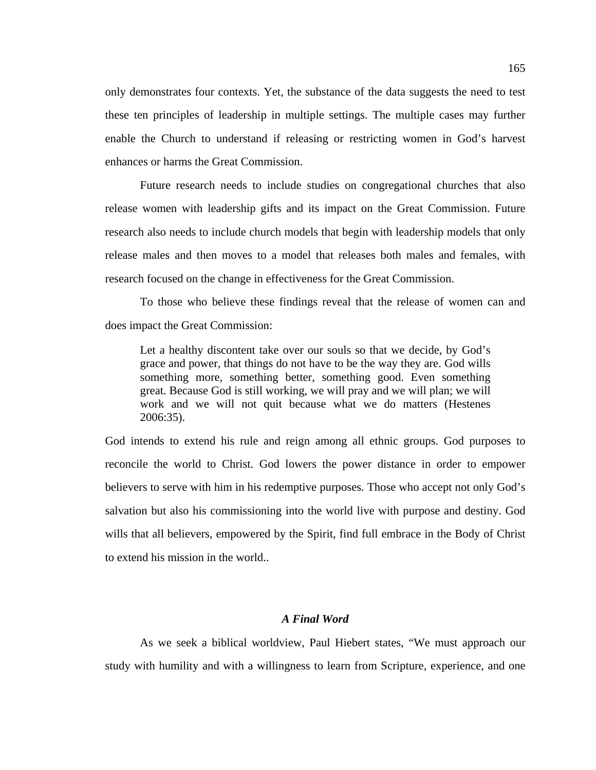only demonstrates four contexts. Yet, the substance of the data suggests the need to test these ten principles of leadership in multiple settings. The multiple cases may further enable the Church to understand if releasing or restricting women in God's harvest enhances or harms the Great Commission.

Future research needs to include studies on congregational churches that also release women with leadership gifts and its impact on the Great Commission. Future research also needs to include church models that begin with leadership models that only release males and then moves to a model that releases both males and females, with research focused on the change in effectiveness for the Great Commission.

To those who believe these findings reveal that the release of women can and does impact the Great Commission:

Let a healthy discontent take over our souls so that we decide, by God's grace and power, that things do not have to be the way they are. God wills something more, something better, something good. Even something great. Because God is still working, we will pray and we will plan; we will work and we will not quit because what we do matters (Hestenes 2006:35).

God intends to extend his rule and reign among all ethnic groups. God purposes to reconcile the world to Christ. God lowers the power distance in order to empower believers to serve with him in his redemptive purposes. Those who accept not only God's salvation but also his commissioning into the world live with purpose and destiny. God wills that all believers, empowered by the Spirit, find full embrace in the Body of Christ to extend his mission in the world..

### *A Final Word*

As we seek a biblical worldview, Paul Hiebert states, "We must approach our study with humility and with a willingness to learn from Scripture, experience, and one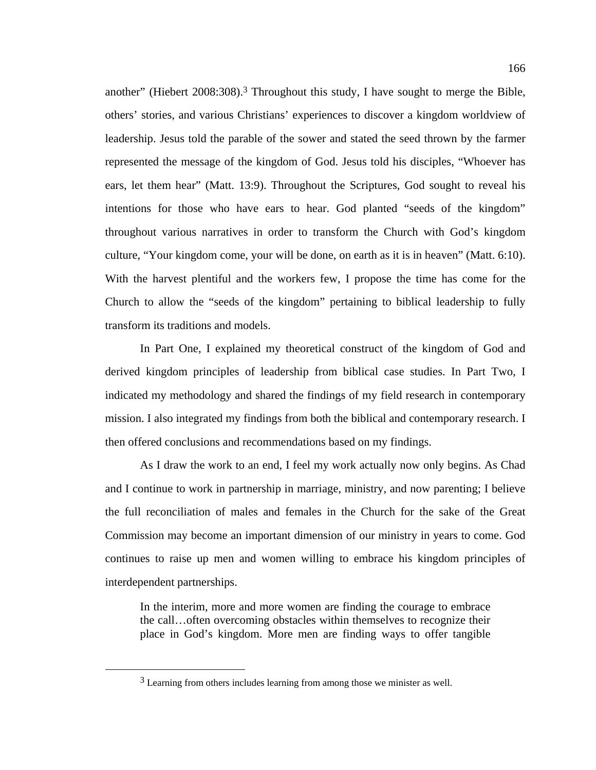another" (Hiebert 2008:308).3 Throughout this study, I have sought to merge the Bible, others' stories, and various Christians' experiences to discover a kingdom worldview of leadership. Jesus told the parable of the sower and stated the seed thrown by the farmer represented the message of the kingdom of God. Jesus told his disciples, "Whoever has ears, let them hear" (Matt. 13:9). Throughout the Scriptures, God sought to reveal his intentions for those who have ears to hear. God planted "seeds of the kingdom" throughout various narratives in order to transform the Church with God's kingdom culture, "Your kingdom come, your will be done, on earth as it is in heaven" (Matt. 6:10). With the harvest plentiful and the workers few, I propose the time has come for the Church to allow the "seeds of the kingdom" pertaining to biblical leadership to fully transform its traditions and models.

In Part One, I explained my theoretical construct of the kingdom of God and derived kingdom principles of leadership from biblical case studies. In Part Two, I indicated my methodology and shared the findings of my field research in contemporary mission. I also integrated my findings from both the biblical and contemporary research. I then offered conclusions and recommendations based on my findings.

As I draw the work to an end, I feel my work actually now only begins. As Chad and I continue to work in partnership in marriage, ministry, and now parenting; I believe the full reconciliation of males and females in the Church for the sake of the Great Commission may become an important dimension of our ministry in years to come. God continues to raise up men and women willing to embrace his kingdom principles of interdependent partnerships.

In the interim, more and more women are finding the courage to embrace the call…often overcoming obstacles within themselves to recognize their place in God's kingdom. More men are finding ways to offer tangible

<sup>&</sup>lt;sup>3</sup> Learning from others includes learning from among those we minister as well.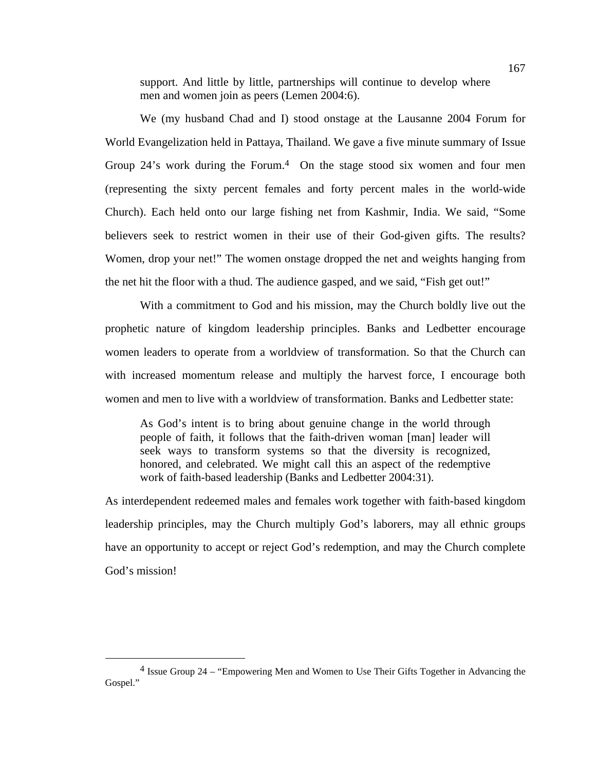support. And little by little, partnerships will continue to develop where men and women join as peers (Lemen 2004:6).

We (my husband Chad and I) stood onstage at the Lausanne 2004 Forum for World Evangelization held in Pattaya, Thailand. We gave a five minute summary of Issue Group  $24$ 's work during the Forum.<sup>4</sup> On the stage stood six women and four men (representing the sixty percent females and forty percent males in the world-wide Church). Each held onto our large fishing net from Kashmir, India. We said, "Some believers seek to restrict women in their use of their God-given gifts. The results? Women, drop your net!" The women onstage dropped the net and weights hanging from the net hit the floor with a thud. The audience gasped, and we said, "Fish get out!"

With a commitment to God and his mission, may the Church boldly live out the prophetic nature of kingdom leadership principles. Banks and Ledbetter encourage women leaders to operate from a worldview of transformation. So that the Church can with increased momentum release and multiply the harvest force, I encourage both women and men to live with a worldview of transformation. Banks and Ledbetter state:

As God's intent is to bring about genuine change in the world through people of faith, it follows that the faith-driven woman [man] leader will seek ways to transform systems so that the diversity is recognized, honored, and celebrated. We might call this an aspect of the redemptive work of faith-based leadership (Banks and Ledbetter 2004:31).

As interdependent redeemed males and females work together with faith-based kingdom leadership principles, may the Church multiply God's laborers, may all ethnic groups have an opportunity to accept or reject God's redemption, and may the Church complete God's mission!

 <sup>4</sup> Issue Group 24 – "Empowering Men and Women to Use Their Gifts Together in Advancing the Gospel."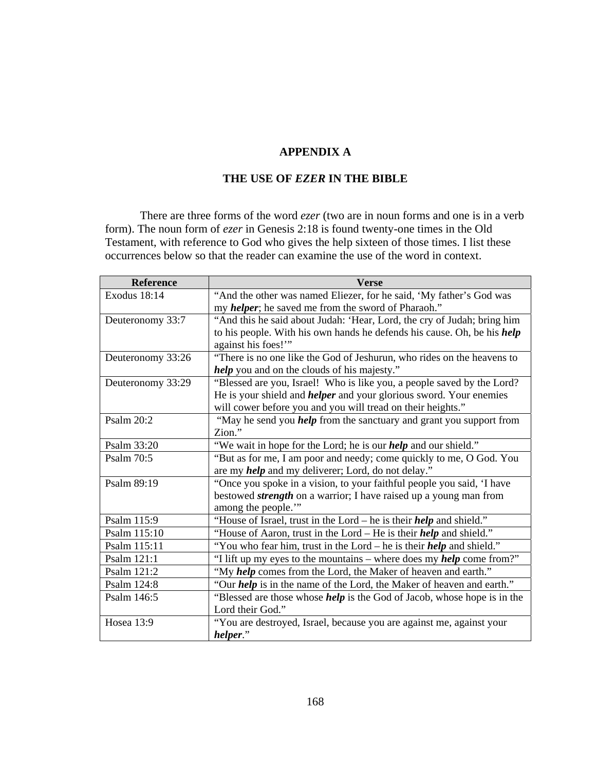## **APPENDIX A**

# **THE USE OF** *EZER* **IN THE BIBLE**

There are three forms of the word *ezer* (two are in noun forms and one is in a verb form). The noun form of *ezer* in Genesis 2:18 is found twenty-one times in the Old Testament, with reference to God who gives the help sixteen of those times. I list these occurrences below so that the reader can examine the use of the word in context.

| Reference         | <b>Verse</b>                                                                   |
|-------------------|--------------------------------------------------------------------------------|
| Exodus 18:14      | "And the other was named Eliezer, for he said, 'My father's God was            |
|                   | my <i>helper</i> ; he saved me from the sword of Pharaoh."                     |
| Deuteronomy 33:7  | "And this he said about Judah: 'Hear, Lord, the cry of Judah; bring him        |
|                   | to his people. With his own hands he defends his cause. Oh, be his help        |
|                   | against his foes!"                                                             |
| Deuteronomy 33:26 | "There is no one like the God of Jeshurun, who rides on the heavens to         |
|                   | <i>help</i> you and on the clouds of his majesty."                             |
| Deuteronomy 33:29 | "Blessed are you, Israel! Who is like you, a people saved by the Lord?         |
|                   | He is your shield and <i>helper</i> and your glorious sword. Your enemies      |
|                   | will cower before you and you will tread on their heights."                    |
| <b>Psalm 20:2</b> | "May he send you <i>help</i> from the sanctuary and grant you support from     |
|                   | Zion."                                                                         |
| Psalm 33:20       | "We wait in hope for the Lord; he is our <i>help</i> and our shield."          |
| Psalm 70:5        | "But as for me, I am poor and needy; come quickly to me, O God. You            |
|                   | are my <i>help</i> and my deliverer; Lord, do not delay."                      |
| Psalm 89:19       | "Once you spoke in a vision, to your faithful people you said, 'I have         |
|                   | bestowed <i>strength</i> on a warrior; I have raised up a young man from       |
|                   | among the people.""                                                            |
| Psalm 115:9       | "House of Israel, trust in the Lord – he is their <i>help</i> and shield."     |
| Psalm 115:10      | "House of Aaron, trust in the Lord – He is their <i>help</i> and shield."      |
| Psalm 115:11      | "You who fear him, trust in the Lord – he is their <i>help</i> and shield."    |
| Psalm 121:1       | "I lift up my eyes to the mountains – where does my <i>help</i> come from?"    |
| Psalm 121:2       | "My help comes from the Lord, the Maker of heaven and earth."                  |
| Psalm 124:8       | "Our <i>help</i> is in the name of the Lord, the Maker of heaven and earth."   |
| Psalm 146:5       | "Blessed are those whose <i>help</i> is the God of Jacob, whose hope is in the |
|                   | Lord their God."                                                               |
| Hosea 13:9        | "You are destroyed, Israel, because you are against me, against your           |
|                   | helper."                                                                       |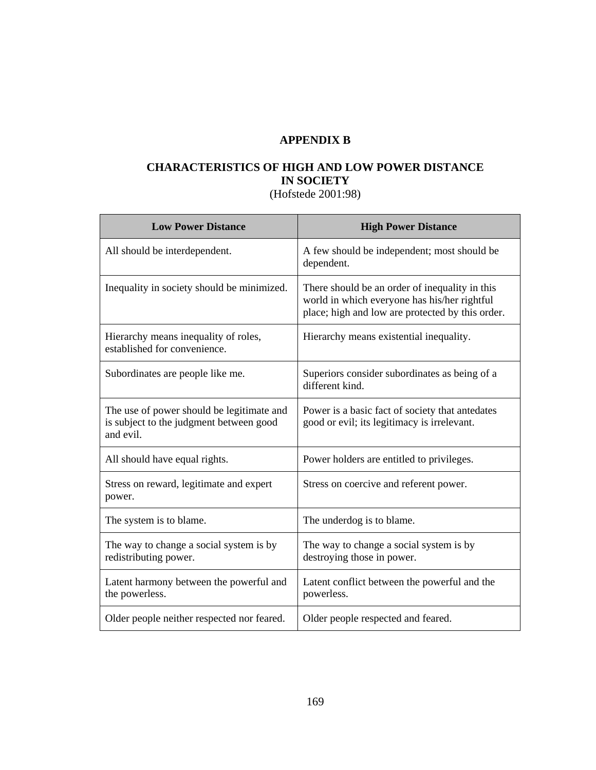# **APPENDIX B**

# **CHARACTERISTICS OF HIGH AND LOW POWER DISTANCE IN SOCIETY**

(Hofstede 2001:98)

| <b>Low Power Distance</b>                                                                         | <b>High Power Distance</b>                                                                                                                         |
|---------------------------------------------------------------------------------------------------|----------------------------------------------------------------------------------------------------------------------------------------------------|
| All should be interdependent.                                                                     | A few should be independent; most should be<br>dependent.                                                                                          |
| Inequality in society should be minimized.                                                        | There should be an order of inequality in this<br>world in which everyone has his/her rightful<br>place; high and low are protected by this order. |
| Hierarchy means inequality of roles,<br>established for convenience.                              | Hierarchy means existential inequality.                                                                                                            |
| Subordinates are people like me.                                                                  | Superiors consider subordinates as being of a<br>different kind.                                                                                   |
| The use of power should be legitimate and<br>is subject to the judgment between good<br>and evil. | Power is a basic fact of society that antedates<br>good or evil; its legitimacy is irrelevant.                                                     |
| All should have equal rights.                                                                     | Power holders are entitled to privileges.                                                                                                          |
| Stress on reward, legitimate and expert<br>power.                                                 | Stress on coercive and referent power.                                                                                                             |
| The system is to blame.                                                                           | The underdog is to blame.                                                                                                                          |
| The way to change a social system is by<br>redistributing power.                                  | The way to change a social system is by<br>destroying those in power.                                                                              |
| Latent harmony between the powerful and<br>the powerless.                                         | Latent conflict between the powerful and the<br>powerless.                                                                                         |
| Older people neither respected nor feared.                                                        | Older people respected and feared.                                                                                                                 |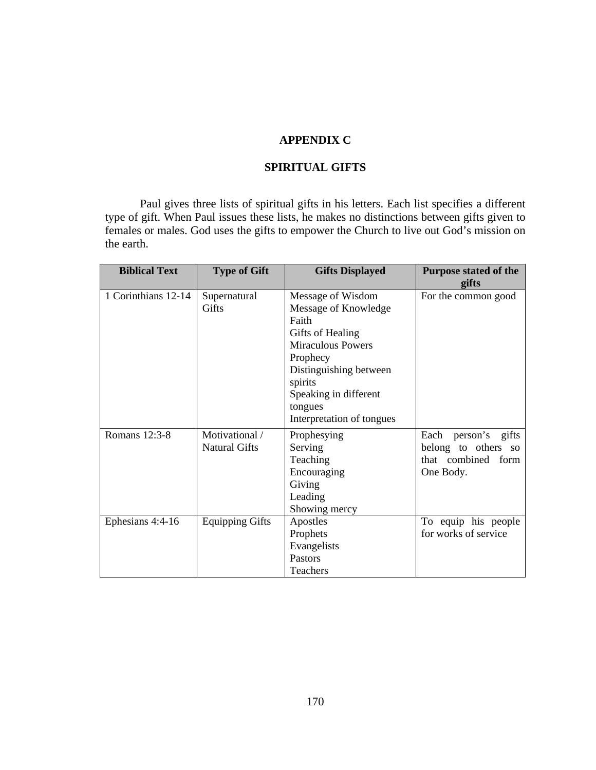### **APPENDIX C**

## **SPIRITUAL GIFTS**

Paul gives three lists of spiritual gifts in his letters. Each list specifies a different type of gift. When Paul issues these lists, he makes no distinctions between gifts given to females or males. God uses the gifts to empower the Church to live out God's mission on the earth.

| <b>Biblical Text</b> | <b>Type of Gift</b>                    | <b>Gifts Displayed</b>                                                                                                                                                                  | <b>Purpose stated of the</b><br>gifts                                         |
|----------------------|----------------------------------------|-----------------------------------------------------------------------------------------------------------------------------------------------------------------------------------------|-------------------------------------------------------------------------------|
| 1 Corinthians 12-14  | Supernatural<br>Gifts                  | Message of Wisdom<br>Message of Knowledge<br>Faith<br>Gifts of Healing<br><b>Miraculous Powers</b><br>Prophecy<br>Distinguishing between<br>spirits<br>Speaking in different<br>tongues | For the common good                                                           |
| Romans 12:3-8        | Motivational /<br><b>Natural Gifts</b> | Interpretation of tongues<br>Prophesying<br>Serving<br>Teaching<br>Encouraging<br>Giving<br>Leading<br>Showing mercy                                                                    | Each person's gifts<br>belong to others so<br>that combined form<br>One Body. |
| Ephesians 4:4-16     | <b>Equipping Gifts</b>                 | Apostles<br>Prophets<br>Evangelists<br>Pastors<br>Teachers                                                                                                                              | To equip his people<br>for works of service                                   |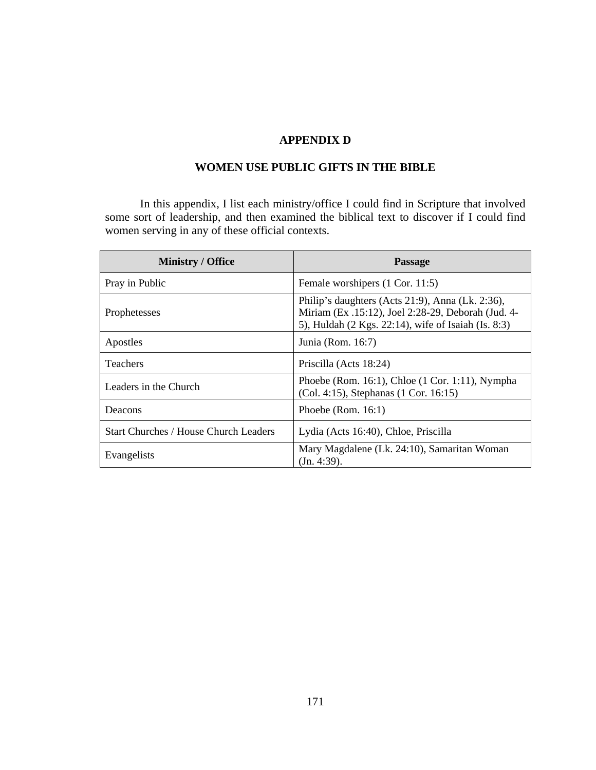### **APPENDIX D**

# **WOMEN USE PUBLIC GIFTS IN THE BIBLE**

In this appendix, I list each ministry/office I could find in Scripture that involved some sort of leadership, and then examined the biblical text to discover if I could find women serving in any of these official contexts.

| <b>Ministry / Office</b>                     | <b>Passage</b>                                                                                                                                                |
|----------------------------------------------|---------------------------------------------------------------------------------------------------------------------------------------------------------------|
| Pray in Public                               | Female worshipers (1 Cor. 11:5)                                                                                                                               |
| Prophetesses                                 | Philip's daughters (Acts 21:9), Anna (Lk. 2:36),<br>Miriam (Ex. 15:12), Joel 2:28-29, Deborah (Jud. 4-<br>5), Huldah (2 Kgs. 22:14), wife of Isaiah (Is. 8:3) |
| Apostles                                     | Junia (Rom. 16:7)                                                                                                                                             |
| <b>Teachers</b>                              | Priscilla (Acts 18:24)                                                                                                                                        |
| Leaders in the Church                        | Phoebe (Rom. 16:1), Chloe (1 Cor. 1:11), Nympha<br>(Col. 4:15), Stephanas (1 Cor. 16:15)                                                                      |
| Deacons                                      | Phoebe (Rom. $16:1$ )                                                                                                                                         |
| <b>Start Churches / House Church Leaders</b> | Lydia (Acts 16:40), Chloe, Priscilla                                                                                                                          |
| Evangelists                                  | Mary Magdalene (Lk. 24:10), Samaritan Woman<br>(In. 4:39).                                                                                                    |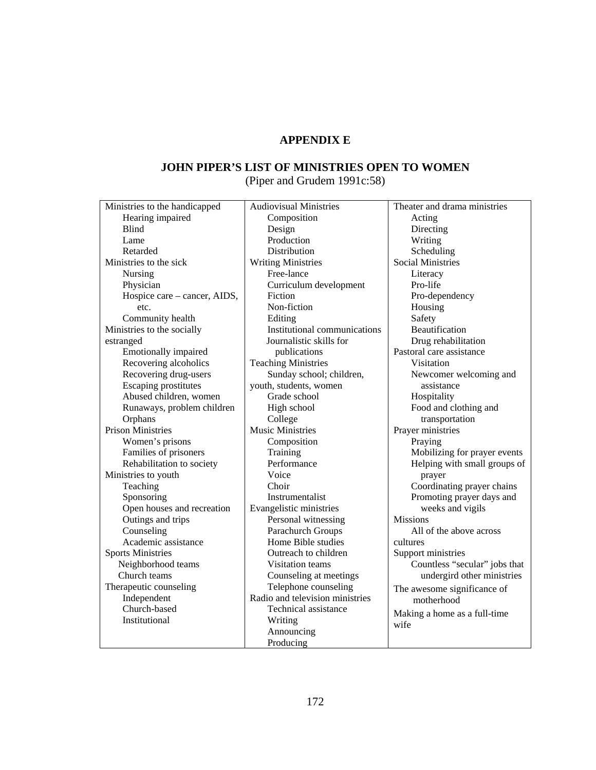# **APPENDIX E**

# **JOHN PIPER'S LIST OF MINISTRIES OPEN TO WOMEN**

(Piper and Grudem 1991c:58)

| Ministries to the handicapped | <b>Audiovisual Ministries</b>   | Theater and drama ministries  |
|-------------------------------|---------------------------------|-------------------------------|
| Hearing impaired              | Composition                     | Acting                        |
| <b>Blind</b>                  | Design                          | Directing                     |
| Lame                          | Production                      | Writing                       |
| Retarded                      | <b>Distribution</b>             | Scheduling                    |
| Ministries to the sick        | <b>Writing Ministries</b>       | <b>Social Ministries</b>      |
| Nursing                       | Free-lance                      | Literacy                      |
| Physician                     | Curriculum development          | Pro-life                      |
| Hospice care - cancer, AIDS,  | Fiction                         | Pro-dependency                |
| etc.                          | Non-fiction                     | Housing                       |
| Community health              | Editing                         | Safety                        |
| Ministries to the socially    | Institutional communications    | Beautification                |
| estranged                     | Journalistic skills for         | Drug rehabilitation           |
| Emotionally impaired          | publications                    | Pastoral care assistance      |
| Recovering alcoholics         | <b>Teaching Ministries</b>      | Visitation                    |
| Recovering drug-users         | Sunday school; children,        | Newcomer welcoming and        |
| Escaping prostitutes          | youth, students, women          | assistance                    |
| Abused children, women        | Grade school                    | Hospitality                   |
| Runaways, problem children    | High school                     | Food and clothing and         |
| Orphans                       | College                         | transportation                |
| <b>Prison Ministries</b>      | <b>Music Ministries</b>         | Prayer ministries             |
| Women's prisons               | Composition                     | Praying                       |
| Families of prisoners         | Training                        | Mobilizing for prayer events  |
| Rehabilitation to society     | Performance                     | Helping with small groups of  |
| Ministries to youth           | Voice                           | prayer                        |
| Teaching                      | Choir                           | Coordinating prayer chains    |
| Sponsoring                    | Instrumentalist                 | Promoting prayer days and     |
| Open houses and recreation    | Evangelistic ministries         | weeks and vigils              |
| Outings and trips             | Personal witnessing             | <b>Missions</b>               |
| Counseling                    | Parachurch Groups               | All of the above across       |
| Academic assistance           | Home Bible studies              | cultures                      |
| <b>Sports Ministries</b>      | Outreach to children            | Support ministries            |
| Neighborhood teams            | Visitation teams                | Countless "secular" jobs that |
| Church teams                  | Counseling at meetings          | undergird other ministries    |
| Therapeutic counseling        | Telephone counseling            | The awesome significance of   |
| Independent                   | Radio and television ministries | motherhood                    |
| Church-based                  | Technical assistance            | Making a home as a full-time  |
| Institutional                 | Writing                         | wife                          |
|                               | Announcing                      |                               |
|                               | Producing                       |                               |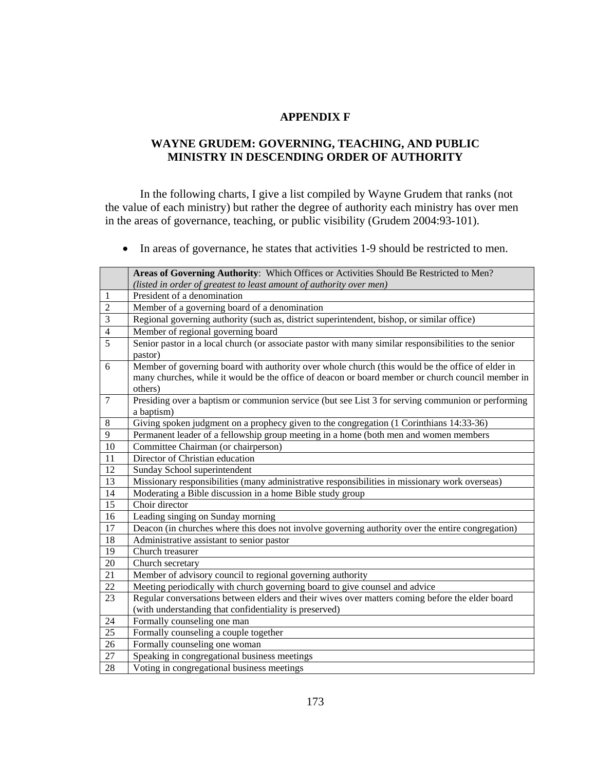### **APPENDIX F**

## **WAYNE GRUDEM: GOVERNING, TEACHING, AND PUBLIC MINISTRY IN DESCENDING ORDER OF AUTHORITY**

In the following charts, I give a list compiled by Wayne Grudem that ranks (not the value of each ministry) but rather the degree of authority each ministry has over men in the areas of governance, teaching, or public visibility (Grudem 2004:93-101).

In areas of governance, he states that activities 1-9 should be restricted to men.

|                 | Areas of Governing Authority: Which Offices or Activities Should Be Restricted to Men?                |
|-----------------|-------------------------------------------------------------------------------------------------------|
|                 | (listed in order of greatest to least amount of authority over men)                                   |
| 1               | President of a denomination                                                                           |
| $\overline{2}$  | Member of a governing board of a denomination                                                         |
| 3               | Regional governing authority (such as, district superintendent, bishop, or similar office)            |
| $\overline{4}$  | Member of regional governing board                                                                    |
| $\overline{5}$  | Senior pastor in a local church (or associate pastor with many similar responsibilities to the senior |
|                 | pastor)                                                                                               |
| 6               | Member of governing board with authority over whole church (this would be the office of elder in      |
|                 | many churches, while it would be the office of deacon or board member or church council member in     |
|                 | others)                                                                                               |
| $\overline{7}$  | Presiding over a baptism or communion service (but see List 3 for serving communion or performing     |
|                 | a baptism)                                                                                            |
| $\,8\,$         | Giving spoken judgment on a prophecy given to the congregation (1 Corinthians 14:33-36)               |
| 9               | Permanent leader of a fellowship group meeting in a home (both men and women members                  |
| 10              | Committee Chairman (or chairperson)                                                                   |
| $\overline{11}$ | Director of Christian education                                                                       |
| 12              | Sunday School superintendent                                                                          |
| 13              | Missionary responsibilities (many administrative responsibilities in missionary work overseas)        |
| 14              | Moderating a Bible discussion in a home Bible study group                                             |
| 15              | Choir director                                                                                        |
| 16              | Leading singing on Sunday morning                                                                     |
| 17              | Deacon (in churches where this does not involve governing authority over the entire congregation)     |
| 18              | Administrative assistant to senior pastor                                                             |
| 19              | Church treasurer                                                                                      |
| 20              | Church secretary                                                                                      |
| 21              | Member of advisory council to regional governing authority                                            |
| $\overline{22}$ | Meeting periodically with church governing board to give counsel and advice                           |
| 23              | Regular conversations between elders and their wives over matters coming before the elder board       |
|                 | (with understanding that confidentiality is preserved)                                                |
| 24              | Formally counseling one man                                                                           |
| 25              | Formally counseling a couple together                                                                 |
| 26              | Formally counseling one woman                                                                         |
| 27              | Speaking in congregational business meetings                                                          |
| 28              | Voting in congregational business meetings                                                            |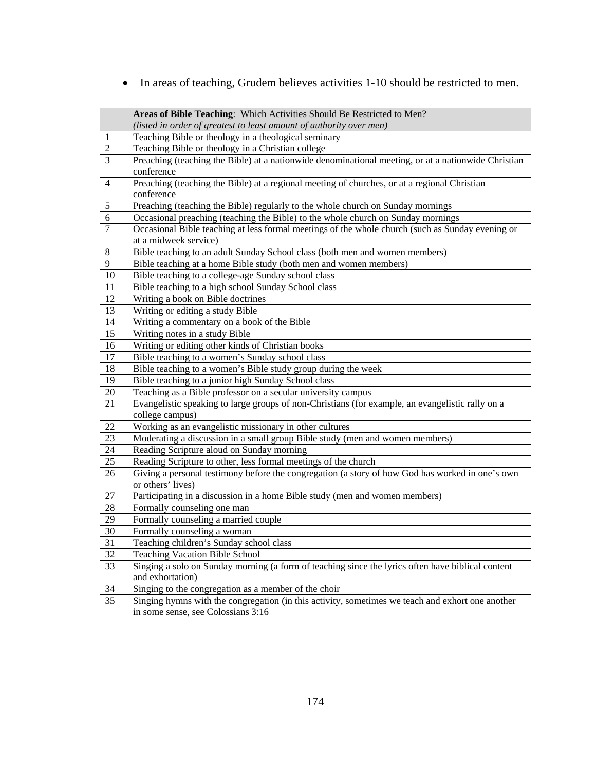In areas of teaching, Grudem believes activities 1-10 should be restricted to men.

|                | Areas of Bible Teaching: Which Activities Should Be Restricted to Men?                                                                 |
|----------------|----------------------------------------------------------------------------------------------------------------------------------------|
|                | (listed in order of greatest to least amount of authority over men)                                                                    |
| 1              | Teaching Bible or theology in a theological seminary                                                                                   |
| $\overline{2}$ | Teaching Bible or theology in a Christian college                                                                                      |
| 3              | Preaching (teaching the Bible) at a nationwide denominational meeting, or at a nationwide Christian                                    |
|                | conference                                                                                                                             |
| $\overline{4}$ | Preaching (teaching the Bible) at a regional meeting of churches, or at a regional Christian                                           |
|                | conference                                                                                                                             |
| $\sqrt{5}$     | Preaching (teaching the Bible) regularly to the whole church on Sunday mornings                                                        |
| 6              | Occasional preaching (teaching the Bible) to the whole church on Sunday mornings                                                       |
| $\overline{7}$ | Occasional Bible teaching at less formal meetings of the whole church (such as Sunday evening or                                       |
|                | at a midweek service)                                                                                                                  |
| $\,8\,$        | Bible teaching to an adult Sunday School class (both men and women members)                                                            |
| 9              | Bible teaching at a home Bible study (both men and women members)                                                                      |
| 10             | Bible teaching to a college-age Sunday school class                                                                                    |
| 11             | Bible teaching to a high school Sunday School class                                                                                    |
| 12             | Writing a book on Bible doctrines                                                                                                      |
| 13             | Writing or editing a study Bible                                                                                                       |
| 14             | Writing a commentary on a book of the Bible                                                                                            |
| 15             | Writing notes in a study Bible                                                                                                         |
| 16             | Writing or editing other kinds of Christian books                                                                                      |
| 17             | Bible teaching to a women's Sunday school class                                                                                        |
|                |                                                                                                                                        |
| 18             | Bible teaching to a women's Bible study group during the week                                                                          |
| 19             | Bible teaching to a junior high Sunday School class                                                                                    |
| 20             | Teaching as a Bible professor on a secular university campus                                                                           |
| 21             | Evangelistic speaking to large groups of non-Christians (for example, an evangelistic rally on a                                       |
|                | college campus)                                                                                                                        |
| 22             | Working as an evangelistic missionary in other cultures                                                                                |
| 23             | Moderating a discussion in a small group Bible study (men and women members)                                                           |
| 24             | Reading Scripture aloud on Sunday morning                                                                                              |
| 25             | Reading Scripture to other, less formal meetings of the church                                                                         |
| 26             | Giving a personal testimony before the congregation (a story of how God has worked in one's own                                        |
|                | or others' lives)                                                                                                                      |
| 27             | Participating in a discussion in a home Bible study (men and women members)                                                            |
| 28             | Formally counseling one man                                                                                                            |
| 29             | Formally counseling a married couple                                                                                                   |
| 30             | Formally counseling a woman                                                                                                            |
| 31             | Teaching children's Sunday school class                                                                                                |
| 32             | <b>Teaching Vacation Bible School</b>                                                                                                  |
| 33             | Singing a solo on Sunday morning (a form of teaching since the lyrics often have biblical content                                      |
|                | and exhortation)                                                                                                                       |
| 34             | Singing to the congregation as a member of the choir                                                                                   |
| 35             | Singing hymns with the congregation (in this activity, sometimes we teach and exhort one another<br>in some sense, see Colossians 3:16 |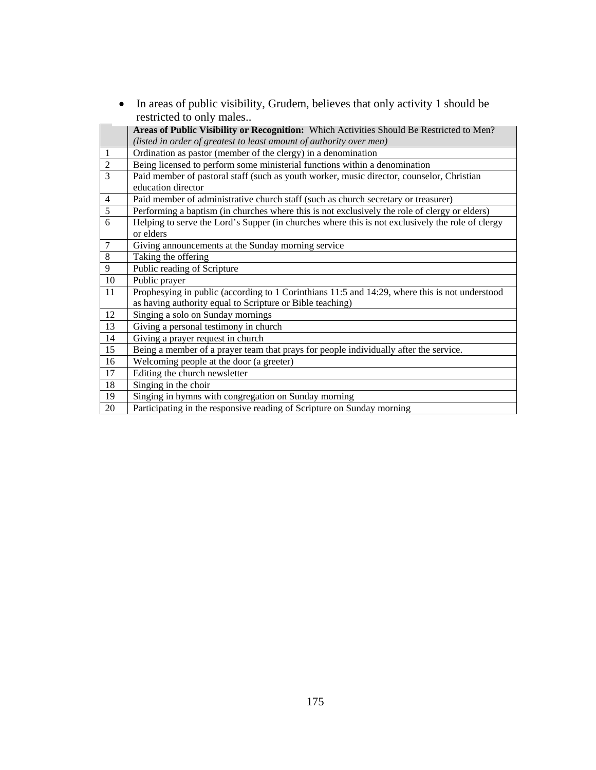|                | In arous or passive ensignity, structure, concrets that only activity                                                                                       |
|----------------|-------------------------------------------------------------------------------------------------------------------------------------------------------------|
|                | restricted to only males                                                                                                                                    |
|                | Areas of Public Visibility or Recognition: Which Activities Should Be Restricted to Men?                                                                    |
|                | (listed in order of greatest to least amount of authority over men)                                                                                         |
| $\mathbf{1}$   | Ordination as pastor (member of the clergy) in a denomination                                                                                               |
| $\sqrt{2}$     | Being licensed to perform some ministerial functions within a denomination                                                                                  |
| $\overline{3}$ | Paid member of pastoral staff (such as youth worker, music director, counselor, Christian<br>education director                                             |
| $\overline{4}$ | Paid member of administrative church staff (such as church secretary or treasurer)                                                                          |
| $\overline{5}$ | Performing a baptism (in churches where this is not exclusively the role of clergy or elders)                                                               |
| 6              | Helping to serve the Lord's Supper (in churches where this is not exclusively the role of clergy<br>or elders                                               |
| $\overline{7}$ | Giving announcements at the Sunday morning service                                                                                                          |
| 8              | Taking the offering                                                                                                                                         |
| 9              | Public reading of Scripture                                                                                                                                 |
| 10             | Public prayer                                                                                                                                               |
| 11             | Prophesying in public (according to 1 Corinthians 11:5 and 14:29, where this is not understood<br>as having authority equal to Scripture or Bible teaching) |
| 12             | Singing a solo on Sunday mornings                                                                                                                           |
| 13             | Giving a personal testimony in church                                                                                                                       |
| 14             | Giving a prayer request in church                                                                                                                           |
| 15             | Being a member of a prayer team that prays for people individually after the service.                                                                       |
| 16             | Welcoming people at the door (a greeter)                                                                                                                    |
| 17             | Editing the church newsletter                                                                                                                               |
| 18             | Singing in the choir                                                                                                                                        |
| 19             | Singing in hymns with congregation on Sunday morning                                                                                                        |
| 20             | Participating in the responsive reading of Scripture on Sunday morning                                                                                      |

• In areas of public visibility, Grudem, believes that only activity 1 should be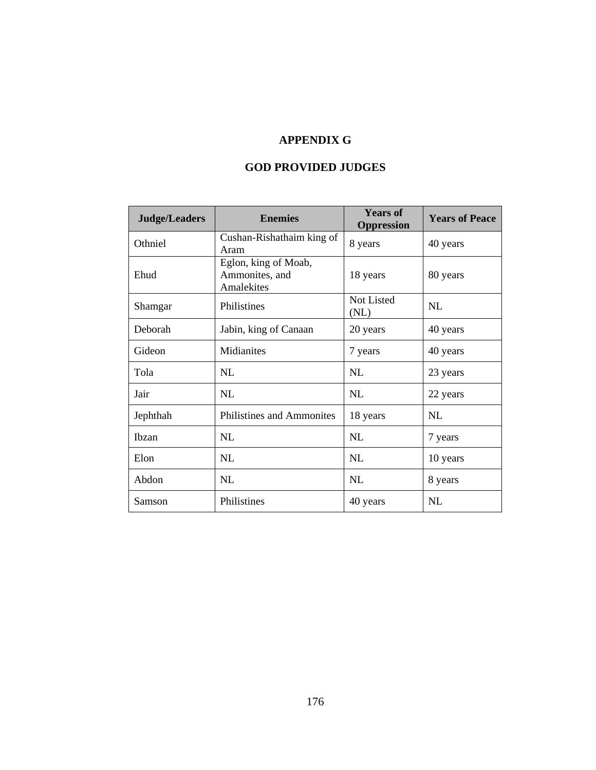# **APPENDIX G**

# **GOD PROVIDED JUDGES**

| <b>Judge/Leaders</b> | <b>Enemies</b>                                       | <b>Years of</b><br><b>Oppression</b> | <b>Years of Peace</b> |
|----------------------|------------------------------------------------------|--------------------------------------|-----------------------|
| Othniel              | Cushan-Rishathaim king of<br>Aram                    | 8 years                              | 40 years              |
| Ehud                 | Eglon, king of Moab,<br>Ammonites, and<br>Amalekites | 18 years                             | 80 years              |
| Shamgar              | Philistines                                          | Not Listed<br>(NL)                   | NL                    |
| Deborah              | Jabin, king of Canaan                                | 20 years                             | 40 years              |
| Gideon               | Midianites                                           | 7 years                              | 40 years              |
| Tola                 | NL                                                   | NL                                   | 23 years              |
| Jair                 | NL                                                   | NL                                   | 22 years              |
| Jephthah             | Philistines and Ammonites                            | 18 years                             | NI.                   |
| Ibzan                | NL                                                   | NL                                   | 7 years               |
| Elon                 | NL                                                   | NL                                   | 10 years              |
| Abdon                | NL                                                   | NL                                   | 8 years               |
| Samson               | Philistines                                          | 40 years                             | NL                    |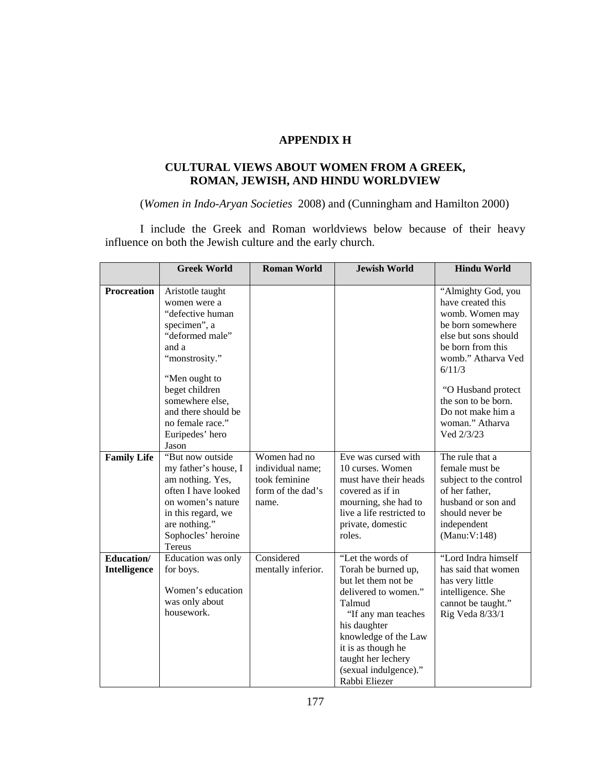## **APPENDIX H**

# **CULTURAL VIEWS ABOUT WOMEN FROM A GREEK, ROMAN, JEWISH, AND HINDU WORLDVIEW**

(*Women in Indo-Aryan Societies* 2008) and (Cunningham and Hamilton 2000)

I include the Greek and Roman worldviews below because of their heavy influence on both the Jewish culture and the early church.

|                    | <b>Greek World</b>   | <b>Roman World</b> | <b>Jewish World</b>       | <b>Hindu World</b>           |
|--------------------|----------------------|--------------------|---------------------------|------------------------------|
|                    |                      |                    |                           |                              |
| <b>Procreation</b> | Aristotle taught     |                    |                           | "Almighty God, you           |
|                    | women were a         |                    |                           | have created this            |
|                    | "defective human     |                    |                           | womb. Women may              |
|                    | specimen", a         |                    |                           | be born somewhere            |
|                    | "deformed male"      |                    |                           | else but sons should         |
|                    | and a                |                    |                           | be born from this            |
|                    | "monstrosity."       |                    |                           | womb." Atharva Ved<br>6/11/3 |
|                    | "Men ought to        |                    |                           |                              |
|                    | beget children       |                    |                           | "O Husband protect           |
|                    | somewhere else,      |                    |                           | the son to be born.          |
|                    | and there should be  |                    |                           | Do not make him a            |
|                    | no female race."     |                    |                           | woman." Atharva              |
|                    | Euripedes' hero      |                    |                           | Ved 2/3/23                   |
|                    | Jason                |                    |                           |                              |
| <b>Family Life</b> | "But now outside     | Women had no       | Eve was cursed with       | The rule that a              |
|                    | my father's house, I | individual name;   | 10 curses. Women          | female must be               |
|                    | am nothing. Yes,     | took feminine      | must have their heads     | subject to the control       |
|                    | often I have looked  | form of the dad's  | covered as if in          | of her father,               |
|                    | on women's nature    | name.              | mourning, she had to      | husband or son and           |
|                    | in this regard, we   |                    | live a life restricted to | should never be              |
|                    | are nothing."        |                    | private, domestic         | independent                  |
|                    | Sophocles' heroine   |                    | roles.                    | (Manu:V:148)                 |
|                    | <b>Tereus</b>        |                    |                           |                              |
| Education/         | Education was only   | Considered         | "Let the words of         | "Lord Indra himself          |
| Intelligence       | for boys.            | mentally inferior. | Torah be burned up,       | has said that women          |
|                    | Women's education    |                    | but let them not be       | has very little              |
|                    | was only about       |                    | delivered to women."      | intelligence. She            |
|                    | housework.           |                    | Talmud                    | cannot be taught."           |
|                    |                      |                    | "If any man teaches"      | Rig Veda 8/33/1              |
|                    |                      |                    | his daughter              |                              |
|                    |                      |                    | knowledge of the Law      |                              |
|                    |                      |                    | it is as though he        |                              |
|                    |                      |                    | taught her lechery        |                              |
|                    |                      |                    | (sexual indulgence)."     |                              |
|                    |                      |                    | Rabbi Eliezer             |                              |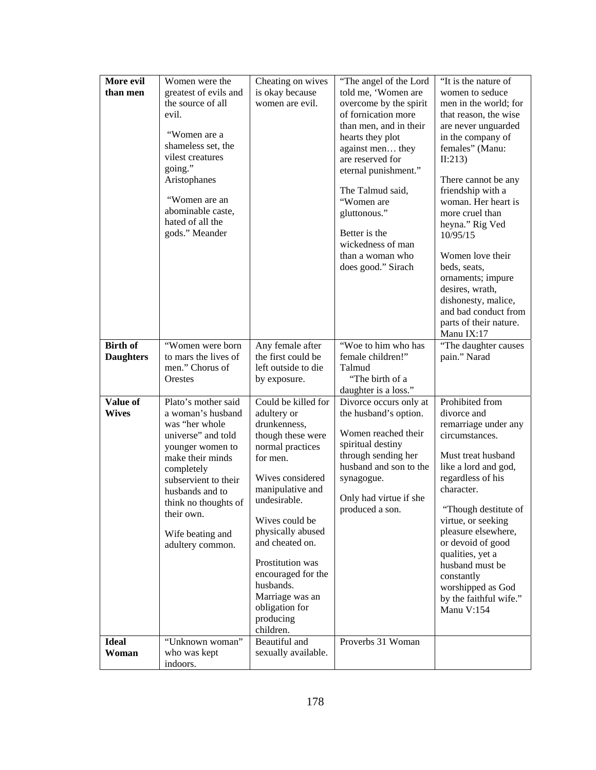| More evil<br>than men    | Women were the<br>greatest of evils and                                                                                                                                                                                                                         | Cheating on wives<br>is okay because                                                                                                                                                                                                                                                                                                            | "The angel of the Lord<br>told me, 'Women are                                                                                                                                                                                                                                                 | "It is the nature of<br>women to seduce                                                                                                                                                                                                                                                                                                                                                                          |
|--------------------------|-----------------------------------------------------------------------------------------------------------------------------------------------------------------------------------------------------------------------------------------------------------------|-------------------------------------------------------------------------------------------------------------------------------------------------------------------------------------------------------------------------------------------------------------------------------------------------------------------------------------------------|-----------------------------------------------------------------------------------------------------------------------------------------------------------------------------------------------------------------------------------------------------------------------------------------------|------------------------------------------------------------------------------------------------------------------------------------------------------------------------------------------------------------------------------------------------------------------------------------------------------------------------------------------------------------------------------------------------------------------|
|                          | the source of all<br>evil.<br>"Women are a<br>shameless set, the<br>vilest creatures<br>going."<br>Aristophanes<br>"Women are an<br>abominable caste,<br>hated of all the<br>gods." Meander                                                                     | women are evil.                                                                                                                                                                                                                                                                                                                                 | overcome by the spirit<br>of fornication more<br>than men, and in their<br>hearts they plot<br>against men they<br>are reserved for<br>eternal punishment."<br>The Talmud said,<br>"Women are<br>gluttonous."<br>Better is the<br>wickedness of man<br>than a woman who<br>does good." Sirach | men in the world; for<br>that reason, the wise<br>are never unguarded<br>in the company of<br>females" (Manu:<br>II:213)<br>There cannot be any<br>friendship with a<br>woman. Her heart is<br>more cruel than<br>heyna." Rig Ved<br>10/95/15<br>Women love their<br>beds, seats,<br>ornaments; impure<br>desires, wrath,<br>dishonesty, malice,<br>and bad conduct from<br>parts of their nature.<br>Manu IX:17 |
| <b>Birth of</b>          | "Women were born                                                                                                                                                                                                                                                | Any female after                                                                                                                                                                                                                                                                                                                                | "Woe to him who has                                                                                                                                                                                                                                                                           | "The daughter causes                                                                                                                                                                                                                                                                                                                                                                                             |
| <b>Daughters</b>         | to mars the lives of<br>men." Chorus of                                                                                                                                                                                                                         | the first could be<br>left outside to die                                                                                                                                                                                                                                                                                                       | female children!"<br>Talmud                                                                                                                                                                                                                                                                   | pain." Narad                                                                                                                                                                                                                                                                                                                                                                                                     |
|                          | Orestes                                                                                                                                                                                                                                                         | by exposure.                                                                                                                                                                                                                                                                                                                                    | "The birth of a                                                                                                                                                                                                                                                                               |                                                                                                                                                                                                                                                                                                                                                                                                                  |
|                          |                                                                                                                                                                                                                                                                 |                                                                                                                                                                                                                                                                                                                                                 | daughter is a loss."                                                                                                                                                                                                                                                                          |                                                                                                                                                                                                                                                                                                                                                                                                                  |
| Value of<br><b>Wives</b> | Plato's mother said<br>a woman's husband<br>was "her whole<br>universe" and told<br>younger women to<br>make their minds<br>completely<br>subservient to their<br>husbands and to<br>think no thoughts of<br>their own.<br>Wife beating and<br>adultery common. | Could be killed for<br>adultery or<br>drunkenness,<br>though these were<br>normal practices<br>for men.<br>Wives considered<br>manipulative and<br>undesirable.<br>Wives could be<br>physically abused<br>and cheated on.<br>Prostitution was<br>encouraged for the<br>husbands.<br>Marriage was an<br>obligation for<br>producing<br>children. | Divorce occurs only at<br>the husband's option.<br>Women reached their<br>spiritual destiny<br>through sending her<br>husband and son to the<br>synagogue.<br>Only had virtue if she<br>produced a son.                                                                                       | Prohibited from<br>divorce and<br>remarriage under any<br>circumstances.<br>Must treat husband<br>like a lord and god,<br>regardless of his<br>character.<br>"Though destitute of<br>virtue, or seeking<br>pleasure elsewhere,<br>or devoid of good<br>qualities, yet a<br>husband must be<br>constantly<br>worshipped as God<br>by the faithful wife."<br>Manu V:154                                            |
| <b>Ideal</b>             | "Unknown woman"                                                                                                                                                                                                                                                 | Beautiful and                                                                                                                                                                                                                                                                                                                                   | Proverbs 31 Woman                                                                                                                                                                                                                                                                             |                                                                                                                                                                                                                                                                                                                                                                                                                  |
| Woman                    | who was kept<br>indoors.                                                                                                                                                                                                                                        | sexually available.                                                                                                                                                                                                                                                                                                                             |                                                                                                                                                                                                                                                                                               |                                                                                                                                                                                                                                                                                                                                                                                                                  |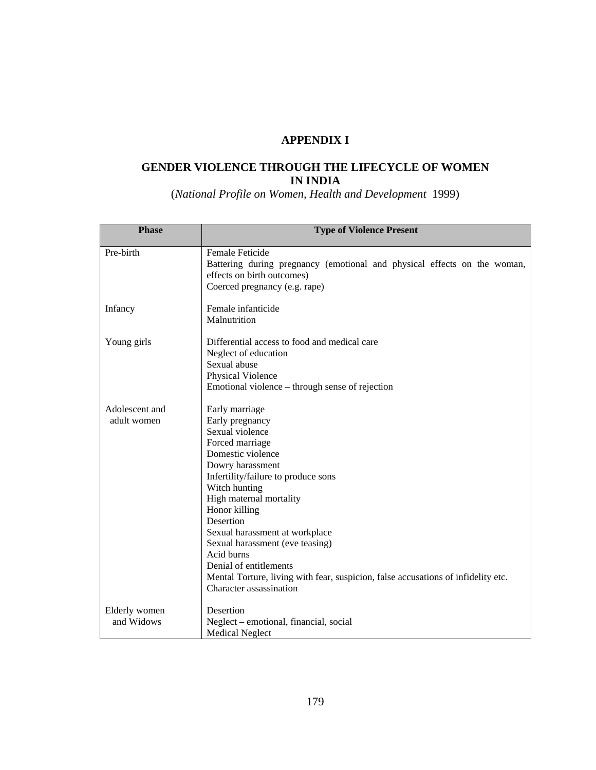# **APPENDIX I**

# **GENDER VIOLENCE THROUGH THE LIFECYCLE OF WOMEN IN INDIA**

(*National Profile on Women, Health and Development* 1999)

| <b>Phase</b>                  | <b>Type of Violence Present</b>                                                                                                                                                                                                                                                                                                                                                                                                                                |
|-------------------------------|----------------------------------------------------------------------------------------------------------------------------------------------------------------------------------------------------------------------------------------------------------------------------------------------------------------------------------------------------------------------------------------------------------------------------------------------------------------|
| Pre-birth                     | Female Feticide<br>Battering during pregnancy (emotional and physical effects on the woman,<br>effects on birth outcomes)<br>Coerced pregnancy (e.g. rape)                                                                                                                                                                                                                                                                                                     |
| Infancy                       | Female infanticide<br>Malnutrition                                                                                                                                                                                                                                                                                                                                                                                                                             |
| Young girls                   | Differential access to food and medical care<br>Neglect of education<br>Sexual abuse<br>Physical Violence<br>Emotional violence – through sense of rejection                                                                                                                                                                                                                                                                                                   |
| Adolescent and<br>adult women | Early marriage<br>Early pregnancy<br>Sexual violence<br>Forced marriage<br>Domestic violence<br>Dowry harassment<br>Infertility/failure to produce sons<br>Witch hunting<br>High maternal mortality<br>Honor killing<br>Desertion<br>Sexual harassment at workplace<br>Sexual harassment (eve teasing)<br>Acid burns<br>Denial of entitlements<br>Mental Torture, living with fear, suspicion, false accusations of infidelity etc.<br>Character assassination |
| Elderly women<br>and Widows   | Desertion<br>Neglect - emotional, financial, social<br><b>Medical Neglect</b>                                                                                                                                                                                                                                                                                                                                                                                  |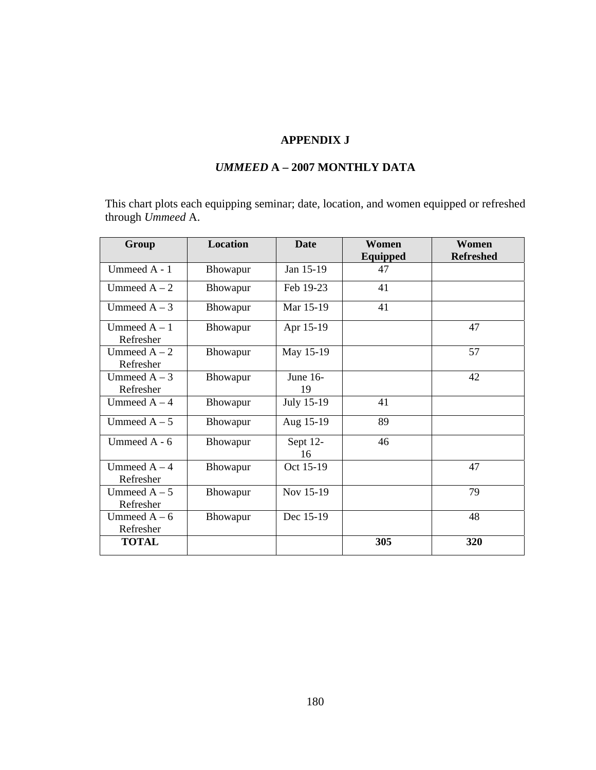# **APPENDIX J**

# *UMMEED* **A – 2007 MONTHLY DATA**

This chart plots each equipping seminar; date, location, and women equipped or refreshed through *Ummeed* A.

| Group                       | <b>Location</b> | <b>Date</b>    | Women    | Women            |
|-----------------------------|-----------------|----------------|----------|------------------|
|                             |                 |                | Equipped | <b>Refreshed</b> |
| Ummeed A - 1                | Bhowapur        | Jan 15-19      | 47       |                  |
| Ummeed $A - 2$              | Bhowapur        | Feb 19-23      | 41       |                  |
| Ummeed $A - 3$              | Bhowapur        | Mar 15-19      | 41       |                  |
| Ummeed $A - 1$<br>Refresher | Bhowapur        | Apr 15-19      |          | 47               |
| Ummeed $A - 2$<br>Refresher | Bhowapur        | May 15-19      |          | 57               |
| Ummeed $A - 3$              | Bhowapur        | June 16-       |          | 42               |
| Refresher                   |                 | 19             |          |                  |
| Ummeed $A - 4$              | Bhowapur        | July 15-19     | 41       |                  |
| Ummeed $A - 5$              | Bhowapur        | Aug 15-19      | 89       |                  |
| Ummeed A - 6                | Bhowapur        | Sept 12-<br>16 | 46       |                  |
| Ummeed $A - 4$<br>Refresher | Bhowapur        | Oct 15-19      |          | 47               |
| Ummeed $A - 5$<br>Refresher | Bhowapur        | Nov 15-19      |          | 79               |
| Ummeed $A - 6$<br>Refresher | Bhowapur        | Dec 15-19      |          | 48               |
| <b>TOTAL</b>                |                 |                | 305      | 320              |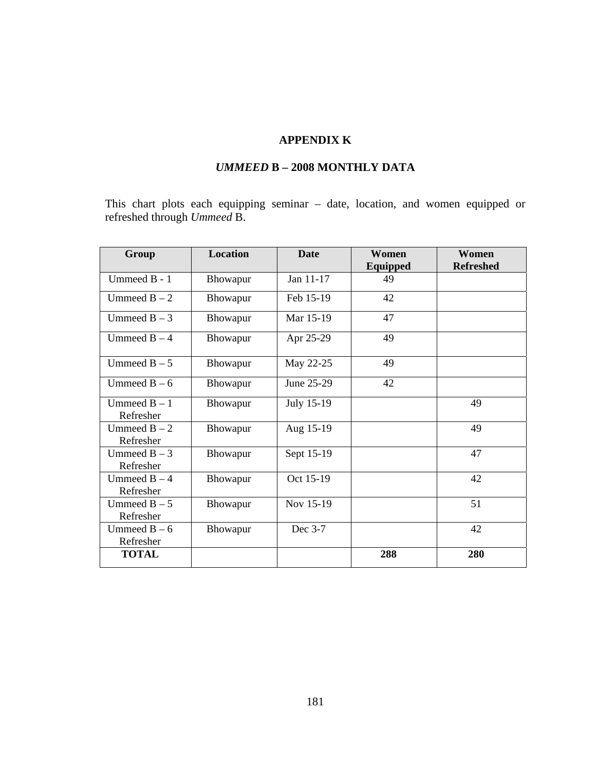# **APPENDIX K**

# *UMMEED* **B** *–* **2008 MONTHLY DATA**

This chart plots each equipping seminar – date, location, and women equipped or refreshed through *Ummeed* B.

| Group                       | <b>Location</b> | <b>Date</b> | Women    | Women            |
|-----------------------------|-----------------|-------------|----------|------------------|
|                             |                 |             | Equipped | <b>Refreshed</b> |
| Ummeed B - 1                | Bhowapur        | Jan 11-17   | 49       |                  |
| Ummeed $B - 2$              | Bhowapur        | Feb 15-19   | 42       |                  |
| Ummeed $B - 3$              | Bhowapur        | Mar 15-19   | 47       |                  |
| Ummeed $B - 4$              | Bhowapur        | Apr 25-29   | 49       |                  |
| Ummeed $B - 5$              | Bhowapur        | May 22-25   | 49       |                  |
| Ummeed $B - 6$              | Bhowapur        | June 25-29  | 42       |                  |
| Ummeed $B - 1$<br>Refresher | Bhowapur        | July 15-19  |          | 49               |
| Ummeed $B - 2$<br>Refresher | Bhowapur        | Aug 15-19   |          | 49               |
| Ummeed $B - 3$<br>Refresher | Bhowapur        | Sept 15-19  |          | 47               |
| Ummeed $B - 4$<br>Refresher | Bhowapur        | Oct 15-19   |          | 42               |
| Ummeed $B - 5$<br>Refresher | Bhowapur        | Nov 15-19   |          | 51               |
| Ummeed $B - 6$<br>Refresher | Bhowapur        | Dec 3-7     |          | 42               |
| <b>TOTAL</b>                |                 |             | 288      | 280              |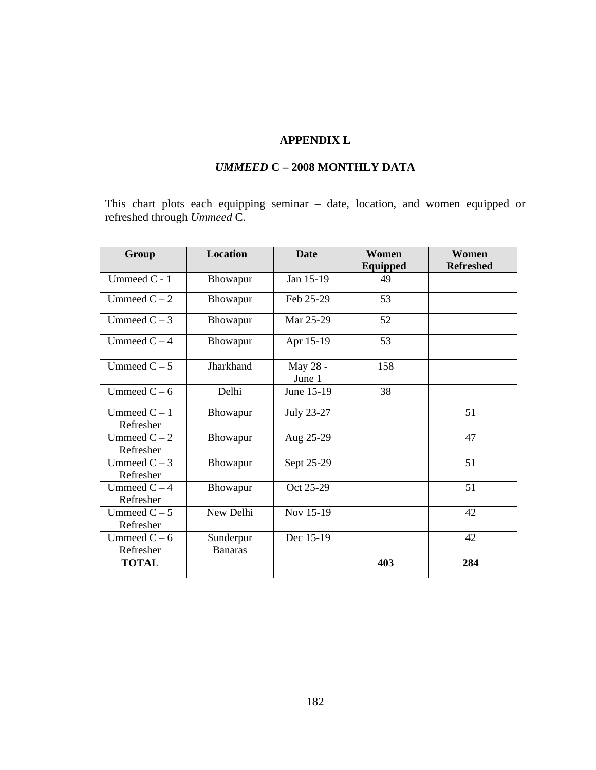## **APPENDIX L**

# *UMMEED* **C – 2008 MONTHLY DATA**

This chart plots each equipping seminar – date, location, and women equipped or refreshed through *Ummeed* C.

| Group                       | <b>Location</b>             | <b>Date</b>        | Women    | Women            |
|-----------------------------|-----------------------------|--------------------|----------|------------------|
|                             |                             |                    | Equipped | <b>Refreshed</b> |
| Ummeed $C - 1$              | <b>Bhowapur</b>             | Jan 15-19          | 49       |                  |
| Ummeed $C - 2$              | Bhowapur                    | Feb 25-29          | 53       |                  |
| Ummeed $C - 3$              | Bhowapur                    | Mar 25-29          | 52       |                  |
| Ummeed $C - 4$              | Bhowapur                    | Apr 15-19          | 53       |                  |
| Ummeed $C - 5$              | Jharkhand                   | May 28 -<br>June 1 | 158      |                  |
| Ummeed $C - 6$              | Delhi                       | June 15-19         | 38       |                  |
| Ummeed $C - 1$<br>Refresher | Bhowapur                    | July 23-27         |          | 51               |
| Ummeed $C - 2$<br>Refresher | Bhowapur                    | Aug 25-29          |          | 47               |
| Ummeed $C - 3$<br>Refresher | <b>Bhowapur</b>             | Sept 25-29         |          | 51               |
| Ummeed $C - 4$<br>Refresher | Bhowapur                    | Oct 25-29          |          | 51               |
| Ummeed $C - 5$<br>Refresher | New Delhi                   | Nov 15-19          |          | 42               |
| Ummeed $C - 6$<br>Refresher | Sunderpur<br><b>Banaras</b> | Dec 15-19          |          | 42               |
| <b>TOTAL</b>                |                             |                    | 403      | 284              |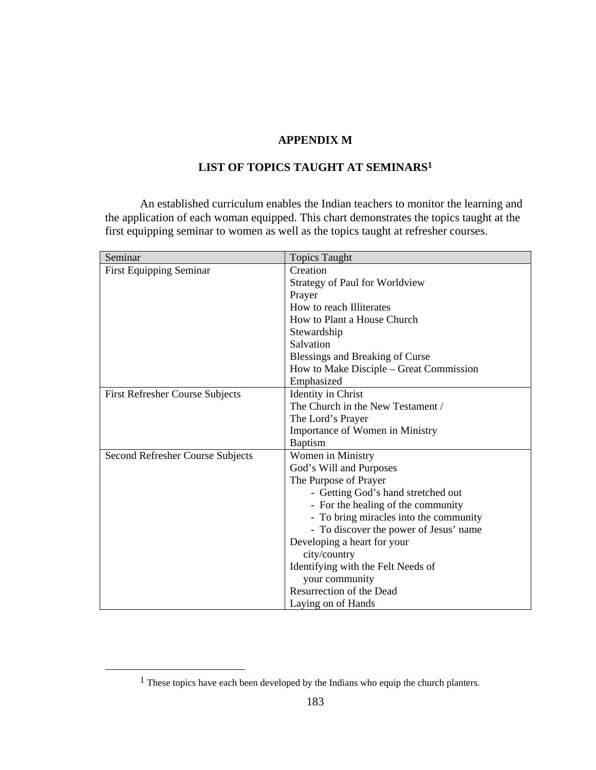## **APPENDIX M**

# **LIST OF TOPICS TAUGHT AT SEMINARS1**

An established curriculum enables the Indian teachers to monitor the learning and the application of each woman equipped. This chart demonstrates the topics taught at the first equipping seminar to women as well as the topics taught at refresher courses.

| Seminar                                | <b>Topics Taught</b>                    |
|----------------------------------------|-----------------------------------------|
| <b>First Equipping Seminar</b>         | Creation                                |
|                                        | Strategy of Paul for Worldview          |
|                                        | Prayer                                  |
|                                        | How to reach Illiterates                |
|                                        | How to Plant a House Church             |
|                                        | Stewardship                             |
|                                        | Salvation                               |
|                                        | Blessings and Breaking of Curse         |
|                                        | How to Make Disciple – Great Commission |
|                                        | Emphasized                              |
| <b>First Refresher Course Subjects</b> | <b>Identity</b> in Christ               |
|                                        | The Church in the New Testament /       |
|                                        | The Lord's Prayer                       |
|                                        | Importance of Women in Ministry         |
|                                        | <b>Baptism</b>                          |
| Second Refresher Course Subjects       | Women in Ministry                       |
|                                        | God's Will and Purposes                 |
|                                        | The Purpose of Prayer                   |
|                                        | - Getting God's hand stretched out      |
|                                        | - For the healing of the community      |
|                                        | - To bring miracles into the community  |
|                                        | - To discover the power of Jesus' name  |
|                                        | Developing a heart for your             |
|                                        | city/country                            |
|                                        | Identifying with the Felt Needs of      |
|                                        | your community                          |
|                                        | Resurrection of the Dead                |
|                                        | Laying on of Hands                      |

 <sup>1</sup> These topics have each been developed by the Indians who equip the church planters.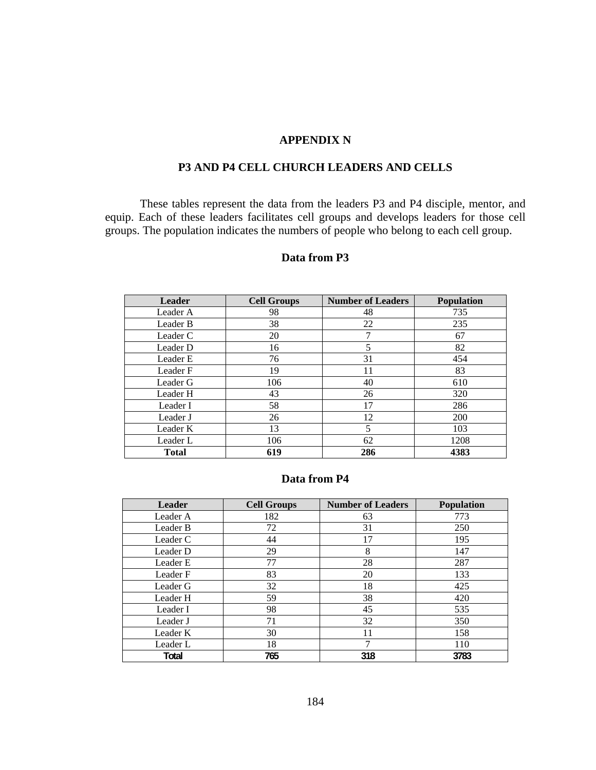### **APPENDIX N**

### **P3 AND P4 CELL CHURCH LEADERS AND CELLS**

These tables represent the data from the leaders P3 and P4 disciple, mentor, and equip. Each of these leaders facilitates cell groups and develops leaders for those cell groups. The population indicates the numbers of people who belong to each cell group.

| <b>Leader</b> | <b>Cell Groups</b> | <b>Number of Leaders</b> | <b>Population</b> |
|---------------|--------------------|--------------------------|-------------------|
| Leader A      | 98                 | 48                       | 735               |
| Leader B      | 38                 | 22                       | 235               |
| Leader C      | 20                 | 7                        | 67                |
| Leader D      | 16                 | 5                        | 82                |
| Leader E      | 76                 | 31                       | 454               |
| Leader F      | 19                 | 11                       | 83                |
| Leader G      | 106                | 40                       | 610               |
| Leader H      | 43                 | 26                       | 320               |
| Leader I      | 58                 | 17                       | 286               |
| Leader J      | 26                 | 12                       | <b>200</b>        |
| Leader K      | 13                 | 5                        | 103               |
| Leader L      | 106                | 62                       | 1208              |
| <b>Total</b>  | 619                | 286                      | 4383              |

### **Data from P3**

### **Data from P4**

| <b>Leader</b> | <b>Cell Groups</b> | <b>Number of Leaders</b> | <b>Population</b> |
|---------------|--------------------|--------------------------|-------------------|
| Leader A      | 182                | 63                       | 773               |
| Leader B      | 72                 | 31                       | 250               |
| Leader C      | 44                 | 17                       | 195               |
| Leader D      | 29                 | 8                        | 147               |
| Leader E      | 77                 | 28                       | 287               |
| Leader F      | 83                 | 20                       | 133               |
| Leader G      | 32                 | 18                       | 425               |
| Leader H      | 59                 | 38                       | 420               |
| Leader I      | 98                 | 45                       | 535               |
| Leader J      | 71                 | 32                       | 350               |
| Leader K      | 30                 | 11                       | 158               |
| Leader L      | 18                 | 7                        | 110               |
| Total         | 765                | 318                      | 3783              |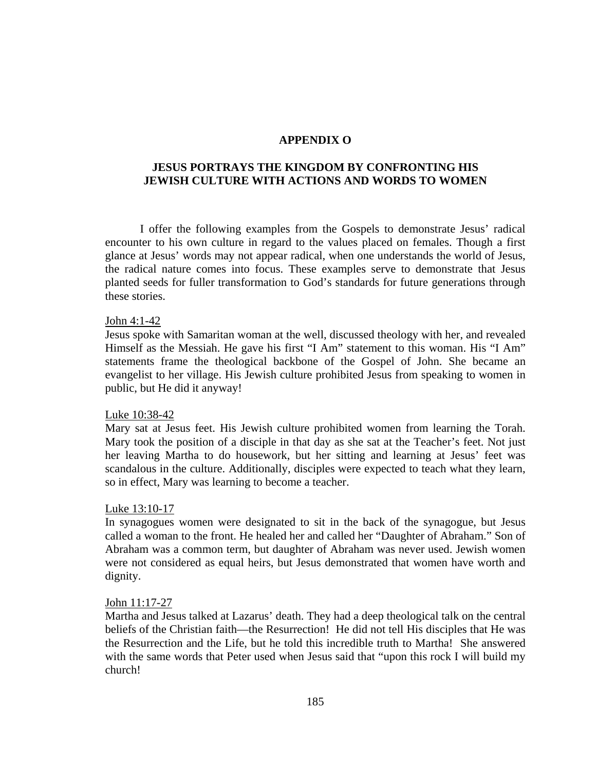#### **APPENDIX O**

### **JESUS PORTRAYS THE KINGDOM BY CONFRONTING HIS JEWISH CULTURE WITH ACTIONS AND WORDS TO WOMEN**

I offer the following examples from the Gospels to demonstrate Jesus' radical encounter to his own culture in regard to the values placed on females. Though a first glance at Jesus' words may not appear radical, when one understands the world of Jesus, the radical nature comes into focus. These examples serve to demonstrate that Jesus planted seeds for fuller transformation to God's standards for future generations through these stories.

#### John 4:1-42

Jesus spoke with Samaritan woman at the well, discussed theology with her, and revealed Himself as the Messiah. He gave his first "I Am" statement to this woman. His "I Am" statements frame the theological backbone of the Gospel of John. She became an evangelist to her village. His Jewish culture prohibited Jesus from speaking to women in public, but He did it anyway!

#### Luke 10:38-42

Mary sat at Jesus feet. His Jewish culture prohibited women from learning the Torah. Mary took the position of a disciple in that day as she sat at the Teacher's feet. Not just her leaving Martha to do housework, but her sitting and learning at Jesus' feet was scandalous in the culture. Additionally, disciples were expected to teach what they learn, so in effect, Mary was learning to become a teacher.

#### Luke 13:10-17

In synagogues women were designated to sit in the back of the synagogue, but Jesus called a woman to the front. He healed her and called her "Daughter of Abraham." Son of Abraham was a common term, but daughter of Abraham was never used. Jewish women were not considered as equal heirs, but Jesus demonstrated that women have worth and dignity.

#### John 11:17-27

Martha and Jesus talked at Lazarus' death. They had a deep theological talk on the central beliefs of the Christian faith—the Resurrection! He did not tell His disciples that He was the Resurrection and the Life, but he told this incredible truth to Martha! She answered with the same words that Peter used when Jesus said that "upon this rock I will build my church!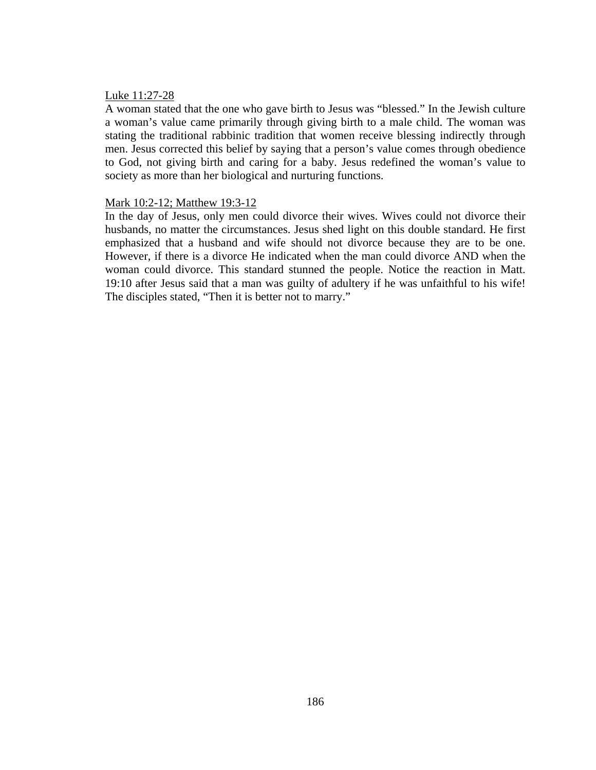#### Luke 11:27-28

A woman stated that the one who gave birth to Jesus was "blessed." In the Jewish culture a woman's value came primarily through giving birth to a male child. The woman was stating the traditional rabbinic tradition that women receive blessing indirectly through men. Jesus corrected this belief by saying that a person's value comes through obedience to God, not giving birth and caring for a baby. Jesus redefined the woman's value to society as more than her biological and nurturing functions.

### Mark 10:2-12; Matthew 19:3-12

In the day of Jesus, only men could divorce their wives. Wives could not divorce their husbands, no matter the circumstances. Jesus shed light on this double standard. He first emphasized that a husband and wife should not divorce because they are to be one. However, if there is a divorce He indicated when the man could divorce AND when the woman could divorce. This standard stunned the people. Notice the reaction in Matt. 19:10 after Jesus said that a man was guilty of adultery if he was unfaithful to his wife! The disciples stated, "Then it is better not to marry."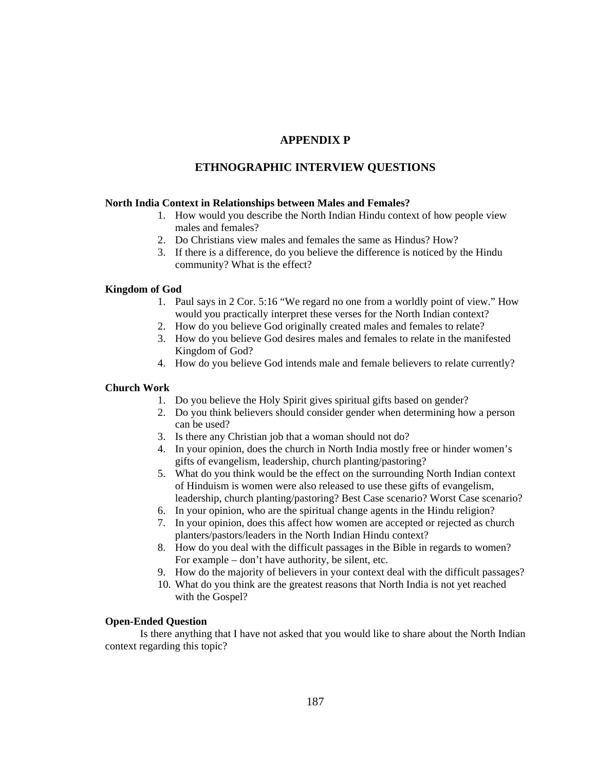### **APPENDIX P**

### **ETHNOGRAPHIC INTERVIEW QUESTIONS**

#### **North India Context in Relationships between Males and Females?**

- 1. How would you describe the North Indian Hindu context of how people view males and females?
- 2. Do Christians view males and females the same as Hindus? How?
- 3. If there is a difference, do you believe the difference is noticed by the Hindu community? What is the effect?

#### **Kingdom of God**

- 1. Paul says in 2 Cor. 5:16 "We regard no one from a worldly point of view." How would you practically interpret these verses for the North Indian context?
- 2. How do you believe God originally created males and females to relate?
- 3. How do you believe God desires males and females to relate in the manifested Kingdom of God?
- 4. How do you believe God intends male and female believers to relate currently?

#### **Church Work**

- 1. Do you believe the Holy Spirit gives spiritual gifts based on gender?
- 2. Do you think believers should consider gender when determining how a person can be used?
- 3. Is there any Christian job that a woman should not do?
- 4. In your opinion, does the church in North India mostly free or hinder women's gifts of evangelism, leadership, church planting/pastoring?
- 5. What do you think would be the effect on the surrounding North Indian context of Hinduism is women were also released to use these gifts of evangelism, leadership, church planting/pastoring? Best Case scenario? Worst Case scenario?
- 6. In your opinion, who are the spiritual change agents in the Hindu religion?
- 7. In your opinion, does this affect how women are accepted or rejected as church planters/pastors/leaders in the North Indian Hindu context?
- 8. How do you deal with the difficult passages in the Bible in regards to women? For example – don't have authority, be silent, etc.
- 9. How do the majority of believers in your context deal with the difficult passages?
- 10. What do you think are the greatest reasons that North India is not yet reached with the Gospel?

#### **Open-Ended Question**

Is there anything that I have not asked that you would like to share about the North Indian context regarding this topic?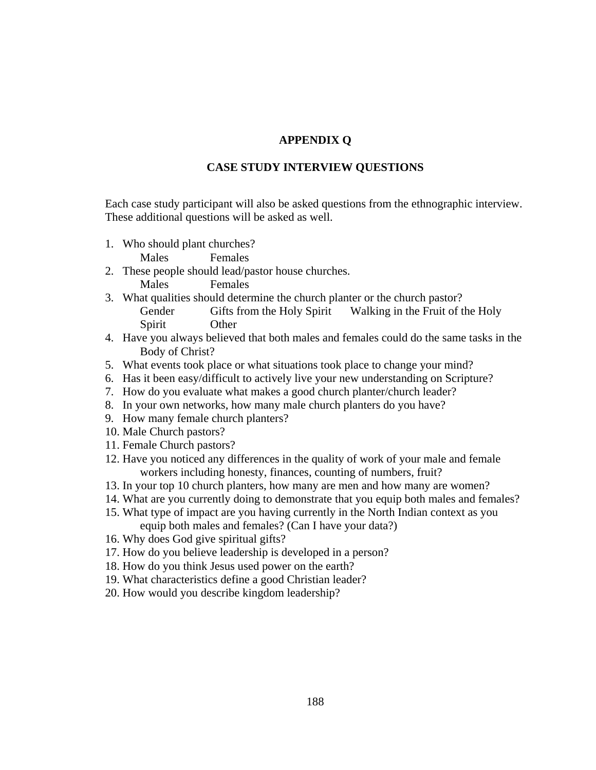### **APPENDIX Q**

#### **CASE STUDY INTERVIEW QUESTIONS**

Each case study participant will also be asked questions from the ethnographic interview. These additional questions will be asked as well.

1. Who should plant churches?

Males Females

- 2. These people should lead/pastor house churches. Males Females
- 3. What qualities should determine the church planter or the church pastor? Gender Gifts from the Holy Spirit Walking in the Fruit of the Holy Spirit Other
- 4. Have you always believed that both males and females could do the same tasks in the Body of Christ?
- 5. What events took place or what situations took place to change your mind?
- 6. Has it been easy/difficult to actively live your new understanding on Scripture?
- 7. How do you evaluate what makes a good church planter/church leader?
- 8. In your own networks, how many male church planters do you have?
- 9. How many female church planters?
- 10. Male Church pastors?
- 11. Female Church pastors?
- 12. Have you noticed any differences in the quality of work of your male and female workers including honesty, finances, counting of numbers, fruit?
- 13. In your top 10 church planters, how many are men and how many are women?
- 14. What are you currently doing to demonstrate that you equip both males and females?
- 15. What type of impact are you having currently in the North Indian context as you equip both males and females? (Can I have your data?)
- 16. Why does God give spiritual gifts?
- 17. How do you believe leadership is developed in a person?
- 18. How do you think Jesus used power on the earth?
- 19. What characteristics define a good Christian leader?
- 20. How would you describe kingdom leadership?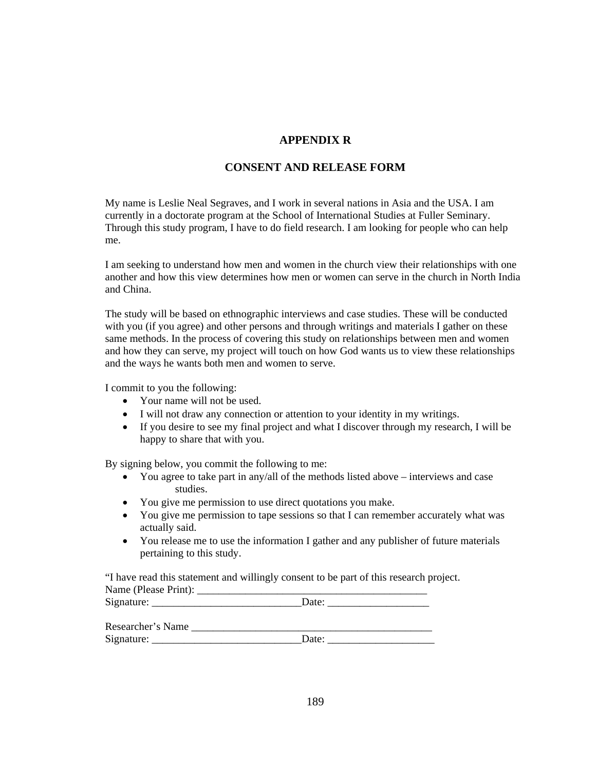### **APPENDIX R**

### **CONSENT AND RELEASE FORM**

My name is Leslie Neal Segraves, and I work in several nations in Asia and the USA. I am currently in a doctorate program at the School of International Studies at Fuller Seminary. Through this study program, I have to do field research. I am looking for people who can help me.

I am seeking to understand how men and women in the church view their relationships with one another and how this view determines how men or women can serve in the church in North India and China.

The study will be based on ethnographic interviews and case studies. These will be conducted with you (if you agree) and other persons and through writings and materials I gather on these same methods. In the process of covering this study on relationships between men and women and how they can serve, my project will touch on how God wants us to view these relationships and the ways he wants both men and women to serve.

I commit to you the following:

- Your name will not be used.
- I will not draw any connection or attention to your identity in my writings.
- If you desire to see my final project and what I discover through my research, I will be happy to share that with you.

By signing below, you commit the following to me:

- You agree to take part in any/all of the methods listed above interviews and case studies.
- You give me permission to use direct quotations you make.
- You give me permission to tape sessions so that I can remember accurately what was actually said.
- You release me to use the information I gather and any publisher of future materials pertaining to this study.

"I have read this statement and willingly consent to be part of this research project. Name (Please Print):

| Signature:        | Date: |  |  |
|-------------------|-------|--|--|
| Researcher's Name |       |  |  |
| Signature:        | Date: |  |  |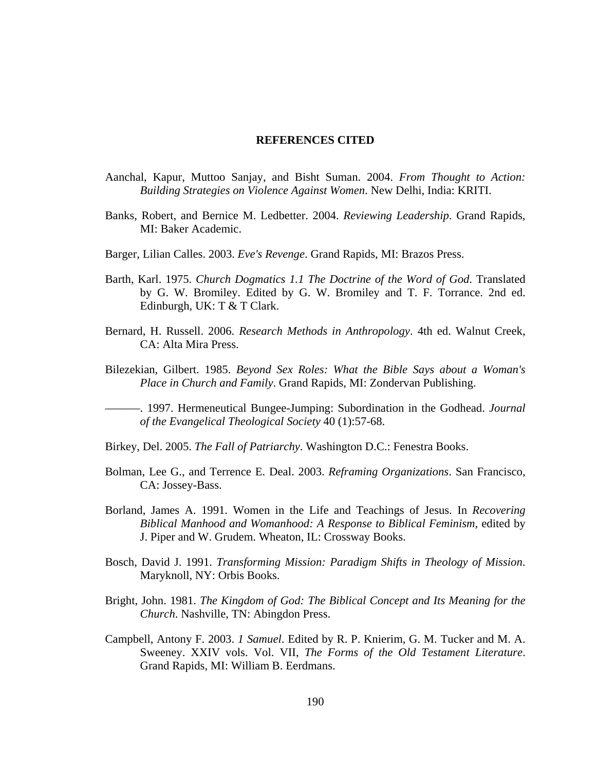#### **REFERENCES CITED**

- Aanchal, Kapur, Muttoo Sanjay, and Bisht Suman. 2004. *From Thought to Action: Building Strategies on Violence Against Women*. New Delhi, India: KRITI.
- Banks, Robert, and Bernice M. Ledbetter. 2004. *Reviewing Leadership*. Grand Rapids, MI: Baker Academic.
- Barger, Lilian Calles. 2003. *Eve's Revenge*. Grand Rapids, MI: Brazos Press.
- Barth, Karl. 1975. *Church Dogmatics 1.1 The Doctrine of the Word of God*. Translated by G. W. Bromiley. Edited by G. W. Bromiley and T. F. Torrance. 2nd ed. Edinburgh, UK: T & T Clark.
- Bernard, H. Russell. 2006. *Research Methods in Anthropology*. 4th ed. Walnut Creek, CA: Alta Mira Press.
- Bilezekian, Gilbert. 1985. *Beyond Sex Roles: What the Bible Says about a Woman's Place in Church and Family*. Grand Rapids, MI: Zondervan Publishing.
- ———. 1997. Hermeneutical Bungee-Jumping: Subordination in the Godhead. *Journal of the Evangelical Theological Society* 40 (1):57-68.
- Birkey, Del. 2005. *The Fall of Patriarchy*. Washington D.C.: Fenestra Books.
- Bolman, Lee G., and Terrence E. Deal. 2003. *Reframing Organizations*. San Francisco, CA: Jossey-Bass.
- Borland, James A. 1991. Women in the Life and Teachings of Jesus. In *Recovering Biblical Manhood and Womanhood: A Response to Biblical Feminism*, edited by J. Piper and W. Grudem. Wheaton, IL: Crossway Books.
- Bosch, David J. 1991. *Transforming Mission: Paradigm Shifts in Theology of Mission*. Maryknoll, NY: Orbis Books.
- Bright, John. 1981. *The Kingdom of God: The Biblical Concept and Its Meaning for the Church*. Nashville, TN: Abingdon Press.
- Campbell, Antony F. 2003. *1 Samuel*. Edited by R. P. Knierim, G. M. Tucker and M. A. Sweeney. XXIV vols. Vol. VII, *The Forms of the Old Testament Literature*. Grand Rapids, MI: William B. Eerdmans.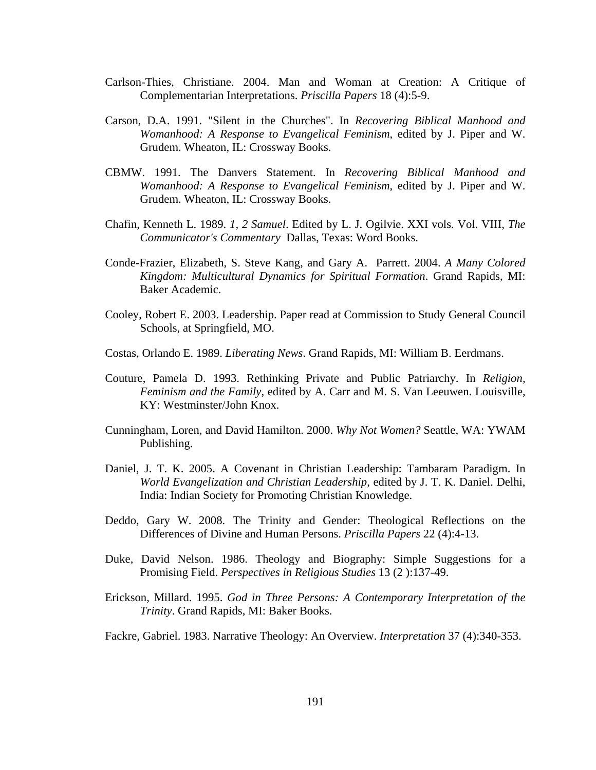- Carlson-Thies, Christiane. 2004. Man and Woman at Creation: A Critique of Complementarian Interpretations. *Priscilla Papers* 18 (4):5-9.
- Carson, D.A. 1991. "Silent in the Churches". In *Recovering Biblical Manhood and Womanhood: A Response to Evangelical Feminism*, edited by J. Piper and W. Grudem. Wheaton, IL: Crossway Books.
- CBMW. 1991. The Danvers Statement. In *Recovering Biblical Manhood and Womanhood: A Response to Evangelical Feminism*, edited by J. Piper and W. Grudem. Wheaton, IL: Crossway Books.
- Chafin, Kenneth L. 1989. *1, 2 Samuel*. Edited by L. J. Ogilvie. XXI vols. Vol. VIII, *The Communicator's Commentary* Dallas, Texas: Word Books.
- Conde-Frazier, Elizabeth, S. Steve Kang, and Gary A. Parrett. 2004. *A Many Colored Kingdom: Multicultural Dynamics for Spiritual Formation*. Grand Rapids, MI: Baker Academic.
- Cooley, Robert E. 2003. Leadership. Paper read at Commission to Study General Council Schools, at Springfield, MO.
- Costas, Orlando E. 1989. *Liberating News*. Grand Rapids, MI: William B. Eerdmans.
- Couture, Pamela D. 1993. Rethinking Private and Public Patriarchy. In *Religion, Feminism and the Family*, edited by A. Carr and M. S. Van Leeuwen. Louisville, KY: Westminster/John Knox.
- Cunningham, Loren, and David Hamilton. 2000. *Why Not Women?* Seattle, WA: YWAM Publishing.
- Daniel, J. T. K. 2005. A Covenant in Christian Leadership: Tambaram Paradigm. In *World Evangelization and Christian Leadership*, edited by J. T. K. Daniel. Delhi, India: Indian Society for Promoting Christian Knowledge.
- Deddo, Gary W. 2008. The Trinity and Gender: Theological Reflections on the Differences of Divine and Human Persons. *Priscilla Papers* 22 (4):4-13.
- Duke, David Nelson. 1986. Theology and Biography: Simple Suggestions for a Promising Field. *Perspectives in Religious Studies* 13 (2 ):137-49.
- Erickson, Millard. 1995. *God in Three Persons: A Contemporary Interpretation of the Trinity*. Grand Rapids, MI: Baker Books.
- Fackre, Gabriel. 1983. Narrative Theology: An Overview. *Interpretation* 37 (4):340-353.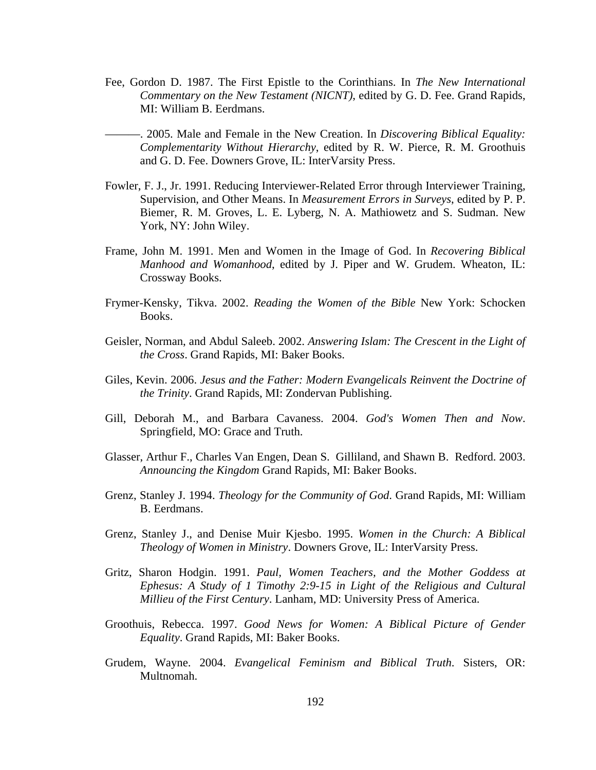- Fee, Gordon D. 1987. The First Epistle to the Corinthians. In *The New International Commentary on the New Testament (NICNT)*, edited by G. D. Fee. Grand Rapids, MI: William B. Eerdmans.
- ———. 2005. Male and Female in the New Creation. In *Discovering Biblical Equality: Complementarity Without Hierarchy*, edited by R. W. Pierce, R. M. Groothuis and G. D. Fee. Downers Grove, IL: InterVarsity Press.
- Fowler, F. J., Jr. 1991. Reducing Interviewer-Related Error through Interviewer Training, Supervision, and Other Means. In *Measurement Errors in Surveys*, edited by P. P. Biemer, R. M. Groves, L. E. Lyberg, N. A. Mathiowetz and S. Sudman. New York, NY: John Wiley.
- Frame, John M. 1991. Men and Women in the Image of God. In *Recovering Biblical Manhood and Womanhood*, edited by J. Piper and W. Grudem. Wheaton, IL: Crossway Books.
- Frymer-Kensky, Tikva. 2002. *Reading the Women of the Bible* New York: Schocken Books.
- Geisler, Norman, and Abdul Saleeb. 2002. *Answering Islam: The Crescent in the Light of the Cross*. Grand Rapids, MI: Baker Books.
- Giles, Kevin. 2006. *Jesus and the Father: Modern Evangelicals Reinvent the Doctrine of the Trinity*. Grand Rapids, MI: Zondervan Publishing.
- Gill, Deborah M., and Barbara Cavaness. 2004. *God's Women Then and Now*. Springfield, MO: Grace and Truth.
- Glasser, Arthur F., Charles Van Engen, Dean S. Gilliland, and Shawn B. Redford. 2003. *Announcing the Kingdom* Grand Rapids, MI: Baker Books.
- Grenz, Stanley J. 1994. *Theology for the Community of God*. Grand Rapids, MI: William B. Eerdmans.
- Grenz, Stanley J., and Denise Muir Kjesbo. 1995. *Women in the Church: A Biblical Theology of Women in Ministry*. Downers Grove, IL: InterVarsity Press.
- Gritz, Sharon Hodgin. 1991. *Paul, Women Teachers, and the Mother Goddess at Ephesus: A Study of 1 Timothy 2:9-15 in Light of the Religious and Cultural Millieu of the First Century*. Lanham, MD: University Press of America.
- Groothuis, Rebecca. 1997. *Good News for Women: A Biblical Picture of Gender Equality*. Grand Rapids, MI: Baker Books.
- Grudem, Wayne. 2004. *Evangelical Feminism and Biblical Truth*. Sisters, OR: Multnomah.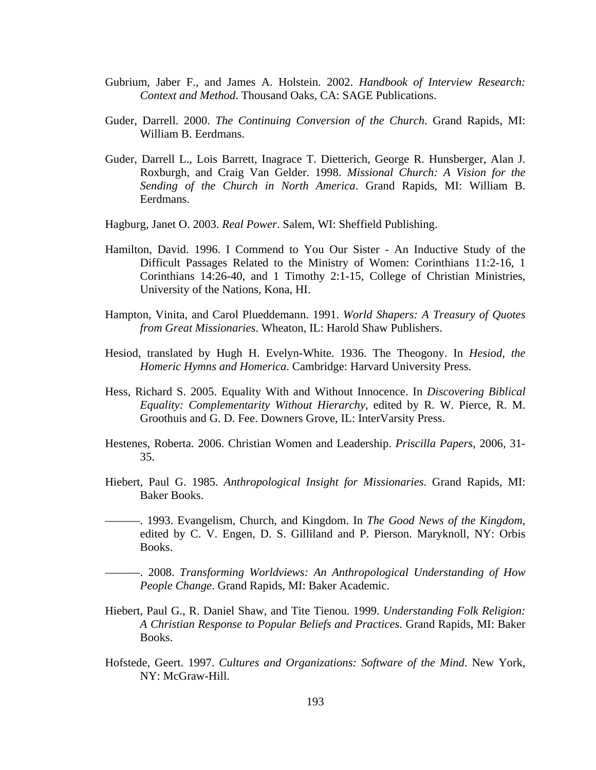- Gubrium, Jaber F., and James A. Holstein. 2002. *Handbook of Interview Research: Context and Method*. Thousand Oaks, CA: SAGE Publications.
- Guder, Darrell. 2000. *The Continuing Conversion of the Church*. Grand Rapids, MI: William B. Eerdmans.
- Guder, Darrell L., Lois Barrett, Inagrace T. Dietterich, George R. Hunsberger, Alan J. Roxburgh, and Craig Van Gelder. 1998. *Missional Church: A Vision for the Sending of the Church in North America*. Grand Rapids, MI: William B. Eerdmans.
- Hagburg, Janet O. 2003. *Real Power*. Salem, WI: Sheffield Publishing.
- Hamilton, David. 1996. I Commend to You Our Sister An Inductive Study of the Difficult Passages Related to the Ministry of Women: Corinthians 11:2-16, 1 Corinthians 14:26-40, and 1 Timothy 2:1-15, College of Christian Ministries, University of the Nations, Kona, HI.
- Hampton, Vinita, and Carol Plueddemann. 1991. *World Shapers: A Treasury of Quotes from Great Missionaries*. Wheaton, IL: Harold Shaw Publishers.
- Hesiod, translated by Hugh H. Evelyn-White. 1936. The Theogony. In *Hesiod, the Homeric Hymns and Homerica*. Cambridge: Harvard University Press.
- Hess, Richard S. 2005. Equality With and Without Innocence. In *Discovering Biblical Equality: Complementarity Without Hierarchy*, edited by R. W. Pierce, R. M. Groothuis and G. D. Fee. Downers Grove, IL: InterVarsity Press.
- Hestenes, Roberta. 2006. Christian Women and Leadership. *Priscilla Papers*, 2006, 31- 35.
- Hiebert, Paul G. 1985. *Anthropological Insight for Missionaries*. Grand Rapids, MI: Baker Books.
- ———. 1993. Evangelism, Church, and Kingdom. In *The Good News of the Kingdom*, edited by C. V. Engen, D. S. Gilliland and P. Pierson. Maryknoll, NY: Orbis Books.
- ———. 2008. *Transforming Worldviews: An Anthropological Understanding of How People Change*. Grand Rapids, MI: Baker Academic.
- Hiebert, Paul G., R. Daniel Shaw, and Tite Tienou. 1999. *Understanding Folk Religion: A Christian Response to Popular Beliefs and Practices*. Grand Rapids, MI: Baker Books.
- Hofstede, Geert. 1997. *Cultures and Organizations: Software of the Mind*. New York, NY: McGraw-Hill.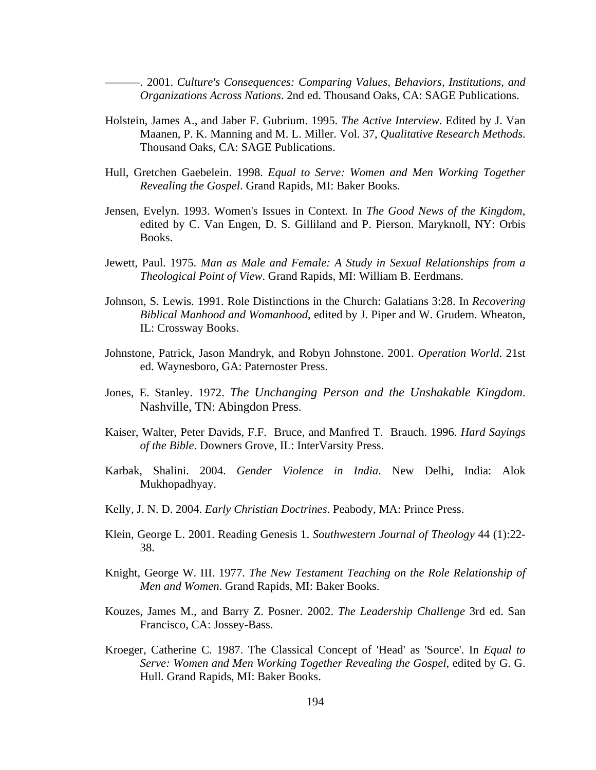———. 2001. *Culture's Consequences: Comparing Values, Behaviors, Institutions, and Organizations Across Nations*. 2nd ed. Thousand Oaks, CA: SAGE Publications.

- Holstein, James A., and Jaber F. Gubrium. 1995. *The Active Interview*. Edited by J. Van Maanen, P. K. Manning and M. L. Miller. Vol. 37, *Qualitative Research Methods*. Thousand Oaks, CA: SAGE Publications.
- Hull, Gretchen Gaebelein. 1998. *Equal to Serve: Women and Men Working Together Revealing the Gospel*. Grand Rapids, MI: Baker Books.
- Jensen, Evelyn. 1993. Women's Issues in Context. In *The Good News of the Kingdom*, edited by C. Van Engen, D. S. Gilliland and P. Pierson. Maryknoll, NY: Orbis Books.
- Jewett, Paul. 1975. *Man as Male and Female: A Study in Sexual Relationships from a Theological Point of View*. Grand Rapids, MI: William B. Eerdmans.
- Johnson, S. Lewis. 1991. Role Distinctions in the Church: Galatians 3:28. In *Recovering Biblical Manhood and Womanhood*, edited by J. Piper and W. Grudem. Wheaton, IL: Crossway Books.
- Johnstone, Patrick, Jason Mandryk, and Robyn Johnstone. 2001. *Operation World*. 21st ed. Waynesboro, GA: Paternoster Press.
- Jones, E. Stanley. 1972. *The Unchanging Person and the Unshakable Kingdom*. Nashville, TN: Abingdon Press.
- Kaiser, Walter, Peter Davids, F.F. Bruce, and Manfred T. Brauch. 1996. *Hard Sayings of the Bible*. Downers Grove, IL: InterVarsity Press.
- Karbak, Shalini. 2004. *Gender Violence in India*. New Delhi, India: Alok Mukhopadhyay.
- Kelly, J. N. D. 2004. *Early Christian Doctrines*. Peabody, MA: Prince Press.
- Klein, George L. 2001. Reading Genesis 1. *Southwestern Journal of Theology* 44 (1):22- 38.
- Knight, George W. III. 1977. *The New Testament Teaching on the Role Relationship of Men and Women*. Grand Rapids, MI: Baker Books.
- Kouzes, James M., and Barry Z. Posner. 2002. *The Leadership Challenge* 3rd ed. San Francisco, CA: Jossey-Bass.
- Kroeger, Catherine C. 1987. The Classical Concept of 'Head' as 'Source'. In *Equal to Serve: Women and Men Working Together Revealing the Gospel*, edited by G. G. Hull. Grand Rapids, MI: Baker Books.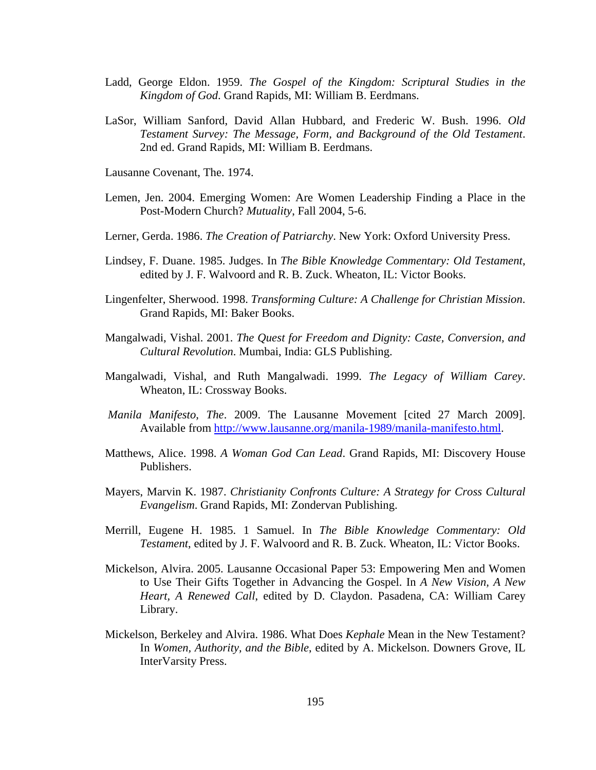- Ladd, George Eldon. 1959. *The Gospel of the Kingdom: Scriptural Studies in the Kingdom of God*. Grand Rapids, MI: William B. Eerdmans.
- LaSor, William Sanford, David Allan Hubbard, and Frederic W. Bush. 1996. *Old Testament Survey: The Message, Form, and Background of the Old Testament*. 2nd ed. Grand Rapids, MI: William B. Eerdmans.

Lausanne Covenant, The. 1974.

- Lemen, Jen. 2004. Emerging Women: Are Women Leadership Finding a Place in the Post-Modern Church? *Mutuality*, Fall 2004, 5-6.
- Lerner, Gerda. 1986. *The Creation of Patriarchy*. New York: Oxford University Press.
- Lindsey, F. Duane. 1985. Judges. In *The Bible Knowledge Commentary: Old Testament*, edited by J. F. Walvoord and R. B. Zuck. Wheaton, IL: Victor Books.
- Lingenfelter, Sherwood. 1998. *Transforming Culture: A Challenge for Christian Mission*. Grand Rapids, MI: Baker Books.
- Mangalwadi, Vishal. 2001. *The Quest for Freedom and Dignity: Caste, Conversion, and Cultural Revolution*. Mumbai, India: GLS Publishing.
- Mangalwadi, Vishal, and Ruth Mangalwadi. 1999. *The Legacy of William Carey*. Wheaton, IL: Crossway Books.
- *Manila Manifesto, The*. 2009. The Lausanne Movement [cited 27 March 2009]. Available from http://www.lausanne.org/manila-1989/manila-manifesto.html.
- Matthews, Alice. 1998. *A Woman God Can Lead*. Grand Rapids, MI: Discovery House Publishers.
- Mayers, Marvin K. 1987. *Christianity Confronts Culture: A Strategy for Cross Cultural Evangelism*. Grand Rapids, MI: Zondervan Publishing.
- Merrill, Eugene H. 1985. 1 Samuel. In *The Bible Knowledge Commentary: Old Testament*, edited by J. F. Walvoord and R. B. Zuck. Wheaton, IL: Victor Books.
- Mickelson, Alvira. 2005. Lausanne Occasional Paper 53: Empowering Men and Women to Use Their Gifts Together in Advancing the Gospel. In *A New Vision, A New Heart, A Renewed Call*, edited by D. Claydon. Pasadena, CA: William Carey Library.
- Mickelson, Berkeley and Alvira. 1986. What Does *Kephale* Mean in the New Testament? In *Women, Authority, and the Bible*, edited by A. Mickelson. Downers Grove, IL InterVarsity Press.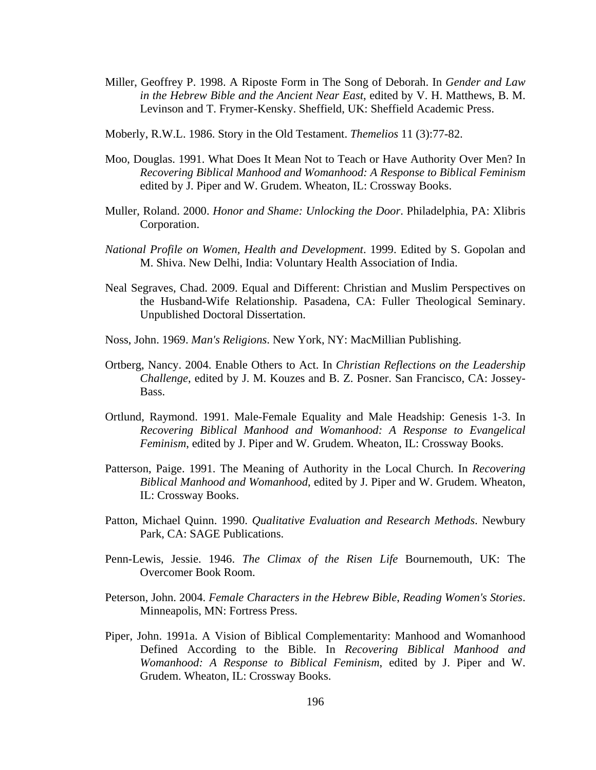- Miller, Geoffrey P. 1998. A Riposte Form in The Song of Deborah. In *Gender and Law in the Hebrew Bible and the Ancient Near East*, edited by V. H. Matthews, B. M. Levinson and T. Frymer-Kensky. Sheffield, UK: Sheffield Academic Press.
- Moberly, R.W.L. 1986. Story in the Old Testament. *Themelios* 11 (3):77-82.
- Moo, Douglas. 1991. What Does It Mean Not to Teach or Have Authority Over Men? In *Recovering Biblical Manhood and Womanhood: A Response to Biblical Feminism*  edited by J. Piper and W. Grudem. Wheaton, IL: Crossway Books.
- Muller, Roland. 2000. *Honor and Shame: Unlocking the Door*. Philadelphia, PA: Xlibris Corporation.
- *National Profile on Women, Health and Development*. 1999. Edited by S. Gopolan and M. Shiva. New Delhi, India: Voluntary Health Association of India.
- Neal Segraves, Chad. 2009. Equal and Different: Christian and Muslim Perspectives on the Husband-Wife Relationship. Pasadena, CA: Fuller Theological Seminary. Unpublished Doctoral Dissertation.
- Noss, John. 1969. *Man's Religions*. New York, NY: MacMillian Publishing.
- Ortberg, Nancy. 2004. Enable Others to Act. In *Christian Reflections on the Leadership Challenge*, edited by J. M. Kouzes and B. Z. Posner. San Francisco, CA: Jossey-Bass.
- Ortlund, Raymond. 1991. Male-Female Equality and Male Headship: Genesis 1-3. In *Recovering Biblical Manhood and Womanhood: A Response to Evangelical Feminism*, edited by J. Piper and W. Grudem. Wheaton, IL: Crossway Books.
- Patterson, Paige. 1991. The Meaning of Authority in the Local Church. In *Recovering Biblical Manhood and Womanhood*, edited by J. Piper and W. Grudem. Wheaton, IL: Crossway Books.
- Patton, Michael Quinn. 1990. *Qualitative Evaluation and Research Methods*. Newbury Park, CA: SAGE Publications.
- Penn-Lewis, Jessie. 1946. *The Climax of the Risen Life* Bournemouth, UK: The Overcomer Book Room.
- Peterson, John. 2004. *Female Characters in the Hebrew Bible*, *Reading Women's Stories*. Minneapolis, MN: Fortress Press.
- Piper, John. 1991a. A Vision of Biblical Complementarity: Manhood and Womanhood Defined According to the Bible. In *Recovering Biblical Manhood and Womanhood: A Response to Biblical Feminism*, edited by J. Piper and W. Grudem. Wheaton, IL: Crossway Books.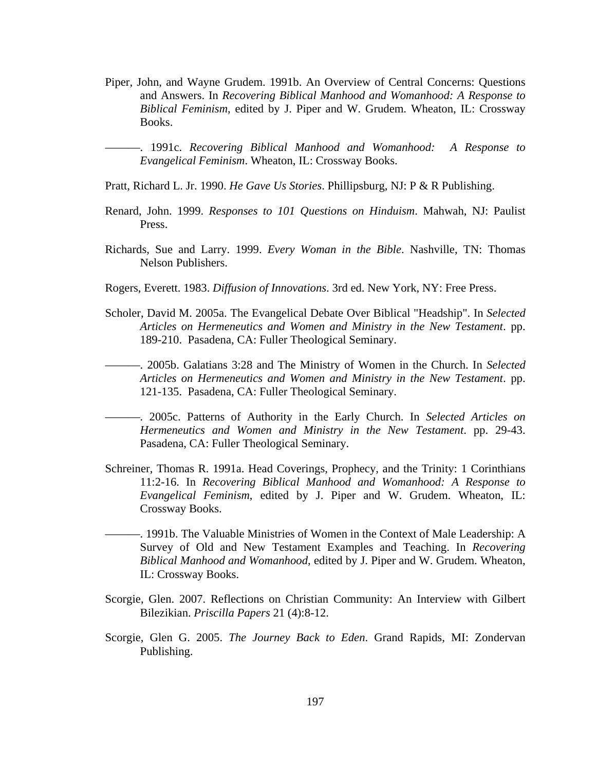Piper, John, and Wayne Grudem. 1991b. An Overview of Central Concerns: Questions and Answers. In *Recovering Biblical Manhood and Womanhood: A Response to Biblical Feminism*, edited by J. Piper and W. Grudem. Wheaton, IL: Crossway Books.

———. 1991c. *Recovering Biblical Manhood and Womanhood: A Response to Evangelical Feminism*. Wheaton, IL: Crossway Books.

Pratt, Richard L. Jr. 1990. *He Gave Us Stories*. Phillipsburg, NJ: P & R Publishing.

- Renard, John. 1999. *Responses to 101 Questions on Hinduism*. Mahwah, NJ: Paulist Press.
- Richards, Sue and Larry. 1999. *Every Woman in the Bible*. Nashville, TN: Thomas Nelson Publishers.
- Rogers, Everett. 1983. *Diffusion of Innovations*. 3rd ed. New York, NY: Free Press.
- Scholer, David M. 2005a. The Evangelical Debate Over Biblical "Headship". In *Selected Articles on Hermeneutics and Women and Ministry in the New Testament*. pp. 189-210. Pasadena, CA: Fuller Theological Seminary.
- ———. 2005b. Galatians 3:28 and The Ministry of Women in the Church. In *Selected Articles on Hermeneutics and Women and Ministry in the New Testament*. pp. 121-135. Pasadena, CA: Fuller Theological Seminary.
- ———. 2005c. Patterns of Authority in the Early Church. In *Selected Articles on Hermeneutics and Women and Ministry in the New Testament*. pp. 29-43. Pasadena, CA: Fuller Theological Seminary.
- Schreiner, Thomas R. 1991a. Head Coverings, Prophecy, and the Trinity: 1 Corinthians 11:2-16. In *Recovering Biblical Manhood and Womanhood: A Response to Evangelical Feminism*, edited by J. Piper and W. Grudem. Wheaton, IL: Crossway Books.
- -. 1991b. The Valuable Ministries of Women in the Context of Male Leadership: A Survey of Old and New Testament Examples and Teaching. In *Recovering Biblical Manhood and Womanhood*, edited by J. Piper and W. Grudem. Wheaton, IL: Crossway Books.
- Scorgie, Glen. 2007. Reflections on Christian Community: An Interview with Gilbert Bilezikian. *Priscilla Papers* 21 (4):8-12.
- Scorgie, Glen G. 2005. *The Journey Back to Eden*. Grand Rapids, MI: Zondervan Publishing.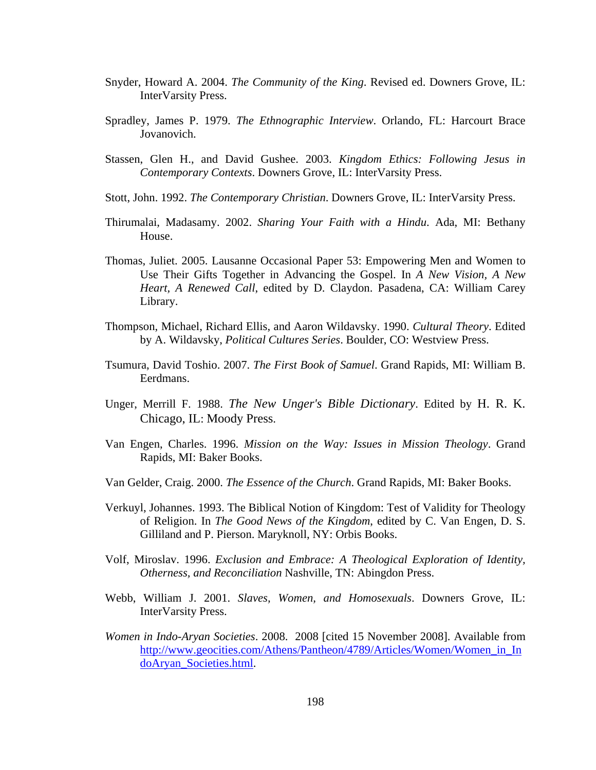- Snyder, Howard A. 2004. *The Community of the King*. Revised ed. Downers Grove, IL: InterVarsity Press.
- Spradley, James P. 1979. *The Ethnographic Interview*. Orlando, FL: Harcourt Brace Jovanovich.
- Stassen, Glen H., and David Gushee. 2003. *Kingdom Ethics: Following Jesus in Contemporary Contexts*. Downers Grove, IL: InterVarsity Press.
- Stott, John. 1992. *The Contemporary Christian*. Downers Grove, IL: InterVarsity Press.
- Thirumalai, Madasamy. 2002. *Sharing Your Faith with a Hindu*. Ada, MI: Bethany House.
- Thomas, Juliet. 2005. Lausanne Occasional Paper 53: Empowering Men and Women to Use Their Gifts Together in Advancing the Gospel. In *A New Vision, A New Heart, A Renewed Call*, edited by D. Claydon. Pasadena, CA: William Carey Library.
- Thompson, Michael, Richard Ellis, and Aaron Wildavsky. 1990. *Cultural Theory*. Edited by A. Wildavsky, *Political Cultures Series*. Boulder, CO: Westview Press.
- Tsumura, David Toshio. 2007. *The First Book of Samuel*. Grand Rapids, MI: William B. Eerdmans.
- Unger, Merrill F. 1988. *The New Unger's Bible Dictionary*. Edited by H. R. K. Chicago, IL: Moody Press.
- Van Engen, Charles. 1996. *Mission on the Way: Issues in Mission Theology*. Grand Rapids, MI: Baker Books.
- Van Gelder, Craig. 2000. *The Essence of the Church*. Grand Rapids, MI: Baker Books.
- Verkuyl, Johannes. 1993. The Biblical Notion of Kingdom: Test of Validity for Theology of Religion. In *The Good News of the Kingdom*, edited by C. Van Engen, D. S. Gilliland and P. Pierson. Maryknoll, NY: Orbis Books.
- Volf, Miroslav. 1996. *Exclusion and Embrace: A Theological Exploration of Identity, Otherness, and Reconciliation* Nashville, TN: Abingdon Press.
- Webb, William J. 2001. *Slaves, Women, and Homosexuals*. Downers Grove, IL: InterVarsity Press.
- *Women in Indo-Aryan Societies*. 2008. 2008 [cited 15 November 2008]. Available from http://www.geocities.com/Athens/Pantheon/4789/Articles/Women/Women\_in\_In doAryan\_Societies.html.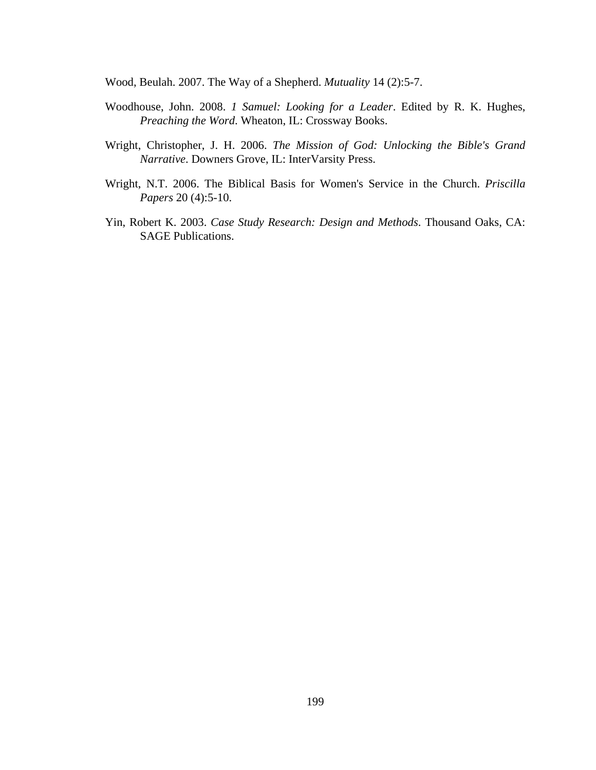Wood, Beulah. 2007. The Way of a Shepherd. *Mutuality* 14 (2):5-7.

- Woodhouse, John. 2008. *1 Samuel: Looking for a Leader*. Edited by R. K. Hughes, *Preaching the Word*. Wheaton, IL: Crossway Books.
- Wright, Christopher, J. H. 2006. *The Mission of God: Unlocking the Bible's Grand Narrative*. Downers Grove, IL: InterVarsity Press.
- Wright, N.T. 2006. The Biblical Basis for Women's Service in the Church. *Priscilla Papers* 20 (4):5-10.
- Yin, Robert K. 2003. *Case Study Research: Design and Methods*. Thousand Oaks, CA: SAGE Publications.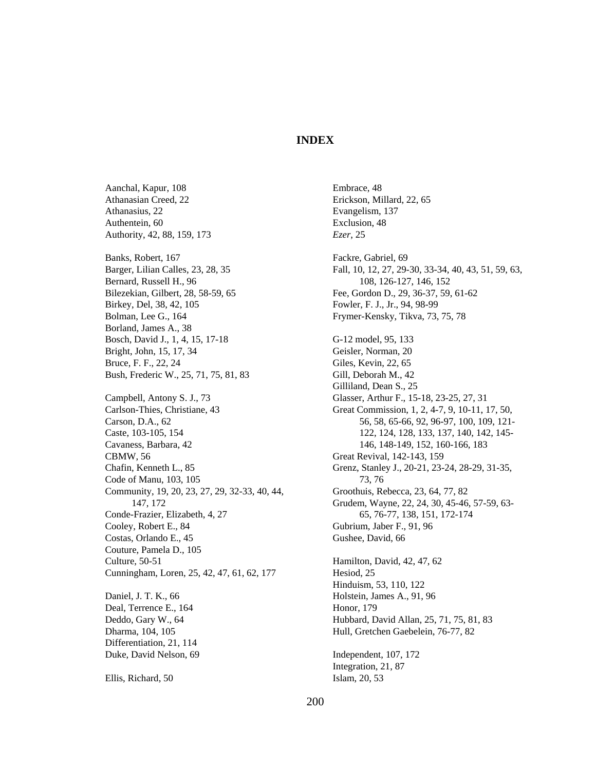#### **INDEX**

Aanchal, Kapur, 108 Athanasian Creed, 22 Athanasius, 22 Authentein, 60 Authority, 42, 88, 159, 173 Banks, Robert, 167 Barger, Lilian Calles, 23, 28, 35 Bernard, Russell H., 96 Bilezekian, Gilbert, 28, 58-59, 65 Birkey, Del, 38, 42, 105 Bolman, Lee G., 164 Borland, James A., 38 Bosch, David J., 1, 4, 15, 17-18 Bright, John, 15, 17, 34 Bruce, F. F., 22, 24 Bush, Frederic W., 25, 71, 75, 81, 83 Campbell, Antony S. J., 73 Carlson-Thies, Christiane, 43 Carson, D.A., 62 Caste, 103-105, 154 Cavaness, Barbara, 42 CBMW, 56 Chafin, Kenneth L., 85 Code of Manu, 103, 105 Community, 19, 20, 23, 27, 29, 32-33, 40, 44, 147, 172 Conde-Frazier, Elizabeth, 4, 27 Cooley, Robert E., 84 Costas, Orlando E., 45 Couture, Pamela D., 105 Culture, 50-51 Cunningham, Loren, 25, 42, 47, 61, 62, 177 Daniel, J. T. K., 66 Deal, Terrence E., 164 Deddo, Gary W., 64 Dharma, 104, 105 Differentiation, 21, 114 Duke, David Nelson, 69

Ellis, Richard, 50

Embrace, 48 Erickson, Millard, 22, 65 Evangelism, 137 Exclusion, 48 *Ezer*, 25 Fackre, Gabriel, 69 Fall, 10, 12, 27, 29-30, 33-34, 40, 43, 51, 59, 63, 108, 126-127, 146, 152 Fee, Gordon D., 29, 36-37, 59, 61-62 Fowler, F. J., Jr., 94, 98-99 Frymer-Kensky, Tikva, 73, 75, 78 G-12 model, 95, 133 Geisler, Norman, 20 Giles, Kevin, 22, 65 Gill, Deborah M., 42 Gilliland, Dean S., 25 Glasser, Arthur F., 15-18, 23-25, 27, 31 Great Commission, 1, 2, 4-7, 9, 10-11, 17, 50, 56, 58, 65-66, 92, 96-97, 100, 109, 121- 122, 124, 128, 133, 137, 140, 142, 145- 146, 148-149, 152, 160-166, 183 Great Revival, 142-143, 159 Grenz, Stanley J., 20-21, 23-24, 28-29, 31-35, 73, 76 Groothuis, Rebecca, 23, 64, 77, 82 Grudem, Wayne, 22, 24, 30, 45-46, 57-59, 63- 65, 76-77, 138, 151, 172-174 Gubrium, Jaber F., 91, 96 Gushee, David, 66 Hamilton, David, 42, 47, 62 Hesiod, 25 Hinduism, 53, 110, 122 Holstein, James A., 91, 96 Honor, 179 Hubbard, David Allan, 25, 71, 75, 81, 83 Hull, Gretchen Gaebelein, 76-77, 82 Independent, 107, 172 Integration, 21, 87 Islam, 20, 53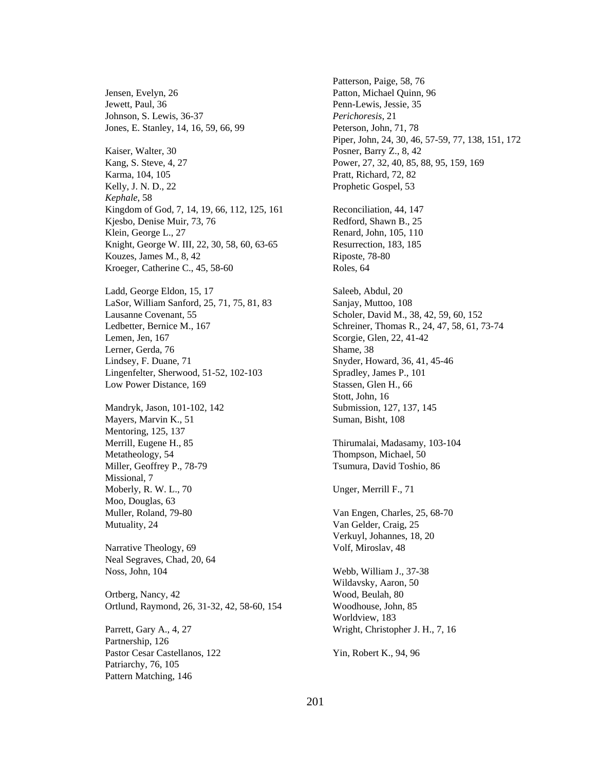Jensen, Evelyn, 26 Jewett, Paul, 36 Johnson, S. Lewis, 36-37 Jones, E. Stanley, 14, 16, 59, 66, 99

Kaiser, Walter, 30 Kang, S. Steve, 4, 27 Karma, 104, 105 Kelly, J. N. D., 22 *Kephale*, 58 Kingdom of God, 7, 14, 19, 66, 112, 125, 161 Kjesbo, Denise Muir, 73, 76 Klein, George L., 27 Knight, George W. III, 22, 30, 58, 60, 63-65 Kouzes, James M., 8, 42 Kroeger, Catherine C., 45, 58-60

Ladd, George Eldon, 15, 17 LaSor, William Sanford, 25, 71, 75, 81, 83 Lausanne Covenant, 55 Ledbetter, Bernice M., 167 Lemen, Jen, 167 Lerner, Gerda, 76 Lindsey, F. Duane, 71 Lingenfelter, Sherwood, 51-52, 102-103 Low Power Distance, 169

Mandryk, Jason, 101-102, 142 Mayers, Marvin K., 51 Mentoring, 125, 137 Merrill, Eugene H., 85 Metatheology, 54 Miller, Geoffrey P., 78-79 Missional, 7 Moberly, R. W. L., 70 Moo, Douglas, 63 Muller, Roland, 79-80 Mutuality, 24

Narrative Theology, 69 Neal Segraves, Chad, 20, 64 Noss, John, 104

Ortberg, Nancy, 42 Ortlund, Raymond, 26, 31-32, 42, 58-60, 154

Parrett, Gary A., 4, 27 Partnership, 126 Pastor Cesar Castellanos, 122 Patriarchy, 76, 105 Pattern Matching, 146

Patterson, Paige, 58, 76 Patton, Michael Quinn, 96 Penn-Lewis, Jessie, 35 *Perichoresis*, 21 Peterson, John, 71, 78 Piper, John, 24, 30, 46, 57-59, 77, 138, 151, 172 Posner, Barry Z., 8, 42 Power, 27, 32, 40, 85, 88, 95, 159, 169 Pratt, Richard, 72, 82 Prophetic Gospel, 53 Reconciliation, 44, 147 Redford, Shawn B., 25 Renard, John, 105, 110 Resurrection, 183, 185 Riposte, 78-80 Roles, 64 Saleeb, Abdul, 20 Sanjay, Muttoo, 108 Scholer, David M., 38, 42, 59, 60, 152 Schreiner, Thomas R., 24, 47, 58, 61, 73-74 Scorgie, Glen, 22, 41-42 Shame, 38 Snyder, Howard, 36, 41, 45-46 Spradley, James P., 101 Stassen, Glen H., 66 Stott, John, 16 Submission, 127, 137, 145 Suman, Bisht, 108 Thirumalai, Madasamy, 103-104 Thompson, Michael, 50 Tsumura, David Toshio, 86 Unger, Merrill F., 71 Van Engen, Charles, 25, 68-70 Van Gelder, Craig, 25 Verkuyl, Johannes, 18, 20 Volf, Miroslav, 48 Webb, William J., 37-38 Wildavsky, Aaron, 50 Wood, Beulah, 80 Woodhouse, John, 85 Worldview, 183 Wright, Christopher J. H., 7, 16 Yin, Robert K., 94, 96